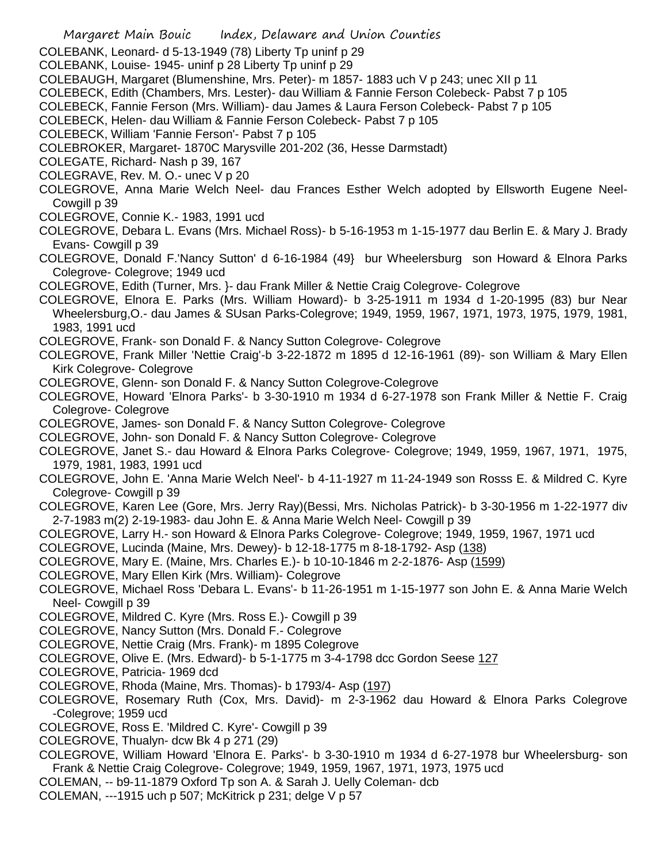- Margaret Main Bouic Index, Delaware and Union Counties COLEBANK, Leonard- d 5-13-1949 (78) Liberty Tp uninf p 29 COLEBANK, Louise- 1945- uninf p 28 Liberty Tp uninf p 29 COLEBAUGH, Margaret (Blumenshine, Mrs. Peter)- m 1857- 1883 uch V p 243; unec XII p 11 COLEBECK, Edith (Chambers, Mrs. Lester)- dau William & Fannie Ferson Colebeck- Pabst 7 p 105 COLEBECK, Fannie Ferson (Mrs. William)- dau James & Laura Ferson Colebeck- Pabst 7 p 105 COLEBECK, Helen- dau William & Fannie Ferson Colebeck- Pabst 7 p 105 COLEBECK, William 'Fannie Ferson'- Pabst 7 p 105 COLEBROKER, Margaret- 1870C Marysville 201-202 (36, Hesse Darmstadt) COLEGATE, Richard- Nash p 39, 167 COLEGRAVE, Rev. M. O.- unec V p 20 COLEGROVE, Anna Marie Welch Neel- dau Frances Esther Welch adopted by Ellsworth Eugene Neel-Cowgill p 39 COLEGROVE, Connie K.- 1983, 1991 ucd COLEGROVE, Debara L. Evans (Mrs. Michael Ross)- b 5-16-1953 m 1-15-1977 dau Berlin E. & Mary J. Brady Evans- Cowgill p 39 COLEGROVE, Donald F.'Nancy Sutton' d 6-16-1984 (49} bur Wheelersburg son Howard & Elnora Parks Colegrove- Colegrove; 1949 ucd COLEGROVE, Edith (Turner, Mrs. }- dau Frank Miller & Nettie Craig Colegrove- Colegrove COLEGROVE, Elnora E. Parks (Mrs. William Howard)- b 3-25-1911 m 1934 d 1-20-1995 (83) bur Near Wheelersburg,O.- dau James & SUsan Parks-Colegrove; 1949, 1959, 1967, 1971, 1973, 1975, 1979, 1981, 1983, 1991 ucd COLEGROVE, Frank- son Donald F. & Nancy Sutton Colegrove- Colegrove COLEGROVE, Frank Miller 'Nettie Craig'-b 3-22-1872 m 1895 d 12-16-1961 (89)- son William & Mary Ellen Kirk Colegrove- Colegrove COLEGROVE, Glenn- son Donald F. & Nancy Sutton Colegrove-Colegrove COLEGROVE, Howard 'Elnora Parks'- b 3-30-1910 m 1934 d 6-27-1978 son Frank Miller & Nettie F. Craig Colegrove- Colegrove COLEGROVE, James- son Donald F. & Nancy Sutton Colegrove- Colegrove COLEGROVE, John- son Donald F. & Nancy Sutton Colegrove- Colegrove COLEGROVE, Janet S.- dau Howard & Elnora Parks Colegrove- Colegrove; 1949, 1959, 1967, 1971, 1975, 1979, 1981, 1983, 1991 ucd COLEGROVE, John E. 'Anna Marie Welch Neel'- b 4-11-1927 m 11-24-1949 son Rosss E. & Mildred C. Kyre Colegrove- Cowgill p 39 COLEGROVE, Karen Lee (Gore, Mrs. Jerry Ray)(Bessi, Mrs. Nicholas Patrick)- b 3-30-1956 m 1-22-1977 div 2-7-1983 m(2) 2-19-1983- dau John E. & Anna Marie Welch Neel- Cowgill p 39 COLEGROVE, Larry H.- son Howard & Elnora Parks Colegrove- Colegrove; 1949, 1959, 1967, 1971 ucd COLEGROVE, Lucinda (Maine, Mrs. Dewey)- b 12-18-1775 m 8-18-1792- Asp (138) COLEGROVE, Mary E. (Maine, Mrs. Charles E.)- b 10-10-1846 m 2-2-1876- Asp (1599) COLEGROVE, Mary Ellen Kirk (Mrs. William)- Colegrove COLEGROVE, Michael Ross 'Debara L. Evans'- b 11-26-1951 m 1-15-1977 son John E. & Anna Marie Welch Neel- Cowgill p 39 COLEGROVE, Mildred C. Kyre (Mrs. Ross E.)- Cowgill p 39 COLEGROVE, Nancy Sutton (Mrs. Donald F.- Colegrove COLEGROVE, Nettie Craig (Mrs. Frank)- m 1895 Colegrove COLEGROVE, Olive E. (Mrs. Edward)- b 5-1-1775 m 3-4-1798 dcc Gordon Seese 127 COLEGROVE, Patricia- 1969 dcd COLEGROVE, Rhoda (Maine, Mrs. Thomas)- b 1793/4- Asp (197) COLEGROVE, Rosemary Ruth (Cox, Mrs. David)- m 2-3-1962 dau Howard & Elnora Parks Colegrove -Colegrove; 1959 ucd COLEGROVE, Ross E. 'Mildred C. Kyre'- Cowgill p 39 COLEGROVE, Thualyn- dcw Bk 4 p 271 (29) COLEGROVE, William Howard 'Elnora E. Parks'- b 3-30-1910 m 1934 d 6-27-1978 bur Wheelersburg- son Frank & Nettie Craig Colegrove- Colegrove; 1949, 1959, 1967, 1971, 1973, 1975 ucd COLEMAN, -- b9-11-1879 Oxford Tp son A. & Sarah J. Uelly Coleman- dcb
- COLEMAN, ---1915 uch p 507; McKitrick p 231; delge V p 57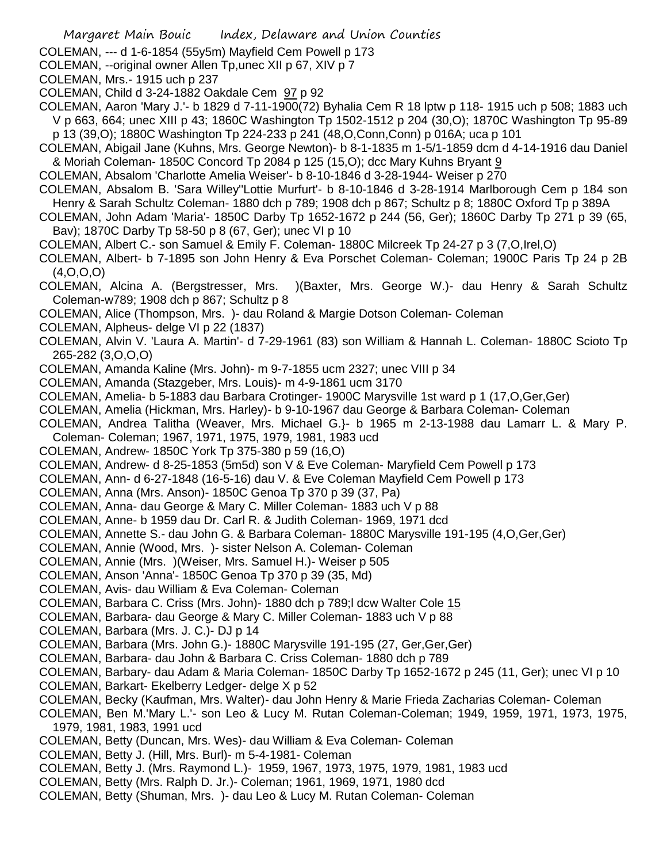- Margaret Main Bouic Index, Delaware and Union Counties
- COLEMAN, --- d 1-6-1854 (55y5m) Mayfield Cem Powell p 173
- COLEMAN, --original owner Allen Tp,unec XII p 67, XIV p 7
- COLEMAN, Mrs.- 1915 uch p 237
- COLEMAN, Child d 3-24-1882 Oakdale Cem 97 p 92
- COLEMAN, Aaron 'Mary J.'- b 1829 d 7-11-1900(72) Byhalia Cem R 18 lptw p 118- 1915 uch p 508; 1883 uch V p 663, 664; unec XIII p 43; 1860C Washington Tp 1502-1512 p 204 (30,O); 1870C Washington Tp 95-89 p 13 (39,O); 1880C Washington Tp 224-233 p 241 (48,O,Conn,Conn) p 016A; uca p 101
- COLEMAN, Abigail Jane (Kuhns, Mrs. George Newton)- b 8-1-1835 m 1-5/1-1859 dcm d 4-14-1916 dau Daniel & Moriah Coleman- 1850C Concord Tp 2084 p 125 (15, O); dcc Mary Kuhns Bryant 9
- COLEMAN, Absalom 'Charlotte Amelia Weiser'- b 8-10-1846 d 3-28-1944- Weiser p 270
- COLEMAN, Absalom B. 'Sara Willey''Lottie Murfurt'- b 8-10-1846 d 3-28-1914 Marlborough Cem p 184 son Henry & Sarah Schultz Coleman- 1880 dch p 789; 1908 dch p 867; Schultz p 8; 1880C Oxford Tp p 389A
- COLEMAN, John Adam 'Maria'- 1850C Darby Tp 1652-1672 p 244 (56, Ger); 1860C Darby Tp 271 p 39 (65, Bav); 1870C Darby Tp 58-50 p 8 (67, Ger); unec VI p 10
- COLEMAN, Albert C.- son Samuel & Emily F. Coleman- 1880C Milcreek Tp 24-27 p 3 (7,O,Irel,O)
- COLEMAN, Albert- b 7-1895 son John Henry & Eva Porschet Coleman- Coleman; 1900C Paris Tp 24 p 2B (4,O,O,O)
- COLEMAN, Alcina A. (Bergstresser, Mrs. )(Baxter, Mrs. George W.)- dau Henry & Sarah Schultz Coleman-w789; 1908 dch p 867; Schultz p 8
- COLEMAN, Alice (Thompson, Mrs. )- dau Roland & Margie Dotson Coleman- Coleman
- COLEMAN, Alpheus- delge VI p 22 (1837)
- COLEMAN, Alvin V. 'Laura A. Martin'- d 7-29-1961 (83) son William & Hannah L. Coleman- 1880C Scioto Tp 265-282 (3,O,O,O)
- COLEMAN, Amanda Kaline (Mrs. John)- m 9-7-1855 ucm 2327; unec VIII p 34
- COLEMAN, Amanda (Stazgeber, Mrs. Louis)- m 4-9-1861 ucm 3170
- COLEMAN, Amelia- b 5-1883 dau Barbara Crotinger- 1900C Marysville 1st ward p 1 (17,O,Ger,Ger)
- COLEMAN, Amelia (Hickman, Mrs. Harley)- b 9-10-1967 dau George & Barbara Coleman- Coleman
- COLEMAN, Andrea Talitha (Weaver, Mrs. Michael G.}- b 1965 m 2-13-1988 dau Lamarr L. & Mary P.
- Coleman- Coleman; 1967, 1971, 1975, 1979, 1981, 1983 ucd
- COLEMAN, Andrew- 1850C York Tp 375-380 p 59 (16,O)
- COLEMAN, Andrew- d 8-25-1853 (5m5d) son V & Eve Coleman- Maryfield Cem Powell p 173
- COLEMAN, Ann- d 6-27-1848 (16-5-16) dau V. & Eve Coleman Mayfield Cem Powell p 173
- COLEMAN, Anna (Mrs. Anson)- 1850C Genoa Tp 370 p 39 (37, Pa)
- COLEMAN, Anna- dau George & Mary C. Miller Coleman- 1883 uch V p 88
- COLEMAN, Anne- b 1959 dau Dr. Carl R. & Judith Coleman- 1969, 1971 dcd
- COLEMAN, Annette S.- dau John G. & Barbara Coleman- 1880C Marysville 191-195 (4,O,Ger,Ger)
- COLEMAN, Annie (Wood, Mrs. )- sister Nelson A. Coleman- Coleman
- COLEMAN, Annie (Mrs. )(Weiser, Mrs. Samuel H.)- Weiser p 505
- COLEMAN, Anson 'Anna'- 1850C Genoa Tp 370 p 39 (35, Md)
- COLEMAN, Avis- dau William & Eva Coleman- Coleman
- COLEMAN, Barbara C. Criss (Mrs. John)- 1880 dch p 789;l dcw Walter Cole 15
- COLEMAN, Barbara- dau George & Mary C. Miller Coleman- 1883 uch V p 88
- COLEMAN, Barbara (Mrs. J. C.)- DJ p 14
- COLEMAN, Barbara (Mrs. John G.)- 1880C Marysville 191-195 (27, Ger,Ger,Ger)
- COLEMAN, Barbara- dau John & Barbara C. Criss Coleman- 1880 dch p 789
- COLEMAN, Barbary- dau Adam & Maria Coleman- 1850C Darby Tp 1652-1672 p 245 (11, Ger); unec VI p 10
- COLEMAN, Barkart- Ekelberry Ledger- delge X p 52
- COLEMAN, Becky (Kaufman, Mrs. Walter)- dau John Henry & Marie Frieda Zacharias Coleman- Coleman
- COLEMAN, Ben M.'Mary L.'- son Leo & Lucy M. Rutan Coleman-Coleman; 1949, 1959, 1971, 1973, 1975, 1979, 1981, 1983, 1991 ucd
- COLEMAN, Betty (Duncan, Mrs. Wes)- dau William & Eva Coleman- Coleman
- COLEMAN, Betty J. (Hill, Mrs. Burl)- m 5-4-1981- Coleman
- COLEMAN, Betty J. (Mrs. Raymond L.)- 1959, 1967, 1973, 1975, 1979, 1981, 1983 ucd
- COLEMAN, Betty (Mrs. Ralph D. Jr.)- Coleman; 1961, 1969, 1971, 1980 dcd
- COLEMAN, Betty (Shuman, Mrs. )- dau Leo & Lucy M. Rutan Coleman- Coleman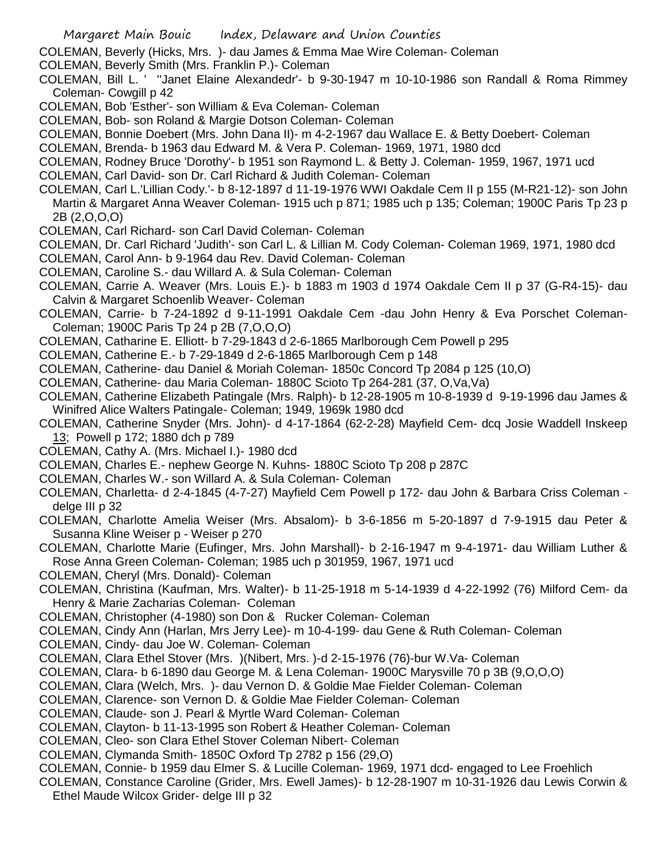COLEMAN, Beverly (Hicks, Mrs. )- dau James & Emma Mae Wire Coleman- Coleman

COLEMAN, Beverly Smith (Mrs. Franklin P.)- Coleman

COLEMAN, Bill L. ' ''Janet Elaine Alexandedr'- b 9-30-1947 m 10-10-1986 son Randall & Roma Rimmey Coleman- Cowgill p 42

- COLEMAN, Bob 'Esther'- son William & Eva Coleman- Coleman
- COLEMAN, Bob- son Roland & Margie Dotson Coleman- Coleman
- COLEMAN, Bonnie Doebert (Mrs. John Dana II)- m 4-2-1967 dau Wallace E. & Betty Doebert- Coleman
- COLEMAN, Brenda- b 1963 dau Edward M. & Vera P. Coleman- 1969, 1971, 1980 dcd
- COLEMAN, Rodney Bruce 'Dorothy'- b 1951 son Raymond L. & Betty J. Coleman- 1959, 1967, 1971 ucd
- COLEMAN, Carl David- son Dr. Carl Richard & Judith Coleman- Coleman

COLEMAN, Carl L.'Lillian Cody.'- b 8-12-1897 d 11-19-1976 WWI Oakdale Cem II p 155 (M-R21-12)- son John Martin & Margaret Anna Weaver Coleman- 1915 uch p 871; 1985 uch p 135; Coleman; 1900C Paris Tp 23 p 2B (2,O,O,O)

- COLEMAN, Carl Richard- son Carl David Coleman- Coleman
- COLEMAN, Dr. Carl Richard 'Judith'- son Carl L. & Lillian M. Cody Coleman- Coleman 1969, 1971, 1980 dcd
- COLEMAN, Carol Ann- b 9-1964 dau Rev. David Coleman- Coleman
- COLEMAN, Caroline S.- dau Willard A. & Sula Coleman- Coleman
- COLEMAN, Carrie A. Weaver (Mrs. Louis E.)- b 1883 m 1903 d 1974 Oakdale Cem II p 37 (G-R4-15)- dau Calvin & Margaret Schoenlib Weaver- Coleman
- COLEMAN, Carrie- b 7-24-1892 d 9-11-1991 Oakdale Cem -dau John Henry & Eva Porschet Coleman-Coleman; 1900C Paris Tp 24 p 2B (7,O,O,O)
- COLEMAN, Catharine E. Elliott- b 7-29-1843 d 2-6-1865 Marlborough Cem Powell p 295
- COLEMAN, Catherine E.- b 7-29-1849 d 2-6-1865 Marlborough Cem p 148
- COLEMAN, Catherine- dau Daniel & Moriah Coleman- 1850c Concord Tp 2084 p 125 (10,O)
- COLEMAN, Catherine- dau Maria Coleman- 1880C Scioto Tp 264-281 (37, O,Va,Va)
- COLEMAN, Catherine Elizabeth Patingale (Mrs. Ralph)- b 12-28-1905 m 10-8-1939 d 9-19-1996 dau James & Winifred Alice Walters Patingale- Coleman; 1949, 1969k 1980 dcd
- COLEMAN, Catherine Snyder (Mrs. John)- d 4-17-1864 (62-2-28) Mayfield Cem- dcq Josie Waddell Inskeep 13; Powell p 172; 1880 dch p 789
- COLEMAN, Cathy A. (Mrs. Michael I.)- 1980 dcd
- COLEMAN, Charles E.- nephew George N. Kuhns- 1880C Scioto Tp 208 p 287C
- COLEMAN, Charles W.- son Willard A. & Sula Coleman- Coleman
- COLEMAN, Charletta- d 2-4-1845 (4-7-27) Mayfield Cem Powell p 172- dau John & Barbara Criss Coleman delge III p 32
- COLEMAN, Charlotte Amelia Weiser (Mrs. Absalom)- b 3-6-1856 m 5-20-1897 d 7-9-1915 dau Peter & Susanna Kline Weiser p - Weiser p 270
- COLEMAN, Charlotte Marie (Eufinger, Mrs. John Marshall)- b 2-16-1947 m 9-4-1971- dau William Luther & Rose Anna Green Coleman- Coleman; 1985 uch p 301959, 1967, 1971 ucd
- COLEMAN, Cheryl (Mrs. Donald)- Coleman
- COLEMAN, Christina (Kaufman, Mrs. Walter)- b 11-25-1918 m 5-14-1939 d 4-22-1992 (76) Milford Cem- da Henry & Marie Zacharias Coleman- Coleman
- COLEMAN, Christopher (4-1980) son Don & Rucker Coleman- Coleman
- COLEMAN, Cindy Ann (Harlan, Mrs Jerry Lee)- m 10-4-199- dau Gene & Ruth Coleman- Coleman
- COLEMAN, Cindy- dau Joe W. Coleman- Coleman
- COLEMAN, Clara Ethel Stover (Mrs. )(Nibert, Mrs. )-d 2-15-1976 (76)-bur W.Va- Coleman
- COLEMAN, Clara- b 6-1890 dau George M. & Lena Coleman- 1900C Marysville 70 p 3B (9,O,O,O)
- COLEMAN, Clara (Welch, Mrs. )- dau Vernon D. & Goldie Mae Fielder Coleman- Coleman
- COLEMAN, Clarence- son Vernon D. & Goldie Mae Fielder Coleman- Coleman
- COLEMAN, Claude- son J. Pearl & Myrtle Ward Coleman- Coleman
- COLEMAN, Clayton- b 11-13-1995 son Robert & Heather Coleman- Coleman
- COLEMAN, Cleo- son Clara Ethel Stover Coleman Nibert- Coleman
- COLEMAN, Clymanda Smith- 1850C Oxford Tp 2782 p 156 (29,O)
- COLEMAN, Connie- b 1959 dau Elmer S. & Lucille Coleman- 1969, 1971 dcd- engaged to Lee Froehlich
- COLEMAN, Constance Caroline (Grider, Mrs. Ewell James)- b 12-28-1907 m 10-31-1926 dau Lewis Corwin & Ethel Maude Wilcox Grider- delge III p 32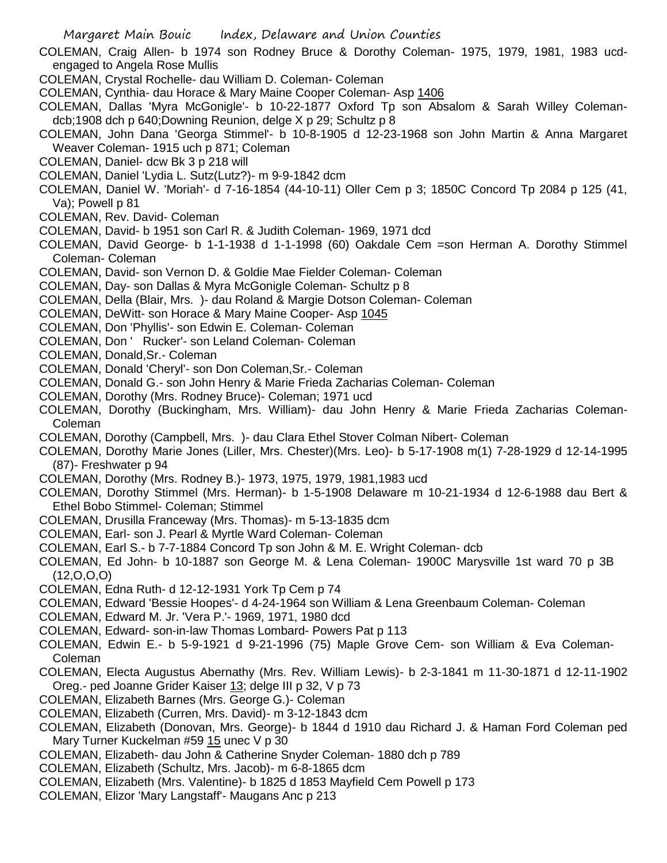COLEMAN, Craig Allen- b 1974 son Rodney Bruce & Dorothy Coleman- 1975, 1979, 1981, 1983 ucdengaged to Angela Rose Mullis

COLEMAN, Crystal Rochelle- dau William D. Coleman- Coleman

COLEMAN, Cynthia- dau Horace & Mary Maine Cooper Coleman- Asp 1406

COLEMAN, Dallas 'Myra McGonigle'- b 10-22-1877 Oxford Tp son Absalom & Sarah Willey Colemandcb;1908 dch p 640;Downing Reunion, delge X p 29; Schultz p 8

COLEMAN, John Dana 'Georga Stimmel'- b 10-8-1905 d 12-23-1968 son John Martin & Anna Margaret Weaver Coleman- 1915 uch p 871; Coleman

COLEMAN, Daniel- dcw Bk 3 p 218 will

COLEMAN, Daniel 'Lydia L. Sutz(Lutz?)- m 9-9-1842 dcm

COLEMAN, Daniel W. 'Moriah'- d 7-16-1854 (44-10-11) Oller Cem p 3; 1850C Concord Tp 2084 p 125 (41, Va); Powell p 81

COLEMAN, Rev. David- Coleman

COLEMAN, David- b 1951 son Carl R. & Judith Coleman- 1969, 1971 dcd

COLEMAN, David George- b 1-1-1938 d 1-1-1998 (60) Oakdale Cem =son Herman A. Dorothy Stimmel Coleman- Coleman

COLEMAN, David- son Vernon D. & Goldie Mae Fielder Coleman- Coleman

COLEMAN, Day- son Dallas & Myra McGonigle Coleman- Schultz p 8

COLEMAN, Della (Blair, Mrs. )- dau Roland & Margie Dotson Coleman- Coleman

COLEMAN, DeWitt- son Horace & Mary Maine Cooper- Asp 1045

COLEMAN, Don 'Phyllis'- son Edwin E. Coleman- Coleman

COLEMAN, Don ' Rucker'- son Leland Coleman- Coleman

COLEMAN, Donald,Sr.- Coleman

COLEMAN, Donald 'Cheryl'- son Don Coleman,Sr.- Coleman

COLEMAN, Donald G.- son John Henry & Marie Frieda Zacharias Coleman- Coleman

COLEMAN, Dorothy (Mrs. Rodney Bruce)- Coleman; 1971 ucd

COLEMAN, Dorothy (Buckingham, Mrs. William)- dau John Henry & Marie Frieda Zacharias Coleman-Coleman

COLEMAN, Dorothy (Campbell, Mrs. )- dau Clara Ethel Stover Colman Nibert- Coleman

COLEMAN, Dorothy Marie Jones (Liller, Mrs. Chester)(Mrs. Leo)- b 5-17-1908 m(1) 7-28-1929 d 12-14-1995 (87)- Freshwater p 94

COLEMAN, Dorothy (Mrs. Rodney B.)- 1973, 1975, 1979, 1981,1983 ucd

COLEMAN, Dorothy Stimmel (Mrs. Herman)- b 1-5-1908 Delaware m 10-21-1934 d 12-6-1988 dau Bert & Ethel Bobo Stimmel- Coleman; Stimmel

COLEMAN, Drusilla Franceway (Mrs. Thomas)- m 5-13-1835 dcm

COLEMAN, Earl- son J. Pearl & Myrtle Ward Coleman- Coleman

COLEMAN, Earl S.- b 7-7-1884 Concord Tp son John & M. E. Wright Coleman- dcb

COLEMAN, Ed John- b 10-1887 son George M. & Lena Coleman- 1900C Marysville 1st ward 70 p 3B (12,O,O,O)

COLEMAN, Edna Ruth- d 12-12-1931 York Tp Cem p 74

COLEMAN, Edward 'Bessie Hoopes'- d 4-24-1964 son William & Lena Greenbaum Coleman- Coleman

COLEMAN, Edward M. Jr. 'Vera P.'- 1969, 1971, 1980 dcd

COLEMAN, Edward- son-in-law Thomas Lombard- Powers Pat p 113

COLEMAN, Edwin E.- b 5-9-1921 d 9-21-1996 (75) Maple Grove Cem- son William & Eva Coleman-Coleman

COLEMAN, Electa Augustus Abernathy (Mrs. Rev. William Lewis)- b 2-3-1841 m 11-30-1871 d 12-11-1902 Oreg.- ped Joanne Grider Kaiser 13; delge III p 32, V p 73

COLEMAN, Elizabeth Barnes (Mrs. George G.)- Coleman

COLEMAN, Elizabeth (Curren, Mrs. David)- m 3-12-1843 dcm

COLEMAN, Elizabeth (Donovan, Mrs. George)- b 1844 d 1910 dau Richard J. & Haman Ford Coleman ped Mary Turner Kuckelman #59 15 unec V p 30

COLEMAN, Elizabeth- dau John & Catherine Snyder Coleman- 1880 dch p 789

COLEMAN, Elizabeth (Schultz, Mrs. Jacob)- m 6-8-1865 dcm

COLEMAN, Elizabeth (Mrs. Valentine)- b 1825 d 1853 Mayfield Cem Powell p 173

COLEMAN, Elizor 'Mary Langstaff'- Maugans Anc p 213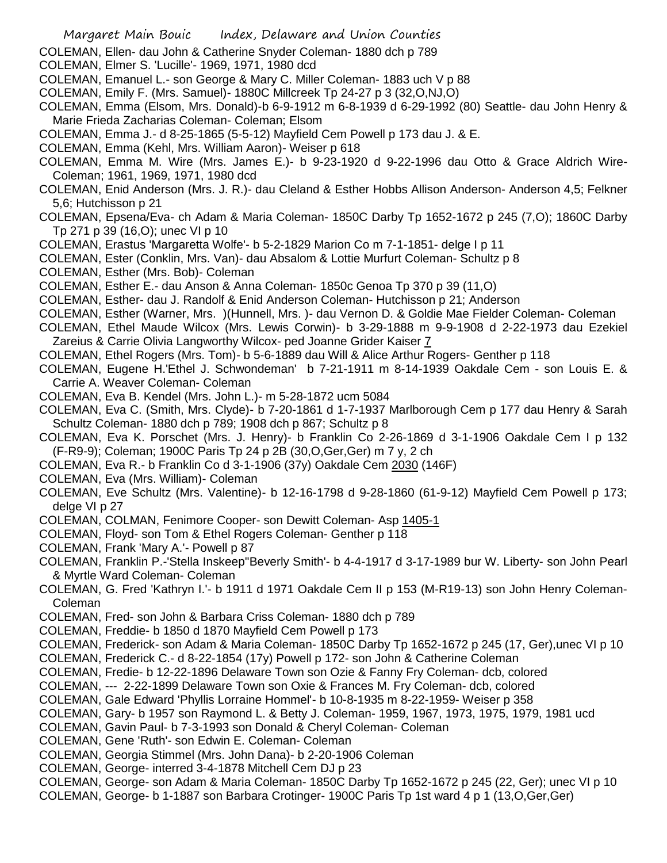- COLEMAN, Ellen- dau John & Catherine Snyder Coleman- 1880 dch p 789
- COLEMAN, Elmer S. 'Lucille'- 1969, 1971, 1980 dcd
- COLEMAN, Emanuel L.- son George & Mary C. Miller Coleman- 1883 uch V p 88
- COLEMAN, Emily F. (Mrs. Samuel)- 1880C Millcreek Tp 24-27 p 3 (32,O,NJ,O)
- COLEMAN, Emma (Elsom, Mrs. Donald)-b 6-9-1912 m 6-8-1939 d 6-29-1992 (80) Seattle- dau John Henry & Marie Frieda Zacharias Coleman- Coleman; Elsom
- COLEMAN, Emma J.- d 8-25-1865 (5-5-12) Mayfield Cem Powell p 173 dau J. & E.
- COLEMAN, Emma (Kehl, Mrs. William Aaron)- Weiser p 618
- COLEMAN, Emma M. Wire (Mrs. James E.)- b 9-23-1920 d 9-22-1996 dau Otto & Grace Aldrich Wire-Coleman; 1961, 1969, 1971, 1980 dcd
- COLEMAN, Enid Anderson (Mrs. J. R.)- dau Cleland & Esther Hobbs Allison Anderson- Anderson 4,5; Felkner 5,6; Hutchisson p 21
- COLEMAN, Epsena/Eva- ch Adam & Maria Coleman- 1850C Darby Tp 1652-1672 p 245 (7,O); 1860C Darby Tp 271 p 39 (16,O); unec VI p 10
- COLEMAN, Erastus 'Margaretta Wolfe'- b 5-2-1829 Marion Co m 7-1-1851- delge I p 11
- COLEMAN, Ester (Conklin, Mrs. Van)- dau Absalom & Lottie Murfurt Coleman- Schultz p 8
- COLEMAN, Esther (Mrs. Bob)- Coleman
- COLEMAN, Esther E.- dau Anson & Anna Coleman- 1850c Genoa Tp 370 p 39 (11,O)
- COLEMAN, Esther- dau J. Randolf & Enid Anderson Coleman- Hutchisson p 21; Anderson
- COLEMAN, Esther (Warner, Mrs. )(Hunnell, Mrs. )- dau Vernon D. & Goldie Mae Fielder Coleman- Coleman
- COLEMAN, Ethel Maude Wilcox (Mrs. Lewis Corwin)- b 3-29-1888 m 9-9-1908 d 2-22-1973 dau Ezekiel Zareius & Carrie Olivia Langworthy Wilcox- ped Joanne Grider Kaiser 7
- COLEMAN, Ethel Rogers (Mrs. Tom)- b 5-6-1889 dau Will & Alice Arthur Rogers- Genther p 118
- COLEMAN, Eugene H.'Ethel J. Schwondeman' b 7-21-1911 m 8-14-1939 Oakdale Cem son Louis E. & Carrie A. Weaver Coleman- Coleman
- COLEMAN, Eva B. Kendel (Mrs. John L.)- m 5-28-1872 ucm 5084
- COLEMAN, Eva C. (Smith, Mrs. Clyde)- b 7-20-1861 d 1-7-1937 Marlborough Cem p 177 dau Henry & Sarah Schultz Coleman- 1880 dch p 789; 1908 dch p 867; Schultz p 8
- COLEMAN, Eva K. Porschet (Mrs. J. Henry)- b Franklin Co 2-26-1869 d 3-1-1906 Oakdale Cem I p 132 (F-R9-9); Coleman; 1900C Paris Tp 24 p 2B (30,O,Ger,Ger) m 7 y, 2 ch
- COLEMAN, Eva R.- b Franklin Co d 3-1-1906 (37y) Oakdale Cem 2030 (146F)
- COLEMAN, Eva (Mrs. William)- Coleman
- COLEMAN, Eve Schultz (Mrs. Valentine)- b 12-16-1798 d 9-28-1860 (61-9-12) Mayfield Cem Powell p 173; delge VI p 27
- COLEMAN, COLMAN, Fenimore Cooper- son Dewitt Coleman- Asp 1405-1
- COLEMAN, Floyd- son Tom & Ethel Rogers Coleman- Genther p 118
- COLEMAN, Frank 'Mary A.'- Powell p 87
- COLEMAN, Franklin P.-'Stella Inskeep''Beverly Smith'- b 4-4-1917 d 3-17-1989 bur W. Liberty- son John Pearl & Myrtle Ward Coleman- Coleman
- COLEMAN, G. Fred 'Kathryn I.'- b 1911 d 1971 Oakdale Cem II p 153 (M-R19-13) son John Henry Coleman-Coleman
- COLEMAN, Fred- son John & Barbara Criss Coleman- 1880 dch p 789
- COLEMAN, Freddie- b 1850 d 1870 Mayfield Cem Powell p 173
- COLEMAN, Frederick- son Adam & Maria Coleman- 1850C Darby Tp 1652-1672 p 245 (17, Ger),unec VI p 10
- COLEMAN, Frederick C.- d 8-22-1854 (17y) Powell p 172- son John & Catherine Coleman
- COLEMAN, Fredie- b 12-22-1896 Delaware Town son Ozie & Fanny Fry Coleman- dcb, colored
- COLEMAN, --- 2-22-1899 Delaware Town son Oxie & Frances M. Fry Coleman- dcb, colored
- COLEMAN, Gale Edward 'Phyllis Lorraine Hommel'- b 10-8-1935 m 8-22-1959- Weiser p 358
- COLEMAN, Gary- b 1957 son Raymond L. & Betty J. Coleman- 1959, 1967, 1973, 1975, 1979, 1981 ucd
- COLEMAN, Gavin Paul- b 7-3-1993 son Donald & Cheryl Coleman- Coleman
- COLEMAN, Gene 'Ruth'- son Edwin E. Coleman- Coleman
- COLEMAN, Georgia Stimmel (Mrs. John Dana)- b 2-20-1906 Coleman
- COLEMAN, George- interred 3-4-1878 Mitchell Cem DJ p 23
- COLEMAN, George- son Adam & Maria Coleman- 1850C Darby Tp 1652-1672 p 245 (22, Ger); unec VI p 10
- COLEMAN, George- b 1-1887 son Barbara Crotinger- 1900C Paris Tp 1st ward 4 p 1 (13,O,Ger,Ger)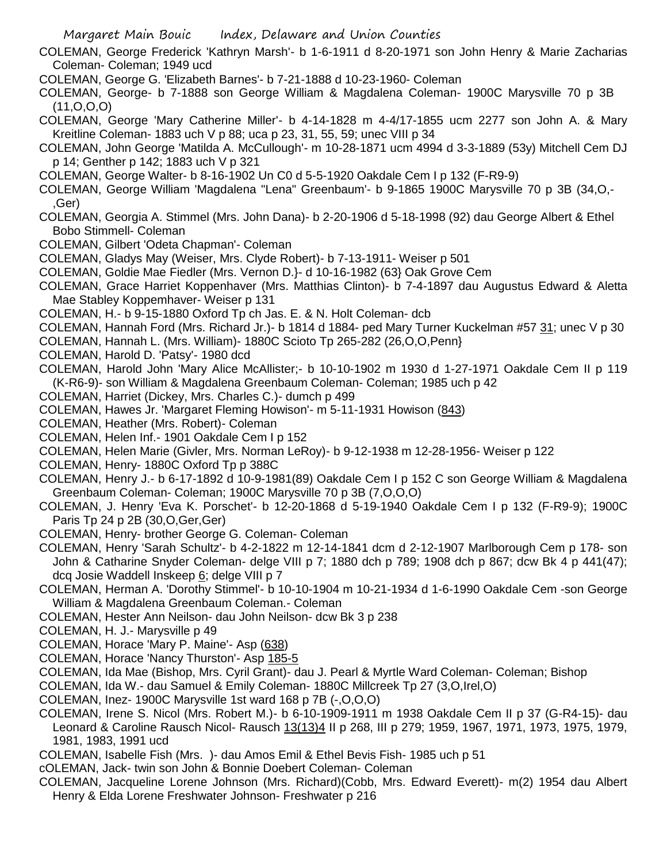- Margaret Main Bouic Index, Delaware and Union Counties
- COLEMAN, George Frederick 'Kathryn Marsh'- b 1-6-1911 d 8-20-1971 son John Henry & Marie Zacharias Coleman- Coleman; 1949 ucd
- COLEMAN, George G. 'Elizabeth Barnes'- b 7-21-1888 d 10-23-1960- Coleman
- COLEMAN, George- b 7-1888 son George William & Magdalena Coleman- 1900C Marysville 70 p 3B (11,O,O,O)
- COLEMAN, George 'Mary Catherine Miller'- b 4-14-1828 m 4-4/17-1855 ucm 2277 son John A. & Mary Kreitline Coleman- 1883 uch V p 88; uca p 23, 31, 55, 59; unec VIII p 34
- COLEMAN, John George 'Matilda A. McCullough'- m 10-28-1871 ucm 4994 d 3-3-1889 (53y) Mitchell Cem DJ p 14; Genther p 142; 1883 uch V p 321
- COLEMAN, George Walter- b 8-16-1902 Un C0 d 5-5-1920 Oakdale Cem I p 132 (F-R9-9)
- COLEMAN, George William 'Magdalena "Lena" Greenbaum'- b 9-1865 1900C Marysville 70 p 3B (34,O,- ,Ger)
- COLEMAN, Georgia A. Stimmel (Mrs. John Dana)- b 2-20-1906 d 5-18-1998 (92) dau George Albert & Ethel Bobo Stimmell- Coleman
- COLEMAN, Gilbert 'Odeta Chapman'- Coleman
- COLEMAN, Gladys May (Weiser, Mrs. Clyde Robert)- b 7-13-1911- Weiser p 501
- COLEMAN, Goldie Mae Fiedler (Mrs. Vernon D.}- d 10-16-1982 (63} Oak Grove Cem
- COLEMAN, Grace Harriet Koppenhaver (Mrs. Matthias Clinton)- b 7-4-1897 dau Augustus Edward & Aletta Mae Stabley Koppemhaver- Weiser p 131
- COLEMAN, H.- b 9-15-1880 Oxford Tp ch Jas. E. & N. Holt Coleman- dcb
- COLEMAN, Hannah Ford (Mrs. Richard Jr.)- b 1814 d 1884- ped Mary Turner Kuckelman #57 31; unec V p 30
- COLEMAN, Hannah L. (Mrs. William)- 1880C Scioto Tp 265-282 (26,O,O,Penn}
- COLEMAN, Harold D. 'Patsy'- 1980 dcd
- COLEMAN, Harold John 'Mary Alice McAllister;- b 10-10-1902 m 1930 d 1-27-1971 Oakdale Cem II p 119 (K-R6-9)- son William & Magdalena Greenbaum Coleman- Coleman; 1985 uch p 42
- COLEMAN, Harriet (Dickey, Mrs. Charles C.)- dumch p 499
- COLEMAN, Hawes Jr. 'Margaret Fleming Howison'- m 5-11-1931 Howison (843)
- COLEMAN, Heather (Mrs. Robert)- Coleman
- COLEMAN, Helen Inf.- 1901 Oakdale Cem I p 152
- COLEMAN, Helen Marie (Givler, Mrs. Norman LeRoy)- b 9-12-1938 m 12-28-1956- Weiser p 122
- COLEMAN, Henry- 1880C Oxford Tp p 388C
- COLEMAN, Henry J.- b 6-17-1892 d 10-9-1981(89) Oakdale Cem I p 152 C son George William & Magdalena Greenbaum Coleman- Coleman; 1900C Marysville 70 p 3B (7,O,O,O)
- COLEMAN, J. Henry 'Eva K. Porschet'- b 12-20-1868 d 5-19-1940 Oakdale Cem I p 132 (F-R9-9); 1900C Paris Tp 24 p 2B (30,O,Ger,Ger)
- COLEMAN, Henry- brother George G. Coleman- Coleman
- COLEMAN, Henry 'Sarah Schultz'- b 4-2-1822 m 12-14-1841 dcm d 2-12-1907 Marlborough Cem p 178- son John & Catharine Snyder Coleman- delge VIII p 7; 1880 dch p 789; 1908 dch p 867; dcw Bk 4 p 441(47); dcq Josie Waddell Inskeep 6; delge VIII p 7
- COLEMAN, Herman A. 'Dorothy Stimmel'- b 10-10-1904 m 10-21-1934 d 1-6-1990 Oakdale Cem -son George William & Magdalena Greenbaum Coleman.- Coleman
- COLEMAN, Hester Ann Neilson- dau John Neilson- dcw Bk 3 p 238
- COLEMAN, H. J.- Marysville p 49
- COLEMAN, Horace 'Mary P. Maine'- Asp (638)
- COLEMAN, Horace 'Nancy Thurston'- Asp 185-5
- COLEMAN, Ida Mae (Bishop, Mrs. Cyril Grant)- dau J. Pearl & Myrtle Ward Coleman- Coleman; Bishop
- COLEMAN, Ida W.- dau Samuel & Emily Coleman- 1880C Millcreek Tp 27 (3,O,Irel,O)
- COLEMAN, Inez- 1900C Marysville 1st ward 168 p 7B (-,O,O,O)
- COLEMAN, Irene S. Nicol (Mrs. Robert M.)- b 6-10-1909-1911 m 1938 Oakdale Cem II p 37 (G-R4-15)- dau Leonard & Caroline Rausch Nicol- Rausch 13(13)4 II p 268, III p 279; 1959, 1967, 1971, 1973, 1975, 1979, 1981, 1983, 1991 ucd
- COLEMAN, Isabelle Fish (Mrs. )- dau Amos Emil & Ethel Bevis Fish- 1985 uch p 51
- cOLEMAN, Jack- twin son John & Bonnie Doebert Coleman- Coleman
- COLEMAN, Jacqueline Lorene Johnson (Mrs. Richard)(Cobb, Mrs. Edward Everett)- m(2) 1954 dau Albert Henry & Elda Lorene Freshwater Johnson- Freshwater p 216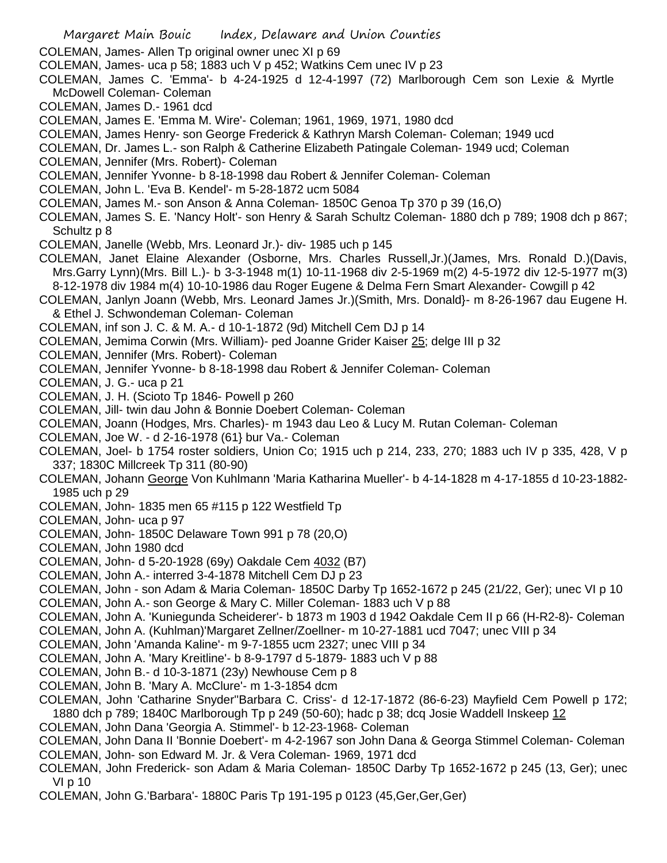Margaret Main Bouic Index, Delaware and Union Counties COLEMAN, James- Allen Tp original owner unec XI p 69 COLEMAN, James- uca p 58; 1883 uch V p 452; Watkins Cem unec IV p 23 COLEMAN, James C. 'Emma'- b 4-24-1925 d 12-4-1997 (72) Marlborough Cem son Lexie & Myrtle McDowell Coleman- Coleman COLEMAN, James D.- 1961 dcd COLEMAN, James E. 'Emma M. Wire'- Coleman; 1961, 1969, 1971, 1980 dcd COLEMAN, James Henry- son George Frederick & Kathryn Marsh Coleman- Coleman; 1949 ucd COLEMAN, Dr. James L.- son Ralph & Catherine Elizabeth Patingale Coleman- 1949 ucd; Coleman COLEMAN, Jennifer (Mrs. Robert)- Coleman COLEMAN, Jennifer Yvonne- b 8-18-1998 dau Robert & Jennifer Coleman- Coleman COLEMAN, John L. 'Eva B. Kendel'- m 5-28-1872 ucm 5084 COLEMAN, James M.- son Anson & Anna Coleman- 1850C Genoa Tp 370 p 39 (16,O) COLEMAN, James S. E. 'Nancy Holt'- son Henry & Sarah Schultz Coleman- 1880 dch p 789; 1908 dch p 867; Schultz p 8 COLEMAN, Janelle (Webb, Mrs. Leonard Jr.)- div- 1985 uch p 145 COLEMAN, Janet Elaine Alexander (Osborne, Mrs. Charles Russell,Jr.)(James, Mrs. Ronald D.)(Davis, Mrs.Garry Lynn)(Mrs. Bill L.)- b 3-3-1948 m(1) 10-11-1968 div 2-5-1969 m(2) 4-5-1972 div 12-5-1977 m(3) 8-12-1978 div 1984 m(4) 10-10-1986 dau Roger Eugene & Delma Fern Smart Alexander- Cowgill p 42 COLEMAN, Janlyn Joann (Webb, Mrs. Leonard James Jr.)(Smith, Mrs. Donald}- m 8-26-1967 dau Eugene H. & Ethel J. Schwondeman Coleman- Coleman COLEMAN, inf son J. C. & M. A.- d 10-1-1872 (9d) Mitchell Cem DJ p 14 COLEMAN, Jemima Corwin (Mrs. William)- ped Joanne Grider Kaiser 25; delge III p 32 COLEMAN, Jennifer (Mrs. Robert)- Coleman COLEMAN, Jennifer Yvonne- b 8-18-1998 dau Robert & Jennifer Coleman- Coleman COLEMAN, J. G.- uca p 21 COLEMAN, J. H. (Scioto Tp 1846- Powell p 260 COLEMAN, Jill- twin dau John & Bonnie Doebert Coleman- Coleman COLEMAN, Joann (Hodges, Mrs. Charles)- m 1943 dau Leo & Lucy M. Rutan Coleman- Coleman COLEMAN, Joe W. - d 2-16-1978 (61} bur Va.- Coleman COLEMAN, Joel- b 1754 roster soldiers, Union Co; 1915 uch p 214, 233, 270; 1883 uch IV p 335, 428, V p 337; 1830C Millcreek Tp 311 (80-90) COLEMAN, Johann George Von Kuhlmann 'Maria Katharina Mueller'- b 4-14-1828 m 4-17-1855 d 10-23-1882- 1985 uch p 29 COLEMAN, John- 1835 men 65 #115 p 122 Westfield Tp COLEMAN, John- uca p 97 COLEMAN, John- 1850C Delaware Town 991 p 78 (20,O) COLEMAN, John 1980 dcd COLEMAN, John- d 5-20-1928 (69y) Oakdale Cem 4032 (B7) COLEMAN, John A.- interred 3-4-1878 Mitchell Cem DJ p 23 COLEMAN, John - son Adam & Maria Coleman- 1850C Darby Tp 1652-1672 p 245 (21/22, Ger); unec VI p 10 COLEMAN, John A.- son George & Mary C. Miller Coleman- 1883 uch V p 88 COLEMAN, John A. 'Kuniegunda Scheiderer'- b 1873 m 1903 d 1942 Oakdale Cem II p 66 (H-R2-8)- Coleman COLEMAN, John A. (Kuhlman)'Margaret Zellner/Zoellner- m 10-27-1881 ucd 7047; unec VIII p 34 COLEMAN, John 'Amanda Kaline'- m 9-7-1855 ucm 2327; unec VIII p 34 COLEMAN, John A. 'Mary Kreitline'- b 8-9-1797 d 5-1879- 1883 uch V p 88 COLEMAN, John B.- d 10-3-1871 (23y) Newhouse Cem p 8 COLEMAN, John B. 'Mary A. McClure'- m 1-3-1854 dcm COLEMAN, John 'Catharine Snyder''Barbara C. Criss'- d 12-17-1872 (86-6-23) Mayfield Cem Powell p 172; 1880 dch p 789; 1840C Marlborough Tp p 249 (50-60); hadc p 38; dcq Josie Waddell Inskeep 12 COLEMAN, John Dana 'Georgia A. Stimmel'- b 12-23-1968- Coleman COLEMAN, John Dana II 'Bonnie Doebert'- m 4-2-1967 son John Dana & Georga Stimmel Coleman- Coleman COLEMAN, John- son Edward M. Jr. & Vera Coleman- 1969, 1971 dcd COLEMAN, John Frederick- son Adam & Maria Coleman- 1850C Darby Tp 1652-1672 p 245 (13, Ger); unec VI p 10 COLEMAN, John G.'Barbara'- 1880C Paris Tp 191-195 p 0123 (45,Ger,Ger,Ger)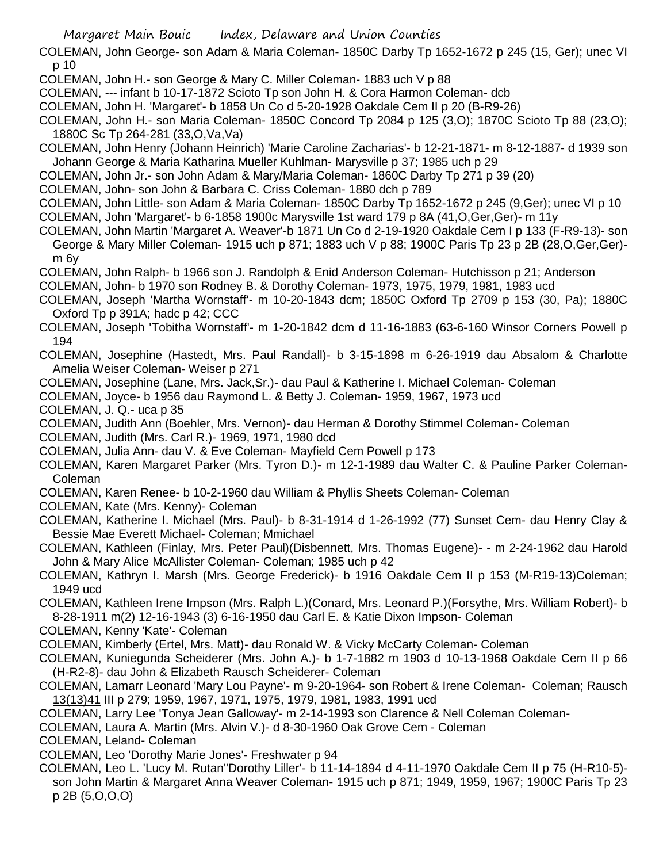COLEMAN, John George- son Adam & Maria Coleman- 1850C Darby Tp 1652-1672 p 245 (15, Ger); unec VI p 10

- COLEMAN, John H.- son George & Mary C. Miller Coleman- 1883 uch V p 88
- COLEMAN, --- infant b 10-17-1872 Scioto Tp son John H. & Cora Harmon Coleman- dcb
- COLEMAN, John H. 'Margaret'- b 1858 Un Co d 5-20-1928 Oakdale Cem II p 20 (B-R9-26)
- COLEMAN, John H.- son Maria Coleman- 1850C Concord Tp 2084 p 125 (3,O); 1870C Scioto Tp 88 (23,O); 1880C Sc Tp 264-281 (33,O,Va,Va)
- COLEMAN, John Henry (Johann Heinrich) 'Marie Caroline Zacharias'- b 12-21-1871- m 8-12-1887- d 1939 son Johann George & Maria Katharina Mueller Kuhlman- Marysville p 37; 1985 uch p 29
- COLEMAN, John Jr.- son John Adam & Mary/Maria Coleman- 1860C Darby Tp 271 p 39 (20)
- COLEMAN, John- son John & Barbara C. Criss Coleman- 1880 dch p 789
- COLEMAN, John Little- son Adam & Maria Coleman- 1850C Darby Tp 1652-1672 p 245 (9,Ger); unec VI p 10 COLEMAN, John 'Margaret'- b 6-1858 1900c Marysville 1st ward 179 p 8A (41,O,Ger,Ger)- m 11y
- COLEMAN, John Martin 'Margaret A. Weaver'-b 1871 Un Co d 2-19-1920 Oakdale Cem I p 133 (F-R9-13)- son George & Mary Miller Coleman- 1915 uch p 871; 1883 uch V p 88; 1900C Paris Tp 23 p 2B (28,O,Ger,Ger) m 6y
- COLEMAN, John Ralph- b 1966 son J. Randolph & Enid Anderson Coleman- Hutchisson p 21; Anderson
- COLEMAN, John- b 1970 son Rodney B. & Dorothy Coleman- 1973, 1975, 1979, 1981, 1983 ucd
- COLEMAN, Joseph 'Martha Wornstaff'- m 10-20-1843 dcm; 1850C Oxford Tp 2709 p 153 (30, Pa); 1880C Oxford Tp p 391A; hadc p 42; CCC
- COLEMAN, Joseph 'Tobitha Wornstaff'- m 1-20-1842 dcm d 11-16-1883 (63-6-160 Winsor Corners Powell p 194
- COLEMAN, Josephine (Hastedt, Mrs. Paul Randall)- b 3-15-1898 m 6-26-1919 dau Absalom & Charlotte Amelia Weiser Coleman- Weiser p 271
- COLEMAN, Josephine (Lane, Mrs. Jack,Sr.)- dau Paul & Katherine I. Michael Coleman- Coleman
- COLEMAN, Joyce- b 1956 dau Raymond L. & Betty J. Coleman- 1959, 1967, 1973 ucd
- COLEMAN, J. Q.- uca p 35
- COLEMAN, Judith Ann (Boehler, Mrs. Vernon)- dau Herman & Dorothy Stimmel Coleman- Coleman
- COLEMAN, Judith (Mrs. Carl R.)- 1969, 1971, 1980 dcd
- COLEMAN, Julia Ann- dau V. & Eve Coleman- Mayfield Cem Powell p 173
- COLEMAN, Karen Margaret Parker (Mrs. Tyron D.)- m 12-1-1989 dau Walter C. & Pauline Parker Coleman-Coleman
- COLEMAN, Karen Renee- b 10-2-1960 dau William & Phyllis Sheets Coleman- Coleman
- COLEMAN, Kate (Mrs. Kenny)- Coleman
- COLEMAN, Katherine I. Michael (Mrs. Paul)- b 8-31-1914 d 1-26-1992 (77) Sunset Cem- dau Henry Clay & Bessie Mae Everett Michael- Coleman; Mmichael
- COLEMAN, Kathleen (Finlay, Mrs. Peter Paul)(Disbennett, Mrs. Thomas Eugene)- m 2-24-1962 dau Harold John & Mary Alice McAllister Coleman- Coleman; 1985 uch p 42
- COLEMAN, Kathryn I. Marsh (Mrs. George Frederick)- b 1916 Oakdale Cem II p 153 (M-R19-13)Coleman; 1949 ucd
- COLEMAN, Kathleen Irene Impson (Mrs. Ralph L.)(Conard, Mrs. Leonard P.)(Forsythe, Mrs. William Robert)- b 8-28-1911 m(2) 12-16-1943 (3) 6-16-1950 dau Carl E. & Katie Dixon Impson- Coleman
- COLEMAN, Kenny 'Kate'- Coleman
- COLEMAN, Kimberly (Ertel, Mrs. Matt)- dau Ronald W. & Vicky McCarty Coleman- Coleman
- COLEMAN, Kuniegunda Scheiderer (Mrs. John A.)- b 1-7-1882 m 1903 d 10-13-1968 Oakdale Cem II p 66 (H-R2-8)- dau John & Elizabeth Rausch Scheiderer- Coleman
- COLEMAN, Lamarr Leonard 'Mary Lou Payne'- m 9-20-1964- son Robert & Irene Coleman- Coleman; Rausch 13(13)41 III p 279; 1959, 1967, 1971, 1975, 1979, 1981, 1983, 1991 ucd
- COLEMAN, Larry Lee 'Tonya Jean Galloway'- m 2-14-1993 son Clarence & Nell Coleman Coleman-
- COLEMAN, Laura A. Martin (Mrs. Alvin V.)- d 8-30-1960 Oak Grove Cem Coleman
- COLEMAN, Leland- Coleman
- COLEMAN, Leo 'Dorothy Marie Jones'- Freshwater p 94
- COLEMAN, Leo L. 'Lucy M. Rutan''Dorothy Liller'- b 11-14-1894 d 4-11-1970 Oakdale Cem II p 75 (H-R10-5) son John Martin & Margaret Anna Weaver Coleman- 1915 uch p 871; 1949, 1959, 1967; 1900C Paris Tp 23 p 2B (5,O,O,O)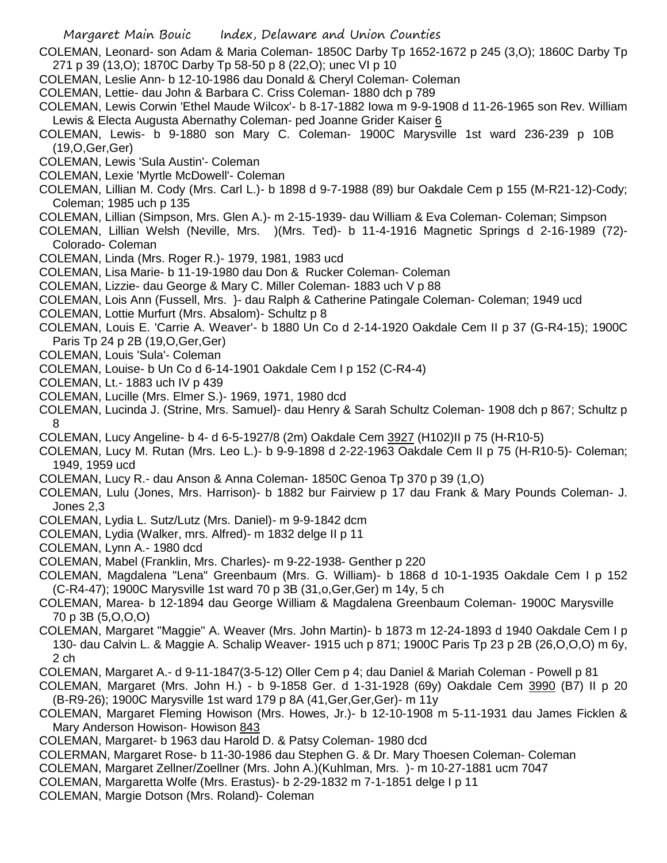COLEMAN, Leonard- son Adam & Maria Coleman- 1850C Darby Tp 1652-1672 p 245 (3,O); 1860C Darby Tp 271 p 39 (13,O); 1870C Darby Tp 58-50 p 8 (22,O); unec VI p 10

- COLEMAN, Leslie Ann- b 12-10-1986 dau Donald & Cheryl Coleman- Coleman
- COLEMAN, Lettie- dau John & Barbara C. Criss Coleman- 1880 dch p 789

COLEMAN, Lewis Corwin 'Ethel Maude Wilcox'- b 8-17-1882 Iowa m 9-9-1908 d 11-26-1965 son Rev. William Lewis & Electa Augusta Abernathy Coleman- ped Joanne Grider Kaiser 6

COLEMAN, Lewis- b 9-1880 son Mary C. Coleman- 1900C Marysville 1st ward 236-239 p 10B (19,O,Ger,Ger)

- COLEMAN, Lewis 'Sula Austin'- Coleman
- COLEMAN, Lexie 'Myrtle McDowell'- Coleman
- COLEMAN, Lillian M. Cody (Mrs. Carl L.)- b 1898 d 9-7-1988 (89) bur Oakdale Cem p 155 (M-R21-12)-Cody; Coleman; 1985 uch p 135
- COLEMAN, Lillian (Simpson, Mrs. Glen A.)- m 2-15-1939- dau William & Eva Coleman- Coleman; Simpson

COLEMAN, Lillian Welsh (Neville, Mrs. )(Mrs. Ted)- b 11-4-1916 Magnetic Springs d 2-16-1989 (72)- Colorado- Coleman

- COLEMAN, Linda (Mrs. Roger R.)- 1979, 1981, 1983 ucd
- COLEMAN, Lisa Marie- b 11-19-1980 dau Don & Rucker Coleman- Coleman
- COLEMAN, Lizzie- dau George & Mary C. Miller Coleman- 1883 uch V p 88
- COLEMAN, Lois Ann (Fussell, Mrs. }- dau Ralph & Catherine Patingale Coleman- Coleman; 1949 ucd
- COLEMAN, Lottie Murfurt (Mrs. Absalom)- Schultz p 8
- COLEMAN, Louis E. 'Carrie A. Weaver'- b 1880 Un Co d 2-14-1920 Oakdale Cem II p 37 (G-R4-15); 1900C Paris Tp 24 p 2B (19,O,Ger,Ger)
- COLEMAN, Louis 'Sula'- Coleman
- COLEMAN, Louise- b Un Co d 6-14-1901 Oakdale Cem I p 152 (C-R4-4)
- COLEMAN, Lt.- 1883 uch IV p 439
- COLEMAN, Lucille (Mrs. Elmer S.)- 1969, 1971, 1980 dcd
- COLEMAN, Lucinda J. (Strine, Mrs. Samuel)- dau Henry & Sarah Schultz Coleman- 1908 dch p 867; Schultz p 8
- COLEMAN, Lucy Angeline- b 4- d 6-5-1927/8 (2m) Oakdale Cem 3927 (H102)II p 75 (H-R10-5)
- COLEMAN, Lucy M. Rutan (Mrs. Leo L.)- b 9-9-1898 d 2-22-1963 Oakdale Cem II p 75 (H-R10-5)- Coleman; 1949, 1959 ucd
- COLEMAN, Lucy R.- dau Anson & Anna Coleman- 1850C Genoa Tp 370 p 39 (1,O)
- COLEMAN, Lulu (Jones, Mrs. Harrison)- b 1882 bur Fairview p 17 dau Frank & Mary Pounds Coleman- J. Jones 2,3
- COLEMAN, Lydia L. Sutz/Lutz (Mrs. Daniel)- m 9-9-1842 dcm
- COLEMAN, Lydia (Walker, mrs. Alfred)- m 1832 delge II p 11
- COLEMAN, Lynn A.- 1980 dcd
- COLEMAN, Mabel (Franklin, Mrs. Charles)- m 9-22-1938- Genther p 220
- COLEMAN, Magdalena "Lena" Greenbaum (Mrs. G. William)- b 1868 d 10-1-1935 Oakdale Cem I p 152 (C-R4-47); 1900C Marysville 1st ward 70 p 3B (31,o,Ger,Ger) m 14y, 5 ch
- COLEMAN, Marea- b 12-1894 dau George William & Magdalena Greenbaum Coleman- 1900C Marysville 70 p 3B (5,O,O,O)

COLEMAN, Margaret "Maggie" A. Weaver (Mrs. John Martin)- b 1873 m 12-24-1893 d 1940 Oakdale Cem I p 130- dau Calvin L. & Maggie A. Schalip Weaver- 1915 uch p 871; 1900C Paris Tp 23 p 2B (26,O,O,O) m 6y, 2 ch

COLEMAN, Margaret A.- d 9-11-1847(3-5-12) Oller Cem p 4; dau Daniel & Mariah Coleman - Powell p 81

COLEMAN, Margaret (Mrs. John H.) - b 9-1858 Ger. d 1-31-1928 (69y) Oakdale Cem 3990 (B7) II p 20 (B-R9-26); 1900C Marysville 1st ward 179 p 8A (41,Ger,Ger,Ger)- m 11y

COLEMAN, Margaret Fleming Howison (Mrs. Howes, Jr.)- b 12-10-1908 m 5-11-1931 dau James Ficklen & Mary Anderson Howison- Howison 843

- COLEMAN, Margaret- b 1963 dau Harold D. & Patsy Coleman- 1980 dcd
- COLERMAN, Margaret Rose- b 11-30-1986 dau Stephen G. & Dr. Mary Thoesen Coleman- Coleman
- COLEMAN, Margaret Zellner/Zoellner (Mrs. John A.)(Kuhlman, Mrs. )- m 10-27-1881 ucm 7047
- COLEMAN, Margaretta Wolfe (Mrs. Erastus)- b 2-29-1832 m 7-1-1851 delge I p 11
- COLEMAN, Margie Dotson (Mrs. Roland)- Coleman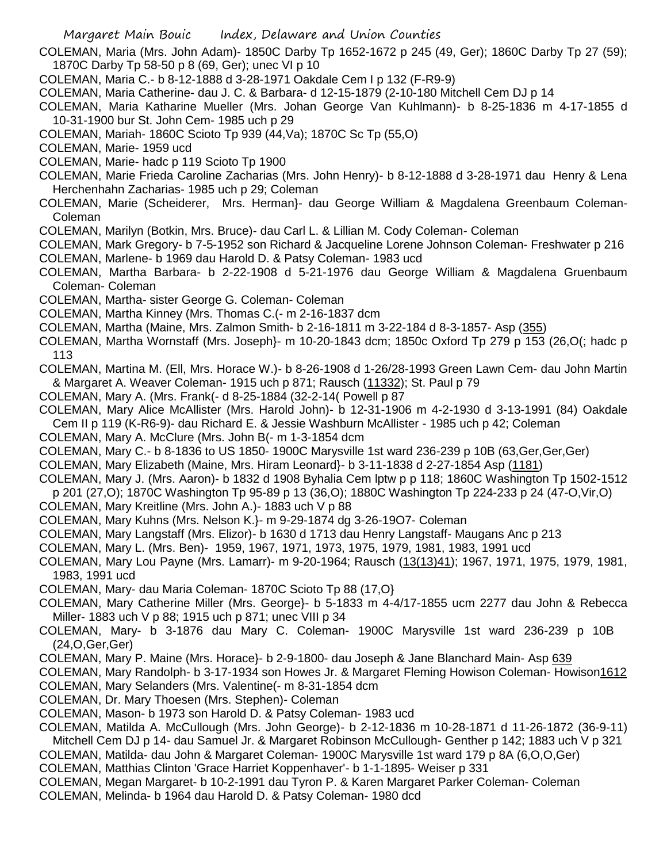- COLEMAN, Maria (Mrs. John Adam)- 1850C Darby Tp 1652-1672 p 245 (49, Ger); 1860C Darby Tp 27 (59); 1870C Darby Tp 58-50 p 8 (69, Ger); unec VI p 10
- COLEMAN, Maria C.- b 8-12-1888 d 3-28-1971 Oakdale Cem I p 132 (F-R9-9)
- COLEMAN, Maria Catherine- dau J. C. & Barbara- d 12-15-1879 (2-10-180 Mitchell Cem DJ p 14
- COLEMAN, Maria Katharine Mueller (Mrs. Johan George Van Kuhlmann)- b 8-25-1836 m 4-17-1855 d 10-31-1900 bur St. John Cem- 1985 uch p 29
- COLEMAN, Mariah- 1860C Scioto Tp 939 (44,Va); 1870C Sc Tp (55,O)
- COLEMAN, Marie- 1959 ucd
- COLEMAN, Marie- hadc p 119 Scioto Tp 1900
- COLEMAN, Marie Frieda Caroline Zacharias (Mrs. John Henry)- b 8-12-1888 d 3-28-1971 dau Henry & Lena Herchenhahn Zacharias- 1985 uch p 29; Coleman
- COLEMAN, Marie (Scheiderer, Mrs. Herman}- dau George William & Magdalena Greenbaum Coleman-Coleman
- COLEMAN, Marilyn (Botkin, Mrs. Bruce)- dau Carl L. & Lillian M. Cody Coleman- Coleman
- COLEMAN, Mark Gregory- b 7-5-1952 son Richard & Jacqueline Lorene Johnson Coleman- Freshwater p 216 COLEMAN, Marlene- b 1969 dau Harold D. & Patsy Coleman- 1983 ucd
- COLEMAN, Martha Barbara- b 2-22-1908 d 5-21-1976 dau George William & Magdalena Gruenbaum Coleman- Coleman
- COLEMAN, Martha- sister George G. Coleman- Coleman
- COLEMAN, Martha Kinney (Mrs. Thomas C.(- m 2-16-1837 dcm
- COLEMAN, Martha (Maine, Mrs. Zalmon Smith- b 2-16-1811 m 3-22-184 d 8-3-1857- Asp (355)
- COLEMAN, Martha Wornstaff (Mrs. Joseph}- m 10-20-1843 dcm; 1850c Oxford Tp 279 p 153 (26,O(; hadc p 113
- COLEMAN, Martina M. (Ell, Mrs. Horace W.)- b 8-26-1908 d 1-26/28-1993 Green Lawn Cem- dau John Martin & Margaret A. Weaver Coleman- 1915 uch p 871; Rausch (11332); St. Paul p 79
- COLEMAN, Mary A. (Mrs. Frank(- d 8-25-1884 (32-2-14( Powell p 87
- COLEMAN, Mary Alice McAllister (Mrs. Harold John)- b 12-31-1906 m 4-2-1930 d 3-13-1991 (84) Oakdale Cem II p 119 (K-R6-9)- dau Richard E. & Jessie Washburn McAllister - 1985 uch p 42; Coleman
- COLEMAN, Mary A. McClure (Mrs. John B(- m 1-3-1854 dcm
- COLEMAN, Mary C.- b 8-1836 to US 1850- 1900C Marysville 1st ward 236-239 p 10B (63,Ger,Ger,Ger)
- COLEMAN, Mary Elizabeth (Maine, Mrs. Hiram Leonard}- b 3-11-1838 d 2-27-1854 Asp (1181)
- COLEMAN, Mary J. (Mrs. Aaron)- b 1832 d 1908 Byhalia Cem lptw p p 118; 1860C Washington Tp 1502-1512
- p 201 (27,O); 1870C Washington Tp 95-89 p 13 (36,O); 1880C Washington Tp 224-233 p 24 (47-O,Vir,O)
- COLEMAN, Mary Kreitline (Mrs. John A.)- 1883 uch V p 88
- COLEMAN, Mary Kuhns (Mrs. Nelson K.}- m 9-29-1874 dg 3-26-19O7- Coleman
- COLEMAN, Mary Langstaff (Mrs. Elizor)- b 1630 d 1713 dau Henry Langstaff- Maugans Anc p 213
- COLEMAN, Mary L. (Mrs. Ben)- 1959, 1967, 1971, 1973, 1975, 1979, 1981, 1983, 1991 ucd
- COLEMAN, Mary Lou Payne (Mrs. Lamarr)- m 9-20-1964; Rausch (13(13)41); 1967, 1971, 1975, 1979, 1981, 1983, 1991 ucd
- COLEMAN, Mary- dau Maria Coleman- 1870C Scioto Tp 88 (17,O}
- COLEMAN, Mary Catherine Miller (Mrs. George}- b 5-1833 m 4-4/17-1855 ucm 2277 dau John & Rebecca Miller- 1883 uch V p 88; 1915 uch p 871; unec VIII p 34
- COLEMAN, Mary- b 3-1876 dau Mary C. Coleman- 1900C Marysville 1st ward 236-239 p 10B (24,O,Ger,Ger)
- COLEMAN, Mary P. Maine (Mrs. Horace}- b 2-9-1800- dau Joseph & Jane Blanchard Main- Asp 639
- COLEMAN, Mary Randolph- b 3-17-1934 son Howes Jr. & Margaret Fleming Howison Coleman- Howison1612
- COLEMAN, Mary Selanders (Mrs. Valentine(- m 8-31-1854 dcm
- COLEMAN, Dr. Mary Thoesen (Mrs. Stephen)- Coleman
- COLEMAN, Mason- b 1973 son Harold D. & Patsy Coleman- 1983 ucd
- COLEMAN, Matilda A. McCullough (Mrs. John George)- b 2-12-1836 m 10-28-1871 d 11-26-1872 (36-9-11) Mitchell Cem DJ p 14- dau Samuel Jr. & Margaret Robinson McCullough- Genther p 142; 1883 uch V p 321
- COLEMAN, Matilda- dau John & Margaret Coleman- 1900C Marysville 1st ward 179 p 8A (6,O,O,Ger)
- COLEMAN, Matthias Clinton 'Grace Harriet Koppenhaver'- b 1-1-1895- Weiser p 331
- COLEMAN, Megan Margaret- b 10-2-1991 dau Tyron P. & Karen Margaret Parker Coleman- Coleman COLEMAN, Melinda- b 1964 dau Harold D. & Patsy Coleman- 1980 dcd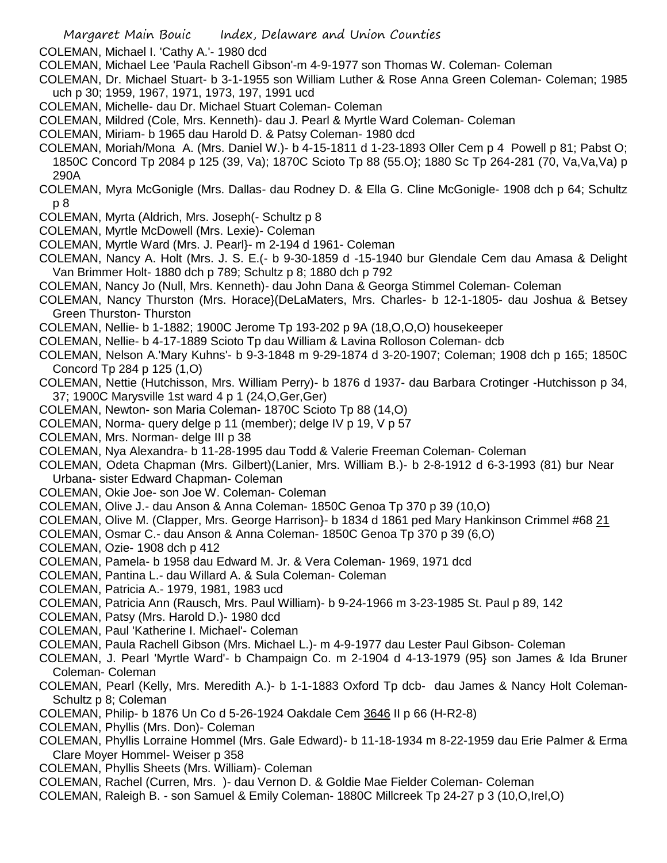COLEMAN, Michael I. 'Cathy A.'- 1980 dcd

- COLEMAN, Michael Lee 'Paula Rachell Gibson'-m 4-9-1977 son Thomas W. Coleman- Coleman
- COLEMAN, Dr. Michael Stuart- b 3-1-1955 son William Luther & Rose Anna Green Coleman- Coleman; 1985 uch p 30; 1959, 1967, 1971, 1973, 197, 1991 ucd
- COLEMAN, Michelle- dau Dr. Michael Stuart Coleman- Coleman
- COLEMAN, Mildred (Cole, Mrs. Kenneth)- dau J. Pearl & Myrtle Ward Coleman- Coleman
- COLEMAN, Miriam- b 1965 dau Harold D. & Patsy Coleman- 1980 dcd
- COLEMAN, Moriah/Mona A. (Mrs. Daniel W.)- b 4-15-1811 d 1-23-1893 Oller Cem p 4 Powell p 81; Pabst O; 1850C Concord Tp 2084 p 125 (39, Va); 1870C Scioto Tp 88 (55.O}; 1880 Sc Tp 264-281 (70, Va,Va,Va) p 290A
- COLEMAN, Myra McGonigle (Mrs. Dallas- dau Rodney D. & Ella G. Cline McGonigle- 1908 dch p 64; Schultz p 8
- COLEMAN, Myrta (Aldrich, Mrs. Joseph(- Schultz p 8
- COLEMAN, Myrtle McDowell (Mrs. Lexie)- Coleman
- COLEMAN, Myrtle Ward (Mrs. J. Pearl}- m 2-194 d 1961- Coleman
- COLEMAN, Nancy A. Holt (Mrs. J. S. E.(- b 9-30-1859 d -15-1940 bur Glendale Cem dau Amasa & Delight Van Brimmer Holt- 1880 dch p 789; Schultz p 8; 1880 dch p 792
- COLEMAN, Nancy Jo (Null, Mrs. Kenneth)- dau John Dana & Georga Stimmel Coleman- Coleman
- COLEMAN, Nancy Thurston (Mrs. Horace}(DeLaMaters, Mrs. Charles- b 12-1-1805- dau Joshua & Betsey Green Thurston- Thurston
- COLEMAN, Nellie- b 1-1882; 1900C Jerome Tp 193-202 p 9A (18,O,O,O) housekeeper
- COLEMAN, Nellie- b 4-17-1889 Scioto Tp dau William & Lavina Rolloson Coleman- dcb
- COLEMAN, Nelson A.'Mary Kuhns'- b 9-3-1848 m 9-29-1874 d 3-20-1907; Coleman; 1908 dch p 165; 1850C Concord Tp 284 p 125 (1,O)
- COLEMAN, Nettie (Hutchisson, Mrs. William Perry)- b 1876 d 1937- dau Barbara Crotinger -Hutchisson p 34, 37; 1900C Marysville 1st ward 4 p 1 (24,O,Ger,Ger)
- COLEMAN, Newton- son Maria Coleman- 1870C Scioto Tp 88 (14,O)
- COLEMAN, Norma- query delge p 11 (member); delge IV p 19, V p 57
- COLEMAN, Mrs. Norman- delge III p 38
- COLEMAN, Nya Alexandra- b 11-28-1995 dau Todd & Valerie Freeman Coleman- Coleman
- COLEMAN, Odeta Chapman (Mrs. Gilbert)(Lanier, Mrs. William B.)- b 2-8-1912 d 6-3-1993 (81) bur Near Urbana- sister Edward Chapman- Coleman
- COLEMAN, Okie Joe- son Joe W. Coleman- Coleman
- COLEMAN, Olive J.- dau Anson & Anna Coleman- 1850C Genoa Tp 370 p 39 (10,O)
- COLEMAN, Olive M. (Clapper, Mrs. George Harrison}- b 1834 d 1861 ped Mary Hankinson Crimmel #68 21
- COLEMAN, Osmar C.- dau Anson & Anna Coleman- 1850C Genoa Tp 370 p 39 (6,O)
- COLEMAN, Ozie- 1908 dch p 412
- COLEMAN, Pamela- b 1958 dau Edward M. Jr. & Vera Coleman- 1969, 1971 dcd
- COLEMAN, Pantina L.- dau Willard A. & Sula Coleman- Coleman
- COLEMAN, Patricia A.- 1979, 1981, 1983 ucd
- COLEMAN, Patricia Ann (Rausch, Mrs. Paul William)- b 9-24-1966 m 3-23-1985 St. Paul p 89, 142
- COLEMAN, Patsy (Mrs. Harold D.)- 1980 dcd
- COLEMAN, Paul 'Katherine I. Michael'- Coleman
- COLEMAN, Paula Rachell Gibson (Mrs. Michael L.)- m 4-9-1977 dau Lester Paul Gibson- Coleman
- COLEMAN, J. Pearl 'Myrtle Ward'- b Champaign Co. m 2-1904 d 4-13-1979 (95} son James & Ida Bruner Coleman- Coleman
- COLEMAN, Pearl (Kelly, Mrs. Meredith A.)- b 1-1-1883 Oxford Tp dcb- dau James & Nancy Holt Coleman-Schultz p 8; Coleman
- COLEMAN, Philip- b 1876 Un Co d 5-26-1924 Oakdale Cem 3646 II p 66 (H-R2-8)
- COLEMAN, Phyllis (Mrs. Don)- Coleman
- COLEMAN, Phyllis Lorraine Hommel (Mrs. Gale Edward)- b 11-18-1934 m 8-22-1959 dau Erie Palmer & Erma Clare Moyer Hommel- Weiser p 358
- COLEMAN, Phyllis Sheets (Mrs. William)- Coleman
- COLEMAN, Rachel (Curren, Mrs. )- dau Vernon D. & Goldie Mae Fielder Coleman- Coleman
- COLEMAN, Raleigh B. son Samuel & Emily Coleman- 1880C Millcreek Tp 24-27 p 3 (10,O,Irel,O)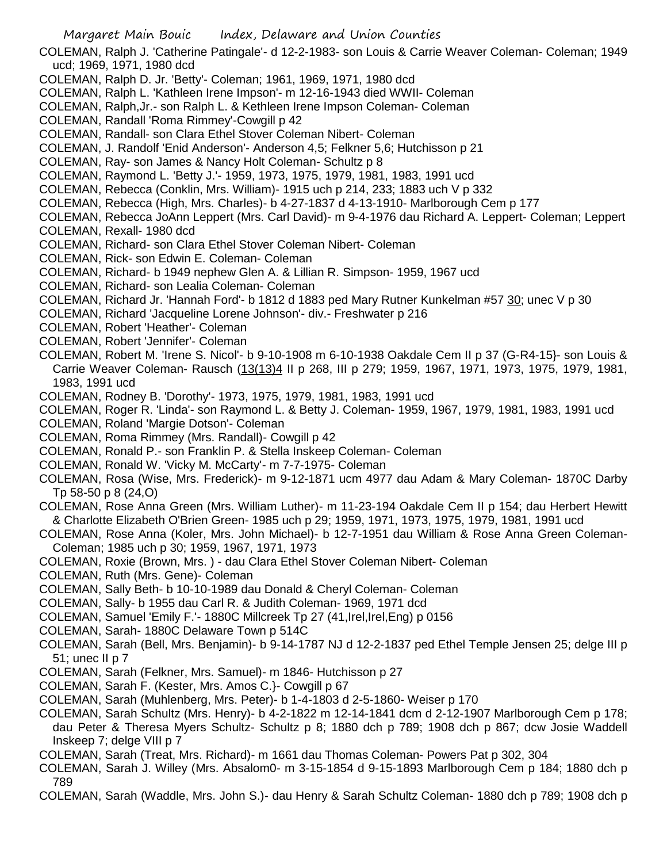- Margaret Main Bouic Index, Delaware and Union Counties COLEMAN, Ralph J. 'Catherine Patingale'- d 12-2-1983- son Louis & Carrie Weaver Coleman- Coleman; 1949 ucd; 1969, 1971, 1980 dcd COLEMAN, Ralph D. Jr. 'Betty'- Coleman; 1961, 1969, 1971, 1980 dcd COLEMAN, Ralph L. 'Kathleen Irene Impson'- m 12-16-1943 died WWII- Coleman COLEMAN, Ralph,Jr.- son Ralph L. & Kethleen Irene Impson Coleman- Coleman COLEMAN, Randall 'Roma Rimmey'-Cowgill p 42 COLEMAN, Randall- son Clara Ethel Stover Coleman Nibert- Coleman COLEMAN, J. Randolf 'Enid Anderson'- Anderson 4,5; Felkner 5,6; Hutchisson p 21 COLEMAN, Ray- son James & Nancy Holt Coleman- Schultz p 8 COLEMAN, Raymond L. 'Betty J.'- 1959, 1973, 1975, 1979, 1981, 1983, 1991 ucd COLEMAN, Rebecca (Conklin, Mrs. William)- 1915 uch p 214, 233; 1883 uch V p 332 COLEMAN, Rebecca (High, Mrs. Charles)- b 4-27-1837 d 4-13-1910- Marlborough Cem p 177 COLEMAN, Rebecca JoAnn Leppert (Mrs. Carl David)- m 9-4-1976 dau Richard A. Leppert- Coleman; Leppert COLEMAN, Rexall- 1980 dcd COLEMAN, Richard- son Clara Ethel Stover Coleman Nibert- Coleman COLEMAN, Rick- son Edwin E. Coleman- Coleman COLEMAN, Richard- b 1949 nephew Glen A. & Lillian R. Simpson- 1959, 1967 ucd COLEMAN, Richard- son Lealia Coleman- Coleman COLEMAN, Richard Jr. 'Hannah Ford'- b 1812 d 1883 ped Mary Rutner Kunkelman #57 30; unec V p 30 COLEMAN, Richard 'Jacqueline Lorene Johnson'- div.- Freshwater p 216 COLEMAN, Robert 'Heather'- Coleman COLEMAN, Robert 'Jennifer'- Coleman COLEMAN, Robert M. 'Irene S. Nicol'- b 9-10-1908 m 6-10-1938 Oakdale Cem II p 37 (G-R4-15}- son Louis & Carrie Weaver Coleman- Rausch (13(13)4 II p 268, III p 279; 1959, 1967, 1971, 1973, 1975, 1979, 1981, 1983, 1991 ucd COLEMAN, Rodney B. 'Dorothy'- 1973, 1975, 1979, 1981, 1983, 1991 ucd COLEMAN, Roger R. 'Linda'- son Raymond L. & Betty J. Coleman- 1959, 1967, 1979, 1981, 1983, 1991 ucd COLEMAN, Roland 'Margie Dotson'- Coleman COLEMAN, Roma Rimmey (Mrs. Randall)- Cowgill p 42 COLEMAN, Ronald P.- son Franklin P. & Stella Inskeep Coleman- Coleman COLEMAN, Ronald W. 'Vicky M. McCarty'- m 7-7-1975- Coleman COLEMAN, Rosa (Wise, Mrs. Frederick)- m 9-12-1871 ucm 4977 dau Adam & Mary Coleman- 1870C Darby Tp 58-50 p 8 (24,O) COLEMAN, Rose Anna Green (Mrs. William Luther)- m 11-23-194 Oakdale Cem II p 154; dau Herbert Hewitt & Charlotte Elizabeth O'Brien Green- 1985 uch p 29; 1959, 1971, 1973, 1975, 1979, 1981, 1991 ucd COLEMAN, Rose Anna (Koler, Mrs. John Michael)- b 12-7-1951 dau William & Rose Anna Green Coleman-Coleman; 1985 uch p 30; 1959, 1967, 1971, 1973 COLEMAN, Roxie (Brown, Mrs. ) - dau Clara Ethel Stover Coleman Nibert- Coleman COLEMAN, Ruth (Mrs. Gene)- Coleman COLEMAN, Sally Beth- b 10-10-1989 dau Donald & Cheryl Coleman- Coleman COLEMAN, Sally- b 1955 dau Carl R. & Judith Coleman- 1969, 1971 dcd COLEMAN, Samuel 'Emily F.'- 1880C Millcreek Tp 27 (41, Irel, Irel, Eng) p 0156 COLEMAN, Sarah- 1880C Delaware Town p 514C COLEMAN, Sarah (Bell, Mrs. Benjamin)- b 9-14-1787 NJ d 12-2-1837 ped Ethel Temple Jensen 25; delge III p 51; unec II p 7 COLEMAN, Sarah (Felkner, Mrs. Samuel)- m 1846- Hutchisson p 27 COLEMAN, Sarah F. (Kester, Mrs. Amos C.}- Cowgill p 67
- COLEMAN, Sarah (Muhlenberg, Mrs. Peter)- b 1-4-1803 d 2-5-1860- Weiser p 170
- COLEMAN, Sarah Schultz (Mrs. Henry)- b 4-2-1822 m 12-14-1841 dcm d 2-12-1907 Marlborough Cem p 178; dau Peter & Theresa Myers Schultz- Schultz p 8; 1880 dch p 789; 1908 dch p 867; dcw Josie Waddell Inskeep 7; delge VIII p 7
- COLEMAN, Sarah (Treat, Mrs. Richard)- m 1661 dau Thomas Coleman- Powers Pat p 302, 304
- COLEMAN, Sarah J. Willey (Mrs. Absalom0- m 3-15-1854 d 9-15-1893 Marlborough Cem p 184; 1880 dch p 789
- COLEMAN, Sarah (Waddle, Mrs. John S.)- dau Henry & Sarah Schultz Coleman- 1880 dch p 789; 1908 dch p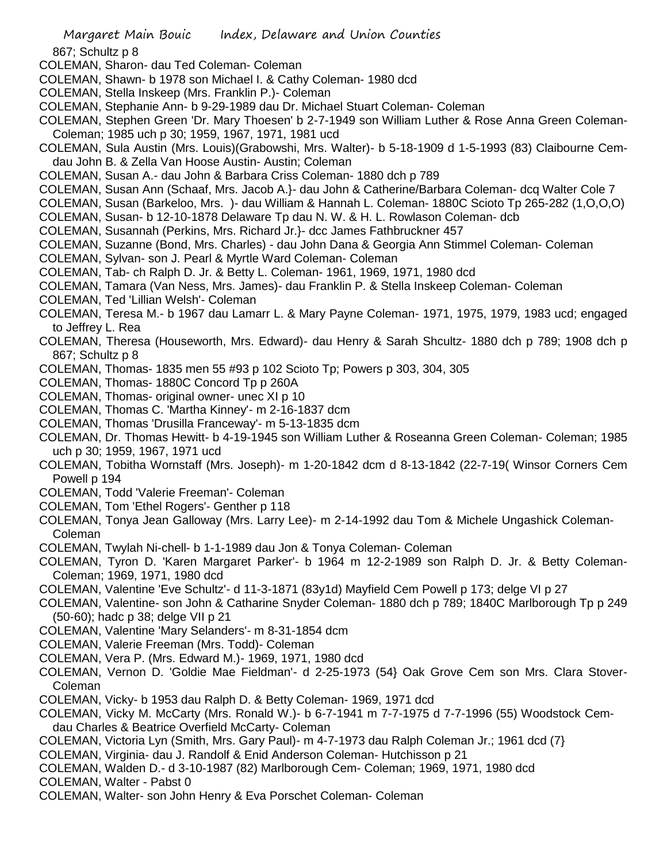867; Schultz p 8

- COLEMAN, Sharon- dau Ted Coleman- Coleman
- COLEMAN, Shawn- b 1978 son Michael I. & Cathy Coleman- 1980 dcd
- COLEMAN, Stella Inskeep (Mrs. Franklin P.)- Coleman
- COLEMAN, Stephanie Ann- b 9-29-1989 dau Dr. Michael Stuart Coleman- Coleman
- COLEMAN, Stephen Green 'Dr. Mary Thoesen' b 2-7-1949 son William Luther & Rose Anna Green Coleman-Coleman; 1985 uch p 30; 1959, 1967, 1971, 1981 ucd
- COLEMAN, Sula Austin (Mrs. Louis)(Grabowshi, Mrs. Walter)- b 5-18-1909 d 1-5-1993 (83) Claibourne Cemdau John B. & Zella Van Hoose Austin- Austin; Coleman
- COLEMAN, Susan A.- dau John & Barbara Criss Coleman- 1880 dch p 789
- COLEMAN, Susan Ann (Schaaf, Mrs. Jacob A.}- dau John & Catherine/Barbara Coleman- dcq Walter Cole 7
- COLEMAN, Susan (Barkeloo, Mrs. )- dau William & Hannah L. Coleman- 1880C Scioto Tp 265-282 (1,O,O,O)
- COLEMAN, Susan- b 12-10-1878 Delaware Tp dau N. W. & H. L. Rowlason Coleman- dcb
- COLEMAN, Susannah (Perkins, Mrs. Richard Jr.}- dcc James Fathbruckner 457
- COLEMAN, Suzanne (Bond, Mrs. Charles) dau John Dana & Georgia Ann Stimmel Coleman- Coleman
- COLEMAN, Sylvan- son J. Pearl & Myrtle Ward Coleman- Coleman
- COLEMAN, Tab- ch Ralph D. Jr. & Betty L. Coleman- 1961, 1969, 1971, 1980 dcd
- COLEMAN, Tamara (Van Ness, Mrs. James)- dau Franklin P. & Stella Inskeep Coleman- Coleman
- COLEMAN, Ted 'Lillian Welsh'- Coleman
- COLEMAN, Teresa M.- b 1967 dau Lamarr L. & Mary Payne Coleman- 1971, 1975, 1979, 1983 ucd; engaged to Jeffrey L. Rea
- COLEMAN, Theresa (Houseworth, Mrs. Edward)- dau Henry & Sarah Shcultz- 1880 dch p 789; 1908 dch p 867; Schultz p 8
- COLEMAN, Thomas- 1835 men 55 #93 p 102 Scioto Tp; Powers p 303, 304, 305
- COLEMAN, Thomas- 1880C Concord Tp p 260A
- COLEMAN, Thomas- original owner- unec XI p 10
- COLEMAN, Thomas C. 'Martha Kinney'- m 2-16-1837 dcm
- COLEMAN, Thomas 'Drusilla Franceway'- m 5-13-1835 dcm
- COLEMAN, Dr. Thomas Hewitt- b 4-19-1945 son William Luther & Roseanna Green Coleman- Coleman; 1985 uch p 30; 1959, 1967, 1971 ucd
- COLEMAN, Tobitha Wornstaff (Mrs. Joseph)- m 1-20-1842 dcm d 8-13-1842 (22-7-19( Winsor Corners Cem Powell p 194
- COLEMAN, Todd 'Valerie Freeman'- Coleman
- COLEMAN, Tom 'Ethel Rogers'- Genther p 118
- COLEMAN, Tonya Jean Galloway (Mrs. Larry Lee)- m 2-14-1992 dau Tom & Michele Ungashick Coleman-Coleman
- COLEMAN, Twylah Ni-chell- b 1-1-1989 dau Jon & Tonya Coleman- Coleman
- COLEMAN, Tyron D. 'Karen Margaret Parker'- b 1964 m 12-2-1989 son Ralph D. Jr. & Betty Coleman-Coleman; 1969, 1971, 1980 dcd
- COLEMAN, Valentine 'Eve Schultz'- d 11-3-1871 (83y1d) Mayfield Cem Powell p 173; delge VI p 27
- COLEMAN, Valentine- son John & Catharine Snyder Coleman- 1880 dch p 789; 1840C Marlborough Tp p 249 (50-60); hadc p 38; delge VII p 21
- COLEMAN, Valentine 'Mary Selanders'- m 8-31-1854 dcm
- COLEMAN, Valerie Freeman (Mrs. Todd)- Coleman
- COLEMAN, Vera P. (Mrs. Edward M.)- 1969, 1971, 1980 dcd
- COLEMAN, Vernon D. 'Goldie Mae Fieldman'- d 2-25-1973 (54} Oak Grove Cem son Mrs. Clara Stover-Coleman
- COLEMAN, Vicky- b 1953 dau Ralph D. & Betty Coleman- 1969, 1971 dcd
- COLEMAN, Vicky M. McCarty (Mrs. Ronald W.)- b 6-7-1941 m 7-7-1975 d 7-7-1996 (55) Woodstock Cemdau Charles & Beatrice Overfield McCarty- Coleman
- COLEMAN, Victoria Lyn (Smith, Mrs. Gary Paul)- m 4-7-1973 dau Ralph Coleman Jr.; 1961 dcd (7}
- COLEMAN, Virginia- dau J. Randolf & Enid Anderson Coleman- Hutchisson p 21
- COLEMAN, Walden D.- d 3-10-1987 (82) Marlborough Cem- Coleman; 1969, 1971, 1980 dcd
- COLEMAN, Walter Pabst 0
- COLEMAN, Walter- son John Henry & Eva Porschet Coleman- Coleman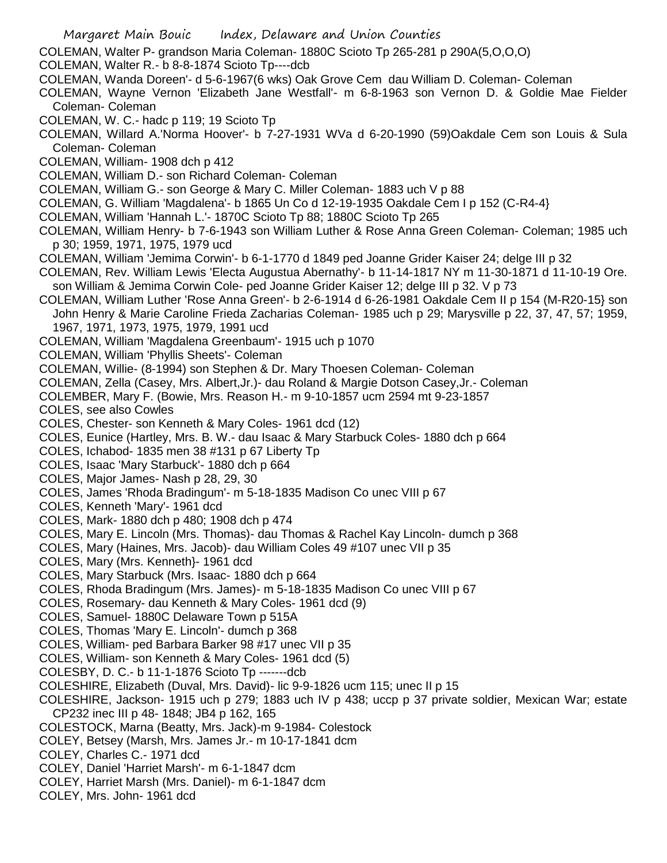- COLEMAN, Walter P- grandson Maria Coleman- 1880C Scioto Tp 265-281 p 290A(5,O,O,O)
- COLEMAN, Walter R.- b 8-8-1874 Scioto Tp----dcb
- COLEMAN, Wanda Doreen'- d 5-6-1967(6 wks) Oak Grove Cem dau William D. Coleman- Coleman
- COLEMAN, Wayne Vernon 'Elizabeth Jane Westfall'- m 6-8-1963 son Vernon D. & Goldie Mae Fielder Coleman- Coleman
- COLEMAN, W. C.- hadc p 119; 19 Scioto Tp
- COLEMAN, Willard A.'Norma Hoover'- b 7-27-1931 WVa d 6-20-1990 (59)Oakdale Cem son Louis & Sula Coleman- Coleman
- COLEMAN, William- 1908 dch p 412
- COLEMAN, William D.- son Richard Coleman- Coleman
- COLEMAN, William G.- son George & Mary C. Miller Coleman- 1883 uch V p 88
- COLEMAN, G. William 'Magdalena'- b 1865 Un Co d 12-19-1935 Oakdale Cem I p 152 (C-R4-4}
- COLEMAN, William 'Hannah L.'- 1870C Scioto Tp 88; 1880C Scioto Tp 265
- COLEMAN, William Henry- b 7-6-1943 son William Luther & Rose Anna Green Coleman- Coleman; 1985 uch p 30; 1959, 1971, 1975, 1979 ucd
- COLEMAN, William 'Jemima Corwin'- b 6-1-1770 d 1849 ped Joanne Grider Kaiser 24; delge III p 32
- COLEMAN, Rev. William Lewis 'Electa Augustua Abernathy'- b 11-14-1817 NY m 11-30-1871 d 11-10-19 Ore. son William & Jemima Corwin Cole- ped Joanne Grider Kaiser 12; delge III p 32. V p 73
- COLEMAN, William Luther 'Rose Anna Green'- b 2-6-1914 d 6-26-1981 Oakdale Cem II p 154 (M-R20-15} son John Henry & Marie Caroline Frieda Zacharias Coleman- 1985 uch p 29; Marysville p 22, 37, 47, 57; 1959, 1967, 1971, 1973, 1975, 1979, 1991 ucd
- COLEMAN, William 'Magdalena Greenbaum'- 1915 uch p 1070
- COLEMAN, William 'Phyllis Sheets'- Coleman
- COLEMAN, Willie- (8-1994) son Stephen & Dr. Mary Thoesen Coleman- Coleman
- COLEMAN, Zella (Casey, Mrs. Albert,Jr.)- dau Roland & Margie Dotson Casey,Jr.- Coleman
- COLEMBER, Mary F. (Bowie, Mrs. Reason H.- m 9-10-1857 ucm 2594 mt 9-23-1857
- COLES, see also Cowles
- COLES, Chester- son Kenneth & Mary Coles- 1961 dcd (12)
- COLES, Eunice (Hartley, Mrs. B. W.- dau Isaac & Mary Starbuck Coles- 1880 dch p 664
- COLES, Ichabod- 1835 men 38 #131 p 67 Liberty Tp
- COLES, Isaac 'Mary Starbuck'- 1880 dch p 664
- COLES, Major James- Nash p 28, 29, 30
- COLES, James 'Rhoda Bradingum'- m 5-18-1835 Madison Co unec VIII p 67
- COLES, Kenneth 'Mary'- 1961 dcd
- COLES, Mark- 1880 dch p 480; 1908 dch p 474
- COLES, Mary E. Lincoln (Mrs. Thomas)- dau Thomas & Rachel Kay Lincoln- dumch p 368
- COLES, Mary (Haines, Mrs. Jacob)- dau William Coles 49 #107 unec VII p 35
- COLES, Mary (Mrs. Kenneth}- 1961 dcd
- COLES, Mary Starbuck (Mrs. Isaac- 1880 dch p 664
- COLES, Rhoda Bradingum (Mrs. James)- m 5-18-1835 Madison Co unec VIII p 67
- COLES, Rosemary- dau Kenneth & Mary Coles- 1961 dcd (9)
- COLES, Samuel- 1880C Delaware Town p 515A
- COLES, Thomas 'Mary E. Lincoln'- dumch p 368
- COLES, William- ped Barbara Barker 98 #17 unec VII p 35
- COLES, William- son Kenneth & Mary Coles- 1961 dcd (5)
- COLESBY, D. C.- b 11-1-1876 Scioto Tp -------dcb
- COLESHIRE, Elizabeth (Duval, Mrs. David)- lic 9-9-1826 ucm 115; unec II p 15
- COLESHIRE, Jackson- 1915 uch p 279; 1883 uch IV p 438; uccp p 37 private soldier, Mexican War; estate CP232 inec III p 48- 1848; JB4 p 162, 165
- COLESTOCK, Marna (Beatty, Mrs. Jack)-m 9-1984- Colestock
- COLEY, Betsey (Marsh, Mrs. James Jr.- m 10-17-1841 dcm
- COLEY, Charles C.- 1971 dcd
- COLEY, Daniel 'Harriet Marsh'- m 6-1-1847 dcm
- COLEY, Harriet Marsh (Mrs. Daniel)- m 6-1-1847 dcm
- COLEY, Mrs. John- 1961 dcd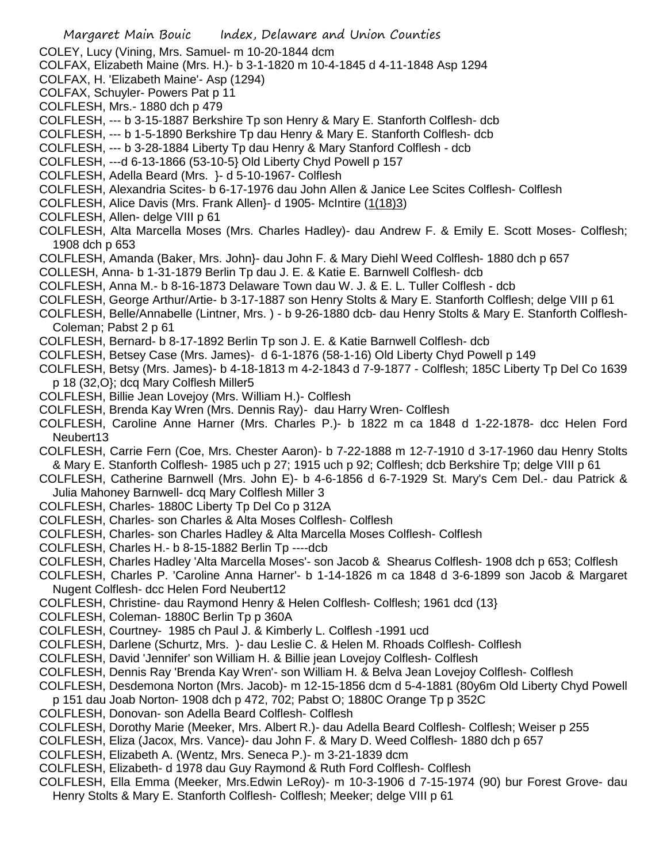COLEY, Lucy (Vining, Mrs. Samuel- m 10-20-1844 dcm

- COLFAX, Elizabeth Maine (Mrs. H.)- b 3-1-1820 m 10-4-1845 d 4-11-1848 Asp 1294
- COLFAX, H. 'Elizabeth Maine'- Asp (1294)
- COLFAX, Schuyler- Powers Pat p 11
- COLFLESH, Mrs.- 1880 dch p 479
- COLFLESH, --- b 3-15-1887 Berkshire Tp son Henry & Mary E. Stanforth Colflesh- dcb
- COLFLESH, --- b 1-5-1890 Berkshire Tp dau Henry & Mary E. Stanforth Colflesh- dcb
- COLFLESH, --- b 3-28-1884 Liberty Tp dau Henry & Mary Stanford Colflesh dcb
- COLFLESH, ---d 6-13-1866 (53-10-5} Old Liberty Chyd Powell p 157
- COLFLESH, Adella Beard (Mrs. }- d 5-10-1967- Colflesh
- COLFLESH, Alexandria Scites- b 6-17-1976 dau John Allen & Janice Lee Scites Colflesh- Colflesh
- COLFLESH, Alice Davis (Mrs. Frank Allen}- d 1905- McIntire (1(18)3)
- COLFLESH, Allen- delge VIII p 61
- COLFLESH, Alta Marcella Moses (Mrs. Charles Hadley)- dau Andrew F. & Emily E. Scott Moses- Colflesh; 1908 dch p 653
- COLFLESH, Amanda (Baker, Mrs. John}- dau John F. & Mary Diehl Weed Colflesh- 1880 dch p 657
- COLLESH, Anna- b 1-31-1879 Berlin Tp dau J. E. & Katie E. Barnwell Colflesh- dcb
- COLFLESH, Anna M.- b 8-16-1873 Delaware Town dau W. J. & E. L. Tuller Colflesh dcb
- COLFLESH, George Arthur/Artie- b 3-17-1887 son Henry Stolts & Mary E. Stanforth Colflesh; delge VIII p 61
- COLFLESH, Belle/Annabelle (Lintner, Mrs. ) b 9-26-1880 dcb- dau Henry Stolts & Mary E. Stanforth Colflesh-Coleman; Pabst 2 p 61
- COLFLESH, Bernard- b 8-17-1892 Berlin Tp son J. E. & Katie Barnwell Colflesh- dcb
- COLFLESH, Betsey Case (Mrs. James)- d 6-1-1876 (58-1-16) Old Liberty Chyd Powell p 149
- COLFLESH, Betsy (Mrs. James)- b 4-18-1813 m 4-2-1843 d 7-9-1877 Colflesh; 185C Liberty Tp Del Co 1639
- p 18 (32,O}; dcq Mary Colflesh Miller5
- COLFLESH, Billie Jean Lovejoy (Mrs. William H.)- Colflesh
- COLFLESH, Brenda Kay Wren (Mrs. Dennis Ray)- dau Harry Wren- Colflesh
- COLFLESH, Caroline Anne Harner (Mrs. Charles P.)- b 1822 m ca 1848 d 1-22-1878- dcc Helen Ford Neubert13
- COLFLESH, Carrie Fern (Coe, Mrs. Chester Aaron)- b 7-22-1888 m 12-7-1910 d 3-17-1960 dau Henry Stolts & Mary E. Stanforth Colflesh- 1985 uch p 27; 1915 uch p 92; Colflesh; dcb Berkshire Tp; delge VIII p 61
- COLFLESH, Catherine Barnwell (Mrs. John E)- b 4-6-1856 d 6-7-1929 St. Mary's Cem Del.- dau Patrick & Julia Mahoney Barnwell- dcq Mary Colflesh Miller 3
- COLFLESH, Charles- 1880C Liberty Tp Del Co p 312A
- COLFLESH, Charles- son Charles & Alta Moses Colflesh- Colflesh
- COLFLESH, Charles- son Charles Hadley & Alta Marcella Moses Colflesh- Colflesh
- COLFLESH, Charles H.- b 8-15-1882 Berlin Tp ----dcb
- COLFLESH, Charles Hadley 'Alta Marcella Moses'- son Jacob & Shearus Colflesh- 1908 dch p 653; Colflesh
- COLFLESH, Charles P. 'Caroline Anna Harner'- b 1-14-1826 m ca 1848 d 3-6-1899 son Jacob & Margaret Nugent Colflesh- dcc Helen Ford Neubert12
- COLFLESH, Christine- dau Raymond Henry & Helen Colflesh- Colflesh; 1961 dcd (13}
- COLFLESH, Coleman- 1880C Berlin Tp p 360A
- COLFLESH, Courtney- 1985 ch Paul J. & Kimberly L. Colflesh -1991 ucd
- COLFLESH, Darlene (Schurtz, Mrs. )- dau Leslie C. & Helen M. Rhoads Colflesh- Colflesh
- COLFLESH, David 'Jennifer' son William H. & Billie jean Lovejoy Colflesh- Colflesh
- COLFLESH, Dennis Ray 'Brenda Kay Wren'- son William H. & Belva Jean Lovejoy Colflesh- Colflesh
- COLFLESH, Desdemona Norton (Mrs. Jacob)- m 12-15-1856 dcm d 5-4-1881 (80y6m Old Liberty Chyd Powell
- p 151 dau Joab Norton- 1908 dch p 472, 702; Pabst O; 1880C Orange Tp p 352C
- COLFLESH, Donovan- son Adella Beard Colflesh- Colflesh
- COLFLESH, Dorothy Marie (Meeker, Mrs. Albert R.)- dau Adella Beard Colflesh- Colflesh; Weiser p 255
- COLFLESH, Eliza (Jacox, Mrs. Vance)- dau John F. & Mary D. Weed Colflesh- 1880 dch p 657
- COLFLESH, Elizabeth A. (Wentz, Mrs. Seneca P.)- m 3-21-1839 dcm
- COLFLESH, Elizabeth- d 1978 dau Guy Raymond & Ruth Ford Colflesh- Colflesh
- COLFLESH, Ella Emma (Meeker, Mrs.Edwin LeRoy)- m 10-3-1906 d 7-15-1974 (90) bur Forest Grove- dau Henry Stolts & Mary E. Stanforth Colflesh- Colflesh; Meeker; delge VIII p 61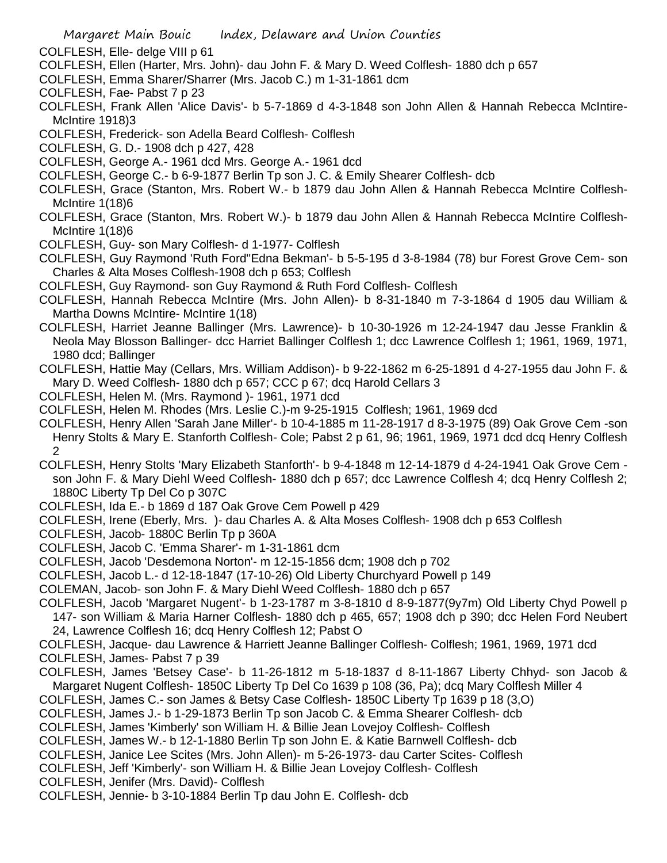- COLFLESH, Elle- delge VIII p 61
- COLFLESH, Ellen (Harter, Mrs. John)- dau John F. & Mary D. Weed Colflesh- 1880 dch p 657
- COLFLESH, Emma Sharer/Sharrer (Mrs. Jacob C.) m 1-31-1861 dcm
- COLFLESH, Fae- Pabst 7 p 23
- COLFLESH, Frank Allen 'Alice Davis'- b 5-7-1869 d 4-3-1848 son John Allen & Hannah Rebecca McIntire-McIntire 1918)3
- COLFLESH, Frederick- son Adella Beard Colflesh- Colflesh
- COLFLESH, G. D.- 1908 dch p 427, 428
- COLFLESH, George A.- 1961 dcd Mrs. George A.- 1961 dcd
- COLFLESH, George C.- b 6-9-1877 Berlin Tp son J. C. & Emily Shearer Colflesh- dcb
- COLFLESH, Grace (Stanton, Mrs. Robert W.- b 1879 dau John Allen & Hannah Rebecca McIntire Colflesh-McIntire 1(18)6
- COLFLESH, Grace (Stanton, Mrs. Robert W.)- b 1879 dau John Allen & Hannah Rebecca McIntire Colflesh-McIntire 1(18)6
- COLFLESH, Guy- son Mary Colflesh- d 1-1977- Colflesh
- COLFLESH, Guy Raymond 'Ruth Ford''Edna Bekman'- b 5-5-195 d 3-8-1984 (78) bur Forest Grove Cem- son Charles & Alta Moses Colflesh-1908 dch p 653; Colflesh
- COLFLESH, Guy Raymond- son Guy Raymond & Ruth Ford Colflesh- Colflesh
- COLFLESH, Hannah Rebecca McIntire (Mrs. John Allen)- b 8-31-1840 m 7-3-1864 d 1905 dau William & Martha Downs McIntire- McIntire 1(18)
- COLFLESH, Harriet Jeanne Ballinger (Mrs. Lawrence)- b 10-30-1926 m 12-24-1947 dau Jesse Franklin & Neola May Blosson Ballinger- dcc Harriet Ballinger Colflesh 1; dcc Lawrence Colflesh 1; 1961, 1969, 1971, 1980 dcd; Ballinger
- COLFLESH, Hattie May (Cellars, Mrs. William Addison)- b 9-22-1862 m 6-25-1891 d 4-27-1955 dau John F. & Mary D. Weed Colflesh- 1880 dch p 657; CCC p 67; dcq Harold Cellars 3
- COLFLESH, Helen M. (Mrs. Raymond )- 1961, 1971 dcd
- COLFLESH, Helen M. Rhodes (Mrs. Leslie C.)-m 9-25-1915 Colflesh; 1961, 1969 dcd
- COLFLESH, Henry Allen 'Sarah Jane Miller'- b 10-4-1885 m 11-28-1917 d 8-3-1975 (89) Oak Grove Cem -son Henry Stolts & Mary E. Stanforth Colflesh- Cole; Pabst 2 p 61, 96; 1961, 1969, 1971 dcd dcq Henry Colflesh 2
- COLFLESH, Henry Stolts 'Mary Elizabeth Stanforth'- b 9-4-1848 m 12-14-1879 d 4-24-1941 Oak Grove Cem son John F. & Mary Diehl Weed Colflesh- 1880 dch p 657; dcc Lawrence Colflesh 4; dcq Henry Colflesh 2; 1880C Liberty Tp Del Co p 307C
- COLFLESH, Ida E.- b 1869 d 187 Oak Grove Cem Powell p 429
- COLFLESH, Irene (Eberly, Mrs. )- dau Charles A. & Alta Moses Colflesh- 1908 dch p 653 Colflesh
- COLFLESH, Jacob- 1880C Berlin Tp p 360A
- COLFLESH, Jacob C. 'Emma Sharer'- m 1-31-1861 dcm
- COLFLESH, Jacob 'Desdemona Norton'- m 12-15-1856 dcm; 1908 dch p 702
- COLFLESH, Jacob L.- d 12-18-1847 (17-10-26) Old Liberty Churchyard Powell p 149
- COLEMAN, Jacob- son John F. & Mary Diehl Weed Colflesh- 1880 dch p 657
- COLFLESH, Jacob 'Margaret Nugent'- b 1-23-1787 m 3-8-1810 d 8-9-1877(9y7m) Old Liberty Chyd Powell p 147- son William & Maria Harner Colflesh- 1880 dch p 465, 657; 1908 dch p 390; dcc Helen Ford Neubert 24, Lawrence Colflesh 16; dcq Henry Colflesh 12; Pabst O
- COLFLESH, Jacque- dau Lawrence & Harriett Jeanne Ballinger Colflesh- Colflesh; 1961, 1969, 1971 dcd COLFLESH, James- Pabst 7 p 39
- COLFLESH, James 'Betsey Case'- b 11-26-1812 m 5-18-1837 d 8-11-1867 Liberty Chhyd- son Jacob & Margaret Nugent Colflesh- 1850C Liberty Tp Del Co 1639 p 108 (36, Pa); dcq Mary Colflesh Miller 4
- COLFLESH, James C.- son James & Betsy Case Colflesh- 1850C Liberty Tp 1639 p 18 (3,O)
- COLFLESH, James J.- b 1-29-1873 Berlin Tp son Jacob C. & Emma Shearer Colflesh- dcb
- COLFLESH, James 'Kimberly' son William H. & Billie Jean Lovejoy Colflesh- Colflesh
- COLFLESH, James W.- b 12-1-1880 Berlin Tp son John E. & Katie Barnwell Colflesh- dcb
- COLFLESH, Janice Lee Scites (Mrs. John Allen)- m 5-26-1973- dau Carter Scites- Colflesh
- COLFLESH, Jeff 'Kimberly'- son William H. & Billie Jean Lovejoy Colflesh- Colflesh
- COLFLESH, Jenifer (Mrs. David)- Colflesh
- COLFLESH, Jennie- b 3-10-1884 Berlin Tp dau John E. Colflesh- dcb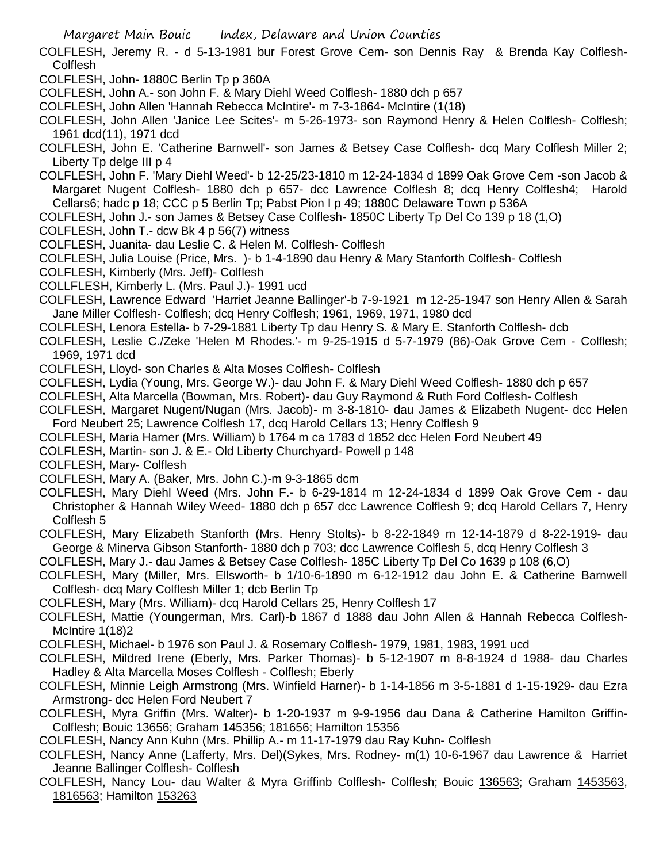- COLFLESH, Jeremy R. d 5-13-1981 bur Forest Grove Cem- son Dennis Ray & Brenda Kay Colflesh-**Colflesh**
- COLFLESH, John- 1880C Berlin Tp p 360A
- COLFLESH, John A.- son John F. & Mary Diehl Weed Colflesh- 1880 dch p 657
- COLFLESH, John Allen 'Hannah Rebecca McIntire'- m 7-3-1864- McIntire (1(18)
- COLFLESH, John Allen 'Janice Lee Scites'- m 5-26-1973- son Raymond Henry & Helen Colflesh- Colflesh; 1961 dcd(11), 1971 dcd
- COLFLESH, John E. 'Catherine Barnwell'- son James & Betsey Case Colflesh- dcq Mary Colflesh Miller 2; Liberty Tp delge III p 4
- COLFLESH, John F. 'Mary Diehl Weed'- b 12-25/23-1810 m 12-24-1834 d 1899 Oak Grove Cem -son Jacob & Margaret Nugent Colflesh- 1880 dch p 657- dcc Lawrence Colflesh 8; dcq Henry Colflesh4; Harold Cellars6; hadc p 18; CCC p 5 Berlin Tp; Pabst Pion I p 49; 1880C Delaware Town p 536A
- COLFLESH, John J.- son James & Betsey Case Colflesh- 1850C Liberty Tp Del Co 139 p 18 (1,O)
- COLFLESH, John T.- dcw Bk 4 p 56(7) witness
- COLFLESH, Juanita- dau Leslie C. & Helen M. Colflesh- Colflesh
- COLFLESH, Julia Louise (Price, Mrs. )- b 1-4-1890 dau Henry & Mary Stanforth Colflesh- Colflesh
- COLFLESH, Kimberly (Mrs. Jeff)- Colflesh
- COLLFLESH, Kimberly L. (Mrs. Paul J.)- 1991 ucd
- COLFLESH, Lawrence Edward 'Harriet Jeanne Ballinger'-b 7-9-1921 m 12-25-1947 son Henry Allen & Sarah Jane Miller Colflesh- Colflesh; dcq Henry Colflesh; 1961, 1969, 1971, 1980 dcd
- COLFLESH, Lenora Estella- b 7-29-1881 Liberty Tp dau Henry S. & Mary E. Stanforth Colflesh- dcb
- COLFLESH, Leslie C./Zeke 'Helen M Rhodes.'- m 9-25-1915 d 5-7-1979 (86)-Oak Grove Cem Colflesh; 1969, 1971 dcd
- COLFLESH, Lloyd- son Charles & Alta Moses Colflesh- Colflesh
- COLFLESH, Lydia (Young, Mrs. George W.)- dau John F. & Mary Diehl Weed Colflesh- 1880 dch p 657
- COLFLESH, Alta Marcella (Bowman, Mrs. Robert)- dau Guy Raymond & Ruth Ford Colflesh- Colflesh
- COLFLESH, Margaret Nugent/Nugan (Mrs. Jacob)- m 3-8-1810- dau James & Elizabeth Nugent- dcc Helen Ford Neubert 25; Lawrence Colflesh 17, dcq Harold Cellars 13; Henry Colflesh 9
- COLFLESH, Maria Harner (Mrs. William) b 1764 m ca 1783 d 1852 dcc Helen Ford Neubert 49
- COLFLESH, Martin- son J. & E.- Old Liberty Churchyard- Powell p 148
- COLFLESH, Mary- Colflesh
- COLFLESH, Mary A. (Baker, Mrs. John C.)-m 9-3-1865 dcm
- COLFLESH, Mary Diehl Weed (Mrs. John F.- b 6-29-1814 m 12-24-1834 d 1899 Oak Grove Cem dau Christopher & Hannah Wiley Weed- 1880 dch p 657 dcc Lawrence Colflesh 9; dcq Harold Cellars 7, Henry Colflesh 5
- COLFLESH, Mary Elizabeth Stanforth (Mrs. Henry Stolts)- b 8-22-1849 m 12-14-1879 d 8-22-1919- dau George & Minerva Gibson Stanforth- 1880 dch p 703; dcc Lawrence Colflesh 5, dcq Henry Colflesh 3
- COLFLESH, Mary J.- dau James & Betsey Case Colflesh- 185C Liberty Tp Del Co 1639 p 108 (6,O)
- COLFLESH, Mary (Miller, Mrs. Ellsworth- b 1/10-6-1890 m 6-12-1912 dau John E. & Catherine Barnwell Colflesh- dcq Mary Colflesh Miller 1; dcb Berlin Tp
- COLFLESH, Mary (Mrs. William)- dcq Harold Cellars 25, Henry Colflesh 17
- COLFLESH, Mattie (Youngerman, Mrs. Carl)-b 1867 d 1888 dau John Allen & Hannah Rebecca Colflesh-McIntire 1(18)2
- COLFLESH, Michael- b 1976 son Paul J. & Rosemary Colflesh- 1979, 1981, 1983, 1991 ucd
- COLFLESH, Mildred Irene (Eberly, Mrs. Parker Thomas)- b 5-12-1907 m 8-8-1924 d 1988- dau Charles Hadley & Alta Marcella Moses Colflesh - Colflesh; Eberly
- COLFLESH, Minnie Leigh Armstrong (Mrs. Winfield Harner)- b 1-14-1856 m 3-5-1881 d 1-15-1929- dau Ezra Armstrong- dcc Helen Ford Neubert 7
- COLFLESH, Myra Griffin (Mrs. Walter)- b 1-20-1937 m 9-9-1956 dau Dana & Catherine Hamilton Griffin-Colflesh; Bouic 13656; Graham 145356; 181656; Hamilton 15356
- COLFLESH, Nancy Ann Kuhn (Mrs. Phillip A.- m 11-17-1979 dau Ray Kuhn- Colflesh
- COLFLESH, Nancy Anne (Lafferty, Mrs. Del)(Sykes, Mrs. Rodney- m(1) 10-6-1967 dau Lawrence & Harriet Jeanne Ballinger Colflesh- Colflesh
- COLFLESH, Nancy Lou- dau Walter & Myra Griffinb Colflesh- Colflesh; Bouic 136563; Graham 1453563, 1816563; Hamilton 153263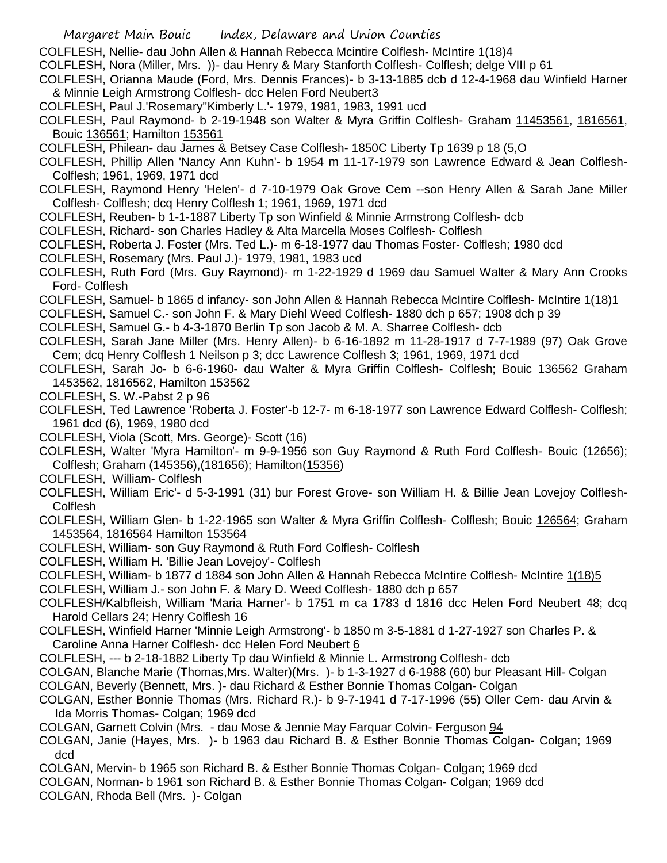- COLFLESH, Nellie- dau John Allen & Hannah Rebecca Mcintire Colflesh- McIntire 1(18)4
- COLFLESH, Nora (Miller, Mrs. ))- dau Henry & Mary Stanforth Colflesh- Colflesh; delge VIII p 61
- COLFLESH, Orianna Maude (Ford, Mrs. Dennis Frances)- b 3-13-1885 dcb d 12-4-1968 dau Winfield Harner & Minnie Leigh Armstrong Colflesh- dcc Helen Ford Neubert3
- COLFLESH, Paul J.'Rosemary''Kimberly L.'- 1979, 1981, 1983, 1991 ucd
- COLFLESH, Paul Raymond- b 2-19-1948 son Walter & Myra Griffin Colflesh- Graham 11453561, 1816561, Bouic 136561; Hamilton 153561
- COLFLESH, Philean- dau James & Betsey Case Colflesh- 1850C Liberty Tp 1639 p 18 (5,O
- COLFLESH, Phillip Allen 'Nancy Ann Kuhn'- b 1954 m 11-17-1979 son Lawrence Edward & Jean Colflesh-Colflesh; 1961, 1969, 1971 dcd
- COLFLESH, Raymond Henry 'Helen'- d 7-10-1979 Oak Grove Cem --son Henry Allen & Sarah Jane Miller Colflesh- Colflesh; dcq Henry Colflesh 1; 1961, 1969, 1971 dcd
- COLFLESH, Reuben- b 1-1-1887 Liberty Tp son Winfield & Minnie Armstrong Colflesh- dcb
- COLFLESH, Richard- son Charles Hadley & Alta Marcella Moses Colflesh- Colflesh
- COLFLESH, Roberta J. Foster (Mrs. Ted L.)- m 6-18-1977 dau Thomas Foster- Colflesh; 1980 dcd
- COLFLESH, Rosemary (Mrs. Paul J.)- 1979, 1981, 1983 ucd
- COLFLESH, Ruth Ford (Mrs. Guy Raymond)- m 1-22-1929 d 1969 dau Samuel Walter & Mary Ann Crooks Ford- Colflesh
- COLFLESH, Samuel- b 1865 d infancy- son John Allen & Hannah Rebecca McIntire Colflesh- McIntire 1(18)1
- COLFLESH, Samuel C.- son John F. & Mary Diehl Weed Colflesh- 1880 dch p 657; 1908 dch p 39
- COLFLESH, Samuel G.- b 4-3-1870 Berlin Tp son Jacob & M. A. Sharree Colflesh- dcb
- COLFLESH, Sarah Jane Miller (Mrs. Henry Allen)- b 6-16-1892 m 11-28-1917 d 7-7-1989 (97) Oak Grove Cem; dcq Henry Colflesh 1 Neilson p 3; dcc Lawrence Colflesh 3; 1961, 1969, 1971 dcd
- COLFLESH, Sarah Jo- b 6-6-1960- dau Walter & Myra Griffin Colflesh- Colflesh; Bouic 136562 Graham 1453562, 1816562, Hamilton 153562
- COLFLESH, S. W.-Pabst 2 p 96
- COLFLESH, Ted Lawrence 'Roberta J. Foster'-b 12-7- m 6-18-1977 son Lawrence Edward Colflesh- Colflesh; 1961 dcd (6), 1969, 1980 dcd
- COLFLESH, Viola (Scott, Mrs. George)- Scott (16)
- COLFLESH, Walter 'Myra Hamilton'- m 9-9-1956 son Guy Raymond & Ruth Ford Colflesh- Bouic (12656); Colflesh; Graham (145356),(181656); Hamilton(15356)
- COLFLESH, William- Colflesh
- COLFLESH, William Eric'- d 5-3-1991 (31) bur Forest Grove- son William H. & Billie Jean Lovejoy Colflesh-Colflesh
- COLFLESH, William Glen- b 1-22-1965 son Walter & Myra Griffin Colflesh- Colflesh; Bouic 126564; Graham 1453564, 1816564 Hamilton 153564
- COLFLESH, William- son Guy Raymond & Ruth Ford Colflesh- Colflesh
- COLFLESH, William H. 'Billie Jean Lovejoy'- Colflesh
- COLFLESH, William- b 1877 d 1884 son John Allen & Hannah Rebecca McIntire Colflesh- McIntire 1(18)5
- COLFLESH, William J.- son John F. & Mary D. Weed Colflesh- 1880 dch p 657
- COLFLESH/Kalbfleish, William 'Maria Harner'- b 1751 m ca 1783 d 1816 dcc Helen Ford Neubert 48; dcq Harold Cellars 24; Henry Colflesh 16
- COLFLESH, Winfield Harner 'Minnie Leigh Armstrong'- b 1850 m 3-5-1881 d 1-27-1927 son Charles P. & Caroline Anna Harner Colflesh- dcc Helen Ford Neubert 6
- COLFLESH, --- b 2-18-1882 Liberty Tp dau Winfield & Minnie L. Armstrong Colflesh- dcb
- COLGAN, Blanche Marie (Thomas,Mrs. Walter)(Mrs. )- b 1-3-1927 d 6-1988 (60) bur Pleasant Hill- Colgan
- COLGAN, Beverly (Bennett, Mrs. )- dau Richard & Esther Bonnie Thomas Colgan- Colgan
- COLGAN, Esther Bonnie Thomas (Mrs. Richard R.)- b 9-7-1941 d 7-17-1996 (55) Oller Cem- dau Arvin & Ida Morris Thomas- Colgan; 1969 dcd
- COLGAN, Garnett Colvin (Mrs. dau Mose & Jennie May Farquar Colvin- Ferguson 94
- COLGAN, Janie (Hayes, Mrs. )- b 1963 dau Richard B. & Esther Bonnie Thomas Colgan- Colgan; 1969 dcd
- COLGAN, Mervin- b 1965 son Richard B. & Esther Bonnie Thomas Colgan- Colgan; 1969 dcd
- COLGAN, Norman- b 1961 son Richard B. & Esther Bonnie Thomas Colgan- Colgan; 1969 dcd
- COLGAN, Rhoda Bell (Mrs. )- Colgan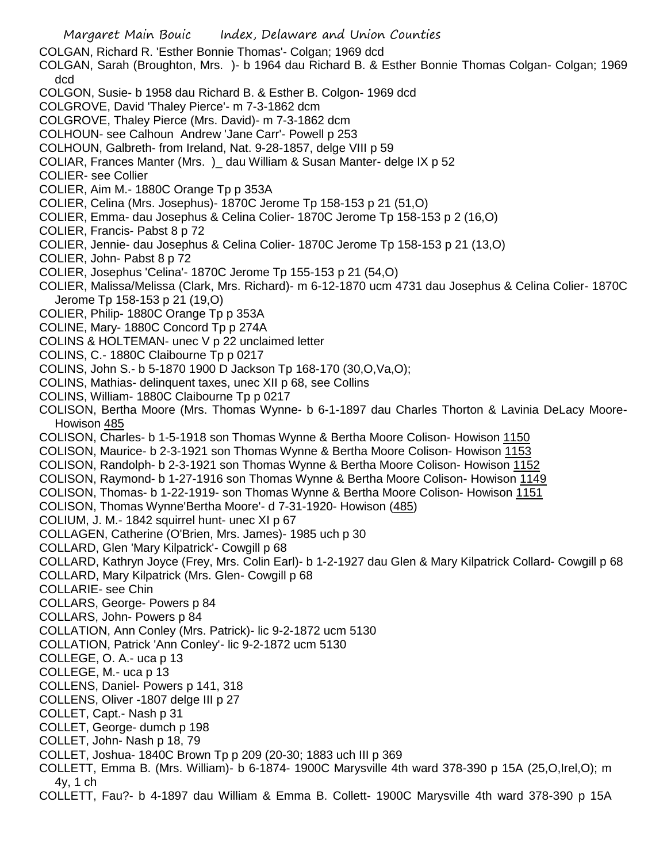Margaret Main Bouic Index, Delaware and Union Counties COLGAN, Richard R. 'Esther Bonnie Thomas'- Colgan; 1969 dcd COLGAN, Sarah (Broughton, Mrs. )- b 1964 dau Richard B. & Esther Bonnie Thomas Colgan- Colgan; 1969 dcd COLGON, Susie- b 1958 dau Richard B. & Esther B. Colgon- 1969 dcd COLGROVE, David 'Thaley Pierce'- m 7-3-1862 dcm COLGROVE, Thaley Pierce (Mrs. David)- m 7-3-1862 dcm COLHOUN- see Calhoun Andrew 'Jane Carr'- Powell p 253 COLHOUN, Galbreth- from Ireland, Nat. 9-28-1857, delge VIII p 59 COLIAR, Frances Manter (Mrs. )\_ dau William & Susan Manter- delge IX p 52 COLIER- see Collier COLIER, Aim M.- 1880C Orange Tp p 353A COLIER, Celina (Mrs. Josephus)- 1870C Jerome Tp 158-153 p 21 (51,O) COLIER, Emma- dau Josephus & Celina Colier- 1870C Jerome Tp 158-153 p 2 (16,O) COLIER, Francis- Pabst 8 p 72 COLIER, Jennie- dau Josephus & Celina Colier- 1870C Jerome Tp 158-153 p 21 (13,O) COLIER, John- Pabst 8 p 72 COLIER, Josephus 'Celina'- 1870C Jerome Tp 155-153 p 21 (54,O) COLIER, Malissa/Melissa (Clark, Mrs. Richard)- m 6-12-1870 ucm 4731 dau Josephus & Celina Colier- 1870C Jerome Tp 158-153 p 21 (19,O) COLIER, Philip- 1880C Orange Tp p 353A COLINE, Mary- 1880C Concord Tp p 274A COLINS & HOLTEMAN- unec V p 22 unclaimed letter COLINS, C.- 1880C Claibourne Tp p 0217 COLINS, John S.- b 5-1870 1900 D Jackson Tp 168-170 (30,O,Va,O); COLINS, Mathias- delinquent taxes, unec XII p 68, see Collins COLINS, William- 1880C Claibourne Tp p 0217 COLISON, Bertha Moore (Mrs. Thomas Wynne- b 6-1-1897 dau Charles Thorton & Lavinia DeLacy Moore-Howison 485 COLISON, Charles- b 1-5-1918 son Thomas Wynne & Bertha Moore Colison- Howison 1150 COLISON, Maurice- b 2-3-1921 son Thomas Wynne & Bertha Moore Colison- Howison 1153 COLISON, Randolph- b 2-3-1921 son Thomas Wynne & Bertha Moore Colison- Howison 1152 COLISON, Raymond- b 1-27-1916 son Thomas Wynne & Bertha Moore Colison- Howison 1149 COLISON, Thomas- b 1-22-1919- son Thomas Wynne & Bertha Moore Colison- Howison 1151 COLISON, Thomas Wynne'Bertha Moore'- d 7-31-1920- Howison (485) COLIUM, J. M.- 1842 squirrel hunt- unec XI p 67 COLLAGEN, Catherine (O'Brien, Mrs. James)- 1985 uch p 30 COLLARD, Glen 'Mary Kilpatrick'- Cowgill p 68 COLLARD, Kathryn Joyce (Frey, Mrs. Colin Earl)- b 1-2-1927 dau Glen & Mary Kilpatrick Collard- Cowgill p 68 COLLARD, Mary Kilpatrick (Mrs. Glen- Cowgill p 68 COLLARIE- see Chin COLLARS, George- Powers p 84 COLLARS, John- Powers p 84 COLLATION, Ann Conley (Mrs. Patrick)- lic 9-2-1872 ucm 5130 COLLATION, Patrick 'Ann Conley'- lic 9-2-1872 ucm 5130 COLLEGE, O. A.- uca p 13 COLLEGE, M.- uca p 13 COLLENS, Daniel- Powers p 141, 318 COLLENS, Oliver -1807 delge III p 27 COLLET, Capt.- Nash p 31 COLLET, George- dumch p 198 COLLET, John- Nash p 18, 79 COLLET, Joshua- 1840C Brown Tp p 209 (20-30; 1883 uch III p 369 COLLETT, Emma B. (Mrs. William)- b 6-1874- 1900C Marysville 4th ward 378-390 p 15A (25,O,Irel,O); m 4y, 1 ch COLLETT, Fau?- b 4-1897 dau William & Emma B. Collett- 1900C Marysville 4th ward 378-390 p 15A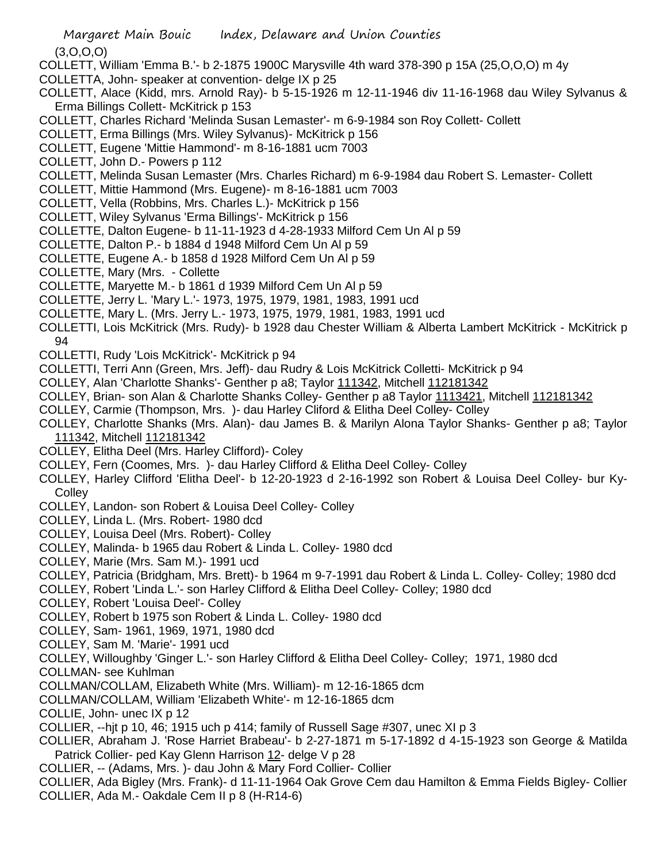(3,O,O,O)

- COLLETT, William 'Emma B.'- b 2-1875 1900C Marysville 4th ward 378-390 p 15A (25,O,O,O) m 4y
- COLLETTA, John- speaker at convention- delge IX p 25
- COLLETT, Alace (Kidd, mrs. Arnold Ray)- b 5-15-1926 m 12-11-1946 div 11-16-1968 dau Wiley Sylvanus & Erma Billings Collett- McKitrick p 153
- COLLETT, Charles Richard 'Melinda Susan Lemaster'- m 6-9-1984 son Roy Collett- Collett
- COLLETT, Erma Billings (Mrs. Wiley Sylvanus)- McKitrick p 156
- COLLETT, Eugene 'Mittie Hammond'- m 8-16-1881 ucm 7003
- COLLETT, John D.- Powers p 112
- COLLETT, Melinda Susan Lemaster (Mrs. Charles Richard) m 6-9-1984 dau Robert S. Lemaster- Collett
- COLLETT, Mittie Hammond (Mrs. Eugene)- m 8-16-1881 ucm 7003
- COLLETT, Vella (Robbins, Mrs. Charles L.)- McKitrick p 156
- COLLETT, Wiley Sylvanus 'Erma Billings'- McKitrick p 156
- COLLETTE, Dalton Eugene- b 11-11-1923 d 4-28-1933 Milford Cem Un Al p 59
- COLLETTE, Dalton P.- b 1884 d 1948 Milford Cem Un Al p 59
- COLLETTE, Eugene A.- b 1858 d 1928 Milford Cem Un Al p 59
- COLLETTE, Mary (Mrs. Collette
- COLLETTE, Maryette M.- b 1861 d 1939 Milford Cem Un Al p 59
- COLLETTE, Jerry L. 'Mary L.'- 1973, 1975, 1979, 1981, 1983, 1991 ucd
- COLLETTE, Mary L. (Mrs. Jerry L.- 1973, 1975, 1979, 1981, 1983, 1991 ucd
- COLLETTI, Lois McKitrick (Mrs. Rudy)- b 1928 dau Chester William & Alberta Lambert McKitrick McKitrick p 94
- COLLETTI, Rudy 'Lois McKitrick'- McKitrick p 94
- COLLETTI, Terri Ann (Green, Mrs. Jeff)- dau Rudry & Lois McKitrick Colletti- McKitrick p 94
- COLLEY, Alan 'Charlotte Shanks'- Genther p a8; Taylor 111342, Mitchell 112181342
- COLLEY, Brian- son Alan & Charlotte Shanks Colley- Genther p a8 Taylor 1113421, Mitchell 112181342
- COLLEY, Carmie (Thompson, Mrs. )- dau Harley Cliford & Elitha Deel Colley- Colley
- COLLEY, Charlotte Shanks (Mrs. Alan)- dau James B. & Marilyn Alona Taylor Shanks- Genther p a8; Taylor 111342, Mitchell 112181342
- COLLEY, Elitha Deel (Mrs. Harley Clifford)- Coley
- COLLEY, Fern (Coomes, Mrs. )- dau Harley Clifford & Elitha Deel Colley- Colley
- COLLEY, Harley Clifford 'Elitha Deel'- b 12-20-1923 d 2-16-1992 son Robert & Louisa Deel Colley- bur Ky-**Collev**
- COLLEY, Landon- son Robert & Louisa Deel Colley- Colley
- COLLEY, Linda L. (Mrs. Robert- 1980 dcd
- COLLEY, Louisa Deel (Mrs. Robert)- Colley
- COLLEY, Malinda- b 1965 dau Robert & Linda L. Colley- 1980 dcd
- COLLEY, Marie (Mrs. Sam M.)- 1991 ucd
- COLLEY, Patricia (Bridgham, Mrs. Brett)- b 1964 m 9-7-1991 dau Robert & Linda L. Colley- Colley; 1980 dcd
- COLLEY, Robert 'Linda L.'- son Harley Clifford & Elitha Deel Colley- Colley; 1980 dcd
- COLLEY, Robert 'Louisa Deel'- Colley
- COLLEY, Robert b 1975 son Robert & Linda L. Colley- 1980 dcd
- COLLEY, Sam- 1961, 1969, 1971, 1980 dcd
- COLLEY, Sam M. 'Marie'- 1991 ucd
- COLLEY, Willoughby 'Ginger L.'- son Harley Clifford & Elitha Deel Colley- Colley; 1971, 1980 dcd
- COLLMAN- see Kuhlman
- COLLMAN/COLLAM, Elizabeth White (Mrs. William)- m 12-16-1865 dcm
- COLLMAN/COLLAM, William 'Elizabeth White'- m 12-16-1865 dcm
- COLLIE, John- unec IX p 12
- COLLIER, --hjt p 10, 46; 1915 uch p 414; family of Russell Sage #307, unec XI p 3
- COLLIER, Abraham J. 'Rose Harriet Brabeau'- b 2-27-1871 m 5-17-1892 d 4-15-1923 son George & Matilda Patrick Collier- ped Kay Glenn Harrison 12- delge V p 28
- COLLIER, -- (Adams, Mrs. )- dau John & Mary Ford Collier- Collier
- COLLIER, Ada Bigley (Mrs. Frank)- d 11-11-1964 Oak Grove Cem dau Hamilton & Emma Fields Bigley- Collier COLLIER, Ada M.- Oakdale Cem II p 8 (H-R14-6)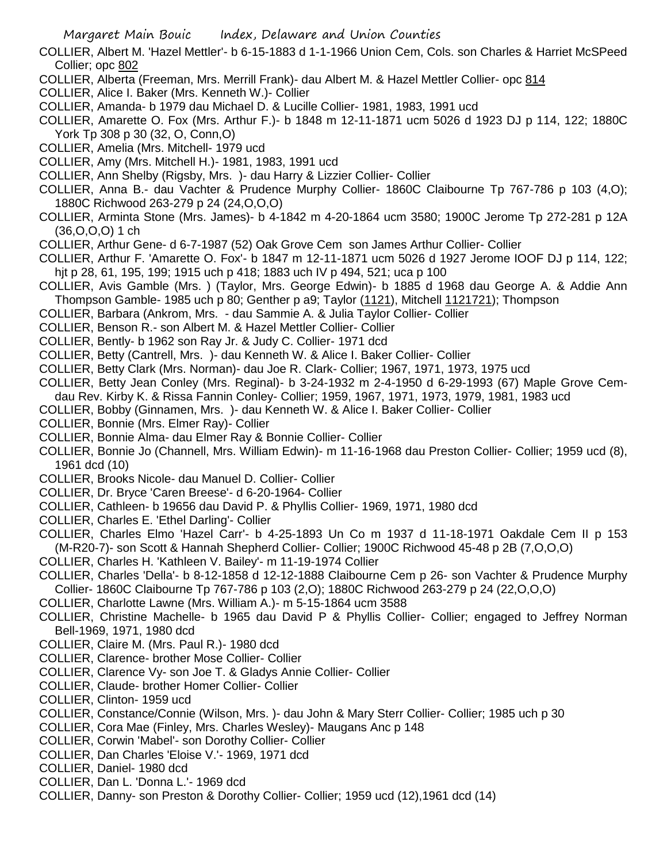- COLLIER, Albert M. 'Hazel Mettler'- b 6-15-1883 d 1-1-1966 Union Cem, Cols. son Charles & Harriet McSPeed Collier; opc 802
- COLLIER, Alberta (Freeman, Mrs. Merrill Frank)- dau Albert M. & Hazel Mettler Collier- opc 814
- COLLIER, Alice I. Baker (Mrs. Kenneth W.)- Collier
- COLLIER, Amanda- b 1979 dau Michael D. & Lucille Collier- 1981, 1983, 1991 ucd
- COLLIER, Amarette O. Fox (Mrs. Arthur F.)- b 1848 m 12-11-1871 ucm 5026 d 1923 DJ p 114, 122; 1880C York Tp 308 p 30 (32, O, Conn,O)
- COLLIER, Amelia (Mrs. Mitchell- 1979 ucd
- COLLIER, Amy (Mrs. Mitchell H.)- 1981, 1983, 1991 ucd
- COLLIER, Ann Shelby (Rigsby, Mrs. )- dau Harry & Lizzier Collier- Collier
- COLLIER, Anna B.- dau Vachter & Prudence Murphy Collier- 1860C Claibourne Tp 767-786 p 103 (4,O); 1880C Richwood 263-279 p 24 (24,O,O,O)
- COLLIER, Arminta Stone (Mrs. James)- b 4-1842 m 4-20-1864 ucm 3580; 1900C Jerome Tp 272-281 p 12A (36,O,O,O) 1 ch
- COLLIER, Arthur Gene- d 6-7-1987 (52) Oak Grove Cem son James Arthur Collier- Collier
- COLLIER, Arthur F. 'Amarette O. Fox'- b 1847 m 12-11-1871 ucm 5026 d 1927 Jerome IOOF DJ p 114, 122; hjt p 28, 61, 195, 199; 1915 uch p 418; 1883 uch IV p 494, 521; uca p 100
- COLLIER, Avis Gamble (Mrs. ) (Taylor, Mrs. George Edwin)- b 1885 d 1968 dau George A. & Addie Ann Thompson Gamble- 1985 uch p 80; Genther p a9; Taylor (1121), Mitchell 1121721); Thompson
- COLLIER, Barbara (Ankrom, Mrs. dau Sammie A. & Julia Taylor Collier- Collier
- COLLIER, Benson R.- son Albert M. & Hazel Mettler Collier- Collier
- COLLIER, Bently- b 1962 son Ray Jr. & Judy C. Collier- 1971 dcd
- COLLIER, Betty (Cantrell, Mrs. )- dau Kenneth W. & Alice I. Baker Collier- Collier
- COLLIER, Betty Clark (Mrs. Norman)- dau Joe R. Clark- Collier; 1967, 1971, 1973, 1975 ucd
- COLLIER, Betty Jean Conley (Mrs. Reginal)- b 3-24-1932 m 2-4-1950 d 6-29-1993 (67) Maple Grove Cemdau Rev. Kirby K. & Rissa Fannin Conley- Collier; 1959, 1967, 1971, 1973, 1979, 1981, 1983 ucd
- COLLIER, Bobby (Ginnamen, Mrs. )- dau Kenneth W. & Alice I. Baker Collier- Collier
- COLLIER, Bonnie (Mrs. Elmer Ray)- Collier
- COLLIER, Bonnie Alma- dau Elmer Ray & Bonnie Collier- Collier
- COLLIER, Bonnie Jo (Channell, Mrs. William Edwin)- m 11-16-1968 dau Preston Collier- Collier; 1959 ucd (8), 1961 dcd (10)
- COLLIER, Brooks Nicole- dau Manuel D. Collier- Collier
- COLLIER, Dr. Bryce 'Caren Breese'- d 6-20-1964- Collier
- COLLIER, Cathleen- b 19656 dau David P. & Phyllis Collier- 1969, 1971, 1980 dcd
- COLLIER, Charles E. 'Ethel Darling'- Collier
- COLLIER, Charles Elmo 'Hazel Carr'- b 4-25-1893 Un Co m 1937 d 11-18-1971 Oakdale Cem II p 153 (M-R20-7)- son Scott & Hannah Shepherd Collier- Collier; 1900C Richwood 45-48 p 2B (7,O,O,O)
- COLLIER, Charles H. 'Kathleen V. Bailey'- m 11-19-1974 Collier
- COLLIER, Charles 'Della'- b 8-12-1858 d 12-12-1888 Claibourne Cem p 26- son Vachter & Prudence Murphy Collier- 1860C Claibourne Tp 767-786 p 103 (2,O); 1880C Richwood 263-279 p 24 (22,O,O,O)
- COLLIER, Charlotte Lawne (Mrs. William A.)- m 5-15-1864 ucm 3588
- COLLIER, Christine Machelle- b 1965 dau David P & Phyllis Collier- Collier; engaged to Jeffrey Norman Bell-1969, 1971, 1980 dcd
- COLLIER, Claire M. (Mrs. Paul R.)- 1980 dcd
- COLLIER, Clarence- brother Mose Collier- Collier
- COLLIER, Clarence Vy- son Joe T. & Gladys Annie Collier- Collier
- COLLIER, Claude- brother Homer Collier- Collier
- COLLIER, Clinton- 1959 ucd
- COLLIER, Constance/Connie (Wilson, Mrs. )- dau John & Mary Sterr Collier- Collier; 1985 uch p 30
- COLLIER, Cora Mae (Finley, Mrs. Charles Wesley)- Maugans Anc p 148
- COLLIER, Corwin 'Mabel'- son Dorothy Collier- Collier
- COLLIER, Dan Charles 'Eloise V.'- 1969, 1971 dcd
- COLLIER, Daniel- 1980 dcd
- COLLIER, Dan L. 'Donna L.'- 1969 dcd
- COLLIER, Danny- son Preston & Dorothy Collier- Collier; 1959 ucd (12),1961 dcd (14)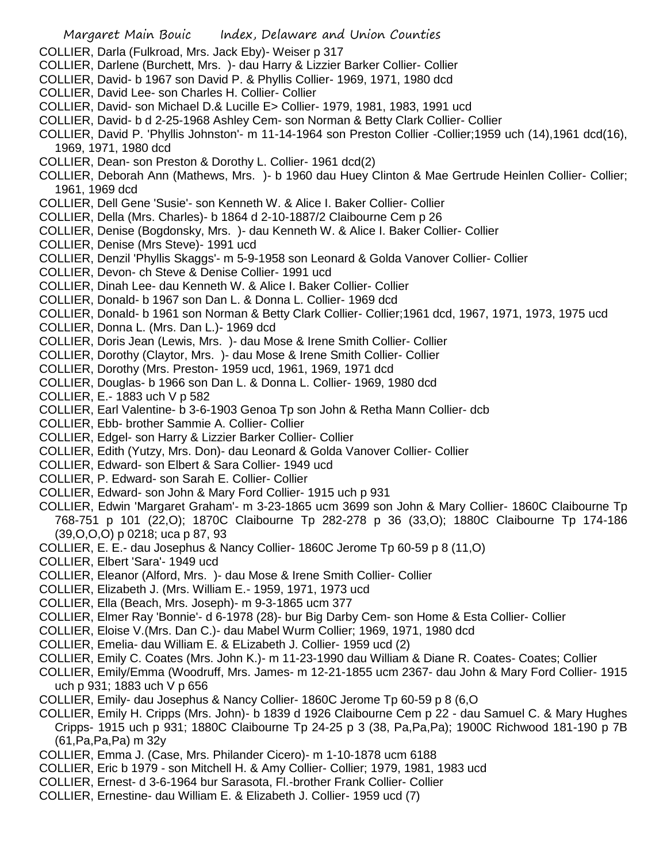- Margaret Main Bouic Index, Delaware and Union Counties COLLIER, Darla (Fulkroad, Mrs. Jack Eby)- Weiser p 317 COLLIER, Darlene (Burchett, Mrs. )- dau Harry & Lizzier Barker Collier- Collier COLLIER, David- b 1967 son David P. & Phyllis Collier- 1969, 1971, 1980 dcd COLLIER, David Lee- son Charles H. Collier- Collier COLLIER, David- son Michael D.& Lucille E> Collier- 1979, 1981, 1983, 1991 ucd COLLIER, David- b d 2-25-1968 Ashley Cem- son Norman & Betty Clark Collier- Collier COLLIER, David P. 'Phyllis Johnston'- m 11-14-1964 son Preston Collier -Collier;1959 uch (14),1961 dcd(16), 1969, 1971, 1980 dcd COLLIER, Dean- son Preston & Dorothy L. Collier- 1961 dcd(2) COLLIER, Deborah Ann (Mathews, Mrs. )- b 1960 dau Huey Clinton & Mae Gertrude Heinlen Collier- Collier; 1961, 1969 dcd COLLIER, Dell Gene 'Susie'- son Kenneth W. & Alice I. Baker Collier- Collier COLLIER, Della (Mrs. Charles)- b 1864 d 2-10-1887/2 Claibourne Cem p 26 COLLIER, Denise (Bogdonsky, Mrs. )- dau Kenneth W. & Alice I. Baker Collier- Collier COLLIER, Denise (Mrs Steve)- 1991 ucd COLLIER, Denzil 'Phyllis Skaggs'- m 5-9-1958 son Leonard & Golda Vanover Collier- Collier COLLIER, Devon- ch Steve & Denise Collier- 1991 ucd COLLIER, Dinah Lee- dau Kenneth W. & Alice I. Baker Collier- Collier COLLIER, Donald- b 1967 son Dan L. & Donna L. Collier- 1969 dcd COLLIER, Donald- b 1961 son Norman & Betty Clark Collier- Collier;1961 dcd, 1967, 1971, 1973, 1975 ucd COLLIER, Donna L. (Mrs. Dan L.)- 1969 dcd COLLIER, Doris Jean (Lewis, Mrs. )- dau Mose & Irene Smith Collier- Collier COLLIER, Dorothy (Claytor, Mrs. )- dau Mose & Irene Smith Collier- Collier COLLIER, Dorothy (Mrs. Preston- 1959 ucd, 1961, 1969, 1971 dcd
- COLLIER, Douglas- b 1966 son Dan L. & Donna L. Collier- 1969, 1980 dcd
- COLLIER, E.- 1883 uch V p 582
- COLLIER, Earl Valentine- b 3-6-1903 Genoa Tp son John & Retha Mann Collier- dcb
- COLLIER, Ebb- brother Sammie A. Collier- Collier
- COLLIER, Edgel- son Harry & Lizzier Barker Collier- Collier
- COLLIER, Edith (Yutzy, Mrs. Don)- dau Leonard & Golda Vanover Collier- Collier
- COLLIER, Edward- son Elbert & Sara Collier- 1949 ucd
- COLLIER, P. Edward- son Sarah E. Collier- Collier
- COLLIER, Edward- son John & Mary Ford Collier- 1915 uch p 931
- COLLIER, Edwin 'Margaret Graham'- m 3-23-1865 ucm 3699 son John & Mary Collier- 1860C Claibourne Tp 768-751 p 101 (22,O); 1870C Claibourne Tp 282-278 p 36 (33,O); 1880C Claibourne Tp 174-186 (39,O,O,O) p 0218; uca p 87, 93
- COLLIER, E. E.- dau Josephus & Nancy Collier- 1860C Jerome Tp 60-59 p 8 (11,O)
- COLLIER, Elbert 'Sara'- 1949 ucd
- COLLIER, Eleanor (Alford, Mrs. )- dau Mose & Irene Smith Collier- Collier
- COLLIER, Elizabeth J. (Mrs. William E.- 1959, 1971, 1973 ucd
- COLLIER, Ella (Beach, Mrs. Joseph)- m 9-3-1865 ucm 377
- COLLIER, Elmer Ray 'Bonnie'- d 6-1978 (28)- bur Big Darby Cem- son Home & Esta Collier- Collier
- COLLIER, Eloise V.(Mrs. Dan C.)- dau Mabel Wurm Collier; 1969, 1971, 1980 dcd
- COLLIER, Emelia- dau William E. & ELizabeth J. Collier- 1959 ucd (2)
- COLLIER, Emily C. Coates (Mrs. John K.)- m 11-23-1990 dau William & Diane R. Coates- Coates; Collier
- COLLIER, Emily/Emma (Woodruff, Mrs. James- m 12-21-1855 ucm 2367- dau John & Mary Ford Collier- 1915 uch p 931; 1883 uch V p 656
- COLLIER, Emily- dau Josephus & Nancy Collier- 1860C Jerome Tp 60-59 p 8 (6,O
- COLLIER, Emily H. Cripps (Mrs. John)- b 1839 d 1926 Claibourne Cem p 22 dau Samuel C. & Mary Hughes Cripps- 1915 uch p 931; 1880C Claibourne Tp 24-25 p 3 (38, Pa,Pa,Pa); 1900C Richwood 181-190 p 7B (61,Pa,Pa,Pa) m 32y
- COLLIER, Emma J. (Case, Mrs. Philander Cicero)- m 1-10-1878 ucm 6188
- COLLIER, Eric b 1979 son Mitchell H. & Amy Collier- Collier; 1979, 1981, 1983 ucd
- COLLIER, Ernest- d 3-6-1964 bur Sarasota, Fl.-brother Frank Collier- Collier
- COLLIER, Ernestine- dau William E. & Elizabeth J. Collier- 1959 ucd (7)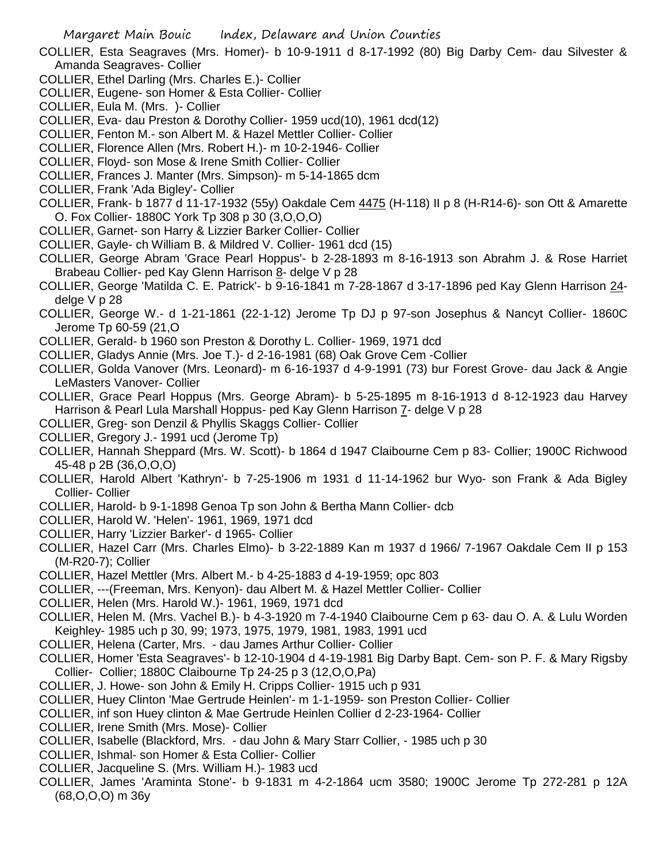- COLLIER, Esta Seagraves (Mrs. Homer)- b 10-9-1911 d 8-17-1992 (80) Big Darby Cem- dau Silvester & Amanda Seagraves- Collier
- COLLIER, Ethel Darling (Mrs. Charles E.)- Collier
- COLLIER, Eugene- son Homer & Esta Collier- Collier
- COLLIER, Eula M. (Mrs. )- Collier
- COLLIER, Eva- dau Preston & Dorothy Collier- 1959 ucd(10), 1961 dcd(12)
- COLLIER, Fenton M.- son Albert M. & Hazel Mettler Collier- Collier
- COLLIER, Florence Allen (Mrs. Robert H.)- m 10-2-1946- Collier
- COLLIER, Floyd- son Mose & Irene Smith Collier- Collier
- COLLIER, Frances J. Manter (Mrs. Simpson)- m 5-14-1865 dcm
- COLLIER, Frank 'Ada Bigley'- Collier
- COLLIER, Frank- b 1877 d 11-17-1932 (55y) Oakdale Cem 4475 (H-118) II p 8 (H-R14-6)- son Ott & Amarette O. Fox Collier- 1880C York Tp 308 p 30 (3,O,O,O)
- COLLIER, Garnet- son Harry & Lizzier Barker Collier- Collier
- COLLIER, Gayle- ch William B. & Mildred V. Collier- 1961 dcd (15)
- COLLIER, George Abram 'Grace Pearl Hoppus'- b 2-28-1893 m 8-16-1913 son Abrahm J. & Rose Harriet Brabeau Collier- ped Kay Glenn Harrison 8- delge V p 28
- COLLIER, George 'Matilda C. E. Patrick'- b 9-16-1841 m 7-28-1867 d 3-17-1896 ped Kay Glenn Harrison 24 delge V p 28
- COLLIER, George W.- d 1-21-1861 (22-1-12) Jerome Tp DJ p 97-son Josephus & Nancyt Collier- 1860C Jerome Tp 60-59 (21,O
- COLLIER, Gerald- b 1960 son Preston & Dorothy L. Collier- 1969, 1971 dcd
- COLLIER, Gladys Annie (Mrs. Joe T.)- d 2-16-1981 (68) Oak Grove Cem -Collier
- COLLIER, Golda Vanover (Mrs. Leonard)- m 6-16-1937 d 4-9-1991 (73) bur Forest Grove- dau Jack & Angie LeMasters Vanover- Collier
- COLLIER, Grace Pearl Hoppus (Mrs. George Abram)- b 5-25-1895 m 8-16-1913 d 8-12-1923 dau Harvey Harrison & Pearl Lula Marshall Hoppus- ped Kay Glenn Harrison 7- delge V p 28
- COLLIER, Greg- son Denzil & Phyllis Skaggs Collier- Collier
- COLLIER, Gregory J.- 1991 ucd (Jerome Tp)
- COLLIER, Hannah Sheppard (Mrs. W. Scott)- b 1864 d 1947 Claibourne Cem p 83- Collier; 1900C Richwood 45-48 p 2B (36,O,O,O)
- COLLIER, Harold Albert 'Kathryn'- b 7-25-1906 m 1931 d 11-14-1962 bur Wyo- son Frank & Ada Bigley Collier- Collier
- COLLIER, Harold- b 9-1-1898 Genoa Tp son John & Bertha Mann Collier- dcb
- COLLIER, Harold W. 'Helen'- 1961, 1969, 1971 dcd
- COLLIER, Harry 'Lizzier Barker'- d 1965- Collier
- COLLIER, Hazel Carr (Mrs. Charles Elmo)- b 3-22-1889 Kan m 1937 d 1966/ 7-1967 Oakdale Cem II p 153 (M-R20-7); Collier
- COLLIER, Hazel Mettler (Mrs. Albert M.- b 4-25-1883 d 4-19-1959; opc 803
- COLLIER, ---(Freeman, Mrs. Kenyon)- dau Albert M. & Hazel Mettler Collier- Collier
- COLLIER, Helen (Mrs. Harold W.)- 1961, 1969, 1971 dcd
- COLLIER, Helen M. (Mrs. Vachel B.)- b 4-3-1920 m 7-4-1940 Claibourne Cem p 63- dau O. A. & Lulu Worden Keighley- 1985 uch p 30, 99; 1973, 1975, 1979, 1981, 1983, 1991 ucd
- COLLIER, Helena (Carter, Mrs. dau James Arthur Collier- Collier
- COLLIER, Homer 'Esta Seagraves'- b 12-10-1904 d 4-19-1981 Big Darby Bapt. Cem- son P. F. & Mary Rigsby Collier- Collier; 1880C Claibourne Tp 24-25 p 3 (12,O,O,Pa)
- COLLIER, J. Howe- son John & Emily H. Cripps Collier- 1915 uch p 931
- COLLIER, Huey Clinton 'Mae Gertrude Heinlen'- m 1-1-1959- son Preston Collier- Collier
- COLLIER, inf son Huey clinton & Mae Gertrude Heinlen Collier d 2-23-1964- Collier
- COLLIER, Irene Smith (Mrs. Mose)- Collier
- COLLIER, Isabelle (Blackford, Mrs. dau John & Mary Starr Collier, 1985 uch p 30
- COLLIER, Ishmal- son Homer & Esta Collier- Collier
- COLLIER, Jacqueline S. (Mrs. William H.)- 1983 ucd
- COLLIER, James 'Araminta Stone'- b 9-1831 m 4-2-1864 ucm 3580; 1900C Jerome Tp 272-281 p 12A (68,O,O,O) m 36y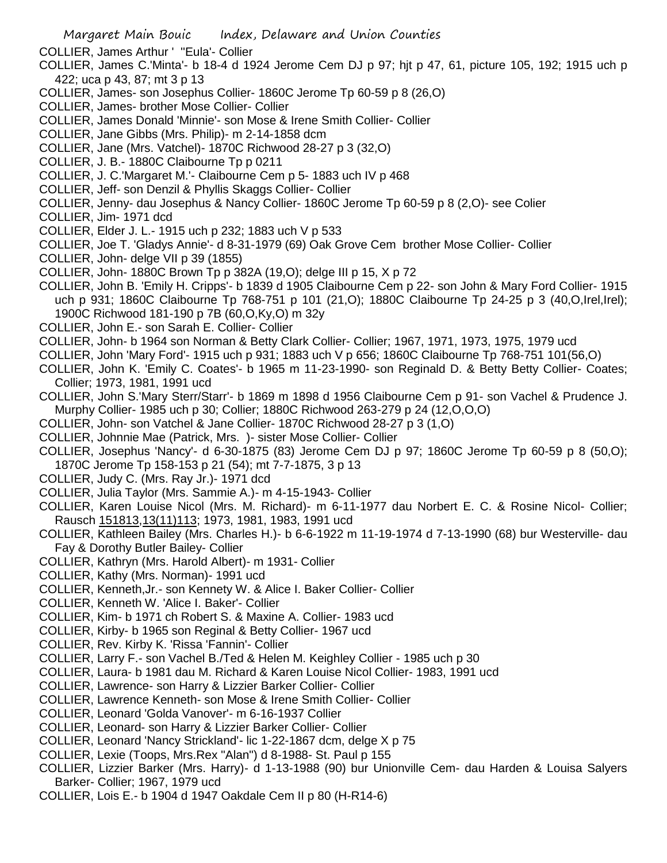- COLLIER, James Arthur ' ''Eula'- Collier
- COLLIER, James C.'Minta'- b 18-4 d 1924 Jerome Cem DJ p 97; hjt p 47, 61, picture 105, 192; 1915 uch p 422; uca p 43, 87; mt 3 p 13
- COLLIER, James- son Josephus Collier- 1860C Jerome Tp 60-59 p 8 (26,O)
- COLLIER, James- brother Mose Collier- Collier
- COLLIER, James Donald 'Minnie'- son Mose & Irene Smith Collier- Collier
- COLLIER, Jane Gibbs (Mrs. Philip)- m 2-14-1858 dcm
- COLLIER, Jane (Mrs. Vatchel)- 1870C Richwood 28-27 p 3 (32,O)
- COLLIER, J. B.- 1880C Claibourne Tp p 0211
- COLLIER, J. C.'Margaret M.'- Claibourne Cem p 5- 1883 uch IV p 468
- COLLIER, Jeff- son Denzil & Phyllis Skaggs Collier- Collier
- COLLIER, Jenny- dau Josephus & Nancy Collier- 1860C Jerome Tp 60-59 p 8 (2,O)- see Colier
- COLLIER, Jim- 1971 dcd
- COLLIER, Elder J. L.- 1915 uch p 232; 1883 uch V p 533
- COLLIER, Joe T. 'Gladys Annie'- d 8-31-1979 (69) Oak Grove Cem brother Mose Collier- Collier
- COLLIER, John- delge VII p 39 (1855)
- COLLIER, John- 1880C Brown Tp p 382A (19,O); delge III p 15, X p 72
- COLLIER, John B. 'Emily H. Cripps'- b 1839 d 1905 Claibourne Cem p 22- son John & Mary Ford Collier- 1915 uch p 931; 1860C Claibourne Tp 768-751 p 101 (21, O); 1880C Claibourne Tp 24-25 p 3 (40, O, Irel, Irel); 1900C Richwood 181-190 p 7B (60,O,Ky,O) m 32y
- COLLIER, John E.- son Sarah E. Collier- Collier
- COLLIER, John- b 1964 son Norman & Betty Clark Collier- Collier; 1967, 1971, 1973, 1975, 1979 ucd
- COLLIER, John 'Mary Ford'- 1915 uch p 931; 1883 uch V p 656; 1860C Claibourne Tp 768-751 101(56,O)
- COLLIER, John K. 'Emily C. Coates'- b 1965 m 11-23-1990- son Reginald D. & Betty Betty Collier- Coates; Collier; 1973, 1981, 1991 ucd
- COLLIER, John S.'Mary Sterr/Starr'- b 1869 m 1898 d 1956 Claibourne Cem p 91- son Vachel & Prudence J. Murphy Collier- 1985 uch p 30; Collier; 1880C Richwood 263-279 p 24 (12,O,O,O)
- COLLIER, John- son Vatchel & Jane Collier- 1870C Richwood 28-27 p 3 (1,O)
- COLLIER, Johnnie Mae (Patrick, Mrs. )- sister Mose Collier- Collier
- COLLIER, Josephus 'Nancy'- d 6-30-1875 (83) Jerome Cem DJ p 97; 1860C Jerome Tp 60-59 p 8 (50,O); 1870C Jerome Tp 158-153 p 21 (54); mt 7-7-1875, 3 p 13
- COLLIER, Judy C. (Mrs. Ray Jr.)- 1971 dcd
- COLLIER, Julia Taylor (Mrs. Sammie A.)- m 4-15-1943- Collier
- COLLIER, Karen Louise Nicol (Mrs. M. Richard)- m 6-11-1977 dau Norbert E. C. & Rosine Nicol- Collier; Rausch 151813,13(11)113; 1973, 1981, 1983, 1991 ucd
- COLLIER, Kathleen Bailey (Mrs. Charles H.)- b 6-6-1922 m 11-19-1974 d 7-13-1990 (68) bur Westerville- dau Fay & Dorothy Butler Bailey- Collier
- COLLIER, Kathryn (Mrs. Harold Albert)- m 1931- Collier
- COLLIER, Kathy (Mrs. Norman)- 1991 ucd
- COLLIER, Kenneth,Jr.- son Kennety W. & Alice I. Baker Collier- Collier
- COLLIER, Kenneth W. 'Alice I. Baker'- Collier
- COLLIER, Kim- b 1971 ch Robert S. & Maxine A. Collier- 1983 ucd
- COLLIER, Kirby- b 1965 son Reginal & Betty Collier- 1967 ucd
- COLLIER, Rev. Kirby K. 'Rissa 'Fannin'- Collier
- COLLIER, Larry F.- son Vachel B./Ted & Helen M. Keighley Collier 1985 uch p 30
- COLLIER, Laura- b 1981 dau M. Richard & Karen Louise Nicol Collier- 1983, 1991 ucd
- COLLIER, Lawrence- son Harry & Lizzier Barker Collier- Collier
- COLLIER, Lawrence Kenneth- son Mose & Irene Smith Collier- Collier
- COLLIER, Leonard 'Golda Vanover'- m 6-16-1937 Collier
- COLLIER, Leonard- son Harry & Lizzier Barker Collier- Collier
- COLLIER, Leonard 'Nancy Strickland'- lic 1-22-1867 dcm, delge X p 75
- COLLIER, Lexie (Toops, Mrs.Rex "Alan") d 8-1988- St. Paul p 155
- COLLIER, Lizzier Barker (Mrs. Harry)- d 1-13-1988 (90) bur Unionville Cem- dau Harden & Louisa Salyers Barker- Collier; 1967, 1979 ucd
- COLLIER, Lois E.- b 1904 d 1947 Oakdale Cem II p 80 (H-R14-6)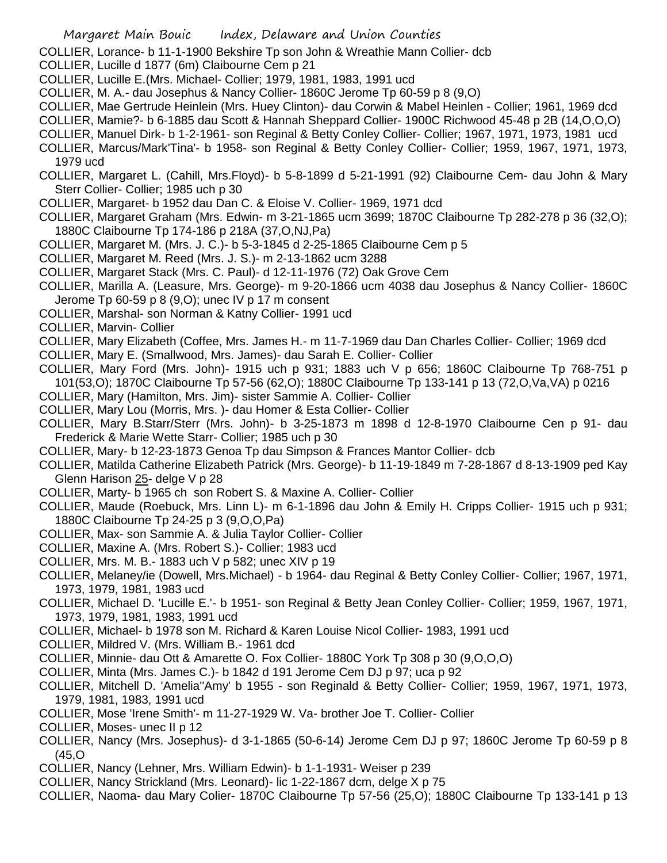COLLIER, Lorance- b 11-1-1900 Bekshire Tp son John & Wreathie Mann Collier- dcb

- COLLIER, Lucille d 1877 (6m) Claibourne Cem p 21
- COLLIER, Lucille E.(Mrs. Michael- Collier; 1979, 1981, 1983, 1991 ucd
- COLLIER, M. A.- dau Josephus & Nancy Collier- 1860C Jerome Tp 60-59 p 8 (9,O)
- COLLIER, Mae Gertrude Heinlein (Mrs. Huey Clinton)- dau Corwin & Mabel Heinlen Collier; 1961, 1969 dcd
- COLLIER, Mamie?- b 6-1885 dau Scott & Hannah Sheppard Collier- 1900C Richwood 45-48 p 2B (14,O,O,O)
- COLLIER, Manuel Dirk- b 1-2-1961- son Reginal & Betty Conley Collier- Collier; 1967, 1971, 1973, 1981 ucd
- COLLIER, Marcus/Mark'Tina'- b 1958- son Reginal & Betty Conley Collier- Collier; 1959, 1967, 1971, 1973, 1979 ucd
- COLLIER, Margaret L. (Cahill, Mrs.Floyd)- b 5-8-1899 d 5-21-1991 (92) Claibourne Cem- dau John & Mary Sterr Collier- Collier; 1985 uch p 30
- COLLIER, Margaret- b 1952 dau Dan C. & Eloise V. Collier- 1969, 1971 dcd
- COLLIER, Margaret Graham (Mrs. Edwin- m 3-21-1865 ucm 3699; 1870C Claibourne Tp 282-278 p 36 (32,O); 1880C Claibourne Tp 174-186 p 218A (37,O,NJ,Pa)
- COLLIER, Margaret M. (Mrs. J. C.)- b 5-3-1845 d 2-25-1865 Claibourne Cem p 5
- COLLIER, Margaret M. Reed (Mrs. J. S.)- m 2-13-1862 ucm 3288
- COLLIER, Margaret Stack (Mrs. C. Paul)- d 12-11-1976 (72) Oak Grove Cem
- COLLIER, Marilla A. (Leasure, Mrs. George)- m 9-20-1866 ucm 4038 dau Josephus & Nancy Collier- 1860C Jerome Tp 60-59 p 8 (9,O); unec IV p 17 m consent
- COLLIER, Marshal- son Norman & Katny Collier- 1991 ucd
- COLLIER, Marvin- Collier
- COLLIER, Mary Elizabeth (Coffee, Mrs. James H.- m 11-7-1969 dau Dan Charles Collier- Collier; 1969 dcd
- COLLIER, Mary E. (Smallwood, Mrs. James)- dau Sarah E. Collier- Collier
- COLLIER, Mary Ford (Mrs. John)- 1915 uch p 931; 1883 uch V p 656; 1860C Claibourne Tp 768-751 p 101(53,O); 1870C Claibourne Tp 57-56 (62,O); 1880C Claibourne Tp 133-141 p 13 (72,O,Va,VA) p 0216
- COLLIER, Mary (Hamilton, Mrs. Jim)- sister Sammie A. Collier- Collier
- COLLIER, Mary Lou (Morris, Mrs. )- dau Homer & Esta Collier- Collier
- COLLIER, Mary B.Starr/Sterr (Mrs. John)- b 3-25-1873 m 1898 d 12-8-1970 Claibourne Cen p 91- dau Frederick & Marie Wette Starr- Collier; 1985 uch p 30
- COLLIER, Mary- b 12-23-1873 Genoa Tp dau Simpson & Frances Mantor Collier- dcb
- COLLIER, Matilda Catherine Elizabeth Patrick (Mrs. George)- b 11-19-1849 m 7-28-1867 d 8-13-1909 ped Kay Glenn Harison 25- delge V p 28
- COLLIER, Marty- b 1965 ch son Robert S. & Maxine A. Collier- Collier
- COLLIER, Maude (Roebuck, Mrs. Linn L)- m 6-1-1896 dau John & Emily H. Cripps Collier- 1915 uch p 931; 1880C Claibourne Tp 24-25 p 3 (9,O,O,Pa)
- COLLIER, Max- son Sammie A. & Julia Taylor Collier- Collier
- COLLIER, Maxine A. (Mrs. Robert S.)- Collier; 1983 ucd
- COLLIER, Mrs. M. B.- 1883 uch V p 582; unec XIV p 19
- COLLIER, Melaney/ie (Dowell, Mrs.Michael) b 1964- dau Reginal & Betty Conley Collier- Collier; 1967, 1971, 1973, 1979, 1981, 1983 ucd
- COLLIER, Michael D. 'Lucille E.'- b 1951- son Reginal & Betty Jean Conley Collier- Collier; 1959, 1967, 1971, 1973, 1979, 1981, 1983, 1991 ucd
- COLLIER, Michael- b 1978 son M. Richard & Karen Louise Nicol Collier- 1983, 1991 ucd
- COLLIER, Mildred V. (Mrs. William B.- 1961 dcd
- COLLIER, Minnie- dau Ott & Amarette O. Fox Collier- 1880C York Tp 308 p 30 (9,O,O,O)
- COLLIER, Minta (Mrs. James C.)- b 1842 d 191 Jerome Cem DJ p 97; uca p 92
- COLLIER, Mitchell D. 'Amelia''Amy' b 1955 son Reginald & Betty Collier- Collier; 1959, 1967, 1971, 1973, 1979, 1981, 1983, 1991 ucd
- COLLIER, Mose 'Irene Smith'- m 11-27-1929 W. Va- brother Joe T. Collier- Collier
- COLLIER, Moses- unec II p 12
- COLLIER, Nancy (Mrs. Josephus)- d 3-1-1865 (50-6-14) Jerome Cem DJ p 97; 1860C Jerome Tp 60-59 p 8 (45,O
- COLLIER, Nancy (Lehner, Mrs. William Edwin)- b 1-1-1931- Weiser p 239
- COLLIER, Nancy Strickland (Mrs. Leonard)- lic 1-22-1867 dcm, delge X p 75
- COLLIER, Naoma- dau Mary Colier- 1870C Claibourne Tp 57-56 (25,O); 1880C Claibourne Tp 133-141 p 13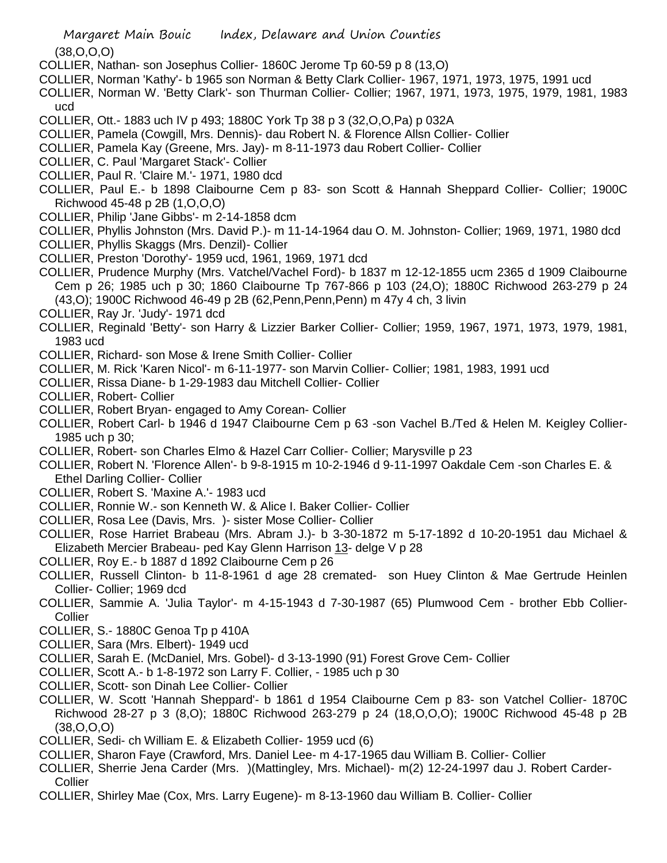(38,O,O,O)

- COLLIER, Nathan- son Josephus Collier- 1860C Jerome Tp 60-59 p 8 (13,O)
- COLLIER, Norman 'Kathy'- b 1965 son Norman & Betty Clark Collier- 1967, 1971, 1973, 1975, 1991 ucd
- COLLIER, Norman W. 'Betty Clark'- son Thurman Collier- Collier; 1967, 1971, 1973, 1975, 1979, 1981, 1983 ucd
- COLLIER, Ott.- 1883 uch IV p 493; 1880C York Tp 38 p 3 (32,O,O,Pa) p 032A
- COLLIER, Pamela (Cowgill, Mrs. Dennis)- dau Robert N. & Florence Allsn Collier- Collier
- COLLIER, Pamela Kay (Greene, Mrs. Jay)- m 8-11-1973 dau Robert Collier- Collier
- COLLIER, C. Paul 'Margaret Stack'- Collier
- COLLIER, Paul R. 'Claire M.'- 1971, 1980 dcd
- COLLIER, Paul E.- b 1898 Claibourne Cem p 83- son Scott & Hannah Sheppard Collier- Collier; 1900C Richwood 45-48 p 2B (1,O,O,O)
- COLLIER, Philip 'Jane Gibbs'- m 2-14-1858 dcm
- COLLIER, Phyllis Johnston (Mrs. David P.)- m 11-14-1964 dau O. M. Johnston- Collier; 1969, 1971, 1980 dcd
- COLLIER, Phyllis Skaggs (Mrs. Denzil)- Collier
- COLLIER, Preston 'Dorothy'- 1959 ucd, 1961, 1969, 1971 dcd
- COLLIER, Prudence Murphy (Mrs. Vatchel/Vachel Ford)- b 1837 m 12-12-1855 ucm 2365 d 1909 Claibourne Cem p 26; 1985 uch p 30; 1860 Claibourne Tp 767-866 p 103 (24,O); 1880C Richwood 263-279 p 24 (43,O); 1900C Richwood 46-49 p 2B (62,Penn,Penn,Penn) m 47y 4 ch, 3 livin
- COLLIER, Ray Jr. 'Judy'- 1971 dcd
- COLLIER, Reginald 'Betty'- son Harry & Lizzier Barker Collier- Collier; 1959, 1967, 1971, 1973, 1979, 1981, 1983 ucd
- COLLIER, Richard- son Mose & Irene Smith Collier- Collier
- COLLIER, M. Rick 'Karen Nicol'- m 6-11-1977- son Marvin Collier- Collier; 1981, 1983, 1991 ucd
- COLLIER, Rissa Diane- b 1-29-1983 dau Mitchell Collier- Collier
- COLLIER, Robert- Collier
- COLLIER, Robert Bryan- engaged to Amy Corean- Collier
- COLLIER, Robert Carl- b 1946 d 1947 Claibourne Cem p 63 -son Vachel B./Ted & Helen M. Keigley Collier-1985 uch p 30;
- COLLIER, Robert- son Charles Elmo & Hazel Carr Collier- Collier; Marysville p 23
- COLLIER, Robert N. 'Florence Allen'- b 9-8-1915 m 10-2-1946 d 9-11-1997 Oakdale Cem -son Charles E. & Ethel Darling Collier- Collier
- COLLIER, Robert S. 'Maxine A.'- 1983 ucd
- COLLIER, Ronnie W.- son Kenneth W. & Alice I. Baker Collier- Collier
- COLLIER, Rosa Lee (Davis, Mrs. )- sister Mose Collier- Collier
- COLLIER, Rose Harriet Brabeau (Mrs. Abram J.)- b 3-30-1872 m 5-17-1892 d 10-20-1951 dau Michael & Elizabeth Mercier Brabeau- ped Kay Glenn Harrison 13- delge V p 28
- COLLIER, Roy E.- b 1887 d 1892 Claibourne Cem p 26
- COLLIER, Russell Clinton- b 11-8-1961 d age 28 cremated- son Huey Clinton & Mae Gertrude Heinlen Collier- Collier; 1969 dcd
- COLLIER, Sammie A. 'Julia Taylor'- m 4-15-1943 d 7-30-1987 (65) Plumwood Cem brother Ebb Collier-**Collier**
- COLLIER, S.- 1880C Genoa Tp p 410A
- COLLIER, Sara (Mrs. Elbert)- 1949 ucd
- COLLIER, Sarah E. (McDaniel, Mrs. Gobel)- d 3-13-1990 (91) Forest Grove Cem- Collier
- COLLIER, Scott A.- b 1-8-1972 son Larry F. Collier, 1985 uch p 30
- COLLIER, Scott- son Dinah Lee Collier- Collier
- COLLIER, W. Scott 'Hannah Sheppard'- b 1861 d 1954 Claibourne Cem p 83- son Vatchel Collier- 1870C Richwood 28-27 p 3 (8,O); 1880C Richwood 263-279 p 24 (18,O,O,O); 1900C Richwood 45-48 p 2B  $(38, 0.0, 0)$
- COLLIER, Sedi- ch William E. & Elizabeth Collier- 1959 ucd (6)
- COLLIER, Sharon Faye (Crawford, Mrs. Daniel Lee- m 4-17-1965 dau William B. Collier- Collier
- COLLIER, Sherrie Jena Carder (Mrs. )(Mattingley, Mrs. Michael)- m(2) 12-24-1997 dau J. Robert Carder-Collier
- COLLIER, Shirley Mae (Cox, Mrs. Larry Eugene)- m 8-13-1960 dau William B. Collier- Collier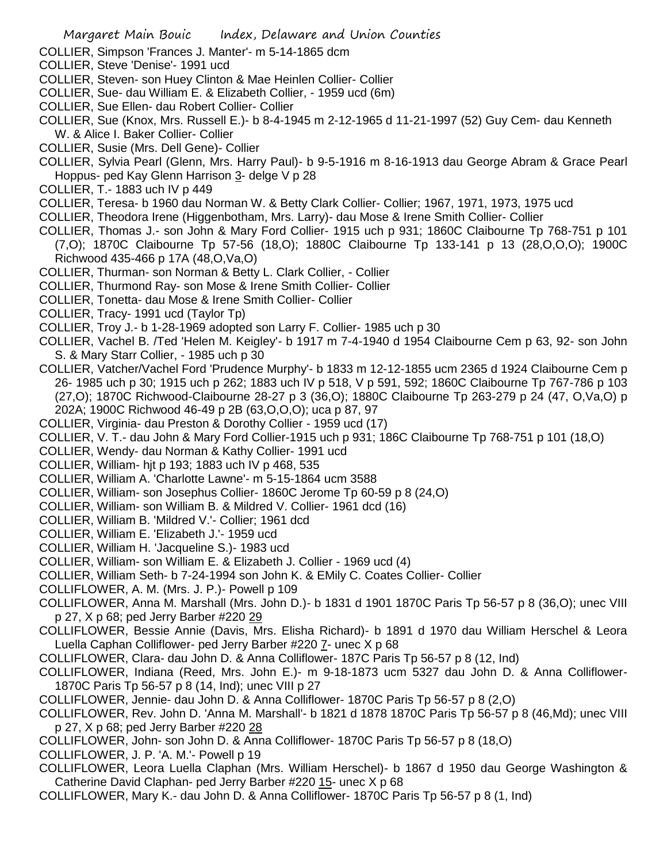- COLLIER, Simpson 'Frances J. Manter'- m 5-14-1865 dcm
- COLLIER, Steve 'Denise'- 1991 ucd
- COLLIER, Steven- son Huey Clinton & Mae Heinlen Collier- Collier
- COLLIER, Sue- dau William E. & Elizabeth Collier, 1959 ucd (6m)
- COLLIER, Sue Ellen- dau Robert Collier- Collier
- COLLIER, Sue (Knox, Mrs. Russell E.)- b 8-4-1945 m 2-12-1965 d 11-21-1997 (52) Guy Cem- dau Kenneth W. & Alice I. Baker Collier- Collier
- COLLIER, Susie (Mrs. Dell Gene)- Collier
- COLLIER, Sylvia Pearl (Glenn, Mrs. Harry Paul)- b 9-5-1916 m 8-16-1913 dau George Abram & Grace Pearl Hoppus- ped Kay Glenn Harrison 3- delge V p 28
- COLLIER, T.- 1883 uch IV p 449
- COLLIER, Teresa- b 1960 dau Norman W. & Betty Clark Collier- Collier; 1967, 1971, 1973, 1975 ucd
- COLLIER, Theodora Irene (Higgenbotham, Mrs. Larry)- dau Mose & Irene Smith Collier- Collier
- COLLIER, Thomas J.- son John & Mary Ford Collier- 1915 uch p 931; 1860C Claibourne Tp 768-751 p 101 (7,O); 1870C Claibourne Tp 57-56 (18,O); 1880C Claibourne Tp 133-141 p 13 (28,O,O,O); 1900C Richwood 435-466 p 17A (48,O,Va,O)
- COLLIER, Thurman- son Norman & Betty L. Clark Collier, Collier
- COLLIER, Thurmond Ray- son Mose & Irene Smith Collier- Collier
- COLLIER, Tonetta- dau Mose & Irene Smith Collier- Collier
- COLLIER, Tracy- 1991 ucd (Taylor Tp)
- COLLIER, Troy J.- b 1-28-1969 adopted son Larry F. Collier- 1985 uch p 30
- COLLIER, Vachel B. /Ted 'Helen M. Keigley'- b 1917 m 7-4-1940 d 1954 Claibourne Cem p 63, 92- son John S. & Mary Starr Collier, - 1985 uch p 30
- COLLIER, Vatcher/Vachel Ford 'Prudence Murphy'- b 1833 m 12-12-1855 ucm 2365 d 1924 Claibourne Cem p 26- 1985 uch p 30; 1915 uch p 262; 1883 uch IV p 518, V p 591, 592; 1860C Claibourne Tp 767-786 p 103 (27,O); 1870C Richwood-Claibourne 28-27 p 3 (36,O); 1880C Claibourne Tp 263-279 p 24 (47, O,Va,O) p 202A; 1900C Richwood 46-49 p 2B (63,O,O,O); uca p 87, 97
- COLLIER, Virginia- dau Preston & Dorothy Collier 1959 ucd (17)
- COLLIER, V. T.- dau John & Mary Ford Collier-1915 uch p 931; 186C Claibourne Tp 768-751 p 101 (18,O)
- COLLIER, Wendy- dau Norman & Kathy Collier- 1991 ucd
- COLLIER, William- hjt p 193; 1883 uch IV p 468, 535
- COLLIER, William A. 'Charlotte Lawne'- m 5-15-1864 ucm 3588
- COLLIER, William- son Josephus Collier- 1860C Jerome Tp 60-59 p 8 (24,O)
- COLLIER, William- son William B. & Mildred V. Collier- 1961 dcd (16)
- COLLIER, William B. 'Mildred V.'- Collier; 1961 dcd
- COLLIER, William E. 'Elizabeth J.'- 1959 ucd
- COLLIER, William H. 'Jacqueline S.)- 1983 ucd
- COLLIER, William- son William E. & Elizabeth J. Collier 1969 ucd (4)
- COLLIER, William Seth- b 7-24-1994 son John K. & EMily C. Coates Collier- Collier
- COLLIFLOWER, A. M. (Mrs. J. P.)- Powell p 109
- COLLIFLOWER, Anna M. Marshall (Mrs. John D.)- b 1831 d 1901 1870C Paris Tp 56-57 p 8 (36,O); unec VIII p 27, X p 68; ped Jerry Barber #220 29
- COLLIFLOWER, Bessie Annie (Davis, Mrs. Elisha Richard)- b 1891 d 1970 dau William Herschel & Leora Luella Caphan Colliflower- ped Jerry Barber #220 7- unec X p 68
- COLLIFLOWER, Clara- dau John D. & Anna Colliflower- 187C Paris Tp 56-57 p 8 (12, Ind)
- COLLIFLOWER, Indiana (Reed, Mrs. John E.)- m 9-18-1873 ucm 5327 dau John D. & Anna Colliflower-1870C Paris Tp 56-57 p 8 (14, Ind); unec VIII p 27
- COLLIFLOWER, Jennie- dau John D. & Anna Colliflower- 1870C Paris Tp 56-57 p 8 (2,O)
- COLLIFLOWER, Rev. John D. 'Anna M. Marshall'- b 1821 d 1878 1870C Paris Tp 56-57 p 8 (46,Md); unec VIII p 27, X p 68; ped Jerry Barber #220 28
- COLLIFLOWER, John- son John D. & Anna Colliflower- 1870C Paris Tp 56-57 p 8 (18,O)
- COLLIFLOWER, J. P. 'A. M.'- Powell p 19
- COLLIFLOWER, Leora Luella Claphan (Mrs. William Herschel)- b 1867 d 1950 dau George Washington & Catherine David Claphan- ped Jerry Barber #220 15- unec X p 68
- COLLIFLOWER, Mary K.- dau John D. & Anna Colliflower- 1870C Paris Tp 56-57 p 8 (1, Ind)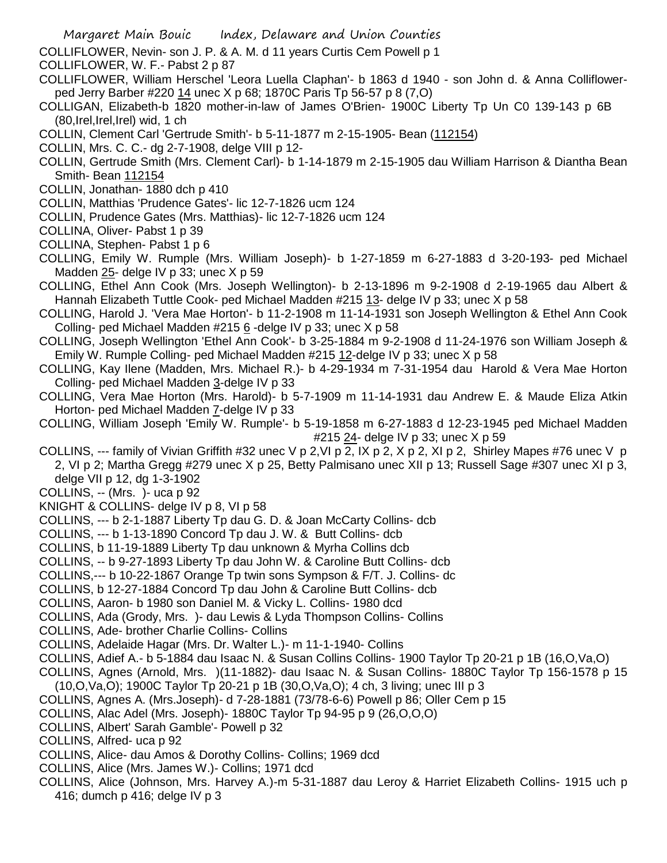- COLLIFLOWER, Nevin- son J. P. & A. M. d 11 years Curtis Cem Powell p 1
- COLLIFLOWER, W. F.- Pabst 2 p 87
- COLLIFLOWER, William Herschel 'Leora Luella Claphan'- b 1863 d 1940 son John d. & Anna Colliflowerped Jerry Barber #220 14 unec X p 68; 1870C Paris Tp 56-57 p 8 (7,O)
- COLLIGAN, Elizabeth-b 1820 mother-in-law of James O'Brien- 1900C Liberty Tp Un C0 139-143 p 6B (80,Irel,Irel,Irel) wid, 1 ch
- COLLIN, Clement Carl 'Gertrude Smith'- b 5-11-1877 m 2-15-1905- Bean (112154)
- COLLIN, Mrs. C. C.- dg 2-7-1908, delge VIII p 12-
- COLLIN, Gertrude Smith (Mrs. Clement Carl)- b 1-14-1879 m 2-15-1905 dau William Harrison & Diantha Bean Smith- Bean 112154
- COLLIN, Jonathan- 1880 dch p 410
- COLLIN, Matthias 'Prudence Gates'- lic 12-7-1826 ucm 124
- COLLIN, Prudence Gates (Mrs. Matthias)- lic 12-7-1826 ucm 124
- COLLINA, Oliver- Pabst 1 p 39
- COLLINA, Stephen- Pabst 1 p 6
- COLLING, Emily W. Rumple (Mrs. William Joseph)- b 1-27-1859 m 6-27-1883 d 3-20-193- ped Michael Madden 25- delge IV p 33; unec X p 59
- COLLING, Ethel Ann Cook (Mrs. Joseph Wellington)- b 2-13-1896 m 9-2-1908 d 2-19-1965 dau Albert & Hannah Elizabeth Tuttle Cook- ped Michael Madden #215 13- delge IV p 33; unec X p 58
- COLLING, Harold J. 'Vera Mae Horton'- b 11-2-1908 m 11-14-1931 son Joseph Wellington & Ethel Ann Cook Colling- ped Michael Madden #215 6 -delge IV p 33; unec X p 58
- COLLING, Joseph Wellington 'Ethel Ann Cook'- b 3-25-1884 m 9-2-1908 d 11-24-1976 son William Joseph & Emily W. Rumple Colling- ped Michael Madden #215 12-delge IV p 33; unec X p 58
- COLLING, Kay Ilene (Madden, Mrs. Michael R.)- b 4-29-1934 m 7-31-1954 dau Harold & Vera Mae Horton Colling- ped Michael Madden 3-delge IV p 33
- COLLING, Vera Mae Horton (Mrs. Harold)- b 5-7-1909 m 11-14-1931 dau Andrew E. & Maude Eliza Atkin Horton- ped Michael Madden 7-delge IV p 33
- COLLING, William Joseph 'Emily W. Rumple'- b 5-19-1858 m 6-27-1883 d 12-23-1945 ped Michael Madden #215 24- delge IV p 33; unec X p 59
- COLLINS, --- family of Vivian Griffith #32 unec V p 2,VI p 2, IX p 2, X p 2, XI p 2, Shirley Mapes #76 unec V p 2, VI p 2; Martha Gregg #279 unec X p 25, Betty Palmisano unec XII p 13; Russell Sage #307 unec XI p 3, delge VII p 12, dg 1-3-1902
- COLLINS, -- (Mrs. )- uca p 92
- KNIGHT & COLLINS- delge IV p 8, VI p 58
- COLLINS, --- b 2-1-1887 Liberty Tp dau G. D. & Joan McCarty Collins- dcb
- COLLINS, --- b 1-13-1890 Concord Tp dau J. W. & Butt Collins- dcb
- COLLINS, b 11-19-1889 Liberty Tp dau unknown & Myrha Collins dcb
- COLLINS, -- b 9-27-1893 Liberty Tp dau John W. & Caroline Butt Collins- dcb
- COLLINS,--- b 10-22-1867 Orange Tp twin sons Sympson & F/T. J. Collins- dc
- COLLINS, b 12-27-1884 Concord Tp dau John & Caroline Butt Collins- dcb
- COLLINS, Aaron- b 1980 son Daniel M. & Vicky L. Collins- 1980 dcd
- COLLINS, Ada (Grody, Mrs. )- dau Lewis & Lyda Thompson Collins- Collins
- COLLINS, Ade- brother Charlie Collins- Collins
- COLLINS, Adelaide Hagar (Mrs. Dr. Walter L.)- m 11-1-1940- Collins
- COLLINS, Adief A.- b 5-1884 dau Isaac N. & Susan Collins Collins- 1900 Taylor Tp 20-21 p 1B (16,O,Va,O)
- COLLINS, Agnes (Arnold, Mrs. )(11-1882)- dau Isaac N. & Susan Collins- 1880C Taylor Tp 156-1578 p 15 (10,O,Va,O); 1900C Taylor Tp 20-21 p 1B (30,O,Va,O); 4 ch, 3 living; unec III p 3
- COLLINS, Agnes A. (Mrs.Joseph)- d 7-28-1881 (73/78-6-6) Powell p 86; Oller Cem p 15
- COLLINS, Alac Adel (Mrs. Joseph)- 1880C Taylor Tp 94-95 p 9 (26,O,O,O)
- COLLINS, Albert' Sarah Gamble'- Powell p 32
- COLLINS, Alfred- uca p 92
- COLLINS, Alice- dau Amos & Dorothy Collins- Collins; 1969 dcd
- COLLINS, Alice (Mrs. James W.)- Collins; 1971 dcd
- COLLINS, Alice (Johnson, Mrs. Harvey A.)-m 5-31-1887 dau Leroy & Harriet Elizabeth Collins- 1915 uch p 416; dumch p 416; delge IV p 3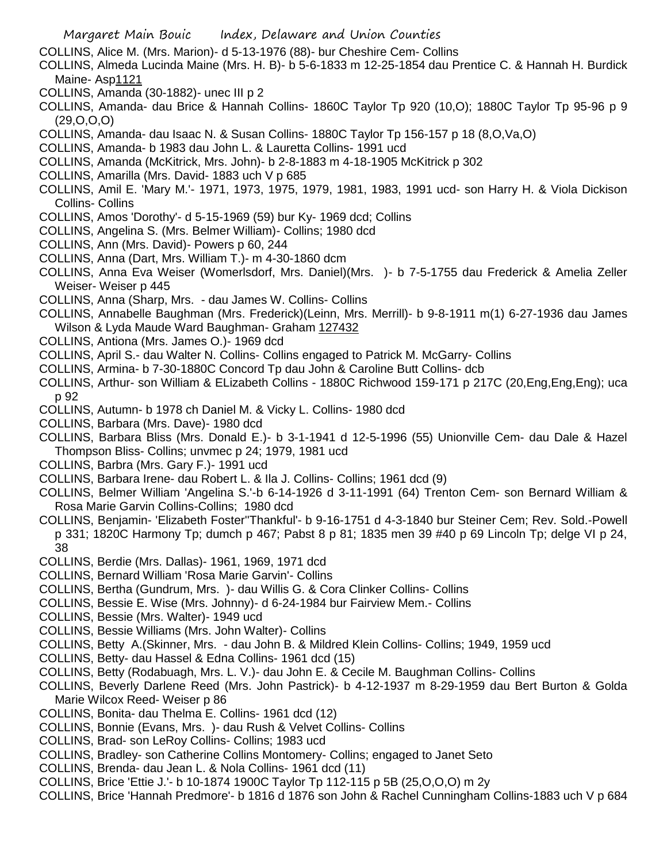- COLLINS, Alice M. (Mrs. Marion)- d 5-13-1976 (88)- bur Cheshire Cem- Collins
- COLLINS, Almeda Lucinda Maine (Mrs. H. B)- b 5-6-1833 m 12-25-1854 dau Prentice C. & Hannah H. Burdick Maine- Asp1121
- COLLINS, Amanda (30-1882)- unec III p 2
- COLLINS, Amanda- dau Brice & Hannah Collins- 1860C Taylor Tp 920 (10,O); 1880C Taylor Tp 95-96 p 9 (29,O,O,O)
- COLLINS, Amanda- dau Isaac N. & Susan Collins- 1880C Taylor Tp 156-157 p 18 (8,O,Va,O)
- COLLINS, Amanda- b 1983 dau John L. & Lauretta Collins- 1991 ucd
- COLLINS, Amanda (McKitrick, Mrs. John)- b 2-8-1883 m 4-18-1905 McKitrick p 302
- COLLINS, Amarilla (Mrs. David- 1883 uch V p 685
- COLLINS, Amil E. 'Mary M.'- 1971, 1973, 1975, 1979, 1981, 1983, 1991 ucd- son Harry H. & Viola Dickison Collins- Collins
- COLLINS, Amos 'Dorothy'- d 5-15-1969 (59) bur Ky- 1969 dcd; Collins
- COLLINS, Angelina S. (Mrs. Belmer William)- Collins; 1980 dcd
- COLLINS, Ann (Mrs. David)- Powers p 60, 244
- COLLINS, Anna (Dart, Mrs. William T.)- m 4-30-1860 dcm
- COLLINS, Anna Eva Weiser (Womerlsdorf, Mrs. Daniel)(Mrs. )- b 7-5-1755 dau Frederick & Amelia Zeller Weiser- Weiser p 445
- COLLINS, Anna (Sharp, Mrs. dau James W. Collins- Collins
- COLLINS, Annabelle Baughman (Mrs. Frederick)(Leinn, Mrs. Merrill)- b 9-8-1911 m(1) 6-27-1936 dau James Wilson & Lyda Maude Ward Baughman- Graham 127432
- COLLINS, Antiona (Mrs. James O.)- 1969 dcd
- COLLINS, April S.- dau Walter N. Collins- Collins engaged to Patrick M. McGarry- Collins
- COLLINS, Armina- b 7-30-1880C Concord Tp dau John & Caroline Butt Collins- dcb
- COLLINS, Arthur- son William & ELizabeth Collins 1880C Richwood 159-171 p 217C (20,Eng,Eng,Eng); uca p 92
- COLLINS, Autumn- b 1978 ch Daniel M. & Vicky L. Collins- 1980 dcd
- COLLINS, Barbara (Mrs. Dave)- 1980 dcd
- COLLINS, Barbara Bliss (Mrs. Donald E.)- b 3-1-1941 d 12-5-1996 (55) Unionville Cem- dau Dale & Hazel Thompson Bliss- Collins; unvmec p 24; 1979, 1981 ucd
- COLLINS, Barbra (Mrs. Gary F.)- 1991 ucd
- COLLINS, Barbara Irene- dau Robert L. & Ila J. Collins- Collins; 1961 dcd (9)
- COLLINS, Belmer William 'Angelina S.'-b 6-14-1926 d 3-11-1991 (64) Trenton Cem- son Bernard William & Rosa Marie Garvin Collins-Collins; 1980 dcd
- COLLINS, Benjamin- 'Elizabeth Foster''Thankful'- b 9-16-1751 d 4-3-1840 bur Steiner Cem; Rev. Sold.-Powell p 331; 1820C Harmony Tp; dumch p 467; Pabst 8 p 81; 1835 men 39 #40 p 69 Lincoln Tp; delge VI p 24, 38
- COLLINS, Berdie (Mrs. Dallas)- 1961, 1969, 1971 dcd
- COLLINS, Bernard William 'Rosa Marie Garvin'- Collins
- COLLINS, Bertha (Gundrum, Mrs. )- dau Willis G. & Cora Clinker Collins- Collins
- COLLINS, Bessie E. Wise (Mrs. Johnny)- d 6-24-1984 bur Fairview Mem.- Collins
- COLLINS, Bessie (Mrs. Walter)- 1949 ucd
- COLLINS, Bessie Williams (Mrs. John Walter)- Collins
- COLLINS, Betty A.(Skinner, Mrs. dau John B. & Mildred Klein Collins- Collins; 1949, 1959 ucd
- COLLINS, Betty- dau Hassel & Edna Collins- 1961 dcd (15)
- COLLINS, Betty (Rodabuagh, Mrs. L. V.)- dau John E. & Cecile M. Baughman Collins- Collins
- COLLINS, Beverly Darlene Reed (Mrs. John Pastrick)- b 4-12-1937 m 8-29-1959 dau Bert Burton & Golda Marie Wilcox Reed- Weiser p 86
- COLLINS, Bonita- dau Thelma E. Collins- 1961 dcd (12)
- COLLINS, Bonnie (Evans, Mrs. )- dau Rush & Velvet Collins- Collins
- COLLINS, Brad- son LeRoy Collins- Collins; 1983 ucd
- COLLINS, Bradley- son Catherine Collins Montomery- Collins; engaged to Janet Seto
- COLLINS, Brenda- dau Jean L. & Nola Collins- 1961 dcd (11)
- COLLINS, Brice 'Ettie J.'- b 10-1874 1900C Taylor Tp 112-115 p 5B (25,O,O,O) m 2y
- COLLINS, Brice 'Hannah Predmore'- b 1816 d 1876 son John & Rachel Cunningham Collins-1883 uch V p 684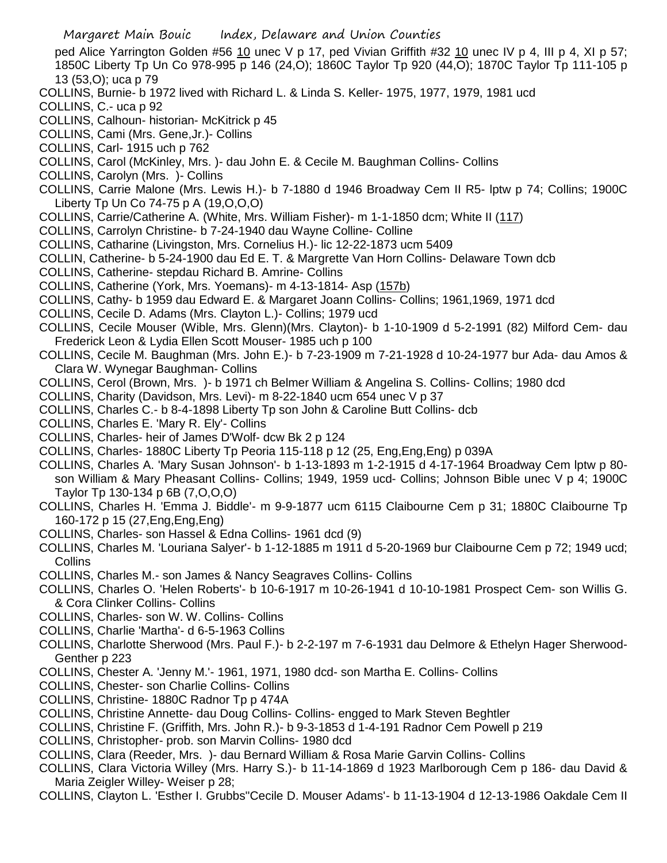ped Alice Yarrington Golden #56 10 unec V p 17, ped Vivian Griffith #32 10 unec IV p 4, III p 4, XI p 57; 1850C Liberty Tp Un Co 978-995 p 146 (24,O); 1860C Taylor Tp 920 (44,O); 1870C Taylor Tp 111-105 p 13 (53,O); uca p 79

- COLLINS, Burnie- b 1972 lived with Richard L. & Linda S. Keller- 1975, 1977, 1979, 1981 ucd
- COLLINS, C.- uca p 92
- COLLINS, Calhoun- historian- McKitrick p 45
- COLLINS, Cami (Mrs. Gene,Jr.)- Collins
- COLLINS, Carl- 1915 uch p 762
- COLLINS, Carol (McKinley, Mrs. )- dau John E. & Cecile M. Baughman Collins- Collins
- COLLINS, Carolyn (Mrs. )- Collins
- COLLINS, Carrie Malone (Mrs. Lewis H.)- b 7-1880 d 1946 Broadway Cem II R5- lptw p 74; Collins; 1900C Liberty Tp Un Co 74-75 p A (19,O,O,O)
- COLLINS, Carrie/Catherine A. (White, Mrs. William Fisher)- m 1-1-1850 dcm; White II (117)
- COLLINS, Carrolyn Christine- b 7-24-1940 dau Wayne Colline- Colline
- COLLINS, Catharine (Livingston, Mrs. Cornelius H.)- lic 12-22-1873 ucm 5409
- COLLIN, Catherine- b 5-24-1900 dau Ed E. T. & Margrette Van Horn Collins- Delaware Town dcb
- COLLINS, Catherine- stepdau Richard B. Amrine- Collins
- COLLINS, Catherine (York, Mrs. Yoemans)- m 4-13-1814- Asp (157b)
- COLLINS, Cathy- b 1959 dau Edward E. & Margaret Joann Collins- Collins; 1961,1969, 1971 dcd
- COLLINS, Cecile D. Adams (Mrs. Clayton L.)- Collins; 1979 ucd
- COLLINS, Cecile Mouser (Wible, Mrs. Glenn)(Mrs. Clayton)- b 1-10-1909 d 5-2-1991 (82) Milford Cem- dau Frederick Leon & Lydia Ellen Scott Mouser- 1985 uch p 100
- COLLINS, Cecile M. Baughman (Mrs. John E.)- b 7-23-1909 m 7-21-1928 d 10-24-1977 bur Ada- dau Amos & Clara W. Wynegar Baughman- Collins
- COLLINS, Cerol (Brown, Mrs. )- b 1971 ch Belmer William & Angelina S. Collins- Collins; 1980 dcd
- COLLINS, Charity (Davidson, Mrs. Levi)- m 8-22-1840 ucm 654 unec V p 37
- COLLINS, Charles C.- b 8-4-1898 Liberty Tp son John & Caroline Butt Collins- dcb
- COLLINS, Charles E. 'Mary R. Ely'- Collins
- COLLINS, Charles- heir of James D'Wolf- dcw Bk 2 p 124
- COLLINS, Charles- 1880C Liberty Tp Peoria 115-118 p 12 (25, Eng,Eng,Eng) p 039A
- COLLINS, Charles A. 'Mary Susan Johnson'- b 1-13-1893 m 1-2-1915 d 4-17-1964 Broadway Cem lptw p 80 son William & Mary Pheasant Collins- Collins; 1949, 1959 ucd- Collins; Johnson Bible unec V p 4; 1900C Taylor Tp 130-134 p 6B (7,O,O,O)
- COLLINS, Charles H. 'Emma J. Biddle'- m 9-9-1877 ucm 6115 Claibourne Cem p 31; 1880C Claibourne Tp 160-172 p 15 (27,Eng,Eng,Eng)
- COLLINS, Charles- son Hassel & Edna Collins- 1961 dcd (9)
- COLLINS, Charles M. 'Louriana Salyer'- b 1-12-1885 m 1911 d 5-20-1969 bur Claibourne Cem p 72; 1949 ucd; **Collins**
- COLLINS, Charles M.- son James & Nancy Seagraves Collins- Collins
- COLLINS, Charles O. 'Helen Roberts'- b 10-6-1917 m 10-26-1941 d 10-10-1981 Prospect Cem- son Willis G. & Cora Clinker Collins- Collins
- COLLINS, Charles- son W. W. Collins- Collins
- COLLINS, Charlie 'Martha'- d 6-5-1963 Collins
- COLLINS, Charlotte Sherwood (Mrs. Paul F.)- b 2-2-197 m 7-6-1931 dau Delmore & Ethelyn Hager Sherwood-Genther p 223
- COLLINS, Chester A. 'Jenny M.'- 1961, 1971, 1980 dcd- son Martha E. Collins- Collins
- COLLINS, Chester- son Charlie Collins- Collins
- COLLINS, Christine- 1880C Radnor Tp p 474A
- COLLINS, Christine Annette- dau Doug Collins- Collins- engged to Mark Steven Beghtler
- COLLINS, Christine F. (Griffith, Mrs. John R.)- b 9-3-1853 d 1-4-191 Radnor Cem Powell p 219
- COLLINS, Christopher- prob. son Marvin Collins- 1980 dcd
- COLLINS, Clara (Reeder, Mrs. )- dau Bernard William & Rosa Marie Garvin Collins- Collins
- COLLINS, Clara Victoria Willey (Mrs. Harry S.)- b 11-14-1869 d 1923 Marlborough Cem p 186- dau David & Maria Zeigler Willey- Weiser p 28;
- COLLINS, Clayton L. 'Esther I. Grubbs''Cecile D. Mouser Adams'- b 11-13-1904 d 12-13-1986 Oakdale Cem II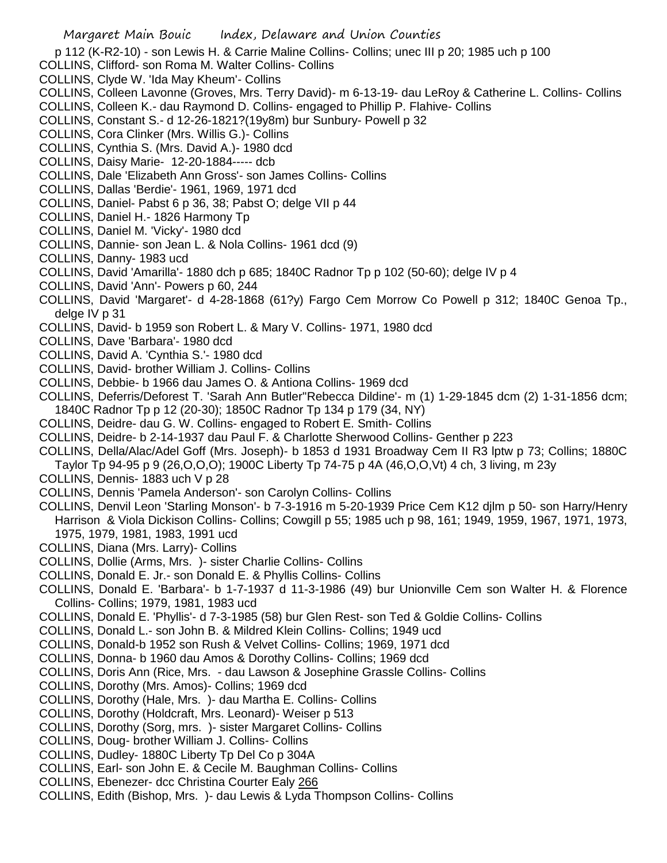p 112 (K-R2-10) - son Lewis H. & Carrie Maline Collins- Collins; unec III p 20; 1985 uch p 100

- COLLINS, Clifford- son Roma M. Walter Collins- Collins
- COLLINS, Clyde W. 'Ida May Kheum'- Collins
- COLLINS, Colleen Lavonne (Groves, Mrs. Terry David)- m 6-13-19- dau LeRoy & Catherine L. Collins- Collins
- COLLINS, Colleen K.- dau Raymond D. Collins- engaged to Phillip P. Flahive- Collins
- COLLINS, Constant S.- d 12-26-1821?(19y8m) bur Sunbury- Powell p 32
- COLLINS, Cora Clinker (Mrs. Willis G.)- Collins
- COLLINS, Cynthia S. (Mrs. David A.)- 1980 dcd
- COLLINS, Daisy Marie- 12-20-1884----- dcb
- COLLINS, Dale 'Elizabeth Ann Gross'- son James Collins- Collins
- COLLINS, Dallas 'Berdie'- 1961, 1969, 1971 dcd
- COLLINS, Daniel- Pabst 6 p 36, 38; Pabst O; delge VII p 44
- COLLINS, Daniel H.- 1826 Harmony Tp
- COLLINS, Daniel M. 'Vicky'- 1980 dcd
- COLLINS, Dannie- son Jean L. & Nola Collins- 1961 dcd (9)
- COLLINS, Danny- 1983 ucd
- COLLINS, David 'Amarilla'- 1880 dch p 685; 1840C Radnor Tp p 102 (50-60); delge IV p 4
- COLLINS, David 'Ann'- Powers p 60, 244
- COLLINS, David 'Margaret'- d 4-28-1868 (61?y) Fargo Cem Morrow Co Powell p 312; 1840C Genoa Tp., delge IV p 31
- COLLINS, David- b 1959 son Robert L. & Mary V. Collins- 1971, 1980 dcd
- COLLINS, Dave 'Barbara'- 1980 dcd
- COLLINS, David A. 'Cynthia S.'- 1980 dcd
- COLLINS, David- brother William J. Collins- Collins
- COLLINS, Debbie- b 1966 dau James O. & Antiona Collins- 1969 dcd
- COLLINS, Deferris/Deforest T. 'Sarah Ann Butler''Rebecca Dildine'- m (1) 1-29-1845 dcm (2) 1-31-1856 dcm; 1840C Radnor Tp p 12 (20-30); 1850C Radnor Tp 134 p 179 (34, NY)
- COLLINS, Deidre- dau G. W. Collins- engaged to Robert E. Smith- Collins
- COLLINS, Deidre- b 2-14-1937 dau Paul F. & Charlotte Sherwood Collins- Genther p 223
- COLLINS, Della/Alac/Adel Goff (Mrs. Joseph)- b 1853 d 1931 Broadway Cem II R3 lptw p 73; Collins; 1880C Taylor Tp 94-95 p 9 (26,O,O,O); 1900C Liberty Tp 74-75 p 4A (46,O,O,Vt) 4 ch, 3 living, m 23y
- COLLINS, Dennis- 1883 uch V p 28
- COLLINS, Dennis 'Pamela Anderson'- son Carolyn Collins- Collins
- COLLINS, Denvil Leon 'Starling Monson'- b 7-3-1916 m 5-20-1939 Price Cem K12 djlm p 50- son Harry/Henry Harrison & Viola Dickison Collins- Collins; Cowgill p 55; 1985 uch p 98, 161; 1949, 1959, 1967, 1971, 1973, 1975, 1979, 1981, 1983, 1991 ucd
- COLLINS, Diana (Mrs. Larry)- Collins
- COLLINS, Dollie (Arms, Mrs. )- sister Charlie Collins- Collins
- COLLINS, Donald E. Jr.- son Donald E. & Phyllis Collins- Collins
- COLLINS, Donald E. 'Barbara'- b 1-7-1937 d 11-3-1986 (49) bur Unionville Cem son Walter H. & Florence Collins- Collins; 1979, 1981, 1983 ucd
- COLLINS, Donald E. 'Phyllis'- d 7-3-1985 (58) bur Glen Rest- son Ted & Goldie Collins- Collins
- COLLINS, Donald L.- son John B. & Mildred Klein Collins- Collins; 1949 ucd
- COLLINS, Donald-b 1952 son Rush & Velvet Collins- Collins; 1969, 1971 dcd
- COLLINS, Donna- b 1960 dau Amos & Dorothy Collins- Collins; 1969 dcd
- COLLINS, Doris Ann (Rice, Mrs. dau Lawson & Josephine Grassle Collins- Collins
- COLLINS, Dorothy (Mrs. Amos)- Collins; 1969 dcd
- COLLINS, Dorothy (Hale, Mrs. )- dau Martha E. Collins- Collins
- COLLINS, Dorothy (Holdcraft, Mrs. Leonard)- Weiser p 513
- COLLINS, Dorothy (Sorg, mrs. )- sister Margaret Collins- Collins
- COLLINS, Doug- brother William J. Collins- Collins
- COLLINS, Dudley- 1880C Liberty Tp Del Co p 304A
- COLLINS, Earl- son John E. & Cecile M. Baughman Collins- Collins
- COLLINS, Ebenezer- dcc Christina Courter Ealy 266
- COLLINS, Edith (Bishop, Mrs. )- dau Lewis & Lyda Thompson Collins- Collins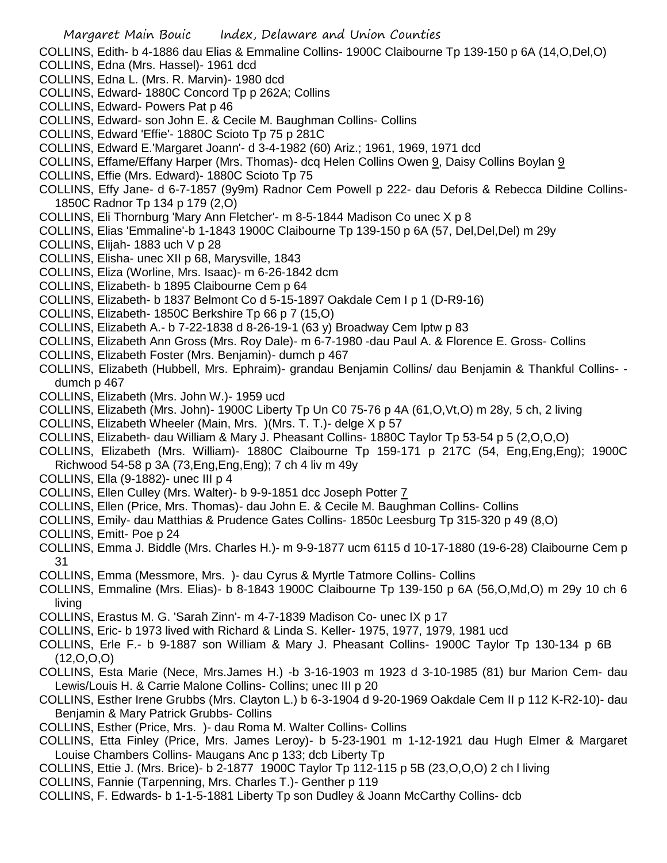- Margaret Main Bouic Index, Delaware and Union Counties COLLINS, Edith- b 4-1886 dau Elias & Emmaline Collins- 1900C Claibourne Tp 139-150 p 6A (14,O,Del,O) COLLINS, Edna (Mrs. Hassel)- 1961 dcd COLLINS, Edna L. (Mrs. R. Marvin)- 1980 dcd COLLINS, Edward- 1880C Concord Tp p 262A; Collins COLLINS, Edward- Powers Pat p 46 COLLINS, Edward- son John E. & Cecile M. Baughman Collins- Collins COLLINS, Edward 'Effie'- 1880C Scioto Tp 75 p 281C COLLINS, Edward E.'Margaret Joann'- d 3-4-1982 (60) Ariz.; 1961, 1969, 1971 dcd COLLINS, Effame/Effany Harper (Mrs. Thomas)- dcq Helen Collins Owen 9, Daisy Collins Boylan 9 COLLINS, Effie (Mrs. Edward)- 1880C Scioto Tp 75 COLLINS, Effy Jane- d 6-7-1857 (9y9m) Radnor Cem Powell p 222- dau Deforis & Rebecca Dildine Collins-1850C Radnor Tp 134 p 179 (2,O) COLLINS, Eli Thornburg 'Mary Ann Fletcher'- m 8-5-1844 Madison Co unec X p 8 COLLINS, Elias 'Emmaline'-b 1-1843 1900C Claibourne Tp 139-150 p 6A (57, Del,Del,Del) m 29y COLLINS, Elijah- 1883 uch V p 28 COLLINS, Elisha- unec XII p 68, Marysville, 1843 COLLINS, Eliza (Worline, Mrs. Isaac)- m 6-26-1842 dcm COLLINS, Elizabeth- b 1895 Claibourne Cem p 64 COLLINS, Elizabeth- b 1837 Belmont Co d 5-15-1897 Oakdale Cem I p 1 (D-R9-16) COLLINS, Elizabeth- 1850C Berkshire Tp 66 p 7 (15,O) COLLINS, Elizabeth A.- b 7-22-1838 d 8-26-19-1 (63 y) Broadway Cem lptw p 83 COLLINS, Elizabeth Ann Gross (Mrs. Roy Dale)- m 6-7-1980 -dau Paul A. & Florence E. Gross- Collins COLLINS, Elizabeth Foster (Mrs. Benjamin)- dumch p 467 COLLINS, Elizabeth (Hubbell, Mrs. Ephraim)- grandau Benjamin Collins/ dau Benjamin & Thankful Collins- dumch p 467 COLLINS, Elizabeth (Mrs. John W.)- 1959 ucd
	- COLLINS, Elizabeth (Mrs. John)- 1900C Liberty Tp Un C0 75-76 p 4A (61,O,Vt,O) m 28y, 5 ch, 2 living
	- COLLINS, Elizabeth Wheeler (Main, Mrs. )(Mrs. T. T.)- delge X p 57
	- COLLINS, Elizabeth- dau William & Mary J. Pheasant Collins- 1880C Taylor Tp 53-54 p 5 (2,O,O,O)
	- COLLINS, Elizabeth (Mrs. William)- 1880C Claibourne Tp 159-171 p 217C (54, Eng,Eng,Eng); 1900C Richwood 54-58 p 3A (73,Eng,Eng,Eng); 7 ch 4 liv m 49y
	- COLLINS, Ella (9-1882)- unec III p 4
	- COLLINS, Ellen Culley (Mrs. Walter)- b 9-9-1851 dcc Joseph Potter 7
	- COLLINS, Ellen (Price, Mrs. Thomas)- dau John E. & Cecile M. Baughman Collins- Collins
	- COLLINS, Emily- dau Matthias & Prudence Gates Collins- 1850c Leesburg Tp 315-320 p 49 (8,O)
	- COLLINS, Emitt- Poe p 24
	- COLLINS, Emma J. Biddle (Mrs. Charles H.)- m 9-9-1877 ucm 6115 d 10-17-1880 (19-6-28) Claibourne Cem p 31
	- COLLINS, Emma (Messmore, Mrs. )- dau Cyrus & Myrtle Tatmore Collins- Collins
	- COLLINS, Emmaline (Mrs. Elias)- b 8-1843 1900C Claibourne Tp 139-150 p 6A (56,O,Md,O) m 29y 10 ch 6 living
	- COLLINS, Erastus M. G. 'Sarah Zinn'- m 4-7-1839 Madison Co- unec IX p 17
	- COLLINS, Eric- b 1973 lived with Richard & Linda S. Keller- 1975, 1977, 1979, 1981 ucd
	- COLLINS, Erle F.- b 9-1887 son William & Mary J. Pheasant Collins- 1900C Taylor Tp 130-134 p 6B (12,O,O,O)
	- COLLINS, Esta Marie (Nece, Mrs.James H.) -b 3-16-1903 m 1923 d 3-10-1985 (81) bur Marion Cem- dau Lewis/Louis H. & Carrie Malone Collins- Collins; unec III p 20
	- COLLINS, Esther Irene Grubbs (Mrs. Clayton L.) b 6-3-1904 d 9-20-1969 Oakdale Cem II p 112 K-R2-10)- dau Benjamin & Mary Patrick Grubbs- Collins
	- COLLINS, Esther (Price, Mrs. )- dau Roma M. Walter Collins- Collins
	- COLLINS, Etta Finley (Price, Mrs. James Leroy)- b 5-23-1901 m 1-12-1921 dau Hugh Elmer & Margaret Louise Chambers Collins- Maugans Anc p 133; dcb Liberty Tp
	- COLLINS, Ettie J. (Mrs. Brice)- b 2-1877 1900C Taylor Tp 112-115 p 5B (23,O,O,O) 2 ch l living
	- COLLINS, Fannie (Tarpenning, Mrs. Charles T.)- Genther p 119
	- COLLINS, F. Edwards- b 1-1-5-1881 Liberty Tp son Dudley & Joann McCarthy Collins- dcb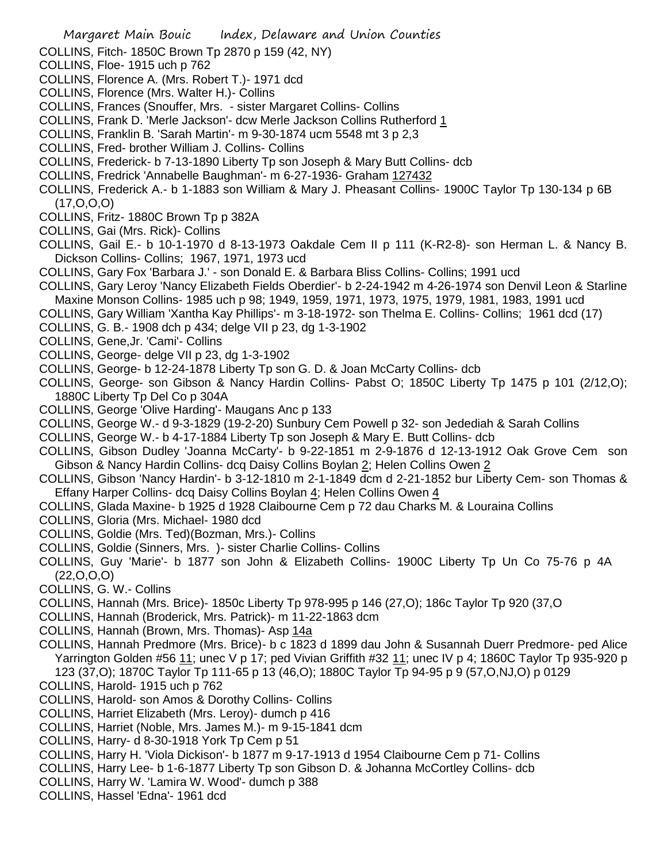- COLLINS, Fitch- 1850C Brown Tp 2870 p 159 (42, NY)
- COLLINS, Floe- 1915 uch p 762
- COLLINS, Florence A. (Mrs. Robert T.)- 1971 dcd
- COLLINS, Florence (Mrs. Walter H.)- Collins
- COLLINS, Frances (Snouffer, Mrs. sister Margaret Collins- Collins
- COLLINS, Frank D. 'Merle Jackson'- dcw Merle Jackson Collins Rutherford 1
- COLLINS, Franklin B. 'Sarah Martin'- m 9-30-1874 ucm 5548 mt 3 p 2,3
- COLLINS, Fred- brother William J. Collins- Collins
- COLLINS, Frederick- b 7-13-1890 Liberty Tp son Joseph & Mary Butt Collins- dcb
- COLLINS, Fredrick 'Annabelle Baughman'- m 6-27-1936- Graham 127432
- COLLINS, Frederick A.- b 1-1883 son William & Mary J. Pheasant Collins- 1900C Taylor Tp 130-134 p 6B (17,O,O,O)
- COLLINS, Fritz- 1880C Brown Tp p 382A
- COLLINS, Gai (Mrs. Rick)- Collins
- COLLINS, Gail E.- b 10-1-1970 d 8-13-1973 Oakdale Cem II p 111 (K-R2-8)- son Herman L. & Nancy B. Dickson Collins- Collins; 1967, 1971, 1973 ucd
- COLLINS, Gary Fox 'Barbara J.' son Donald E. & Barbara Bliss Collins- Collins; 1991 ucd
- COLLINS, Gary Leroy 'Nancy Elizabeth Fields Oberdier'- b 2-24-1942 m 4-26-1974 son Denvil Leon & Starline Maxine Monson Collins- 1985 uch p 98; 1949, 1959, 1971, 1973, 1975, 1979, 1981, 1983, 1991 ucd
- COLLINS, Gary William 'Xantha Kay Phillips'- m 3-18-1972- son Thelma E. Collins- Collins; 1961 dcd (17)
- COLLINS, G. B.- 1908 dch p 434; delge VII p 23, dg 1-3-1902
- COLLINS, Gene,Jr. 'Cami'- Collins
- COLLINS, George- delge VII p 23, dg 1-3-1902
- COLLINS, George- b 12-24-1878 Liberty Tp son G. D. & Joan McCarty Collins- dcb
- COLLINS, George- son Gibson & Nancy Hardin Collins- Pabst O; 1850C Liberty Tp 1475 p 101 (2/12,O); 1880C Liberty Tp Del Co p 304A
- COLLINS, George 'Olive Harding'- Maugans Anc p 133
- COLLINS, George W.- d 9-3-1829 (19-2-20) Sunbury Cem Powell p 32- son Jedediah & Sarah Collins
- COLLINS, George W.- b 4-17-1884 Liberty Tp son Joseph & Mary E. Butt Collins- dcb
- COLLINS, Gibson Dudley 'Joanna McCarty'- b 9-22-1851 m 2-9-1876 d 12-13-1912 Oak Grove Cem son Gibson & Nancy Hardin Collins- dcq Daisy Collins Boylan 2; Helen Collins Owen 2
- COLLINS, Gibson 'Nancy Hardin'- b 3-12-1810 m 2-1-1849 dcm d 2-21-1852 bur Liberty Cem- son Thomas & Effany Harper Collins- dcq Daisy Collins Boylan 4; Helen Collins Owen 4
- COLLINS, Glada Maxine- b 1925 d 1928 Claibourne Cem p 72 dau Charks M. & Louraina Collins
- COLLINS, Gloria (Mrs. Michael- 1980 dcd
- COLLINS, Goldie (Mrs. Ted)(Bozman, Mrs.)- Collins
- COLLINS, Goldie (Sinners, Mrs. )- sister Charlie Collins- Collins
- COLLINS, Guy 'Marie'- b 1877 son John & Elizabeth Collins- 1900C Liberty Tp Un Co 75-76 p 4A (22,O,O,O)
- COLLINS, G. W.- Collins
- COLLINS, Hannah (Mrs. Brice)- 1850c Liberty Tp 978-995 p 146 (27,O); 186c Taylor Tp 920 (37,O
- COLLINS, Hannah (Broderick, Mrs. Patrick)- m 11-22-1863 dcm
- COLLINS, Hannah (Brown, Mrs. Thomas)- Asp 14a
- COLLINS, Hannah Predmore (Mrs. Brice)- b c 1823 d 1899 dau John & Susannah Duerr Predmore- ped Alice Yarrington Golden #56 11; unec V p 17; ped Vivian Griffith #32 11; unec IV p 4; 1860C Taylor Tp 935-920 p 123 (37,O); 1870C Taylor Tp 111-65 p 13 (46,O); 1880C Taylor Tp 94-95 p 9 (57,O,NJ,O) p 0129
- COLLINS, Harold- 1915 uch p 762
- COLLINS, Harold- son Amos & Dorothy Collins- Collins
- COLLINS, Harriet Elizabeth (Mrs. Leroy)- dumch p 416
- COLLINS, Harriet (Noble, Mrs. James M.)- m 9-15-1841 dcm
- COLLINS, Harry- d 8-30-1918 York Tp Cem p 51
- COLLINS, Harry H. 'Viola Dickison'- b 1877 m 9-17-1913 d 1954 Claibourne Cem p 71- Collins
- COLLINS, Harry Lee- b 1-6-1877 Liberty Tp son Gibson D. & Johanna McCortley Collins- dcb
- COLLINS, Harry W. 'Lamira W. Wood'- dumch p 388
- COLLINS, Hassel 'Edna'- 1961 dcd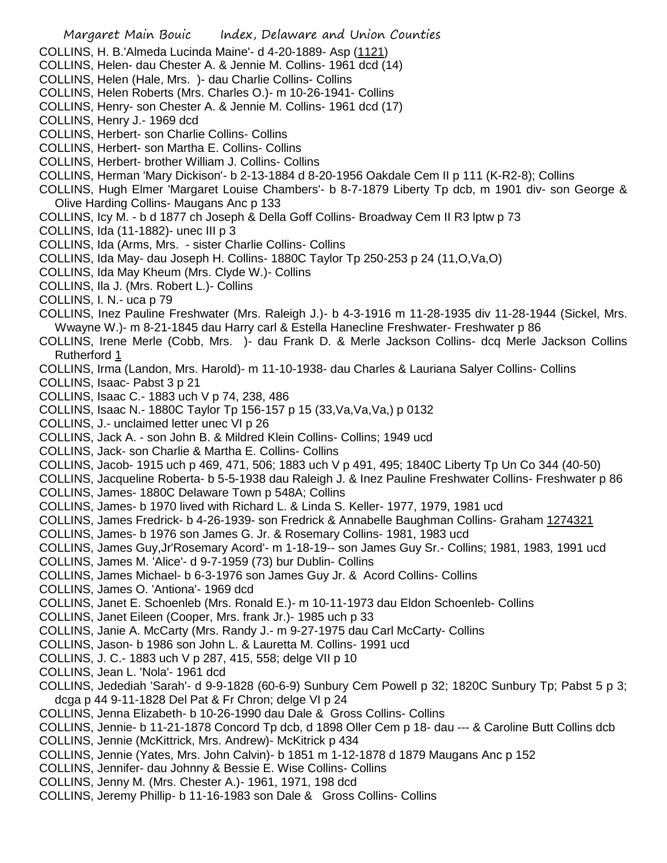- COLLINS, H. B.'Almeda Lucinda Maine'- d 4-20-1889- Asp (1121)
- COLLINS, Helen- dau Chester A. & Jennie M. Collins- 1961 dcd (14)
- COLLINS, Helen (Hale, Mrs. )- dau Charlie Collins- Collins
- COLLINS, Helen Roberts (Mrs. Charles O.)- m 10-26-1941- Collins
- COLLINS, Henry- son Chester A. & Jennie M. Collins- 1961 dcd (17)
- COLLINS, Henry J.- 1969 dcd
- COLLINS, Herbert- son Charlie Collins- Collins
- COLLINS, Herbert- son Martha E. Collins- Collins
- COLLINS, Herbert- brother William J. Collins- Collins
- COLLINS, Herman 'Mary Dickison'- b 2-13-1884 d 8-20-1956 Oakdale Cem II p 111 (K-R2-8); Collins
- COLLINS, Hugh Elmer 'Margaret Louise Chambers'- b 8-7-1879 Liberty Tp dcb, m 1901 div- son George & Olive Harding Collins- Maugans Anc p 133
- COLLINS, Icy M. b d 1877 ch Joseph & Della Goff Collins- Broadway Cem II R3 lptw p 73
- COLLINS, Ida (11-1882)- unec III p 3
- COLLINS, Ida (Arms, Mrs. sister Charlie Collins- Collins
- COLLINS, Ida May- dau Joseph H. Collins- 1880C Taylor Tp 250-253 p 24 (11,O,Va,O)
- COLLINS, Ida May Kheum (Mrs. Clyde W.)- Collins
- COLLINS, Ila J. (Mrs. Robert L.)- Collins
- COLLINS, I. N.- uca p 79
- COLLINS, Inez Pauline Freshwater (Mrs. Raleigh J.)- b 4-3-1916 m 11-28-1935 div 11-28-1944 (Sickel, Mrs. Wwayne W.)- m 8-21-1845 dau Harry carl & Estella Hanecline Freshwater- Freshwater p 86
- COLLINS, Irene Merle (Cobb, Mrs. )- dau Frank D. & Merle Jackson Collins- dcq Merle Jackson Collins Rutherford 1
- COLLINS, Irma (Landon, Mrs. Harold)- m 11-10-1938- dau Charles & Lauriana Salyer Collins- Collins
- COLLINS, Isaac- Pabst 3 p 21
- COLLINS, Isaac C.- 1883 uch V p 74, 238, 486
- COLLINS, Isaac N.- 1880C Taylor Tp 156-157 p 15 (33,Va,Va,Va,) p 0132
- COLLINS, J.- unclaimed letter unec VI p 26
- COLLINS, Jack A. son John B. & Mildred Klein Collins- Collins; 1949 ucd
- COLLINS, Jack- son Charlie & Martha E. Collins- Collins
- COLLINS, Jacob- 1915 uch p 469, 471, 506; 1883 uch V p 491, 495; 1840C Liberty Tp Un Co 344 (40-50)
- COLLINS, Jacqueline Roberta- b 5-5-1938 dau Raleigh J. & Inez Pauline Freshwater Collins- Freshwater p 86
- COLLINS, James- 1880C Delaware Town p 548A; Collins
- COLLINS, James- b 1970 lived with Richard L. & Linda S. Keller- 1977, 1979, 1981 ucd
- COLLINS, James Fredrick- b 4-26-1939- son Fredrick & Annabelle Baughman Collins- Graham 1274321
- COLLINS, James- b 1976 son James G. Jr. & Rosemary Collins- 1981, 1983 ucd
- COLLINS, James Guy,Jr'Rosemary Acord'- m 1-18-19-- son James Guy Sr.- Collins; 1981, 1983, 1991 ucd
- COLLINS, James M. 'Alice'- d 9-7-1959 (73) bur Dublin- Collins
- COLLINS, James Michael- b 6-3-1976 son James Guy Jr. & Acord Collins- Collins
- COLLINS, James O. 'Antiona'- 1969 dcd
- COLLINS, Janet E. Schoenleb (Mrs. Ronald E.)- m 10-11-1973 dau Eldon Schoenleb- Collins
- COLLINS, Janet Eileen (Cooper, Mrs. frank Jr.)- 1985 uch p 33
- COLLINS, Janie A. McCarty (Mrs. Randy J.- m 9-27-1975 dau Carl McCarty- Collins
- COLLINS, Jason- b 1986 son John L. & Lauretta M. Collins- 1991 ucd
- COLLINS, J. C.- 1883 uch V p 287, 415, 558; delge VII p 10
- COLLINS, Jean L. 'Nola'- 1961 dcd
- COLLINS, Jedediah 'Sarah'- d 9-9-1828 (60-6-9) Sunbury Cem Powell p 32; 1820C Sunbury Tp; Pabst 5 p 3; dcga p 44 9-11-1828 Del Pat & Fr Chron; delge VI p 24
- COLLINS, Jenna Elizabeth- b 10-26-1990 dau Dale & Gross Collins- Collins
- COLLINS, Jennie- b 11-21-1878 Concord Tp dcb, d 1898 Oller Cem p 18- dau --- & Caroline Butt Collins dcb
- COLLINS, Jennie (McKittrick, Mrs. Andrew)- McKitrick p 434
- COLLINS, Jennie (Yates, Mrs. John Calvin)- b 1851 m 1-12-1878 d 1879 Maugans Anc p 152
- COLLINS, Jennifer- dau Johnny & Bessie E. Wise Collins- Collins
- COLLINS, Jenny M. (Mrs. Chester A.)- 1961, 1971, 198 dcd
- COLLINS, Jeremy Phillip- b 11-16-1983 son Dale & Gross Collins- Collins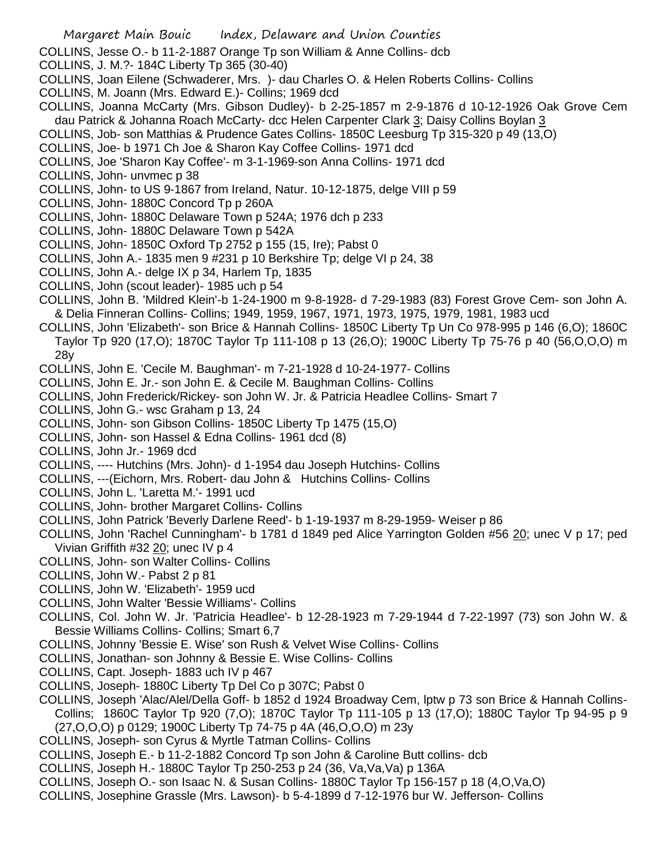- COLLINS, Jesse O.- b 11-2-1887 Orange Tp son William & Anne Collins- dcb
- COLLINS, J. M.?- 184C Liberty Tp 365 (30-40)
- COLLINS, Joan Eilene (Schwaderer, Mrs. )- dau Charles O. & Helen Roberts Collins- Collins
- COLLINS, M. Joann (Mrs. Edward E.)- Collins; 1969 dcd
- COLLINS, Joanna McCarty (Mrs. Gibson Dudley)- b 2-25-1857 m 2-9-1876 d 10-12-1926 Oak Grove Cem dau Patrick & Johanna Roach McCarty- dcc Helen Carpenter Clark 3; Daisy Collins Boylan 3
- COLLINS, Job- son Matthias & Prudence Gates Collins- 1850C Leesburg Tp 315-320 p 49 (13,O)
- COLLINS, Joe- b 1971 Ch Joe & Sharon Kay Coffee Collins- 1971 dcd
- COLLINS, Joe 'Sharon Kay Coffee'- m 3-1-1969-son Anna Collins- 1971 dcd
- COLLINS, John- unvmec p 38
- COLLINS, John- to US 9-1867 from Ireland, Natur. 10-12-1875, delge VIII p 59
- COLLINS, John- 1880C Concord Tp p 260A
- COLLINS, John- 1880C Delaware Town p 524A; 1976 dch p 233
- COLLINS, John- 1880C Delaware Town p 542A
- COLLINS, John- 1850C Oxford Tp 2752 p 155 (15, Ire); Pabst 0
- COLLINS, John A.- 1835 men 9 #231 p 10 Berkshire Tp; delge VI p 24, 38
- COLLINS, John A.- delge IX p 34, Harlem Tp, 1835
- COLLINS, John (scout leader)- 1985 uch p 54
- COLLINS, John B. 'Mildred Klein'-b 1-24-1900 m 9-8-1928- d 7-29-1983 (83) Forest Grove Cem- son John A. & Delia Finneran Collins- Collins; 1949, 1959, 1967, 1971, 1973, 1975, 1979, 1981, 1983 ucd
- COLLINS, John 'Elizabeth'- son Brice & Hannah Collins- 1850C Liberty Tp Un Co 978-995 p 146 (6,O); 1860C Taylor Tp 920 (17,O); 1870C Taylor Tp 111-108 p 13 (26,O); 1900C Liberty Tp 75-76 p 40 (56,O,O,O) m 28y
- COLLINS, John E. 'Cecile M. Baughman'- m 7-21-1928 d 10-24-1977- Collins
- COLLINS, John E. Jr.- son John E. & Cecile M. Baughman Collins- Collins
- COLLINS, John Frederick/Rickey- son John W. Jr. & Patricia Headlee Collins- Smart 7
- COLLINS, John G.- wsc Graham p 13, 24
- COLLINS, John- son Gibson Collins- 1850C Liberty Tp 1475 (15,O)
- COLLINS, John- son Hassel & Edna Collins- 1961 dcd (8)
- COLLINS, John Jr.- 1969 dcd
- COLLINS, ---- Hutchins (Mrs. John)- d 1-1954 dau Joseph Hutchins- Collins
- COLLINS, ---(Eichorn, Mrs. Robert- dau John & Hutchins Collins- Collins
- COLLINS, John L. 'Laretta M.'- 1991 ucd
- COLLINS, John- brother Margaret Collins- Collins
- COLLINS, John Patrick 'Beverly Darlene Reed'- b 1-19-1937 m 8-29-1959- Weiser p 86
- COLLINS, John 'Rachel Cunningham'- b 1781 d 1849 ped Alice Yarrington Golden #56 20; unec V p 17; ped Vivian Griffith #32 20; unec IV p 4
- COLLINS, John- son Walter Collins- Collins
- COLLINS, John W.- Pabst 2 p 81
- COLLINS, John W. 'Elizabeth'- 1959 ucd
- COLLINS, John Walter 'Bessie Williams'- Collins
- COLLINS, Col. John W. Jr. 'Patricia Headlee'- b 12-28-1923 m 7-29-1944 d 7-22-1997 (73) son John W. & Bessie Williams Collins- Collins; Smart 6,7
- COLLINS, Johnny 'Bessie E. Wise' son Rush & Velvet Wise Collins- Collins
- COLLINS, Jonathan- son Johnny & Bessie E. Wise Collins- Collins
- COLLINS, Capt. Joseph- 1883 uch IV p 467
- COLLINS, Joseph- 1880C Liberty Tp Del Co p 307C; Pabst 0
- COLLINS, Joseph 'Alac/Alel/Della Goff- b 1852 d 1924 Broadway Cem, lptw p 73 son Brice & Hannah Collins-Collins; 1860C Taylor Tp 920 (7,O); 1870C Taylor Tp 111-105 p 13 (17,O); 1880C Taylor Tp 94-95 p 9 (27,O,O,O) p 0129; 1900C Liberty Tp 74-75 p 4A (46,O,O,O) m 23y
- COLLINS, Joseph- son Cyrus & Myrtle Tatman Collins- Collins
- COLLINS, Joseph E.- b 11-2-1882 Concord Tp son John & Caroline Butt collins- dcb
- COLLINS, Joseph H.- 1880C Taylor Tp 250-253 p 24 (36, Va,Va,Va) p 136A
- COLLINS, Joseph O.- son Isaac N. & Susan Collins- 1880C Taylor Tp 156-157 p 18 (4,O,Va,O)
- COLLINS, Josephine Grassle (Mrs. Lawson)- b 5-4-1899 d 7-12-1976 bur W. Jefferson- Collins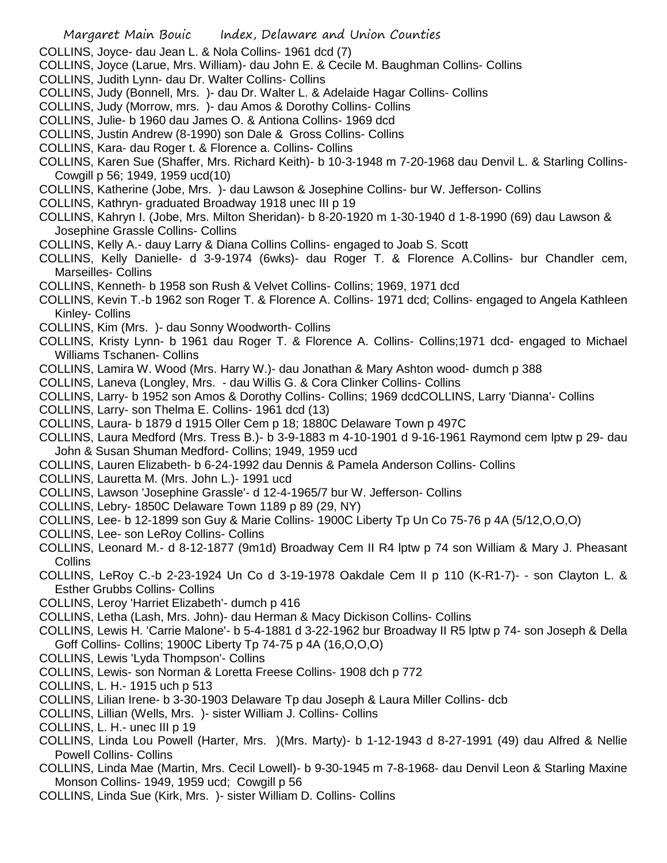COLLINS, Joyce- dau Jean L. & Nola Collins- 1961 dcd (7)

- COLLINS, Joyce (Larue, Mrs. William)- dau John E. & Cecile M. Baughman Collins- Collins
- COLLINS, Judith Lynn- dau Dr. Walter Collins- Collins
- COLLINS, Judy (Bonnell, Mrs. )- dau Dr. Walter L. & Adelaide Hagar Collins- Collins
- COLLINS, Judy (Morrow, mrs. )- dau Amos & Dorothy Collins- Collins
- COLLINS, Julie- b 1960 dau James O. & Antiona Collins- 1969 dcd
- COLLINS, Justin Andrew (8-1990) son Dale & Gross Collins- Collins
- COLLINS, Kara- dau Roger t. & Florence a. Collins- Collins
- COLLINS, Karen Sue (Shaffer, Mrs. Richard Keith)- b 10-3-1948 m 7-20-1968 dau Denvil L. & Starling Collins-Cowgill p 56; 1949, 1959 ucd(10)
- COLLINS, Katherine (Jobe, Mrs. )- dau Lawson & Josephine Collins- bur W. Jefferson- Collins
- COLLINS, Kathryn- graduated Broadway 1918 unec III p 19
- COLLINS, Kahryn I. (Jobe, Mrs. Milton Sheridan)- b 8-20-1920 m 1-30-1940 d 1-8-1990 (69) dau Lawson & Josephine Grassle Collins- Collins
- COLLINS, Kelly A.- dauy Larry & Diana Collins Collins- engaged to Joab S. Scott
- COLLINS, Kelly Danielle- d 3-9-1974 (6wks)- dau Roger T. & Florence A.Collins- bur Chandler cem, Marseilles- Collins
- COLLINS, Kenneth- b 1958 son Rush & Velvet Collins- Collins; 1969, 1971 dcd
- COLLINS, Kevin T.-b 1962 son Roger T. & Florence A. Collins- 1971 dcd; Collins- engaged to Angela Kathleen Kinley- Collins
- COLLINS, Kim (Mrs. )- dau Sonny Woodworth- Collins
- COLLINS, Kristy Lynn- b 1961 dau Roger T. & Florence A. Collins- Collins;1971 dcd- engaged to Michael Williams Tschanen- Collins
- COLLINS, Lamira W. Wood (Mrs. Harry W.)- dau Jonathan & Mary Ashton wood- dumch p 388
- COLLINS, Laneva (Longley, Mrs. dau Willis G. & Cora Clinker Collins- Collins
- COLLINS, Larry- b 1952 son Amos & Dorothy Collins- Collins; 1969 dcdCOLLINS, Larry 'Dianna'- Collins
- COLLINS, Larry- son Thelma E. Collins- 1961 dcd (13)
- COLLINS, Laura- b 1879 d 1915 Oller Cem p 18; 1880C Delaware Town p 497C
- COLLINS, Laura Medford (Mrs. Tress B.)- b 3-9-1883 m 4-10-1901 d 9-16-1961 Raymond cem lptw p 29- dau John & Susan Shuman Medford- Collins; 1949, 1959 ucd
- COLLINS, Lauren Elizabeth- b 6-24-1992 dau Dennis & Pamela Anderson Collins- Collins
- COLLINS, Lauretta M. (Mrs. John L.)- 1991 ucd
- COLLINS, Lawson 'Josephine Grassle'- d 12-4-1965/7 bur W. Jefferson- Collins
- COLLINS, Lebry- 1850C Delaware Town 1189 p 89 (29, NY)
- COLLINS, Lee- b 12-1899 son Guy & Marie Collins- 1900C Liberty Tp Un Co 75-76 p 4A (5/12,O,O,O)
- COLLINS, Lee- son LeRoy Collins- Collins
- COLLINS, Leonard M.- d 8-12-1877 (9m1d) Broadway Cem II R4 lptw p 74 son William & Mary J. Pheasant **Collins**
- COLLINS, LeRoy C.-b 2-23-1924 Un Co d 3-19-1978 Oakdale Cem II p 110 (K-R1-7)- son Clayton L. & Esther Grubbs Collins- Collins
- COLLINS, Leroy 'Harriet Elizabeth'- dumch p 416
- COLLINS, Letha (Lash, Mrs. John)- dau Herman & Macy Dickison Collins- Collins
- COLLINS, Lewis H. 'Carrie Malone'- b 5-4-1881 d 3-22-1962 bur Broadway II R5 lptw p 74- son Joseph & Della Goff Collins- Collins; 1900C Liberty Tp 74-75 p 4A (16,O,O,O)
- COLLINS, Lewis 'Lyda Thompson'- Collins
- COLLINS, Lewis- son Norman & Loretta Freese Collins- 1908 dch p 772
- COLLINS, L. H.- 1915 uch p 513
- COLLINS, Lilian Irene- b 3-30-1903 Delaware Tp dau Joseph & Laura Miller Collins- dcb
- COLLINS, Lillian (Wells, Mrs. )- sister William J. Collins- Collins
- COLLINS, L. H.- unec III p 19
- COLLINS, Linda Lou Powell (Harter, Mrs. )(Mrs. Marty)- b 1-12-1943 d 8-27-1991 (49) dau Alfred & Nellie Powell Collins- Collins
- COLLINS, Linda Mae (Martin, Mrs. Cecil Lowell)- b 9-30-1945 m 7-8-1968- dau Denvil Leon & Starling Maxine Monson Collins- 1949, 1959 ucd; Cowgill p 56
- COLLINS, Linda Sue (Kirk, Mrs. )- sister William D. Collins- Collins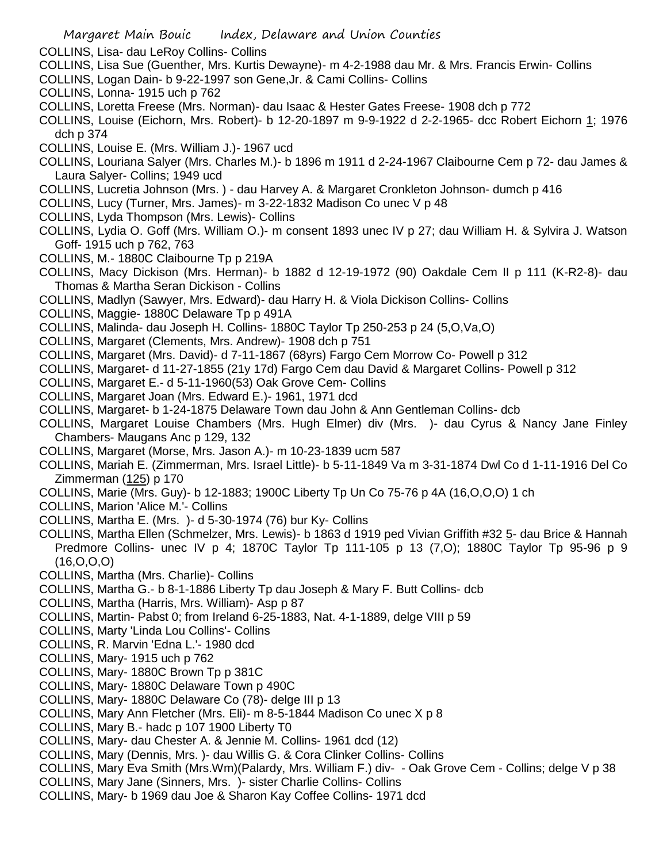- COLLINS, Lisa- dau LeRoy Collins- Collins
- COLLINS, Lisa Sue (Guenther, Mrs. Kurtis Dewayne)- m 4-2-1988 dau Mr. & Mrs. Francis Erwin- Collins
- COLLINS, Logan Dain- b 9-22-1997 son Gene,Jr. & Cami Collins- Collins
- COLLINS, Lonna- 1915 uch p 762
- COLLINS, Loretta Freese (Mrs. Norman)- dau Isaac & Hester Gates Freese- 1908 dch p 772
- COLLINS, Louise (Eichorn, Mrs. Robert)- b 12-20-1897 m 9-9-1922 d 2-2-1965- dcc Robert Eichorn 1; 1976 dch p 374
- COLLINS, Louise E. (Mrs. William J.)- 1967 ucd
- COLLINS, Louriana Salyer (Mrs. Charles M.)- b 1896 m 1911 d 2-24-1967 Claibourne Cem p 72- dau James & Laura Salyer- Collins; 1949 ucd
- COLLINS, Lucretia Johnson (Mrs. ) dau Harvey A. & Margaret Cronkleton Johnson- dumch p 416
- COLLINS, Lucy (Turner, Mrs. James)- m 3-22-1832 Madison Co unec V p 48
- COLLINS, Lyda Thompson (Mrs. Lewis)- Collins
- COLLINS, Lydia O. Goff (Mrs. William O.)- m consent 1893 unec IV p 27; dau William H. & Sylvira J. Watson Goff- 1915 uch p 762, 763
- COLLINS, M.- 1880C Claibourne Tp p 219A
- COLLINS, Macy Dickison (Mrs. Herman)- b 1882 d 12-19-1972 (90) Oakdale Cem II p 111 (K-R2-8)- dau Thomas & Martha Seran Dickison - Collins
- COLLINS, Madlyn (Sawyer, Mrs. Edward)- dau Harry H. & Viola Dickison Collins- Collins
- COLLINS, Maggie- 1880C Delaware Tp p 491A
- COLLINS, Malinda- dau Joseph H. Collins- 1880C Taylor Tp 250-253 p 24 (5,O,Va,O)
- COLLINS, Margaret (Clements, Mrs. Andrew)- 1908 dch p 751
- COLLINS, Margaret (Mrs. David)- d 7-11-1867 (68yrs) Fargo Cem Morrow Co- Powell p 312
- COLLINS, Margaret- d 11-27-1855 (21y 17d) Fargo Cem dau David & Margaret Collins- Powell p 312
- COLLINS, Margaret E.- d 5-11-1960(53) Oak Grove Cem- Collins
- COLLINS, Margaret Joan (Mrs. Edward E.)- 1961, 1971 dcd
- COLLINS, Margaret- b 1-24-1875 Delaware Town dau John & Ann Gentleman Collins- dcb
- COLLINS, Margaret Louise Chambers (Mrs. Hugh Elmer) div (Mrs. )- dau Cyrus & Nancy Jane Finley Chambers- Maugans Anc p 129, 132
- COLLINS, Margaret (Morse, Mrs. Jason A.)- m 10-23-1839 ucm 587
- COLLINS, Mariah E. (Zimmerman, Mrs. Israel Little)- b 5-11-1849 Va m 3-31-1874 Dwl Co d 1-11-1916 Del Co Zimmerman (125) p 170
- COLLINS, Marie (Mrs. Guy)- b 12-1883; 1900C Liberty Tp Un Co 75-76 p 4A (16,O,O,O) 1 ch
- COLLINS, Marion 'Alice M.'- Collins
- COLLINS, Martha E. (Mrs. )- d 5-30-1974 (76) bur Ky- Collins
- COLLINS, Martha Ellen (Schmelzer, Mrs. Lewis)- b 1863 d 1919 ped Vivian Griffith #32 5- dau Brice & Hannah Predmore Collins- unec IV p 4; 1870C Taylor Tp 111-105 p 13 (7,O); 1880C Taylor Tp 95-96 p 9 (16,O,O,O)
- COLLINS, Martha (Mrs. Charlie)- Collins
- COLLINS, Martha G.- b 8-1-1886 Liberty Tp dau Joseph & Mary F. Butt Collins- dcb
- COLLINS, Martha (Harris, Mrs. William)- Asp p 87
- COLLINS, Martin- Pabst 0; from Ireland 6-25-1883, Nat. 4-1-1889, delge VIII p 59
- COLLINS, Marty 'Linda Lou Collins'- Collins
- COLLINS, R. Marvin 'Edna L.'- 1980 dcd
- COLLINS, Mary- 1915 uch p 762
- COLLINS, Mary- 1880C Brown Tp p 381C
- COLLINS, Mary- 1880C Delaware Town p 490C
- COLLINS, Mary- 1880C Delaware Co (78)- delge III p 13
- COLLINS, Mary Ann Fletcher (Mrs. Eli)- m 8-5-1844 Madison Co unec X p 8
- COLLINS, Mary B.- hadc p 107 1900 Liberty T0
- COLLINS, Mary- dau Chester A. & Jennie M. Collins- 1961 dcd (12)
- COLLINS, Mary (Dennis, Mrs. )- dau Willis G. & Cora Clinker Collins- Collins
- COLLINS, Mary Eva Smith (Mrs.Wm)(Palardy, Mrs. William F.) div- Oak Grove Cem Collins; delge V p 38
- COLLINS, Mary Jane (Sinners, Mrs. )- sister Charlie Collins- Collins
- COLLINS, Mary- b 1969 dau Joe & Sharon Kay Coffee Collins- 1971 dcd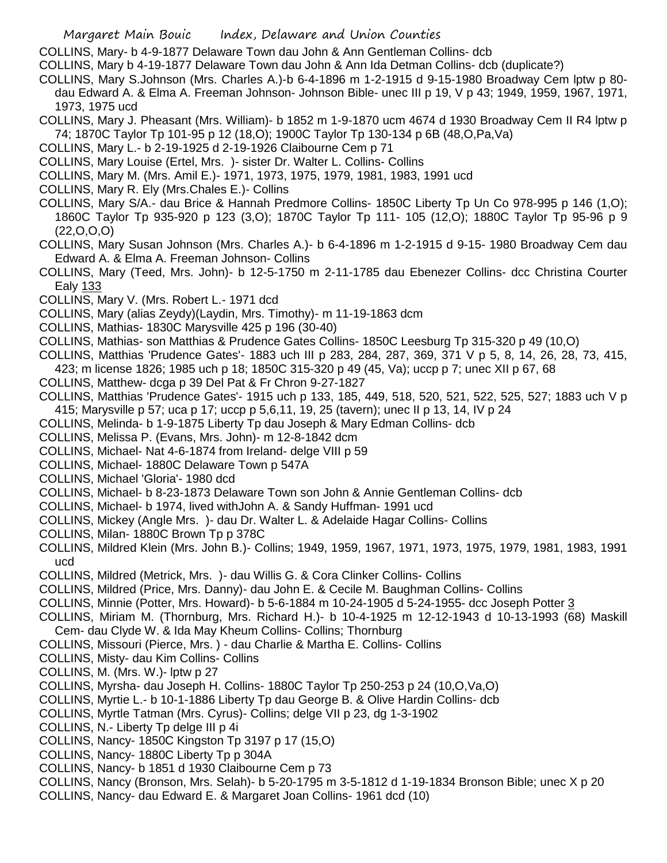COLLINS, Mary- b 4-9-1877 Delaware Town dau John & Ann Gentleman Collins- dcb

COLLINS, Mary b 4-19-1877 Delaware Town dau John & Ann Ida Detman Collins- dcb (duplicate?)

COLLINS, Mary S.Johnson (Mrs. Charles A.)-b 6-4-1896 m 1-2-1915 d 9-15-1980 Broadway Cem lptw p 80 dau Edward A. & Elma A. Freeman Johnson- Johnson Bible- unec III p 19, V p 43; 1949, 1959, 1967, 1971, 1973, 1975 ucd

COLLINS, Mary J. Pheasant (Mrs. William)- b 1852 m 1-9-1870 ucm 4674 d 1930 Broadway Cem II R4 lptw p 74; 1870C Taylor Tp 101-95 p 12 (18,O); 1900C Taylor Tp 130-134 p 6B (48,O,Pa,Va)

- COLLINS, Mary L.- b 2-19-1925 d 2-19-1926 Claibourne Cem p 71
- COLLINS, Mary Louise (Ertel, Mrs. )- sister Dr. Walter L. Collins- Collins
- COLLINS, Mary M. (Mrs. Amil E.)- 1971, 1973, 1975, 1979, 1981, 1983, 1991 ucd
- COLLINS, Mary R. Ely (Mrs.Chales E.)- Collins
- COLLINS, Mary S/A.- dau Brice & Hannah Predmore Collins- 1850C Liberty Tp Un Co 978-995 p 146 (1,O); 1860C Taylor Tp 935-920 p 123 (3,O); 1870C Taylor Tp 111- 105 (12,O); 1880C Taylor Tp 95-96 p 9  $(22, 0, 0, 0)$
- COLLINS, Mary Susan Johnson (Mrs. Charles A.)- b 6-4-1896 m 1-2-1915 d 9-15- 1980 Broadway Cem dau Edward A. & Elma A. Freeman Johnson- Collins
- COLLINS, Mary (Teed, Mrs. John)- b 12-5-1750 m 2-11-1785 dau Ebenezer Collins- dcc Christina Courter Ealy 133
- COLLINS, Mary V. (Mrs. Robert L.- 1971 dcd
- COLLINS, Mary (alias Zeydy)(Laydin, Mrs. Timothy)- m 11-19-1863 dcm
- COLLINS, Mathias- 1830C Marysville 425 p 196 (30-40)
- COLLINS, Mathias- son Matthias & Prudence Gates Collins- 1850C Leesburg Tp 315-320 p 49 (10,O)
- COLLINS, Matthias 'Prudence Gates'- 1883 uch III p 283, 284, 287, 369, 371 V p 5, 8, 14, 26, 28, 73, 415,
- 423; m license 1826; 1985 uch p 18; 1850C 315-320 p 49 (45, Va); uccp p 7; unec XII p 67, 68
- COLLINS, Matthew- dcga p 39 Del Pat & Fr Chron 9-27-1827
- COLLINS, Matthias 'Prudence Gates'- 1915 uch p 133, 185, 449, 518, 520, 521, 522, 525, 527; 1883 uch V p 415; Marysville p 57; uca p 17; uccp p 5,6,11, 19, 25 (tavern); unec II p 13, 14, IV p 24
- COLLINS, Melinda- b 1-9-1875 Liberty Tp dau Joseph & Mary Edman Collins- dcb
- COLLINS, Melissa P. (Evans, Mrs. John)- m 12-8-1842 dcm
- COLLINS, Michael- Nat 4-6-1874 from Ireland- delge VIII p 59
- COLLINS, Michael- 1880C Delaware Town p 547A
- COLLINS, Michael 'Gloria'- 1980 dcd
- COLLINS, Michael- b 8-23-1873 Delaware Town son John & Annie Gentleman Collins- dcb
- COLLINS, Michael- b 1974, lived withJohn A. & Sandy Huffman- 1991 ucd
- COLLINS, Mickey (Angle Mrs. )- dau Dr. Walter L. & Adelaide Hagar Collins- Collins
- COLLINS, Milan- 1880C Brown Tp p 378C
- COLLINS, Mildred Klein (Mrs. John B.)- Collins; 1949, 1959, 1967, 1971, 1973, 1975, 1979, 1981, 1983, 1991 ucd
- COLLINS, Mildred (Metrick, Mrs. )- dau Willis G. & Cora Clinker Collins- Collins
- COLLINS, Mildred (Price, Mrs. Danny)- dau John E. & Cecile M. Baughman Collins- Collins
- COLLINS, Minnie (Potter, Mrs. Howard)- b 5-6-1884 m 10-24-1905 d 5-24-1955- dcc Joseph Potter 3
- COLLINS, Miriam M. (Thornburg, Mrs. Richard H.)- b 10-4-1925 m 12-12-1943 d 10-13-1993 (68) Maskill Cem- dau Clyde W. & Ida May Kheum Collins- Collins; Thornburg
- COLLINS, Missouri (Pierce, Mrs. ) dau Charlie & Martha E. Collins- Collins
- COLLINS, Misty- dau Kim Collins- Collins
- COLLINS, M. (Mrs. W.)- lptw p 27
- COLLINS, Myrsha- dau Joseph H. Collins- 1880C Taylor Tp 250-253 p 24 (10,O,Va,O)
- COLLINS, Myrtie L.- b 10-1-1886 Liberty Tp dau George B. & Olive Hardin Collins- dcb
- COLLINS, Myrtle Tatman (Mrs. Cyrus)- Collins; delge VII p 23, dg 1-3-1902
- COLLINS, N.- Liberty Tp delge III p 4i
- COLLINS, Nancy- 1850C Kingston Tp 3197 p 17 (15,O)
- COLLINS, Nancy- 1880C Liberty Tp p 304A
- COLLINS, Nancy- b 1851 d 1930 Claibourne Cem p 73
- COLLINS, Nancy (Bronson, Mrs. Selah)- b 5-20-1795 m 3-5-1812 d 1-19-1834 Bronson Bible; unec X p 20
- COLLINS, Nancy- dau Edward E. & Margaret Joan Collins- 1961 dcd (10)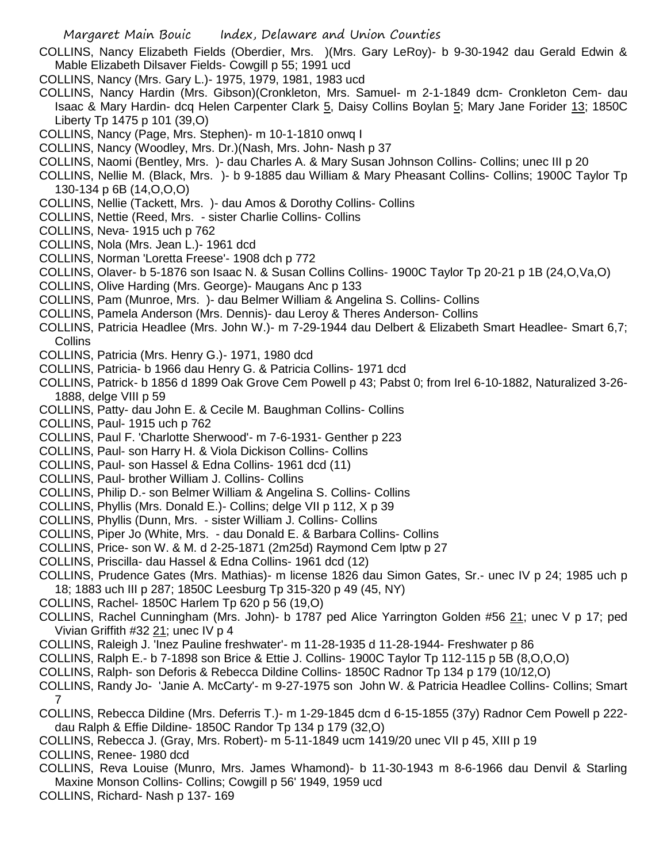- COLLINS, Nancy Elizabeth Fields (Oberdier, Mrs. )(Mrs. Gary LeRoy)- b 9-30-1942 dau Gerald Edwin & Mable Elizabeth Dilsaver Fields- Cowgill p 55; 1991 ucd
- COLLINS, Nancy (Mrs. Gary L.)- 1975, 1979, 1981, 1983 ucd
- COLLINS, Nancy Hardin (Mrs. Gibson)(Cronkleton, Mrs. Samuel- m 2-1-1849 dcm- Cronkleton Cem- dau Isaac & Mary Hardin- dcq Helen Carpenter Clark 5, Daisy Collins Boylan 5; Mary Jane Forider 13; 1850C Liberty Tp 1475 p 101 (39,O)
- COLLINS, Nancy (Page, Mrs. Stephen)- m 10-1-1810 onwq I
- COLLINS, Nancy (Woodley, Mrs. Dr.)(Nash, Mrs. John- Nash p 37
- COLLINS, Naomi (Bentley, Mrs. )- dau Charles A. & Mary Susan Johnson Collins- Collins; unec III p 20
- COLLINS, Nellie M. (Black, Mrs. )- b 9-1885 dau William & Mary Pheasant Collins- Collins; 1900C Taylor Tp 130-134 p 6B (14,O,O,O)
- COLLINS, Nellie (Tackett, Mrs. )- dau Amos & Dorothy Collins- Collins
- COLLINS, Nettie (Reed, Mrs. sister Charlie Collins- Collins
- COLLINS, Neva- 1915 uch p 762
- COLLINS, Nola (Mrs. Jean L.)- 1961 dcd
- COLLINS, Norman 'Loretta Freese'- 1908 dch p 772
- COLLINS, Olaver- b 5-1876 son Isaac N. & Susan Collins Collins- 1900C Taylor Tp 20-21 p 1B (24,O,Va,O)
- COLLINS, Olive Harding (Mrs. George)- Maugans Anc p 133
- COLLINS, Pam (Munroe, Mrs. )- dau Belmer William & Angelina S. Collins- Collins
- COLLINS, Pamela Anderson (Mrs. Dennis)- dau Leroy & Theres Anderson- Collins
- COLLINS, Patricia Headlee (Mrs. John W.)- m 7-29-1944 dau Delbert & Elizabeth Smart Headlee- Smart 6,7; **Collins**
- COLLINS, Patricia (Mrs. Henry G.)- 1971, 1980 dcd
- COLLINS, Patricia- b 1966 dau Henry G. & Patricia Collins- 1971 dcd
- COLLINS, Patrick- b 1856 d 1899 Oak Grove Cem Powell p 43; Pabst 0; from Irel 6-10-1882, Naturalized 3-26- 1888, delge VIII p 59
- COLLINS, Patty- dau John E. & Cecile M. Baughman Collins- Collins
- COLLINS, Paul- 1915 uch p 762
- COLLINS, Paul F. 'Charlotte Sherwood'- m 7-6-1931- Genther p 223
- COLLINS, Paul- son Harry H. & Viola Dickison Collins- Collins
- COLLINS, Paul- son Hassel & Edna Collins- 1961 dcd (11)
- COLLINS, Paul- brother William J. Collins- Collins
- COLLINS, Philip D.- son Belmer William & Angelina S. Collins- Collins
- COLLINS, Phyllis (Mrs. Donald E.)- Collins; delge VII p 112, X p 39
- COLLINS, Phyllis (Dunn, Mrs. sister William J. Collins- Collins
- COLLINS, Piper Jo (White, Mrs. dau Donald E. & Barbara Collins- Collins
- COLLINS, Price- son W. & M. d 2-25-1871 (2m25d) Raymond Cem lptw p 27
- COLLINS, Priscilla- dau Hassel & Edna Collins- 1961 dcd (12)
- COLLINS, Prudence Gates (Mrs. Mathias)- m license 1826 dau Simon Gates, Sr.- unec IV p 24; 1985 uch p 18; 1883 uch III p 287; 1850C Leesburg Tp 315-320 p 49 (45, NY)
- COLLINS, Rachel- 1850C Harlem Tp 620 p 56 (19,O)
- COLLINS, Rachel Cunningham (Mrs. John)- b 1787 ped Alice Yarrington Golden #56 21; unec V p 17; ped Vivian Griffith #32 21; unec IV p 4
- COLLINS, Raleigh J. 'Inez Pauline freshwater'- m 11-28-1935 d 11-28-1944- Freshwater p 86
- COLLINS, Ralph E.- b 7-1898 son Brice & Ettie J. Collins- 1900C Taylor Tp 112-115 p 5B (8,O,O,O)
- COLLINS, Ralph- son Deforis & Rebecca Dildine Collins- 1850C Radnor Tp 134 p 179 (10/12,O)
- COLLINS, Randy Jo- 'Janie A. McCarty'- m 9-27-1975 son John W. & Patricia Headlee Collins- Collins; Smart 7
- COLLINS, Rebecca Dildine (Mrs. Deferris T.)- m 1-29-1845 dcm d 6-15-1855 (37y) Radnor Cem Powell p 222 dau Ralph & Effie Dildine- 1850C Randor Tp 134 p 179 (32,O)
- COLLINS, Rebecca J. (Gray, Mrs. Robert)- m 5-11-1849 ucm 1419/20 unec VII p 45, XIII p 19
- COLLINS, Renee- 1980 dcd
- COLLINS, Reva Louise (Munro, Mrs. James Whamond)- b 11-30-1943 m 8-6-1966 dau Denvil & Starling Maxine Monson Collins- Collins; Cowgill p 56' 1949, 1959 ucd
- COLLINS, Richard- Nash p 137- 169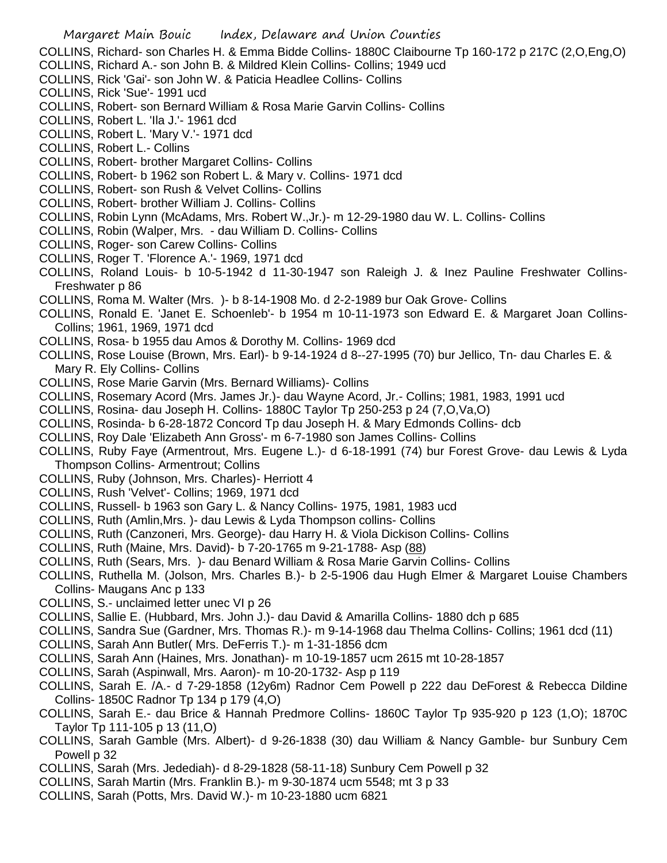COLLINS, Richard- son Charles H. & Emma Bidde Collins- 1880C Claibourne Tp 160-172 p 217C (2,O,Eng,O)

- COLLINS, Richard A.- son John B. & Mildred Klein Collins- Collins; 1949 ucd
- COLLINS, Rick 'Gai'- son John W. & Paticia Headlee Collins- Collins
- COLLINS, Rick 'Sue'- 1991 ucd
- COLLINS, Robert- son Bernard William & Rosa Marie Garvin Collins- Collins
- COLLINS, Robert L. 'Ila J.'- 1961 dcd
- COLLINS, Robert L. 'Mary V.'- 1971 dcd
- COLLINS, Robert L.- Collins
- COLLINS, Robert- brother Margaret Collins- Collins
- COLLINS, Robert- b 1962 son Robert L. & Mary v. Collins- 1971 dcd
- COLLINS, Robert- son Rush & Velvet Collins- Collins
- COLLINS, Robert- brother William J. Collins- Collins
- COLLINS, Robin Lynn (McAdams, Mrs. Robert W.,Jr.)- m 12-29-1980 dau W. L. Collins- Collins
- COLLINS, Robin (Walper, Mrs. dau William D. Collins- Collins
- COLLINS, Roger- son Carew Collins- Collins
- COLLINS, Roger T. 'Florence A.'- 1969, 1971 dcd
- COLLINS, Roland Louis- b 10-5-1942 d 11-30-1947 son Raleigh J. & Inez Pauline Freshwater Collins-Freshwater p 86
- COLLINS, Roma M. Walter (Mrs. )- b 8-14-1908 Mo. d 2-2-1989 bur Oak Grove- Collins
- COLLINS, Ronald E. 'Janet E. Schoenleb'- b 1954 m 10-11-1973 son Edward E. & Margaret Joan Collins-Collins; 1961, 1969, 1971 dcd
- COLLINS, Rosa- b 1955 dau Amos & Dorothy M. Collins- 1969 dcd
- COLLINS, Rose Louise (Brown, Mrs. Earl)- b 9-14-1924 d 8--27-1995 (70) bur Jellico, Tn- dau Charles E. & Mary R. Ely Collins- Collins
- COLLINS, Rose Marie Garvin (Mrs. Bernard Williams)- Collins
- COLLINS, Rosemary Acord (Mrs. James Jr.)- dau Wayne Acord, Jr.- Collins; 1981, 1983, 1991 ucd
- COLLINS, Rosina- dau Joseph H. Collins- 1880C Taylor Tp 250-253 p 24 (7,O,Va,O)
- COLLINS, Rosinda- b 6-28-1872 Concord Tp dau Joseph H. & Mary Edmonds Collins- dcb
- COLLINS, Roy Dale 'Elizabeth Ann Gross'- m 6-7-1980 son James Collins- Collins
- COLLINS, Ruby Faye (Armentrout, Mrs. Eugene L.)- d 6-18-1991 (74) bur Forest Grove- dau Lewis & Lyda Thompson Collins- Armentrout; Collins
- COLLINS, Ruby (Johnson, Mrs. Charles)- Herriott 4
- COLLINS, Rush 'Velvet'- Collins; 1969, 1971 dcd
- COLLINS, Russell- b 1963 son Gary L. & Nancy Collins- 1975, 1981, 1983 ucd
- COLLINS, Ruth (Amlin,Mrs. )- dau Lewis & Lyda Thompson collins- Collins
- COLLINS, Ruth (Canzoneri, Mrs. George)- dau Harry H. & Viola Dickison Collins- Collins
- COLLINS, Ruth (Maine, Mrs. David)- b 7-20-1765 m 9-21-1788- Asp (88)
- COLLINS, Ruth (Sears, Mrs. )- dau Benard William & Rosa Marie Garvin Collins- Collins
- COLLINS, Ruthella M. (Jolson, Mrs. Charles B.)- b 2-5-1906 dau Hugh Elmer & Margaret Louise Chambers Collins- Maugans Anc p 133
- COLLINS, S.- unclaimed letter unec VI p 26
- COLLINS, Sallie E. (Hubbard, Mrs. John J.)- dau David & Amarilla Collins- 1880 dch p 685
- COLLINS, Sandra Sue (Gardner, Mrs. Thomas R.)- m 9-14-1968 dau Thelma Collins- Collins; 1961 dcd (11)
- COLLINS, Sarah Ann Butler( Mrs. DeFerris T.)- m 1-31-1856 dcm
- COLLINS, Sarah Ann (Haines, Mrs. Jonathan)- m 10-19-1857 ucm 2615 mt 10-28-1857
- COLLINS, Sarah (Aspinwall, Mrs. Aaron)- m 10-20-1732- Asp p 119
- COLLINS, Sarah E. /A.- d 7-29-1858 (12y6m) Radnor Cem Powell p 222 dau DeForest & Rebecca Dildine Collins- 1850C Radnor Tp 134 p 179 (4,O)
- COLLINS, Sarah E.- dau Brice & Hannah Predmore Collins- 1860C Taylor Tp 935-920 p 123 (1,O); 1870C Taylor Tp 111-105 p 13 (11,O)
- COLLINS, Sarah Gamble (Mrs. Albert)- d 9-26-1838 (30) dau William & Nancy Gamble- bur Sunbury Cem Powell p 32
- COLLINS, Sarah (Mrs. Jedediah)- d 8-29-1828 (58-11-18) Sunbury Cem Powell p 32
- COLLINS, Sarah Martin (Mrs. Franklin B.)- m 9-30-1874 ucm 5548; mt 3 p 33
- COLLINS, Sarah (Potts, Mrs. David W.)- m 10-23-1880 ucm 6821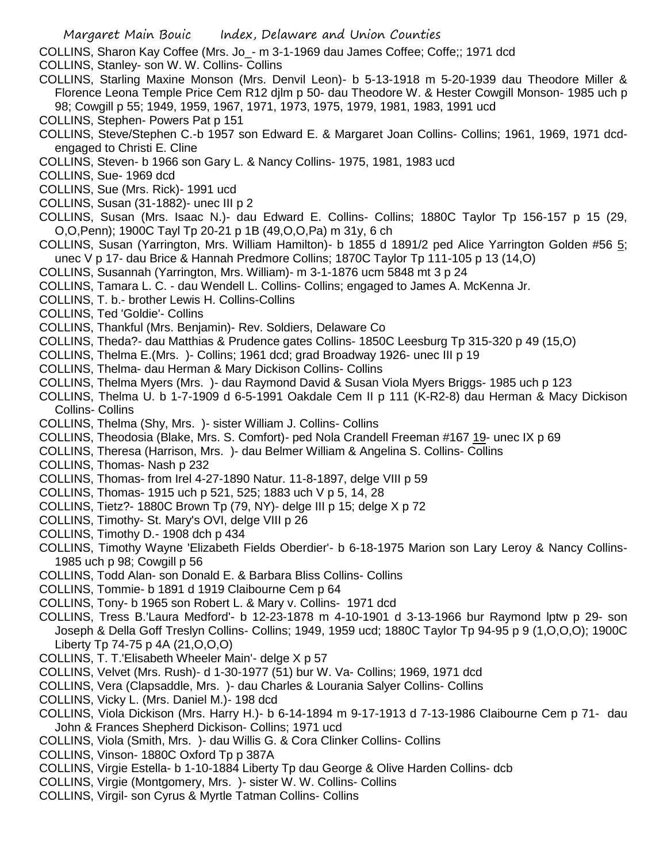- COLLINS, Sharon Kay Coffee (Mrs. Jo\_- m 3-1-1969 dau James Coffee; Coffe;; 1971 dcd
- COLLINS, Stanley- son W. W. Collins- Collins
- COLLINS, Starling Maxine Monson (Mrs. Denvil Leon)- b 5-13-1918 m 5-20-1939 dau Theodore Miller & Florence Leona Temple Price Cem R12 djlm p 50- dau Theodore W. & Hester Cowgill Monson- 1985 uch p 98; Cowgill p 55; 1949, 1959, 1967, 1971, 1973, 1975, 1979, 1981, 1983, 1991 ucd
- COLLINS, Stephen- Powers Pat p 151
- COLLINS, Steve/Stephen C.-b 1957 son Edward E. & Margaret Joan Collins- Collins; 1961, 1969, 1971 dcdengaged to Christi E. Cline
- COLLINS, Steven- b 1966 son Gary L. & Nancy Collins- 1975, 1981, 1983 ucd
- COLLINS, Sue- 1969 dcd
- COLLINS, Sue (Mrs. Rick)- 1991 ucd
- COLLINS, Susan (31-1882)- unec III p 2
- COLLINS, Susan (Mrs. Isaac N.)- dau Edward E. Collins- Collins; 1880C Taylor Tp 156-157 p 15 (29, O,O,Penn); 1900C Tayl Tp 20-21 p 1B (49,O,O,Pa) m 31y, 6 ch
- COLLINS, Susan (Yarrington, Mrs. William Hamilton)- b 1855 d 1891/2 ped Alice Yarrington Golden #56 5; unec V p 17- dau Brice & Hannah Predmore Collins; 1870C Taylor Tp 111-105 p 13 (14,O)
- COLLINS, Susannah (Yarrington, Mrs. William)- m 3-1-1876 ucm 5848 mt 3 p 24
- COLLINS, Tamara L. C. dau Wendell L. Collins- Collins; engaged to James A. McKenna Jr.
- COLLINS, T. b.- brother Lewis H. Collins-Collins
- COLLINS, Ted 'Goldie'- Collins
- COLLINS, Thankful (Mrs. Benjamin)- Rev. Soldiers, Delaware Co
- COLLINS, Theda?- dau Matthias & Prudence gates Collins- 1850C Leesburg Tp 315-320 p 49 (15,O)
- COLLINS, Thelma E.(Mrs. )- Collins; 1961 dcd; grad Broadway 1926- unec III p 19
- COLLINS, Thelma- dau Herman & Mary Dickison Collins- Collins
- COLLINS, Thelma Myers (Mrs. )- dau Raymond David & Susan Viola Myers Briggs- 1985 uch p 123
- COLLINS, Thelma U. b 1-7-1909 d 6-5-1991 Oakdale Cem II p 111 (K-R2-8) dau Herman & Macy Dickison Collins- Collins
- COLLINS, Thelma (Shy, Mrs. )- sister William J. Collins- Collins
- COLLINS, Theodosia (Blake, Mrs. S. Comfort)- ped Nola Crandell Freeman #167 19- unec IX p 69
- COLLINS, Theresa (Harrison, Mrs. )- dau Belmer William & Angelina S. Collins- Collins
- COLLINS, Thomas- Nash p 232
- COLLINS, Thomas- from Irel 4-27-1890 Natur. 11-8-1897, delge VIII p 59
- COLLINS, Thomas- 1915 uch p 521, 525; 1883 uch V p 5, 14, 28
- COLLINS, Tietz?- 1880C Brown Tp (79, NY)- delge III p 15; delge X p 72
- COLLINS, Timothy- St. Mary's OVI, delge VIII p 26
- COLLINS, Timothy D.- 1908 dch p 434
- COLLINS, Timothy Wayne 'Elizabeth Fields Oberdier'- b 6-18-1975 Marion son Lary Leroy & Nancy Collins-1985 uch p 98; Cowgill p 56
- COLLINS, Todd Alan- son Donald E. & Barbara Bliss Collins- Collins
- COLLINS, Tommie- b 1891 d 1919 Claibourne Cem p 64
- COLLINS, Tony- b 1965 son Robert L. & Mary v. Collins- 1971 dcd
- COLLINS, Tress B.'Laura Medford'- b 12-23-1878 m 4-10-1901 d 3-13-1966 bur Raymond lptw p 29- son Joseph & Della Goff Treslyn Collins- Collins; 1949, 1959 ucd; 1880C Taylor Tp 94-95 p 9 (1,O,O,O); 1900C Liberty Tp 74-75 p 4A (21,O,O,O)
- COLLINS, T. T.'Elisabeth Wheeler Main'- delge X p 57
- COLLINS, Velvet (Mrs. Rush)- d 1-30-1977 (51) bur W. Va- Collins; 1969, 1971 dcd
- COLLINS, Vera (Clapsaddle, Mrs. )- dau Charles & Lourania Salyer Collins- Collins
- COLLINS, Vicky L. (Mrs. Daniel M.)- 198 dcd
- COLLINS, Viola Dickison (Mrs. Harry H.)- b 6-14-1894 m 9-17-1913 d 7-13-1986 Claibourne Cem p 71- dau John & Frances Shepherd Dickison- Collins; 1971 ucd
- COLLINS, Viola (Smith, Mrs. )- dau Willis G. & Cora Clinker Collins- Collins
- COLLINS, Vinson- 1880C Oxford Tp p 387A
- COLLINS, Virgie Estella- b 1-10-1884 Liberty Tp dau George & Olive Harden Collins- dcb
- COLLINS, Virgie (Montgomery, Mrs. )- sister W. W. Collins- Collins
- COLLINS, Virgil- son Cyrus & Myrtle Tatman Collins- Collins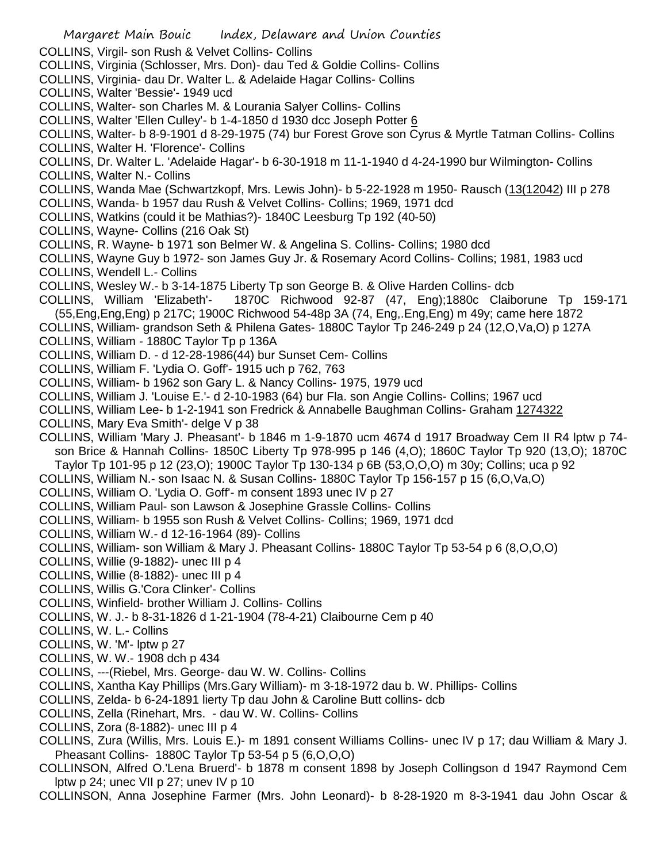- Margaret Main Bouic Index, Delaware and Union Counties COLLINS, Virgil- son Rush & Velvet Collins- Collins COLLINS, Virginia (Schlosser, Mrs. Don)- dau Ted & Goldie Collins- Collins COLLINS, Virginia- dau Dr. Walter L. & Adelaide Hagar Collins- Collins COLLINS, Walter 'Bessie'- 1949 ucd COLLINS, Walter- son Charles M. & Lourania Salyer Collins- Collins COLLINS, Walter 'Ellen Culley'- b 1-4-1850 d 1930 dcc Joseph Potter 6 COLLINS, Walter- b 8-9-1901 d 8-29-1975 (74) bur Forest Grove son Cyrus & Myrtle Tatman Collins- Collins COLLINS, Walter H. 'Florence'- Collins COLLINS, Dr. Walter L. 'Adelaide Hagar'- b 6-30-1918 m 11-1-1940 d 4-24-1990 bur Wilmington- Collins COLLINS, Walter N.- Collins COLLINS, Wanda Mae (Schwartzkopf, Mrs. Lewis John)- b 5-22-1928 m 1950- Rausch (13(12042) III p 278 COLLINS, Wanda- b 1957 dau Rush & Velvet Collins- Collins; 1969, 1971 dcd COLLINS, Watkins (could it be Mathias?)- 1840C Leesburg Tp 192 (40-50) COLLINS, Wayne- Collins (216 Oak St) COLLINS, R. Wayne- b 1971 son Belmer W. & Angelina S. Collins- Collins; 1980 dcd COLLINS, Wayne Guy b 1972- son James Guy Jr. & Rosemary Acord Collins- Collins; 1981, 1983 ucd COLLINS, Wendell L.- Collins COLLINS, Wesley W.- b 3-14-1875 Liberty Tp son George B. & Olive Harden Collins- dcb COLLINS, William 'Elizabeth'- 1870C Richwood 92-87 (47, Eng);1880c Claiborune Tp 159-171 (55,Eng,Eng,Eng) p 217C; 1900C Richwood 54-48p 3A (74, Eng,.Eng,Eng) m 49y; came here 1872 COLLINS, William- grandson Seth & Philena Gates- 1880C Taylor Tp 246-249 p 24 (12,O,Va,O) p 127A COLLINS, William - 1880C Taylor Tp p 136A COLLINS, William D. - d 12-28-1986(44) bur Sunset Cem- Collins COLLINS, William F. 'Lydia O. Goff'- 1915 uch p 762, 763 COLLINS, William- b 1962 son Gary L. & Nancy Collins- 1975, 1979 ucd COLLINS, William J. 'Louise E.'- d 2-10-1983 (64) bur Fla. son Angie Collins- Collins; 1967 ucd COLLINS, William Lee- b 1-2-1941 son Fredrick & Annabelle Baughman Collins- Graham 1274322 COLLINS, Mary Eva Smith'- delge V p 38 COLLINS, William 'Mary J. Pheasant'- b 1846 m 1-9-1870 ucm 4674 d 1917 Broadway Cem II R4 lptw p 74 son Brice & Hannah Collins- 1850C Liberty Tp 978-995 p 146 (4,O); 1860C Taylor Tp 920 (13,O); 1870C Taylor Tp 101-95 p 12 (23,O); 1900C Taylor Tp 130-134 p 6B (53,O,O,O) m 30y; Collins; uca p 92 COLLINS, William N.- son Isaac N. & Susan Collins- 1880C Taylor Tp 156-157 p 15 (6,O,Va,O) COLLINS, William O. 'Lydia O. Goff'- m consent 1893 unec IV p 27 COLLINS, William Paul- son Lawson & Josephine Grassle Collins- Collins COLLINS, William- b 1955 son Rush & Velvet Collins- Collins; 1969, 1971 dcd COLLINS, William W.- d 12-16-1964 (89)- Collins COLLINS, William- son William & Mary J. Pheasant Collins- 1880C Taylor Tp 53-54 p 6 (8,O,O,O) COLLINS, Willie (9-1882)- unec III p 4 COLLINS, Willie (8-1882)- unec III p 4 COLLINS, Willis G.'Cora Clinker'- Collins COLLINS, Winfield- brother William J. Collins- Collins COLLINS, W. J.- b 8-31-1826 d 1-21-1904 (78-4-21) Claibourne Cem p 40 COLLINS, W. L.- Collins COLLINS, W. 'M'- lptw p 27 COLLINS, W. W.- 1908 dch p 434 COLLINS, ---(Riebel, Mrs. George- dau W. W. Collins- Collins COLLINS, Xantha Kay Phillips (Mrs.Gary William)- m 3-18-1972 dau b. W. Phillips- Collins COLLINS, Zelda- b 6-24-1891 lierty Tp dau John & Caroline Butt collins- dcb COLLINS, Zella (Rinehart, Mrs. - dau W. W. Collins- Collins COLLINS, Zora (8-1882)- unec III p 4 COLLINS, Zura (Willis, Mrs. Louis E.)- m 1891 consent Williams Collins- unec IV p 17; dau William & Mary J. Pheasant Collins- 1880C Taylor Tp 53-54 p 5 (6,O,O,O) COLLINSON, Alfred O.'Lena Bruerd'- b 1878 m consent 1898 by Joseph Collingson d 1947 Raymond Cem
	- lptw p 24; unec VII p 27; unev IV p 10

COLLINSON, Anna Josephine Farmer (Mrs. John Leonard)- b 8-28-1920 m 8-3-1941 dau John Oscar &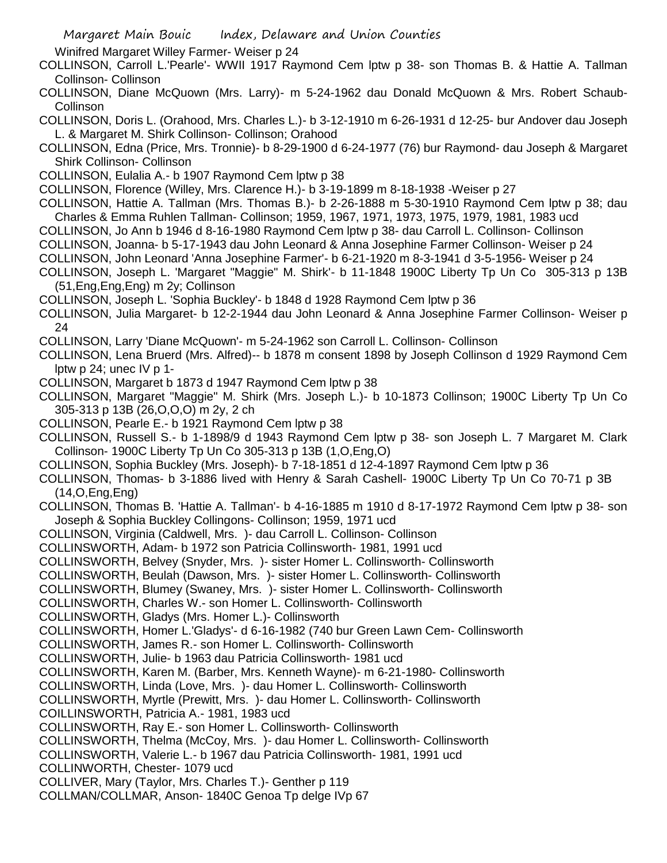Winifred Margaret Willey Farmer- Weiser p 24

COLLINSON, Carroll L.'Pearle'- WWII 1917 Raymond Cem lptw p 38- son Thomas B. & Hattie A. Tallman Collinson- Collinson

COLLINSON, Diane McQuown (Mrs. Larry)- m 5-24-1962 dau Donald McQuown & Mrs. Robert Schaub-**Collinson** 

COLLINSON, Doris L. (Orahood, Mrs. Charles L.)- b 3-12-1910 m 6-26-1931 d 12-25- bur Andover dau Joseph L. & Margaret M. Shirk Collinson- Collinson; Orahood

COLLINSON, Edna (Price, Mrs. Tronnie)- b 8-29-1900 d 6-24-1977 (76) bur Raymond- dau Joseph & Margaret Shirk Collinson- Collinson

COLLINSON, Eulalia A.- b 1907 Raymond Cem lptw p 38

COLLINSON, Florence (Willey, Mrs. Clarence H.)- b 3-19-1899 m 8-18-1938 -Weiser p 27

COLLINSON, Hattie A. Tallman (Mrs. Thomas B.)- b 2-26-1888 m 5-30-1910 Raymond Cem lptw p 38; dau Charles & Emma Ruhlen Tallman- Collinson; 1959, 1967, 1971, 1973, 1975, 1979, 1981, 1983 ucd

COLLINSON, Jo Ann b 1946 d 8-16-1980 Raymond Cem lptw p 38- dau Carroll L. Collinson- Collinson

COLLINSON, Joanna- b 5-17-1943 dau John Leonard & Anna Josephine Farmer Collinson- Weiser p 24

COLLINSON, John Leonard 'Anna Josephine Farmer'- b 6-21-1920 m 8-3-1941 d 3-5-1956- Weiser p 24

COLLINSON, Joseph L. 'Margaret "Maggie" M. Shirk'- b 11-1848 1900C Liberty Tp Un Co 305-313 p 13B (51,Eng,Eng,Eng) m 2y; Collinson

COLLINSON, Joseph L. 'Sophia Buckley'- b 1848 d 1928 Raymond Cem lptw p 36

COLLINSON, Julia Margaret- b 12-2-1944 dau John Leonard & Anna Josephine Farmer Collinson- Weiser p 24

COLLINSON, Larry 'Diane McQuown'- m 5-24-1962 son Carroll L. Collinson- Collinson

COLLINSON, Lena Bruerd (Mrs. Alfred)-- b 1878 m consent 1898 by Joseph Collinson d 1929 Raymond Cem lptw  $p 24$ ; unec IV  $p 1$ -

COLLINSON, Margaret b 1873 d 1947 Raymond Cem lptw p 38

COLLINSON, Margaret "Maggie" M. Shirk (Mrs. Joseph L.)- b 10-1873 Collinson; 1900C Liberty Tp Un Co 305-313 p 13B (26,O,O,O) m 2y, 2 ch

COLLINSON, Pearle E.- b 1921 Raymond Cem lptw p 38

COLLINSON, Russell S.- b 1-1898/9 d 1943 Raymond Cem lptw p 38- son Joseph L. 7 Margaret M. Clark Collinson- 1900C Liberty Tp Un Co 305-313 p 13B (1,O,Eng,O)

COLLINSON, Sophia Buckley (Mrs. Joseph)- b 7-18-1851 d 12-4-1897 Raymond Cem lptw p 36

COLLINSON, Thomas- b 3-1886 lived with Henry & Sarah Cashell- 1900C Liberty Tp Un Co 70-71 p 3B (14,O,Eng,Eng)

COLLINSON, Thomas B. 'Hattie A. Tallman'- b 4-16-1885 m 1910 d 8-17-1972 Raymond Cem lptw p 38- son Joseph & Sophia Buckley Collingons- Collinson; 1959, 1971 ucd

COLLINSON, Virginia (Caldwell, Mrs. )- dau Carroll L. Collinson- Collinson

COLLINSWORTH, Adam- b 1972 son Patricia Collinsworth- 1981, 1991 ucd

COLLINSWORTH, Belvey (Snyder, Mrs. )- sister Homer L. Collinsworth- Collinsworth

- COLLINSWORTH, Beulah (Dawson, Mrs. )- sister Homer L. Collinsworth- Collinsworth
- COLLINSWORTH, Blumey (Swaney, Mrs. )- sister Homer L. Collinsworth- Collinsworth

COLLINSWORTH, Charles W.- son Homer L. Collinsworth- Collinsworth

COLLINSWORTH, Gladys (Mrs. Homer L.)- Collinsworth

COLLINSWORTH, Homer L.'Gladys'- d 6-16-1982 (740 bur Green Lawn Cem- Collinsworth

COLLINSWORTH, James R.- son Homer L. Collinsworth- Collinsworth

COLLINSWORTH, Julie- b 1963 dau Patricia Collinsworth- 1981 ucd

COLLINSWORTH, Karen M. (Barber, Mrs. Kenneth Wayne)- m 6-21-1980- Collinsworth

COLLINSWORTH, Linda (Love, Mrs. )- dau Homer L. Collinsworth- Collinsworth

COLLINSWORTH, Myrtle (Prewitt, Mrs. )- dau Homer L. Collinsworth- Collinsworth

COILLINSWORTH, Patricia A.- 1981, 1983 ucd

COLLINSWORTH, Ray E.- son Homer L. Collinsworth- Collinsworth

COLLINSWORTH, Thelma (McCoy, Mrs. )- dau Homer L. Collinsworth- Collinsworth

COLLINSWORTH, Valerie L.- b 1967 dau Patricia Collinsworth- 1981, 1991 ucd

COLLINWORTH, Chester- 1079 ucd

COLLIVER, Mary (Taylor, Mrs. Charles T.)- Genther p 119

COLLMAN/COLLMAR, Anson- 1840C Genoa Tp delge IVp 67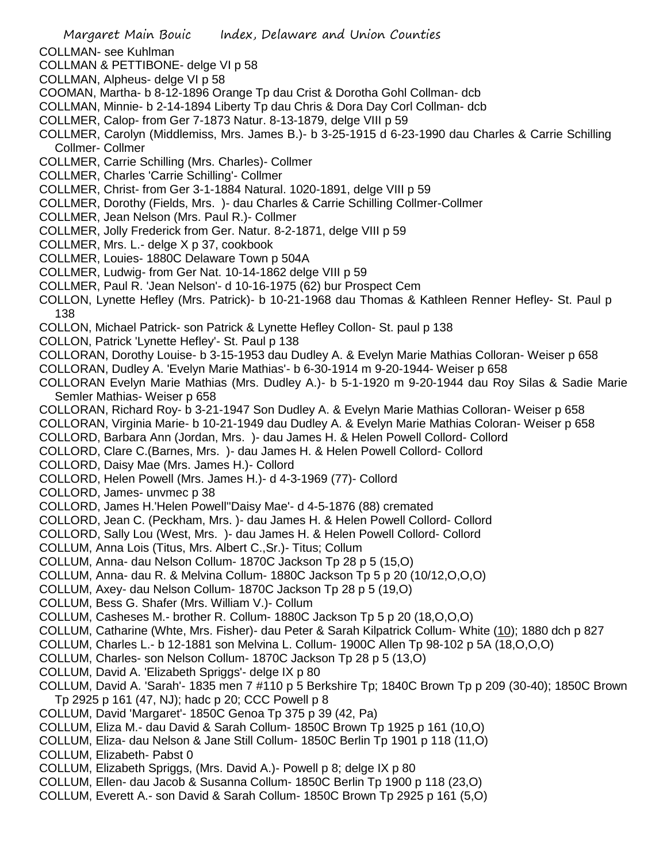COLLMAN- see Kuhlman

- COLLMAN & PETTIBONE- delge VI p 58
- COLLMAN, Alpheus- delge VI p 58
- COOMAN, Martha- b 8-12-1896 Orange Tp dau Crist & Dorotha Gohl Collman- dcb
- COLLMAN, Minnie- b 2-14-1894 Liberty Tp dau Chris & Dora Day Corl Collman- dcb
- COLLMER, Calop- from Ger 7-1873 Natur. 8-13-1879, delge VIII p 59
- COLLMER, Carolyn (Middlemiss, Mrs. James B.)- b 3-25-1915 d 6-23-1990 dau Charles & Carrie Schilling Collmer- Collmer
- COLLMER, Carrie Schilling (Mrs. Charles)- Collmer
- COLLMER, Charles 'Carrie Schilling'- Collmer
- COLLMER, Christ- from Ger 3-1-1884 Natural. 1020-1891, delge VIII p 59
- COLLMER, Dorothy (Fields, Mrs. )- dau Charles & Carrie Schilling Collmer-Collmer
- COLLMER, Jean Nelson (Mrs. Paul R.)- Collmer
- COLLMER, Jolly Frederick from Ger. Natur. 8-2-1871, delge VIII p 59
- COLLMER, Mrs. L.- delge X p 37, cookbook
- COLLMER, Louies- 1880C Delaware Town p 504A
- COLLMER, Ludwig- from Ger Nat. 10-14-1862 delge VIII p 59
- COLLMER, Paul R. 'Jean Nelson'- d 10-16-1975 (62) bur Prospect Cem
- COLLON, Lynette Hefley (Mrs. Patrick)- b 10-21-1968 dau Thomas & Kathleen Renner Hefley- St. Paul p 138
- COLLON, Michael Patrick- son Patrick & Lynette Hefley Collon- St. paul p 138
- COLLON, Patrick 'Lynette Hefley'- St. Paul p 138
- COLLORAN, Dorothy Louise- b 3-15-1953 dau Dudley A. & Evelyn Marie Mathias Colloran- Weiser p 658
- COLLORAN, Dudley A. 'Evelyn Marie Mathias'- b 6-30-1914 m 9-20-1944- Weiser p 658
- COLLORAN Evelyn Marie Mathias (Mrs. Dudley A.)- b 5-1-1920 m 9-20-1944 dau Roy Silas & Sadie Marie Semler Mathias- Weiser p 658
- COLLORAN, Richard Roy- b 3-21-1947 Son Dudley A. & Evelyn Marie Mathias Colloran- Weiser p 658
- COLLORAN, Virginia Marie- b 10-21-1949 dau Dudley A. & Evelyn Marie Mathias Coloran- Weiser p 658
- COLLORD, Barbara Ann (Jordan, Mrs. )- dau James H. & Helen Powell Collord- Collord
- COLLORD, Clare C.(Barnes, Mrs. )- dau James H. & Helen Powell Collord- Collord
- COLLORD, Daisy Mae (Mrs. James H.)- Collord
- COLLORD, Helen Powell (Mrs. James H.)- d 4-3-1969 (77)- Collord
- COLLORD, James- unvmec p 38
- COLLORD, James H.'Helen Powell''Daisy Mae'- d 4-5-1876 (88) cremated
- COLLORD, Jean C. (Peckham, Mrs. )- dau James H. & Helen Powell Collord- Collord
- COLLORD, Sally Lou (West, Mrs. )- dau James H. & Helen Powell Collord- Collord
- COLLUM, Anna Lois (Titus, Mrs. Albert C.,Sr.)- Titus; Collum
- COLLUM, Anna- dau Nelson Collum- 1870C Jackson Tp 28 p 5 (15,O)
- COLLUM, Anna- dau R. & Melvina Collum- 1880C Jackson Tp 5 p 20 (10/12,O,O,O)
- COLLUM, Axey- dau Nelson Collum- 1870C Jackson Tp 28 p 5 (19,O)
- COLLUM, Bess G. Shafer (Mrs. William V.)- Collum
- COLLUM, Casheses M.- brother R. Collum- 1880C Jackson Tp 5 p 20 (18,O,O,O)
- COLLUM, Catharine (Whte, Mrs. Fisher)- dau Peter & Sarah Kilpatrick Collum- White (10); 1880 dch p 827
- COLLUM, Charles L.- b 12-1881 son Melvina L. Collum- 1900C Allen Tp 98-102 p 5A (18,O,O,O)
- COLLUM, Charles- son Nelson Collum- 1870C Jackson Tp 28 p 5 (13,O)
- COLLUM, David A. 'Elizabeth Spriggs'- delge IX p 80
- COLLUM, David A. 'Sarah'- 1835 men 7 #110 p 5 Berkshire Tp; 1840C Brown Tp p 209 (30-40); 1850C Brown Tp 2925 p 161 (47, NJ); hadc p 20; CCC Powell p 8
- COLLUM, David 'Margaret'- 1850C Genoa Tp 375 p 39 (42, Pa)
- COLLUM, Eliza M.- dau David & Sarah Collum- 1850C Brown Tp 1925 p 161 (10,O)
- COLLUM, Eliza- dau Nelson & Jane Still Collum- 1850C Berlin Tp 1901 p 118 (11,O) COLLUM, Elizabeth- Pabst 0
- COLLUM, Elizabeth Spriggs, (Mrs. David A.)- Powell p 8; delge IX p 80
- COLLUM, Ellen- dau Jacob & Susanna Collum- 1850C Berlin Tp 1900 p 118 (23,O)
- COLLUM, Everett A.- son David & Sarah Collum- 1850C Brown Tp 2925 p 161 (5,O)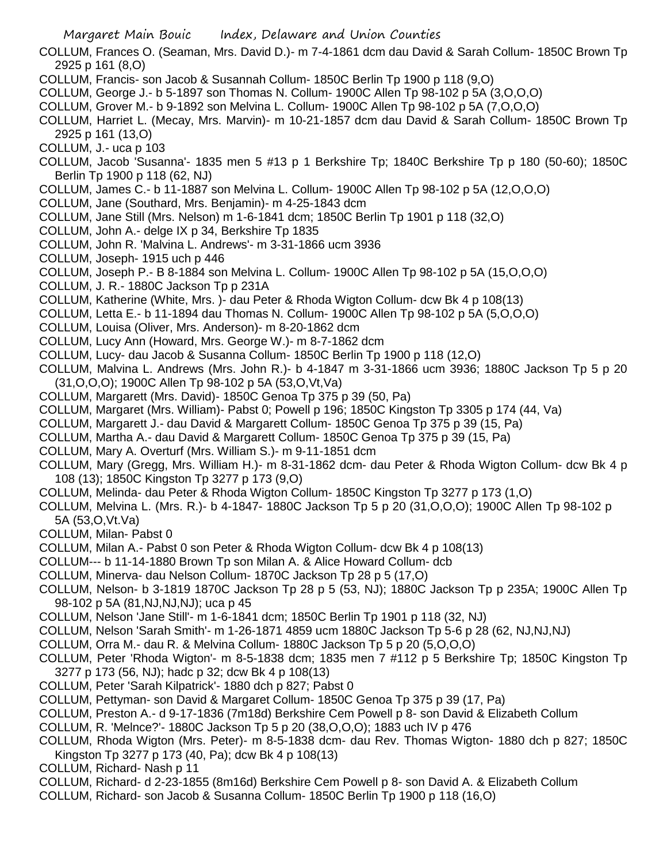- COLLUM, Frances O. (Seaman, Mrs. David D.)- m 7-4-1861 dcm dau David & Sarah Collum- 1850C Brown Tp 2925 p 161 (8,O)
- COLLUM, Francis- son Jacob & Susannah Collum- 1850C Berlin Tp 1900 p 118 (9,O)
- COLLUM, George J.- b 5-1897 son Thomas N. Collum- 1900C Allen Tp 98-102 p 5A (3,O,O,O)
- COLLUM, Grover M.- b 9-1892 son Melvina L. Collum- 1900C Allen Tp 98-102 p 5A (7,O,O,O)
- COLLUM, Harriet L. (Mecay, Mrs. Marvin)- m 10-21-1857 dcm dau David & Sarah Collum- 1850C Brown Tp 2925 p 161 (13,O)
- COLLUM, J.- uca p 103
- COLLUM, Jacob 'Susanna'- 1835 men 5 #13 p 1 Berkshire Tp; 1840C Berkshire Tp p 180 (50-60); 1850C Berlin Tp 1900 p 118 (62, NJ)
- COLLUM, James C.- b 11-1887 son Melvina L. Collum- 1900C Allen Tp 98-102 p 5A (12,O,O,O)
- COLLUM, Jane (Southard, Mrs. Benjamin)- m 4-25-1843 dcm
- COLLUM, Jane Still (Mrs. Nelson) m 1-6-1841 dcm; 1850C Berlin Tp 1901 p 118 (32,O)
- COLLUM, John A.- delge IX p 34, Berkshire Tp 1835
- COLLUM, John R. 'Malvina L. Andrews'- m 3-31-1866 ucm 3936
- COLLUM, Joseph- 1915 uch p 446
- COLLUM, Joseph P.- B 8-1884 son Melvina L. Collum- 1900C Allen Tp 98-102 p 5A (15,O,O,O)
- COLLUM, J. R.- 1880C Jackson Tp p 231A
- COLLUM, Katherine (White, Mrs. )- dau Peter & Rhoda Wigton Collum- dcw Bk 4 p 108(13)
- COLLUM, Letta E.- b 11-1894 dau Thomas N. Collum- 1900C Allen Tp 98-102 p 5A (5,O,O,O)
- COLLUM, Louisa (Oliver, Mrs. Anderson)- m 8-20-1862 dcm
- COLLUM, Lucy Ann (Howard, Mrs. George W.)- m 8-7-1862 dcm
- COLLUM, Lucy- dau Jacob & Susanna Collum- 1850C Berlin Tp 1900 p 118 (12,O)
- COLLUM, Malvina L. Andrews (Mrs. John R.)- b 4-1847 m 3-31-1866 ucm 3936; 1880C Jackson Tp 5 p 20 (31,O,O,O); 1900C Allen Tp 98-102 p 5A (53,O,Vt,Va)
- COLLUM, Margarett (Mrs. David)- 1850C Genoa Tp 375 p 39 (50, Pa)
- COLLUM, Margaret (Mrs. William)- Pabst 0; Powell p 196; 1850C Kingston Tp 3305 p 174 (44, Va)
- COLLUM, Margarett J.- dau David & Margarett Collum- 1850C Genoa Tp 375 p 39 (15, Pa)
- COLLUM, Martha A.- dau David & Margarett Collum- 1850C Genoa Tp 375 p 39 (15, Pa)
- COLLUM, Mary A. Overturf (Mrs. William S.)- m 9-11-1851 dcm
- COLLUM, Mary (Gregg, Mrs. William H.)- m 8-31-1862 dcm- dau Peter & Rhoda Wigton Collum- dcw Bk 4 p 108 (13); 1850C Kingston Tp 3277 p 173 (9,O)
- COLLUM, Melinda- dau Peter & Rhoda Wigton Collum- 1850C Kingston Tp 3277 p 173 (1,O)
- COLLUM, Melvina L. (Mrs. R.)- b 4-1847- 1880C Jackson Tp 5 p 20 (31,O,O,O); 1900C Allen Tp 98-102 p 5A (53,O,Vt.Va)
- COLLUM, Milan- Pabst 0
- COLLUM, Milan A.- Pabst 0 son Peter & Rhoda Wigton Collum- dcw Bk 4 p 108(13)
- COLLUM--- b 11-14-1880 Brown Tp son Milan A. & Alice Howard Collum- dcb
- COLLUM, Minerva- dau Nelson Collum- 1870C Jackson Tp 28 p 5 (17,O)
- COLLUM, Nelson- b 3-1819 1870C Jackson Tp 28 p 5 (53, NJ); 1880C Jackson Tp p 235A; 1900C Allen Tp 98-102 p 5A (81,NJ,NJ,NJ); uca p 45
- COLLUM, Nelson 'Jane Still'- m 1-6-1841 dcm; 1850C Berlin Tp 1901 p 118 (32, NJ)
- COLLUM, Nelson 'Sarah Smith'- m 1-26-1871 4859 ucm 1880C Jackson Tp 5-6 p 28 (62, NJ,NJ,NJ)
- COLLUM, Orra M.- dau R. & Melvina Collum- 1880C Jackson Tp 5 p 20 (5,O,O,O)
- COLLUM, Peter 'Rhoda Wigton'- m 8-5-1838 dcm; 1835 men 7 #112 p 5 Berkshire Tp; 1850C Kingston Tp 3277 p 173 (56, NJ); hadc p 32; dcw Bk 4 p 108(13)
- COLLUM, Peter 'Sarah Kilpatrick'- 1880 dch p 827; Pabst 0
- COLLUM, Pettyman- son David & Margaret Collum- 1850C Genoa Tp 375 p 39 (17, Pa)
- COLLUM, Preston A.- d 9-17-1836 (7m18d) Berkshire Cem Powell p 8- son David & Elizabeth Collum
- COLLUM, R. 'Melnce?'- 1880C Jackson Tp 5 p 20 (38,O,O,O); 1883 uch IV p 476
- COLLUM, Rhoda Wigton (Mrs. Peter)- m 8-5-1838 dcm- dau Rev. Thomas Wigton- 1880 dch p 827; 1850C Kingston Tp 3277 p 173 (40, Pa); dcw Bk 4 p 108(13)
- COLLUM, Richard- Nash p 11
- COLLUM, Richard- d 2-23-1855 (8m16d) Berkshire Cem Powell p 8- son David A. & Elizabeth Collum
- COLLUM, Richard- son Jacob & Susanna Collum- 1850C Berlin Tp 1900 p 118 (16,O)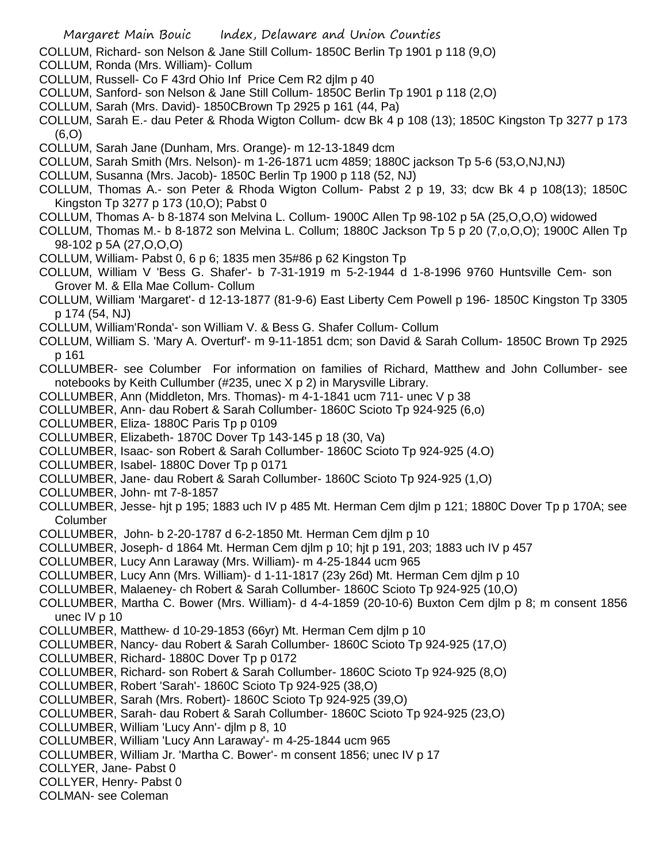COLLUM, Richard- son Nelson & Jane Still Collum- 1850C Berlin Tp 1901 p 118 (9,O)

- COLLUM, Ronda (Mrs. William)- Collum
- COLLUM, Russell- Co F 43rd Ohio Inf Price Cem R2 djlm p 40
- COLLUM, Sanford- son Nelson & Jane Still Collum- 1850C Berlin Tp 1901 p 118 (2,O)
- COLLUM, Sarah (Mrs. David)- 1850CBrown Tp 2925 p 161 (44, Pa)
- COLLUM, Sarah E.- dau Peter & Rhoda Wigton Collum- dcw Bk 4 p 108 (13); 1850C Kingston Tp 3277 p 173 (6,O)
- COLLUM, Sarah Jane (Dunham, Mrs. Orange)- m 12-13-1849 dcm
- COLLUM, Sarah Smith (Mrs. Nelson)- m 1-26-1871 ucm 4859; 1880C jackson Tp 5-6 (53,O,NJ,NJ)
- COLLUM, Susanna (Mrs. Jacob)- 1850C Berlin Tp 1900 p 118 (52, NJ)
- COLLUM, Thomas A.- son Peter & Rhoda Wigton Collum- Pabst 2 p 19, 33; dcw Bk 4 p 108(13); 1850C Kingston Tp 3277 p 173 (10,O); Pabst 0
- COLLUM, Thomas A- b 8-1874 son Melvina L. Collum- 1900C Allen Tp 98-102 p 5A (25,O,O,O) widowed
- COLLUM, Thomas M.- b 8-1872 son Melvina L. Collum; 1880C Jackson Tp 5 p 20 (7,o,O,O); 1900C Allen Tp 98-102 p 5A (27,O,O,O)
- COLLUM, William- Pabst 0, 6 p 6; 1835 men 35#86 p 62 Kingston Tp
- COLLUM, William V 'Bess G. Shafer'- b 7-31-1919 m 5-2-1944 d 1-8-1996 9760 Huntsville Cem- son Grover M. & Ella Mae Collum- Collum
- COLLUM, William 'Margaret'- d 12-13-1877 (81-9-6) East Liberty Cem Powell p 196- 1850C Kingston Tp 3305 p 174 (54, NJ)
- COLLUM, William'Ronda'- son William V. & Bess G. Shafer Collum- Collum
- COLLUM, William S. 'Mary A. Overturf'- m 9-11-1851 dcm; son David & Sarah Collum- 1850C Brown Tp 2925 p 161
- COLLUMBER- see Columber For information on families of Richard, Matthew and John Collumber- see notebooks by Keith Cullumber (#235, unec X p 2) in Marysville Library.
- COLLUMBER, Ann (Middleton, Mrs. Thomas)- m 4-1-1841 ucm 711- unec V p 38
- COLLUMBER, Ann- dau Robert & Sarah Collumber- 1860C Scioto Tp 924-925 (6,o)
- COLLUMBER, Eliza- 1880C Paris Tp p 0109
- COLLUMBER, Elizabeth- 1870C Dover Tp 143-145 p 18 (30, Va)
- COLLUMBER, Isaac- son Robert & Sarah Collumber- 1860C Scioto Tp 924-925 (4.O)
- COLLUMBER, Isabel- 1880C Dover Tp p 0171
- COLLUMBER, Jane- dau Robert & Sarah Collumber- 1860C Scioto Tp 924-925 (1,O)
- COLLUMBER, John- mt 7-8-1857
- COLLUMBER, Jesse- hjt p 195; 1883 uch IV p 485 Mt. Herman Cem djlm p 121; 1880C Dover Tp p 170A; see **Columber**
- COLLUMBER, John- b 2-20-1787 d 6-2-1850 Mt. Herman Cem djlm p 10
- COLLUMBER, Joseph- d 1864 Mt. Herman Cem djlm p 10; hjt p 191, 203; 1883 uch IV p 457
- COLLUMBER, Lucy Ann Laraway (Mrs. William)- m 4-25-1844 ucm 965
- COLLUMBER, Lucy Ann (Mrs. William)- d 1-11-1817 (23y 26d) Mt. Herman Cem djlm p 10
- COLLUMBER, Malaeney- ch Robert & Sarah Collumber- 1860C Scioto Tp 924-925 (10,O)
- COLLUMBER, Martha C. Bower (Mrs. William)- d 4-4-1859 (20-10-6) Buxton Cem djlm p 8; m consent 1856 unec IV p 10
- COLLUMBER, Matthew- d 10-29-1853 (66yr) Mt. Herman Cem djlm p 10
- COLLUMBER, Nancy- dau Robert & Sarah Collumber- 1860C Scioto Tp 924-925 (17,O)
- COLLUMBER, Richard- 1880C Dover Tp p 0172
- COLLUMBER, Richard- son Robert & Sarah Collumber- 1860C Scioto Tp 924-925 (8,O)
- COLLUMBER, Robert 'Sarah'- 1860C Scioto Tp 924-925 (38,O)
- COLLUMBER, Sarah (Mrs. Robert)- 1860C Scioto Tp 924-925 (39,O)
- COLLUMBER, Sarah- dau Robert & Sarah Collumber- 1860C Scioto Tp 924-925 (23,O)
- COLLUMBER, William 'Lucy Ann'- djlm p 8, 10
- COLLUMBER, William 'Lucy Ann Laraway'- m 4-25-1844 ucm 965
- COLLUMBER, William Jr. 'Martha C. Bower'- m consent 1856; unec IV p 17
- COLLYER, Jane- Pabst 0
- COLLYER, Henry- Pabst 0
- COLMAN- see Coleman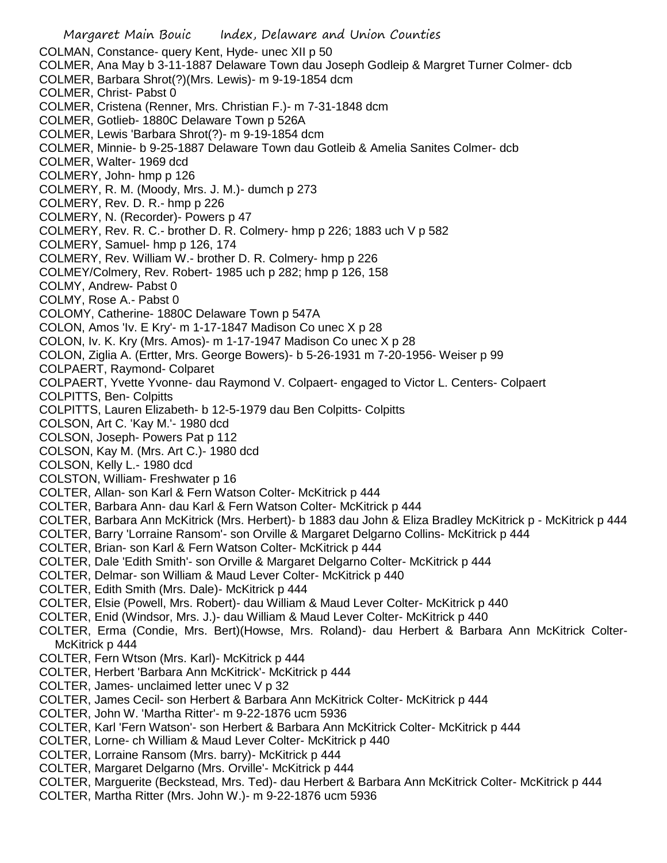Margaret Main Bouic Index, Delaware and Union Counties COLMAN, Constance- query Kent, Hyde- unec XII p 50 COLMER, Ana May b 3-11-1887 Delaware Town dau Joseph Godleip & Margret Turner Colmer- dcb COLMER, Barbara Shrot(?)(Mrs. Lewis)- m 9-19-1854 dcm COLMER, Christ- Pabst 0 COLMER, Cristena (Renner, Mrs. Christian F.)- m 7-31-1848 dcm COLMER, Gotlieb- 1880C Delaware Town p 526A COLMER, Lewis 'Barbara Shrot(?)- m 9-19-1854 dcm COLMER, Minnie- b 9-25-1887 Delaware Town dau Gotleib & Amelia Sanites Colmer- dcb COLMER, Walter- 1969 dcd COLMERY, John- hmp p 126 COLMERY, R. M. (Moody, Mrs. J. M.)- dumch p 273 COLMERY, Rev. D. R.- hmp p 226 COLMERY, N. (Recorder)- Powers p 47 COLMERY, Rev. R. C.- brother D. R. Colmery- hmp p 226; 1883 uch V p 582 COLMERY, Samuel- hmp p 126, 174 COLMERY, Rev. William W.- brother D. R. Colmery- hmp p 226 COLMEY/Colmery, Rev. Robert- 1985 uch p 282; hmp p 126, 158 COLMY, Andrew- Pabst 0 COLMY, Rose A.- Pabst 0 COLOMY, Catherine- 1880C Delaware Town p 547A COLON, Amos 'Iv. E Kry'- m 1-17-1847 Madison Co unec X p 28 COLON, Iv. K. Kry (Mrs. Amos)- m 1-17-1947 Madison Co unec X p 28 COLON, Ziglia A. (Ertter, Mrs. George Bowers)- b 5-26-1931 m 7-20-1956- Weiser p 99 COLPAERT, Raymond- Colparet COLPAERT, Yvette Yvonne- dau Raymond V. Colpaert- engaged to Victor L. Centers- Colpaert COLPITTS, Ben- Colpitts COLPITTS, Lauren Elizabeth- b 12-5-1979 dau Ben Colpitts- Colpitts COLSON, Art C. 'Kay M.'- 1980 dcd COLSON, Joseph- Powers Pat p 112 COLSON, Kay M. (Mrs. Art C.)- 1980 dcd COLSON, Kelly L.- 1980 dcd COLSTON, William- Freshwater p 16 COLTER, Allan- son Karl & Fern Watson Colter- McKitrick p 444 COLTER, Barbara Ann- dau Karl & Fern Watson Colter- McKitrick p 444 COLTER, Barbara Ann McKitrick (Mrs. Herbert)- b 1883 dau John & Eliza Bradley McKitrick p - McKitrick p 444 COLTER, Barry 'Lorraine Ransom'- son Orville & Margaret Delgarno Collins- McKitrick p 444 COLTER, Brian- son Karl & Fern Watson Colter- McKitrick p 444 COLTER, Dale 'Edith Smith'- son Orville & Margaret Delgarno Colter- McKitrick p 444 COLTER, Delmar- son William & Maud Lever Colter- McKitrick p 440 COLTER, Edith Smith (Mrs. Dale)- McKitrick p 444 COLTER, Elsie (Powell, Mrs. Robert)- dau William & Maud Lever Colter- McKitrick p 440 COLTER, Enid (Windsor, Mrs. J.)- dau William & Maud Lever Colter- McKitrick p 440 COLTER, Erma (Condie, Mrs. Bert)(Howse, Mrs. Roland)- dau Herbert & Barbara Ann McKitrick Colter-McKitrick p 444 COLTER, Fern Wtson (Mrs. Karl)- McKitrick p 444 COLTER, Herbert 'Barbara Ann McKitrick'- McKitrick p 444 COLTER, James- unclaimed letter unec V p 32 COLTER, James Cecil- son Herbert & Barbara Ann McKitrick Colter- McKitrick p 444 COLTER, John W. 'Martha Ritter'- m 9-22-1876 ucm 5936 COLTER, Karl 'Fern Watson'- son Herbert & Barbara Ann McKitrick Colter- McKitrick p 444 COLTER, Lorne- ch William & Maud Lever Colter- McKitrick p 440 COLTER, Lorraine Ransom (Mrs. barry)- McKitrick p 444 COLTER, Margaret Delgarno (Mrs. Orville'- McKitrick p 444 COLTER, Marguerite (Beckstead, Mrs. Ted)- dau Herbert & Barbara Ann McKitrick Colter- McKitrick p 444 COLTER, Martha Ritter (Mrs. John W.)- m 9-22-1876 ucm 5936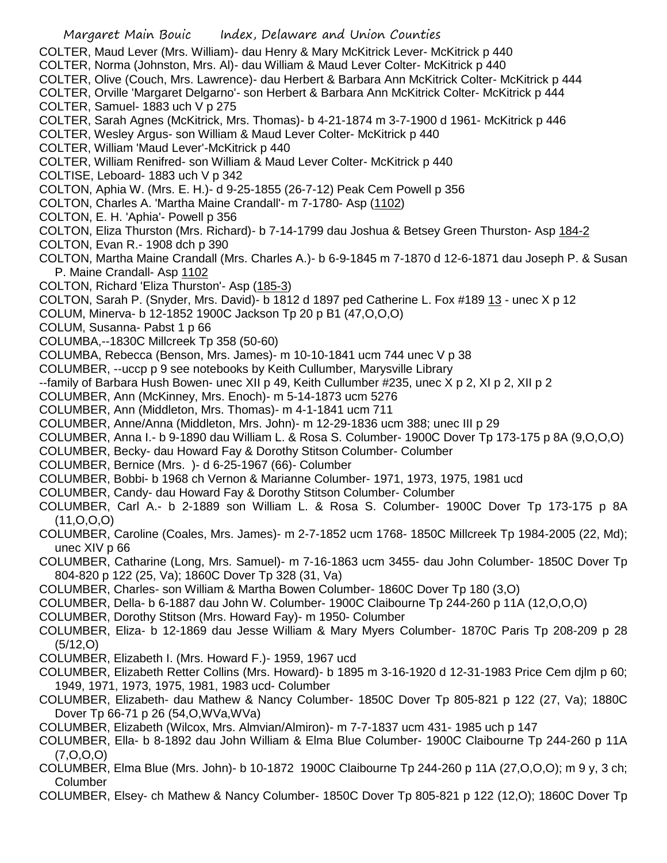Margaret Main Bouic Index, Delaware and Union Counties COLTER, Maud Lever (Mrs. William)- dau Henry & Mary McKitrick Lever- McKitrick p 440 COLTER, Norma (Johnston, Mrs. Al)- dau William & Maud Lever Colter- McKitrick p 440 COLTER, Olive (Couch, Mrs. Lawrence)- dau Herbert & Barbara Ann McKitrick Colter- McKitrick p 444 COLTER, Orville 'Margaret Delgarno'- son Herbert & Barbara Ann McKitrick Colter- McKitrick p 444 COLTER, Samuel- 1883 uch V p 275 COLTER, Sarah Agnes (McKitrick, Mrs. Thomas)- b 4-21-1874 m 3-7-1900 d 1961- McKitrick p 446 COLTER, Wesley Argus- son William & Maud Lever Colter- McKitrick p 440 COLTER, William 'Maud Lever'-McKitrick p 440 COLTER, William Renifred- son William & Maud Lever Colter- McKitrick p 440 COLTISE, Leboard- 1883 uch V p 342 COLTON, Aphia W. (Mrs. E. H.)- d 9-25-1855 (26-7-12) Peak Cem Powell p 356 COLTON, Charles A. 'Martha Maine Crandall'- m 7-1780- Asp (1102) COLTON, E. H. 'Aphia'- Powell p 356 COLTON, Eliza Thurston (Mrs. Richard)- b 7-14-1799 dau Joshua & Betsey Green Thurston- Asp 184-2 COLTON, Evan R.- 1908 dch p 390 COLTON, Martha Maine Crandall (Mrs. Charles A.)- b 6-9-1845 m 7-1870 d 12-6-1871 dau Joseph P. & Susan P. Maine Crandall- Asp 1102 COLTON, Richard 'Eliza Thurston'- Asp (185-3) COLTON, Sarah P. (Snyder, Mrs. David)- b 1812 d 1897 ped Catherine L. Fox #189 13 - unec X p 12 COLUM, Minerva- b 12-1852 1900C Jackson Tp 20 p B1 (47,O,O,O) COLUM, Susanna- Pabst 1 p 66 COLUMBA,--1830C Millcreek Tp 358 (50-60) COLUMBA, Rebecca (Benson, Mrs. James)- m 10-10-1841 ucm 744 unec V p 38 COLUMBER, --uccp p 9 see notebooks by Keith Cullumber, Marysville Library --family of Barbara Hush Bowen- unec XII p 49, Keith Cullumber #235, unec X p 2, XI p 2, XII p 2 COLUMBER, Ann (McKinney, Mrs. Enoch)- m 5-14-1873 ucm 5276 COLUMBER, Ann (Middleton, Mrs. Thomas)- m 4-1-1841 ucm 711 COLUMBER, Anne/Anna (Middleton, Mrs. John)- m 12-29-1836 ucm 388; unec III p 29 COLUMBER, Anna I.- b 9-1890 dau William L. & Rosa S. Columber- 1900C Dover Tp 173-175 p 8A (9,O,O,O) COLUMBER, Becky- dau Howard Fay & Dorothy Stitson Columber- Columber COLUMBER, Bernice (Mrs. )- d 6-25-1967 (66)- Columber COLUMBER, Bobbi- b 1968 ch Vernon & Marianne Columber- 1971, 1973, 1975, 1981 ucd COLUMBER, Candy- dau Howard Fay & Dorothy Stitson Columber- Columber COLUMBER, Carl A.- b 2-1889 son William L. & Rosa S. Columber- 1900C Dover Tp 173-175 p 8A  $(11, 0, 0, 0)$ COLUMBER, Caroline (Coales, Mrs. James)- m 2-7-1852 ucm 1768- 1850C Millcreek Tp 1984-2005 (22, Md); unec XIV p 66 COLUMBER, Catharine (Long, Mrs. Samuel)- m 7-16-1863 ucm 3455- dau John Columber- 1850C Dover Tp 804-820 p 122 (25, Va); 1860C Dover Tp 328 (31, Va) COLUMBER, Charles- son William & Martha Bowen Columber- 1860C Dover Tp 180 (3,O) COLUMBER, Della- b 6-1887 dau John W. Columber- 1900C Claibourne Tp 244-260 p 11A (12,O,O,O) COLUMBER, Dorothy Stitson (Mrs. Howard Fay)- m 1950- Columber COLUMBER, Eliza- b 12-1869 dau Jesse William & Mary Myers Columber- 1870C Paris Tp 208-209 p 28 (5/12,O) COLUMBER, Elizabeth I. (Mrs. Howard F.)- 1959, 1967 ucd COLUMBER, Elizabeth Retter Collins (Mrs. Howard)- b 1895 m 3-16-1920 d 12-31-1983 Price Cem djlm p 60; 1949, 1971, 1973, 1975, 1981, 1983 ucd- Columber COLUMBER, Elizabeth- dau Mathew & Nancy Columber- 1850C Dover Tp 805-821 p 122 (27, Va); 1880C Dover Tp 66-71 p 26 (54,O,WVa,WVa) COLUMBER, Elizabeth (Wilcox, Mrs. Almvian/Almiron)- m 7-7-1837 ucm 431- 1985 uch p 147 COLUMBER, Ella- b 8-1892 dau John William & Elma Blue Columber- 1900C Claibourne Tp 244-260 p 11A (7,O,O,O) COLUMBER, Elma Blue (Mrs. John)- b 10-1872 1900C Claibourne Tp 244-260 p 11A (27,O,O,O); m 9 y, 3 ch; Columber COLUMBER, Elsey- ch Mathew & Nancy Columber- 1850C Dover Tp 805-821 p 122 (12,O); 1860C Dover Tp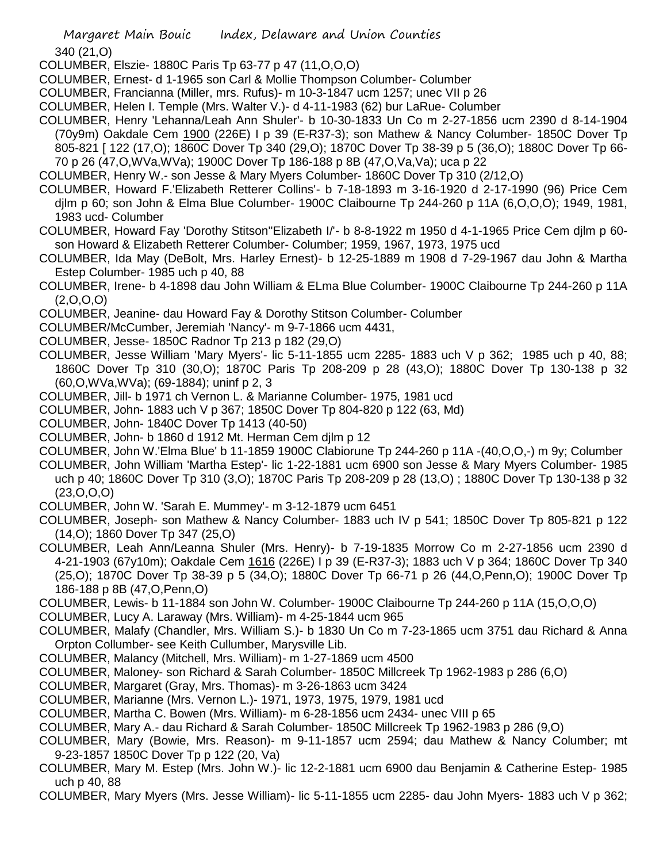340 (21,O)

- COLUMBER, Elszie- 1880C Paris Tp 63-77 p 47 (11,O,O,O)
- COLUMBER, Ernest- d 1-1965 son Carl & Mollie Thompson Columber- Columber
- COLUMBER, Francianna (Miller, mrs. Rufus)- m 10-3-1847 ucm 1257; unec VII p 26
- COLUMBER, Helen I. Temple (Mrs. Walter V.)- d 4-11-1983 (62) bur LaRue- Columber
- COLUMBER, Henry 'Lehanna/Leah Ann Shuler'- b 10-30-1833 Un Co m 2-27-1856 ucm 2390 d 8-14-1904 (70y9m) Oakdale Cem 1900 (226E) I p 39 (E-R37-3); son Mathew & Nancy Columber- 1850C Dover Tp 805-821 [ 122 (17,O); 1860C Dover Tp 340 (29,O); 1870C Dover Tp 38-39 p 5 (36,O); 1880C Dover Tp 66- 70 p 26 (47,O,WVa,WVa); 1900C Dover Tp 186-188 p 8B (47,O,Va,Va); uca p 22
- COLUMBER, Henry W.- son Jesse & Mary Myers Columber- 1860C Dover Tp 310 (2/12,O)
- COLUMBER, Howard F.'Elizabeth Retterer Collins'- b 7-18-1893 m 3-16-1920 d 2-17-1990 (96) Price Cem djlm p 60; son John & Elma Blue Columber- 1900C Claibourne Tp 244-260 p 11A (6,O,O,O); 1949, 1981, 1983 ucd- Columber
- COLUMBER, Howard Fay 'Dorothy Stitson''Elizabeth I/'- b 8-8-1922 m 1950 d 4-1-1965 Price Cem djlm p 60 son Howard & Elizabeth Retterer Columber- Columber; 1959, 1967, 1973, 1975 ucd
- COLUMBER, Ida May (DeBolt, Mrs. Harley Ernest)- b 12-25-1889 m 1908 d 7-29-1967 dau John & Martha Estep Columber- 1985 uch p 40, 88
- COLUMBER, Irene- b 4-1898 dau John William & ELma Blue Columber- 1900C Claibourne Tp 244-260 p 11A (2,O,O,O)
- COLUMBER, Jeanine- dau Howard Fay & Dorothy Stitson Columber- Columber
- COLUMBER/McCumber, Jeremiah 'Nancy'- m 9-7-1866 ucm 4431,
- COLUMBER, Jesse- 1850C Radnor Tp 213 p 182 (29,O)
- COLUMBER, Jesse William 'Mary Myers'- lic 5-11-1855 ucm 2285- 1883 uch V p 362; 1985 uch p 40, 88; 1860C Dover Tp 310 (30,O); 1870C Paris Tp 208-209 p 28 (43,O); 1880C Dover Tp 130-138 p 32 (60,O,WVa,WVa); (69-1884); uninf p 2, 3
- COLUMBER, Jill- b 1971 ch Vernon L. & Marianne Columber- 1975, 1981 ucd
- COLUMBER, John- 1883 uch V p 367; 1850C Dover Tp 804-820 p 122 (63, Md)
- COLUMBER, John- 1840C Dover Tp 1413 (40-50)
- COLUMBER, John- b 1860 d 1912 Mt. Herman Cem djlm p 12
- COLUMBER, John W.'Elma Blue' b 11-1859 1900C Clabiorune Tp 244-260 p 11A -(40,O,O,-) m 9y; Columber
- COLUMBER, John William 'Martha Estep'- lic 1-22-1881 ucm 6900 son Jesse & Mary Myers Columber- 1985 uch p 40; 1860C Dover Tp 310 (3,O); 1870C Paris Tp 208-209 p 28 (13,O) ; 1880C Dover Tp 130-138 p 32  $(23,0,0,0)$
- COLUMBER, John W. 'Sarah E. Mummey'- m 3-12-1879 ucm 6451
- COLUMBER, Joseph- son Mathew & Nancy Columber- 1883 uch IV p 541; 1850C Dover Tp 805-821 p 122 (14,O); 1860 Dover Tp 347 (25,O)
- COLUMBER, Leah Ann/Leanna Shuler (Mrs. Henry)- b 7-19-1835 Morrow Co m 2-27-1856 ucm 2390 d 4-21-1903 (67y10m); Oakdale Cem 1616 (226E) I p 39 (E-R37-3); 1883 uch V p 364; 1860C Dover Tp 340 (25,O); 1870C Dover Tp 38-39 p 5 (34,O); 1880C Dover Tp 66-71 p 26 (44,O,Penn,O); 1900C Dover Tp 186-188 p 8B (47,O,Penn,O)
- COLUMBER, Lewis- b 11-1884 son John W. Columber- 1900C Claibourne Tp 244-260 p 11A (15,O,O,O)
- COLUMBER, Lucy A. Laraway (Mrs. William)- m 4-25-1844 ucm 965
- COLUMBER, Malafy (Chandler, Mrs. William S.)- b 1830 Un Co m 7-23-1865 ucm 3751 dau Richard & Anna Orpton Collumber- see Keith Cullumber, Marysville Lib.
- COLUMBER, Malancy (Mitchell, Mrs. William)- m 1-27-1869 ucm 4500
- COLUMBER, Maloney- son Richard & Sarah Columber- 1850C Millcreek Tp 1962-1983 p 286 (6,O)
- COLUMBER, Margaret (Gray, Mrs. Thomas)- m 3-26-1863 ucm 3424
- COLUMBER, Marianne (Mrs. Vernon L.)- 1971, 1973, 1975, 1979, 1981 ucd
- COLUMBER, Martha C. Bowen (Mrs. William)- m 6-28-1856 ucm 2434- unec VIII p 65
- COLUMBER, Mary A.- dau Richard & Sarah Columber- 1850C Millcreek Tp 1962-1983 p 286 (9,O)
- COLUMBER, Mary (Bowie, Mrs. Reason)- m 9-11-1857 ucm 2594; dau Mathew & Nancy Columber; mt 9-23-1857 1850C Dover Tp p 122 (20, Va)
- COLUMBER, Mary M. Estep (Mrs. John W.)- lic 12-2-1881 ucm 6900 dau Benjamin & Catherine Estep- 1985 uch p 40, 88
- COLUMBER, Mary Myers (Mrs. Jesse William)- lic 5-11-1855 ucm 2285- dau John Myers- 1883 uch V p 362;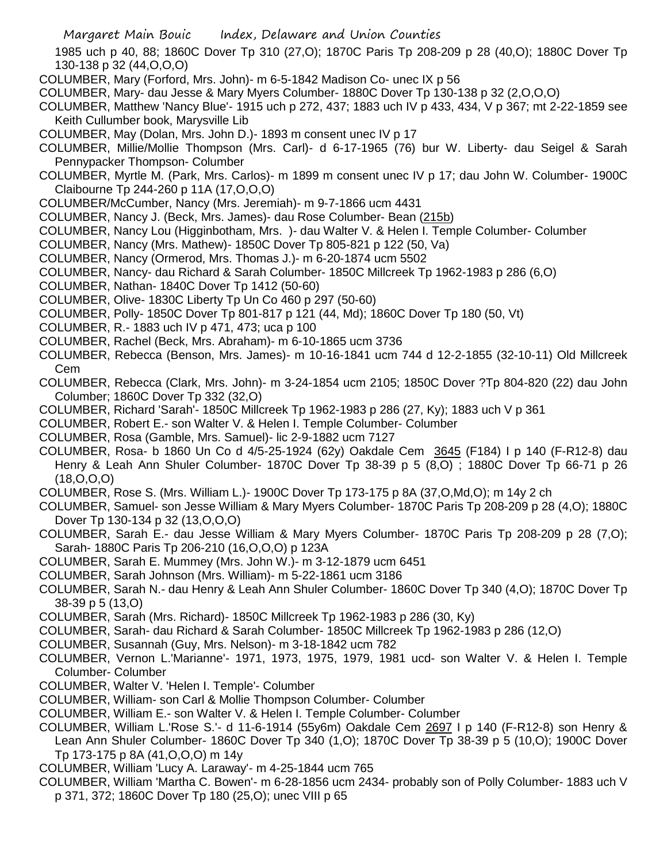1985 uch p 40, 88; 1860C Dover Tp 310 (27,O); 1870C Paris Tp 208-209 p 28 (40,O); 1880C Dover Tp 130-138 p 32 (44,O,O,O)

COLUMBER, Mary (Forford, Mrs. John)- m 6-5-1842 Madison Co- unec IX p 56

COLUMBER, Mary- dau Jesse & Mary Myers Columber- 1880C Dover Tp 130-138 p 32 (2,O,O,O)

COLUMBER, Matthew 'Nancy Blue'- 1915 uch p 272, 437; 1883 uch IV p 433, 434, V p 367; mt 2-22-1859 see Keith Cullumber book, Marysville Lib

COLUMBER, May (Dolan, Mrs. John D.)- 1893 m consent unec IV p 17

COLUMBER, Millie/Mollie Thompson (Mrs. Carl)- d 6-17-1965 (76) bur W. Liberty- dau Seigel & Sarah Pennypacker Thompson- Columber

COLUMBER, Myrtle M. (Park, Mrs. Carlos)- m 1899 m consent unec IV p 17; dau John W. Columber- 1900C Claibourne Tp 244-260 p 11A (17,O,O,O)

COLUMBER/McCumber, Nancy (Mrs. Jeremiah)- m 9-7-1866 ucm 4431

- COLUMBER, Nancy J. (Beck, Mrs. James)- dau Rose Columber- Bean (215b)
- COLUMBER, Nancy Lou (Higginbotham, Mrs. )- dau Walter V. & Helen I. Temple Columber- Columber
- COLUMBER, Nancy (Mrs. Mathew)- 1850C Dover Tp 805-821 p 122 (50, Va)
- COLUMBER, Nancy (Ormerod, Mrs. Thomas J.)- m 6-20-1874 ucm 5502
- COLUMBER, Nancy- dau Richard & Sarah Columber- 1850C Millcreek Tp 1962-1983 p 286 (6,O)
- COLUMBER, Nathan- 1840C Dover Tp 1412 (50-60)
- COLUMBER, Olive- 1830C Liberty Tp Un Co 460 p 297 (50-60)
- COLUMBER, Polly- 1850C Dover Tp 801-817 p 121 (44, Md); 1860C Dover Tp 180 (50, Vt)
- COLUMBER, R.- 1883 uch IV p 471, 473; uca p 100
- COLUMBER, Rachel (Beck, Mrs. Abraham)- m 6-10-1865 ucm 3736
- COLUMBER, Rebecca (Benson, Mrs. James)- m 10-16-1841 ucm 744 d 12-2-1855 (32-10-11) Old Millcreek Cem
- COLUMBER, Rebecca (Clark, Mrs. John)- m 3-24-1854 ucm 2105; 1850C Dover ?Tp 804-820 (22) dau John Columber; 1860C Dover Tp 332 (32,O)
- COLUMBER, Richard 'Sarah'- 1850C Millcreek Tp 1962-1983 p 286 (27, Ky); 1883 uch V p 361
- COLUMBER, Robert E.- son Walter V. & Helen I. Temple Columber- Columber
- COLUMBER, Rosa (Gamble, Mrs. Samuel)- lic 2-9-1882 ucm 7127
- COLUMBER, Rosa- b 1860 Un Co d 4/5-25-1924 (62y) Oakdale Cem 3645 (F184) I p 140 (F-R12-8) dau Henry & Leah Ann Shuler Columber- 1870C Dover Tp 38-39 p 5 (8,O) ; 1880C Dover Tp 66-71 p 26 (18,O,O,O)
- COLUMBER, Rose S. (Mrs. William L.)- 1900C Dover Tp 173-175 p 8A (37,O,Md,O); m 14y 2 ch
- COLUMBER, Samuel- son Jesse William & Mary Myers Columber- 1870C Paris Tp 208-209 p 28 (4,O); 1880C Dover Tp 130-134 p 32 (13,O,O,O)
- COLUMBER, Sarah E.- dau Jesse William & Mary Myers Columber- 1870C Paris Tp 208-209 p 28 (7,O); Sarah- 1880C Paris Tp 206-210 (16,O,O,O) p 123A
- COLUMBER, Sarah E. Mummey (Mrs. John W.)- m 3-12-1879 ucm 6451
- COLUMBER, Sarah Johnson (Mrs. William)- m 5-22-1861 ucm 3186
- COLUMBER, Sarah N.- dau Henry & Leah Ann Shuler Columber- 1860C Dover Tp 340 (4,O); 1870C Dover Tp 38-39 p 5 (13,O)
- COLUMBER, Sarah (Mrs. Richard)- 1850C Millcreek Tp 1962-1983 p 286 (30, Ky)
- COLUMBER, Sarah- dau Richard & Sarah Columber- 1850C Millcreek Tp 1962-1983 p 286 (12,O)
- COLUMBER, Susannah (Guy, Mrs. Nelson)- m 3-18-1842 ucm 782
- COLUMBER, Vernon L.'Marianne'- 1971, 1973, 1975, 1979, 1981 ucd- son Walter V. & Helen I. Temple Columber- Columber
- COLUMBER, Walter V. 'Helen I. Temple'- Columber
- COLUMBER, William- son Carl & Mollie Thompson Columber- Columber
- COLUMBER, William E.- son Walter V. & Helen I. Temple Columber- Columber
- COLUMBER, William L.'Rose S.'- d 11-6-1914 (55y6m) Oakdale Cem 2697 I p 140 (F-R12-8) son Henry & Lean Ann Shuler Columber- 1860C Dover Tp 340 (1,O); 1870C Dover Tp 38-39 p 5 (10,O); 1900C Dover Tp 173-175 p 8A (41,O,O,O) m 14y
- COLUMBER, William 'Lucy A. Laraway'- m 4-25-1844 ucm 765
- COLUMBER, William 'Martha C. Bowen'- m 6-28-1856 ucm 2434- probably son of Polly Columber- 1883 uch V p 371, 372; 1860C Dover Tp 180 (25,O); unec VIII p 65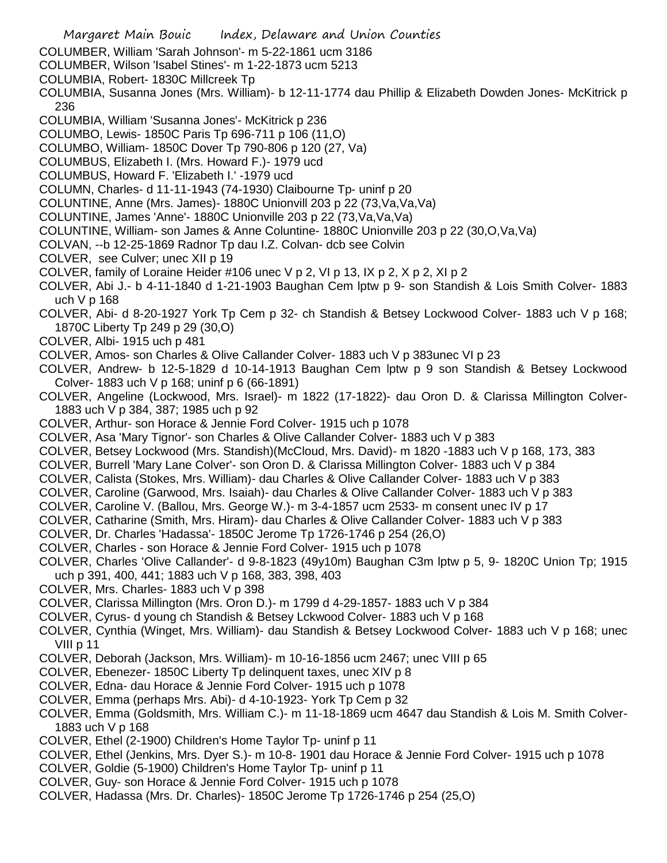Margaret Main Bouic Index, Delaware and Union Counties COLUMBER, William 'Sarah Johnson'- m 5-22-1861 ucm 3186 COLUMBER, Wilson 'Isabel Stines'- m 1-22-1873 ucm 5213 COLUMBIA, Robert- 1830C Millcreek Tp COLUMBIA, Susanna Jones (Mrs. William)- b 12-11-1774 dau Phillip & Elizabeth Dowden Jones- McKitrick p 236 COLUMBIA, William 'Susanna Jones'- McKitrick p 236 COLUMBO, Lewis- 1850C Paris Tp 696-711 p 106 (11,O) COLUMBO, William- 1850C Dover Tp 790-806 p 120 (27, Va) COLUMBUS, Elizabeth I. (Mrs. Howard F.)- 1979 ucd COLUMBUS, Howard F. 'Elizabeth I.' -1979 ucd COLUMN, Charles- d 11-11-1943 (74-1930) Claibourne Tp- uninf p 20 COLUNTINE, Anne (Mrs. James)- 1880C Unionvill 203 p 22 (73,Va,Va,Va) COLUNTINE, James 'Anne'- 1880C Unionville 203 p 22 (73,Va,Va,Va) COLUNTINE, William- son James & Anne Coluntine- 1880C Unionville 203 p 22 (30,O,Va,Va) COLVAN, --b 12-25-1869 Radnor Tp dau I.Z. Colvan- dcb see Colvin COLVER, see Culver; unec XII p 19 COLVER, family of Loraine Heider #106 unec V p 2, VI p 13, IX p 2, X p 2, XI p 2 COLVER, Abi J.- b 4-11-1840 d 1-21-1903 Baughan Cem lptw p 9- son Standish & Lois Smith Colver- 1883 uch V p 168 COLVER, Abi- d 8-20-1927 York Tp Cem p 32- ch Standish & Betsey Lockwood Colver- 1883 uch V p 168; 1870C Liberty Tp 249 p 29 (30,O) COLVER, Albi- 1915 uch p 481 COLVER, Amos- son Charles & Olive Callander Colver- 1883 uch V p 383unec VI p 23 COLVER, Andrew- b 12-5-1829 d 10-14-1913 Baughan Cem lptw p 9 son Standish & Betsey Lockwood Colver- 1883 uch V p 168; uninf p 6 (66-1891) COLVER, Angeline (Lockwood, Mrs. Israel)- m 1822 (17-1822)- dau Oron D. & Clarissa Millington Colver-1883 uch V p 384, 387; 1985 uch p 92 COLVER, Arthur- son Horace & Jennie Ford Colver- 1915 uch p 1078 COLVER, Asa 'Mary Tignor'- son Charles & Olive Callander Colver- 1883 uch V p 383 COLVER, Betsey Lockwood (Mrs. Standish)(McCloud, Mrs. David)- m 1820 -1883 uch V p 168, 173, 383 COLVER, Burrell 'Mary Lane Colver'- son Oron D. & Clarissa Millington Colver- 1883 uch V p 384 COLVER, Calista (Stokes, Mrs. William)- dau Charles & Olive Callander Colver- 1883 uch V p 383 COLVER, Caroline (Garwood, Mrs. Isaiah)- dau Charles & Olive Callander Colver- 1883 uch V p 383 COLVER, Caroline V. (Ballou, Mrs. George W.)- m 3-4-1857 ucm 2533- m consent unec IV p 17 COLVER, Catharine (Smith, Mrs. Hiram)- dau Charles & Olive Callander Colver- 1883 uch V p 383 COLVER, Dr. Charles 'Hadassa'- 1850C Jerome Tp 1726-1746 p 254 (26,O) COLVER, Charles - son Horace & Jennie Ford Colver- 1915 uch p 1078 COLVER, Charles 'Olive Callander'- d 9-8-1823 (49y10m) Baughan C3m lptw p 5, 9- 1820C Union Tp; 1915 uch p 391, 400, 441; 1883 uch V p 168, 383, 398, 403 COLVER, Mrs. Charles- 1883 uch V p 398 COLVER, Clarissa Millington (Mrs. Oron D.)- m 1799 d 4-29-1857- 1883 uch V p 384 COLVER, Cyrus- d young ch Standish & Betsey Lckwood Colver- 1883 uch V p 168 COLVER, Cynthia (Winget, Mrs. William)- dau Standish & Betsey Lockwood Colver- 1883 uch V p 168; unec VIII p 11 COLVER, Deborah (Jackson, Mrs. William)- m 10-16-1856 ucm 2467; unec VIII p 65 COLVER, Ebenezer- 1850C Liberty Tp delinquent taxes, unec XIV p 8 COLVER, Edna- dau Horace & Jennie Ford Colver- 1915 uch p 1078 COLVER, Emma (perhaps Mrs. Abi)- d 4-10-1923- York Tp Cem p 32 COLVER, Emma (Goldsmith, Mrs. William C.)- m 11-18-1869 ucm 4647 dau Standish & Lois M. Smith Colver-1883 uch V p 168 COLVER, Ethel (2-1900) Children's Home Taylor Tp- uninf p 11 COLVER, Ethel (Jenkins, Mrs. Dyer S.)- m 10-8- 1901 dau Horace & Jennie Ford Colver- 1915 uch p 1078 COLVER, Goldie (5-1900) Children's Home Taylor Tp- uninf p 11 COLVER, Guy- son Horace & Jennie Ford Colver- 1915 uch p 1078 COLVER, Hadassa (Mrs. Dr. Charles)- 1850C Jerome Tp 1726-1746 p 254 (25,O)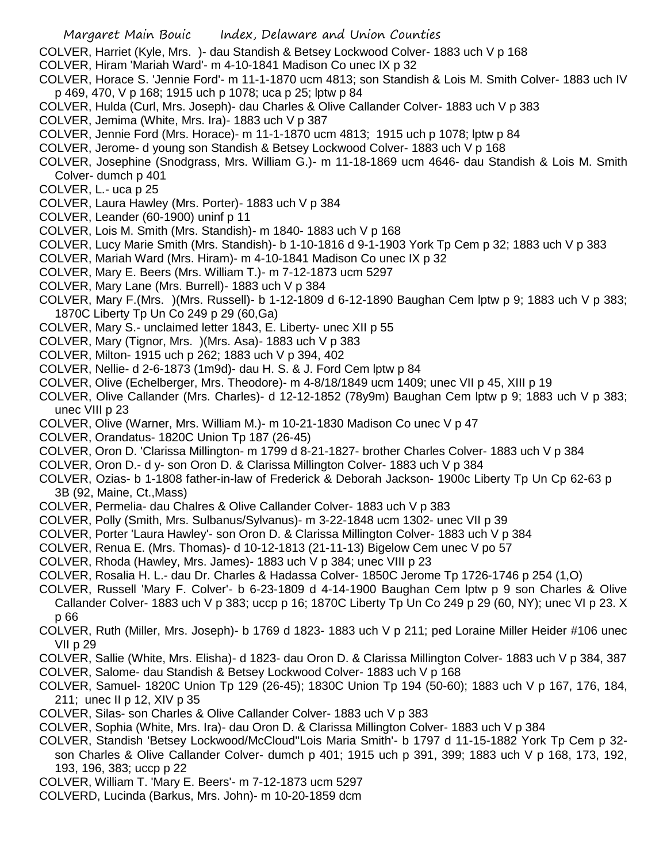COLVER, Harriet (Kyle, Mrs. )- dau Standish & Betsey Lockwood Colver- 1883 uch V p 168

- COLVER, Hiram 'Mariah Ward'- m 4-10-1841 Madison Co unec IX p 32
- COLVER, Horace S. 'Jennie Ford'- m 11-1-1870 ucm 4813; son Standish & Lois M. Smith Colver- 1883 uch IV p 469, 470, V p 168; 1915 uch p 1078; uca p 25; lptw p 84
- COLVER, Hulda (Curl, Mrs. Joseph)- dau Charles & Olive Callander Colver- 1883 uch V p 383
- COLVER, Jemima (White, Mrs. Ira)- 1883 uch V p 387
- COLVER, Jennie Ford (Mrs. Horace)- m 11-1-1870 ucm 4813; 1915 uch p 1078; lptw p 84
- COLVER, Jerome- d young son Standish & Betsey Lockwood Colver- 1883 uch V p 168
- COLVER, Josephine (Snodgrass, Mrs. William G.)- m 11-18-1869 ucm 4646- dau Standish & Lois M. Smith Colver- dumch p 401
- COLVER, L.- uca p 25
- COLVER, Laura Hawley (Mrs. Porter)- 1883 uch V p 384
- COLVER, Leander (60-1900) uninf p 11
- COLVER, Lois M. Smith (Mrs. Standish)- m 1840- 1883 uch V p 168
- COLVER, Lucy Marie Smith (Mrs. Standish)- b 1-10-1816 d 9-1-1903 York Tp Cem p 32; 1883 uch V p 383
- COLVER, Mariah Ward (Mrs. Hiram)- m 4-10-1841 Madison Co unec IX p 32
- COLVER, Mary E. Beers (Mrs. William T.)- m 7-12-1873 ucm 5297
- COLVER, Mary Lane (Mrs. Burrell)- 1883 uch V p 384
- COLVER, Mary F.(Mrs. )(Mrs. Russell)- b 1-12-1809 d 6-12-1890 Baughan Cem lptw p 9; 1883 uch V p 383; 1870C Liberty Tp Un Co 249 p 29 (60,Ga)
- COLVER, Mary S.- unclaimed letter 1843, E. Liberty- unec XII p 55
- COLVER, Mary (Tignor, Mrs. )(Mrs. Asa)- 1883 uch V p 383
- COLVER, Milton- 1915 uch p 262; 1883 uch V p 394, 402
- COLVER, Nellie- d 2-6-1873 (1m9d)- dau H. S. & J. Ford Cem lptw p 84
- COLVER, Olive (Echelberger, Mrs. Theodore)- m 4-8/18/1849 ucm 1409; unec VII p 45, XIII p 19
- COLVER, Olive Callander (Mrs. Charles)- d 12-12-1852 (78y9m) Baughan Cem lptw p 9; 1883 uch V p 383; unec VIII p 23
- COLVER, Olive (Warner, Mrs. William M.)- m 10-21-1830 Madison Co unec V p 47
- COLVER, Orandatus- 1820C Union Tp 187 (26-45)
- COLVER, Oron D. 'Clarissa Millington- m 1799 d 8-21-1827- brother Charles Colver- 1883 uch V p 384
- COLVER, Oron D.- d y- son Oron D. & Clarissa Millington Colver- 1883 uch V p 384
- COLVER, Ozias- b 1-1808 father-in-law of Frederick & Deborah Jackson- 1900c Liberty Tp Un Cp 62-63 p 3B (92, Maine, Ct.,Mass)
- COLVER, Permelia- dau Chalres & Olive Callander Colver- 1883 uch V p 383
- COLVER, Polly (Smith, Mrs. Sulbanus/Sylvanus)- m 3-22-1848 ucm 1302- unec VII p 39
- COLVER, Porter 'Laura Hawley'- son Oron D. & Clarissa Millington Colver- 1883 uch V p 384
- COLVER, Renua E. (Mrs. Thomas)- d 10-12-1813 (21-11-13) Bigelow Cem unec V po 57
- COLVER, Rhoda (Hawley, Mrs. James)- 1883 uch V p 384; unec VIII p 23
- COLVER, Rosalia H. L.- dau Dr. Charles & Hadassa Colver- 1850C Jerome Tp 1726-1746 p 254 (1,O)
- COLVER, Russell 'Mary F. Colver'- b 6-23-1809 d 4-14-1900 Baughan Cem lptw p 9 son Charles & Olive Callander Colver- 1883 uch V p 383; uccp p 16; 1870C Liberty Tp Un Co 249 p 29 (60, NY); unec VI p 23. X p 66
- COLVER, Ruth (Miller, Mrs. Joseph)- b 1769 d 1823- 1883 uch V p 211; ped Loraine Miller Heider #106 unec VII p 29
- COLVER, Sallie (White, Mrs. Elisha)- d 1823- dau Oron D. & Clarissa Millington Colver- 1883 uch V p 384, 387 COLVER, Salome- dau Standish & Betsey Lockwood Colver- 1883 uch V p 168
- COLVER, Samuel- 1820C Union Tp 129 (26-45); 1830C Union Tp 194 (50-60); 1883 uch V p 167, 176, 184, 211; unec II p 12, XIV p 35
- COLVER, Silas- son Charles & Olive Callander Colver- 1883 uch V p 383
- COLVER, Sophia (White, Mrs. Ira)- dau Oron D. & Clarissa Millington Colver- 1883 uch V p 384
- COLVER, Standish 'Betsey Lockwood/McCloud''Lois Maria Smith'- b 1797 d 11-15-1882 York Tp Cem p 32 son Charles & Olive Callander Colver- dumch p 401; 1915 uch p 391, 399; 1883 uch V p 168, 173, 192,
- 193, 196, 383; uccp p 22
- COLVER, William T. 'Mary E. Beers'- m 7-12-1873 ucm 5297
- COLVERD, Lucinda (Barkus, Mrs. John)- m 10-20-1859 dcm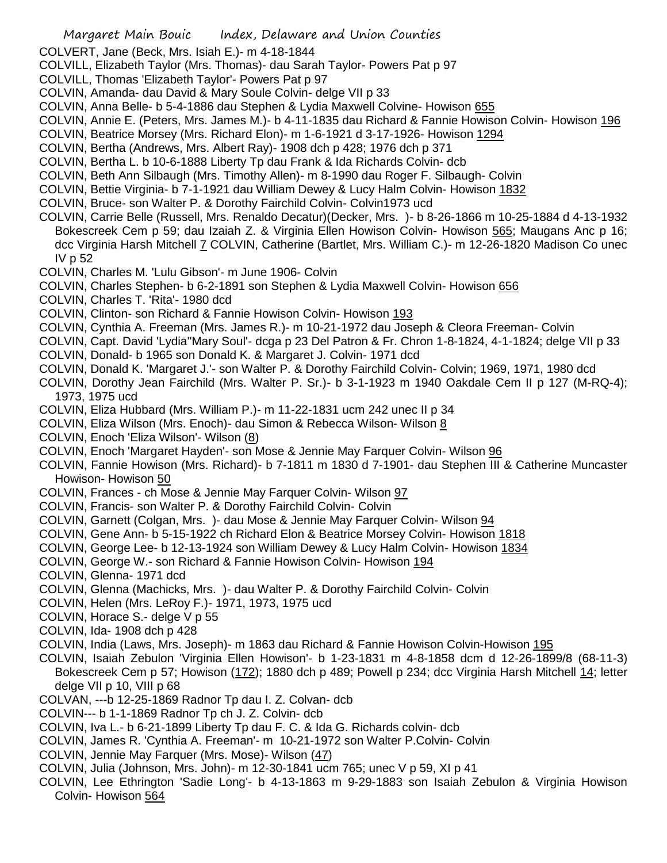COLVERT, Jane (Beck, Mrs. Isiah E.)- m 4-18-1844

COLVILL, Elizabeth Taylor (Mrs. Thomas)- dau Sarah Taylor- Powers Pat p 97

- COLVILL, Thomas 'Elizabeth Taylor'- Powers Pat p 97
- COLVIN, Amanda- dau David & Mary Soule Colvin- delge VII p 33
- COLVIN, Anna Belle- b 5-4-1886 dau Stephen & Lydia Maxwell Colvine- Howison 655
- COLVIN, Annie E. (Peters, Mrs. James M.)- b 4-11-1835 dau Richard & Fannie Howison Colvin- Howison 196
- COLVIN, Beatrice Morsey (Mrs. Richard Elon)- m 1-6-1921 d 3-17-1926- Howison 1294
- COLVIN, Bertha (Andrews, Mrs. Albert Ray)- 1908 dch p 428; 1976 dch p 371
- COLVIN, Bertha L. b 10-6-1888 Liberty Tp dau Frank & Ida Richards Colvin- dcb
- COLVIN, Beth Ann Silbaugh (Mrs. Timothy Allen)- m 8-1990 dau Roger F. Silbaugh- Colvin
- COLVIN, Bettie Virginia- b 7-1-1921 dau William Dewey & Lucy Halm Colvin- Howison 1832
- COLVIN, Bruce- son Walter P. & Dorothy Fairchild Colvin- Colvin1973 ucd
- COLVIN, Carrie Belle (Russell, Mrs. Renaldo Decatur)(Decker, Mrs. )- b 8-26-1866 m 10-25-1884 d 4-13-1932 Bokescreek Cem p 59; dau Izaiah Z. & Virginia Ellen Howison Colvin- Howison 565; Maugans Anc p 16; dcc Virginia Harsh Mitchell 7 COLVIN, Catherine (Bartlet, Mrs. William C.)- m 12-26-1820 Madison Co unec IV p 52
- COLVIN, Charles M. 'Lulu Gibson'- m June 1906- Colvin
- COLVIN, Charles Stephen- b 6-2-1891 son Stephen & Lydia Maxwell Colvin- Howison 656
- COLVIN, Charles T. 'Rita'- 1980 dcd
- COLVIN, Clinton- son Richard & Fannie Howison Colvin- Howison 193
- COLVIN, Cynthia A. Freeman (Mrs. James R.)- m 10-21-1972 dau Joseph & Cleora Freeman- Colvin
- COLVIN, Capt. David 'Lydia''Mary Soul'- dcga p 23 Del Patron & Fr. Chron 1-8-1824, 4-1-1824; delge VII p 33
- COLVIN, Donald- b 1965 son Donald K. & Margaret J. Colvin- 1971 dcd
- COLVIN, Donald K. 'Margaret J.'- son Walter P. & Dorothy Fairchild Colvin- Colvin; 1969, 1971, 1980 dcd
- COLVIN, Dorothy Jean Fairchild (Mrs. Walter P. Sr.)- b 3-1-1923 m 1940 Oakdale Cem II p 127 (M-RQ-4); 1973, 1975 ucd
- COLVIN, Eliza Hubbard (Mrs. William P.)- m 11-22-1831 ucm 242 unec II p 34
- COLVIN, Eliza Wilson (Mrs. Enoch)- dau Simon & Rebecca Wilson- Wilson 8
- COLVIN, Enoch 'Eliza Wilson'- Wilson (8)
- COLVIN, Enoch 'Margaret Hayden'- son Mose & Jennie May Farquer Colvin- Wilson 96
- COLVIN, Fannie Howison (Mrs. Richard)- b 7-1811 m 1830 d 7-1901- dau Stephen III & Catherine Muncaster Howison- Howison 50
- COLVIN, Frances ch Mose & Jennie May Farquer Colvin- Wilson 97
- COLVIN, Francis- son Walter P. & Dorothy Fairchild Colvin- Colvin
- COLVIN, Garnett (Colgan, Mrs. )- dau Mose & Jennie May Farquer Colvin- Wilson 94
- COLVIN, Gene Ann- b 5-15-1922 ch Richard Elon & Beatrice Morsey Colvin- Howison 1818
- COLVIN, George Lee- b 12-13-1924 son William Dewey & Lucy Halm Colvin- Howison 1834
- COLVIN, George W.- son Richard & Fannie Howison Colvin- Howison 194
- COLVIN, Glenna- 1971 dcd
- COLVIN, Glenna (Machicks, Mrs. )- dau Walter P. & Dorothy Fairchild Colvin- Colvin
- COLVIN, Helen (Mrs. LeRoy F.)- 1971, 1973, 1975 ucd
- COLVIN, Horace S.- delge V p 55
- COLVIN, Ida- 1908 dch p 428
- COLVIN, India (Laws, Mrs. Joseph)- m 1863 dau Richard & Fannie Howison Colvin-Howison 195
- COLVIN, Isaiah Zebulon 'Virginia Ellen Howison'- b 1-23-1831 m 4-8-1858 dcm d 12-26-1899/8 (68-11-3) Bokescreek Cem p 57; Howison (172); 1880 dch p 489; Powell p 234; dcc Virginia Harsh Mitchell 14; letter delge VII p 10, VIII p 68
- COLVAN, ---b 12-25-1869 Radnor Tp dau I. Z. Colvan- dcb
- COLVIN--- b 1-1-1869 Radnor Tp ch J. Z. Colvin- dcb
- COLVIN, Iva L.- b 6-21-1899 Liberty Tp dau F. C. & Ida G. Richards colvin- dcb
- COLVIN, James R. 'Cynthia A. Freeman'- m 10-21-1972 son Walter P.Colvin- Colvin
- COLVIN, Jennie May Farquer (Mrs. Mose)- Wilson (47)
- COLVIN, Julia (Johnson, Mrs. John)- m 12-30-1841 ucm 765; unec V p 59, XI p 41
- COLVIN, Lee Ethrington 'Sadie Long'- b 4-13-1863 m 9-29-1883 son Isaiah Zebulon & Virginia Howison Colvin- Howison 564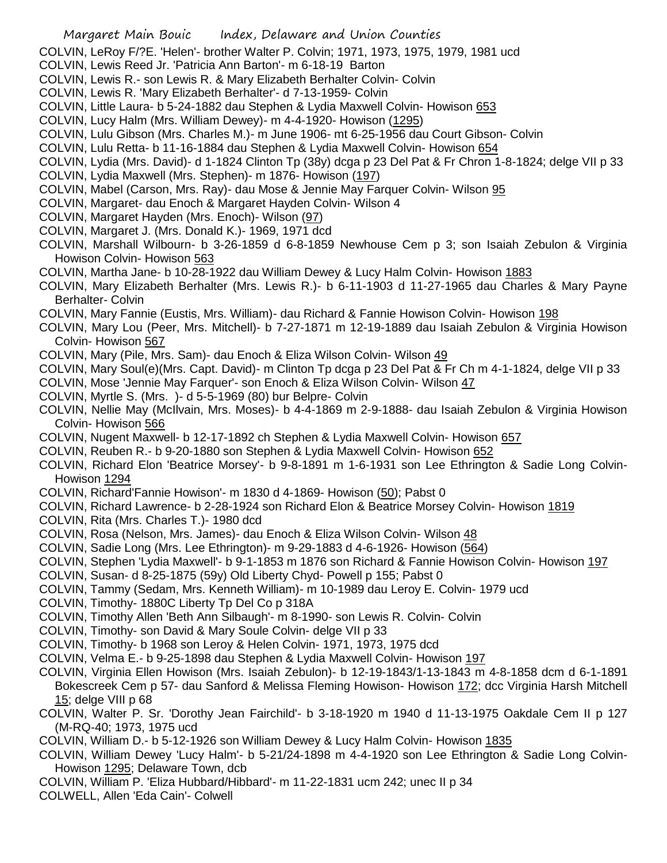COLVIN, LeRoy F/?E. 'Helen'- brother Walter P. Colvin; 1971, 1973, 1975, 1979, 1981 ucd

- COLVIN, Lewis Reed Jr. 'Patricia Ann Barton'- m 6-18-19 Barton
- COLVIN, Lewis R.- son Lewis R. & Mary Elizabeth Berhalter Colvin- Colvin
- COLVIN, Lewis R. 'Mary Elizabeth Berhalter'- d 7-13-1959- Colvin
- COLVIN, Little Laura- b 5-24-1882 dau Stephen & Lydia Maxwell Colvin- Howison 653
- COLVIN, Lucy Halm (Mrs. William Dewey)- m 4-4-1920- Howison (1295)
- COLVIN, Lulu Gibson (Mrs. Charles M.)- m June 1906- mt 6-25-1956 dau Court Gibson- Colvin
- COLVIN, Lulu Retta- b 11-16-1884 dau Stephen & Lydia Maxwell Colvin- Howison 654
- COLVIN, Lydia (Mrs. David)- d 1-1824 Clinton Tp (38y) dcga p 23 Del Pat & Fr Chron 1-8-1824; delge VII p 33
- COLVIN, Lydia Maxwell (Mrs. Stephen)- m 1876- Howison (197)
- COLVIN, Mabel (Carson, Mrs. Ray)- dau Mose & Jennie May Farquer Colvin- Wilson 95
- COLVIN, Margaret- dau Enoch & Margaret Hayden Colvin- Wilson 4
- COLVIN, Margaret Hayden (Mrs. Enoch)- Wilson (97)
- COLVIN, Margaret J. (Mrs. Donald K.)- 1969, 1971 dcd
- COLVIN, Marshall Wilbourn- b 3-26-1859 d 6-8-1859 Newhouse Cem p 3; son Isaiah Zebulon & Virginia Howison Colvin- Howison 563
- COLVIN, Martha Jane- b 10-28-1922 dau William Dewey & Lucy Halm Colvin- Howison 1883
- COLVIN, Mary Elizabeth Berhalter (Mrs. Lewis R.)- b 6-11-1903 d 11-27-1965 dau Charles & Mary Payne Berhalter- Colvin
- COLVIN, Mary Fannie (Eustis, Mrs. William)- dau Richard & Fannie Howison Colvin- Howison 198
- COLVIN, Mary Lou (Peer, Mrs. Mitchell)- b 7-27-1871 m 12-19-1889 dau Isaiah Zebulon & Virginia Howison Colvin- Howison 567
- COLVIN, Mary (Pile, Mrs. Sam)- dau Enoch & Eliza Wilson Colvin- Wilson 49
- COLVIN, Mary Soul(e)(Mrs. Capt. David)- m Clinton Tp dcga p 23 Del Pat & Fr Ch m 4-1-1824, delge VII p 33
- COLVIN, Mose 'Jennie May Farquer'- son Enoch & Eliza Wilson Colvin- Wilson 47
- COLVIN, Myrtle S. (Mrs. )- d 5-5-1969 (80) bur Belpre- Colvin
- COLVIN, Nellie May (McIlvain, Mrs. Moses)- b 4-4-1869 m 2-9-1888- dau Isaiah Zebulon & Virginia Howison Colvin- Howison 566
- COLVIN, Nugent Maxwell- b 12-17-1892 ch Stephen & Lydia Maxwell Colvin- Howison 657
- COLVIN, Reuben R.- b 9-20-1880 son Stephen & Lydia Maxwell Colvin- Howison 652
- COLVIN, Richard Elon 'Beatrice Morsey'- b 9-8-1891 m 1-6-1931 son Lee Ethrington & Sadie Long Colvin-Howison 1294
- COLVIN, Richard'Fannie Howison'- m 1830 d 4-1869- Howison (50); Pabst 0
- COLVIN, Richard Lawrence- b 2-28-1924 son Richard Elon & Beatrice Morsey Colvin- Howison 1819
- COLVIN, Rita (Mrs. Charles T.)- 1980 dcd
- COLVIN, Rosa (Nelson, Mrs. James)- dau Enoch & Eliza Wilson Colvin- Wilson 48
- COLVIN, Sadie Long (Mrs. Lee Ethrington)- m 9-29-1883 d 4-6-1926- Howison (564)
- COLVIN, Stephen 'Lydia Maxwell'- b 9-1-1853 m 1876 son Richard & Fannie Howison Colvin- Howison 197
- COLVIN, Susan- d 8-25-1875 (59y) Old Liberty Chyd- Powell p 155; Pabst 0
- COLVIN, Tammy (Sedam, Mrs. Kenneth William)- m 10-1989 dau Leroy E. Colvin- 1979 ucd
- COLVIN, Timothy- 1880C Liberty Tp Del Co p 318A
- COLVIN, Timothy Allen 'Beth Ann Silbaugh'- m 8-1990- son Lewis R. Colvin- Colvin
- COLVIN, Timothy- son David & Mary Soule Colvin- delge VII p 33
- COLVIN, Timothy- b 1968 son Leroy & Helen Colvin- 1971, 1973, 1975 dcd
- COLVIN, Velma E.- b 9-25-1898 dau Stephen & Lydia Maxwell Colvin- Howison 197
- COLVIN, Virginia Ellen Howison (Mrs. Isaiah Zebulon)- b 12-19-1843/1-13-1843 m 4-8-1858 dcm d 6-1-1891 Bokescreek Cem p 57- dau Sanford & Melissa Fleming Howison- Howison 172; dcc Virginia Harsh Mitchell
- 15; delge VIII p 68 COLVIN, Walter P. Sr. 'Dorothy Jean Fairchild'- b 3-18-1920 m 1940 d 11-13-1975 Oakdale Cem II p 127 (M-RQ-40; 1973, 1975 ucd
- COLVIN, William D.- b 5-12-1926 son William Dewey & Lucy Halm Colvin- Howison 1835
- COLVIN, William Dewey 'Lucy Halm'- b 5-21/24-1898 m 4-4-1920 son Lee Ethrington & Sadie Long Colvin-Howison 1295; Delaware Town, dcb
- COLVIN, William P. 'Eliza Hubbard/Hibbard'- m 11-22-1831 ucm 242; unec II p 34
- COLWELL, Allen 'Eda Cain'- Colwell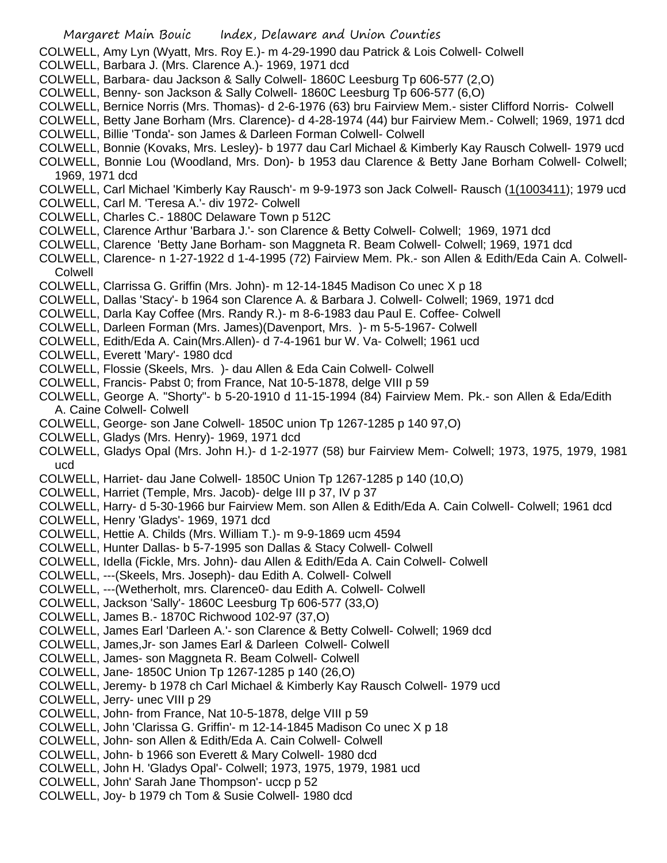COLWELL, Amy Lyn (Wyatt, Mrs. Roy E.)- m 4-29-1990 dau Patrick & Lois Colwell- Colwell

- COLWELL, Barbara J. (Mrs. Clarence A.)- 1969, 1971 dcd
- COLWELL, Barbara- dau Jackson & Sally Colwell- 1860C Leesburg Tp 606-577 (2,O)
- COLWELL, Benny- son Jackson & Sally Colwell- 1860C Leesburg Tp 606-577 (6,O)
- COLWELL, Bernice Norris (Mrs. Thomas)- d 2-6-1976 (63) bru Fairview Mem.- sister Clifford Norris- Colwell
- COLWELL, Betty Jane Borham (Mrs. Clarence)- d 4-28-1974 (44) bur Fairview Mem.- Colwell; 1969, 1971 dcd COLWELL, Billie 'Tonda'- son James & Darleen Forman Colwell- Colwell
- COLWELL, Bonnie (Kovaks, Mrs. Lesley)- b 1977 dau Carl Michael & Kimberly Kay Rausch Colwell- 1979 ucd
- COLWELL, Bonnie Lou (Woodland, Mrs. Don)- b 1953 dau Clarence & Betty Jane Borham Colwell- Colwell; 1969, 1971 dcd

COLWELL, Carl Michael 'Kimberly Kay Rausch'- m 9-9-1973 son Jack Colwell- Rausch (1(1003411); 1979 ucd

- COLWELL, Carl M. 'Teresa A.'- div 1972- Colwell
- COLWELL, Charles C.- 1880C Delaware Town p 512C
- COLWELL, Clarence Arthur 'Barbara J.'- son Clarence & Betty Colwell- Colwell; 1969, 1971 dcd
- COLWELL, Clarence 'Betty Jane Borham- son Maggneta R. Beam Colwell- Colwell; 1969, 1971 dcd
- COLWELL, Clarence- n 1-27-1922 d 1-4-1995 (72) Fairview Mem. Pk.- son Allen & Edith/Eda Cain A. Colwell-Colwell
- COLWELL, Clarrissa G. Griffin (Mrs. John)- m 12-14-1845 Madison Co unec X p 18
- COLWELL, Dallas 'Stacy'- b 1964 son Clarence A. & Barbara J. Colwell- Colwell; 1969, 1971 dcd
- COLWELL, Darla Kay Coffee (Mrs. Randy R.)- m 8-6-1983 dau Paul E. Coffee- Colwell
- COLWELL, Darleen Forman (Mrs. James)(Davenport, Mrs. )- m 5-5-1967- Colwell
- COLWELL, Edith/Eda A. Cain(Mrs.Allen)- d 7-4-1961 bur W. Va- Colwell; 1961 ucd
- COLWELL, Everett 'Mary'- 1980 dcd
- COLWELL, Flossie (Skeels, Mrs. )- dau Allen & Eda Cain Colwell- Colwell
- COLWELL, Francis- Pabst 0; from France, Nat 10-5-1878, delge VIII p 59
- COLWELL, George A. "Shorty"- b 5-20-1910 d 11-15-1994 (84) Fairview Mem. Pk.- son Allen & Eda/Edith A. Caine Colwell- Colwell
- COLWELL, George- son Jane Colwell- 1850C union Tp 1267-1285 p 140 97,O)
- COLWELL, Gladys (Mrs. Henry)- 1969, 1971 dcd
- COLWELL, Gladys Opal (Mrs. John H.)- d 1-2-1977 (58) bur Fairview Mem- Colwell; 1973, 1975, 1979, 1981 ucd
- COLWELL, Harriet- dau Jane Colwell- 1850C Union Tp 1267-1285 p 140 (10,O)
- COLWELL, Harriet (Temple, Mrs. Jacob)- delge III p 37, IV p 37
- COLWELL, Harry- d 5-30-1966 bur Fairview Mem. son Allen & Edith/Eda A. Cain Colwell- Colwell; 1961 dcd
- COLWELL, Henry 'Gladys'- 1969, 1971 dcd
- COLWELL, Hettie A. Childs (Mrs. William T.)- m 9-9-1869 ucm 4594
- COLWELL, Hunter Dallas- b 5-7-1995 son Dallas & Stacy Colwell- Colwell
- COLWELL, Idella (Fickle, Mrs. John)- dau Allen & Edith/Eda A. Cain Colwell- Colwell
- COLWELL, ---(Skeels, Mrs. Joseph)- dau Edith A. Colwell- Colwell
- COLWELL, ---(Wetherholt, mrs. Clarence0- dau Edith A. Colwell- Colwell
- COLWELL, Jackson 'Sally'- 1860C Leesburg Tp 606-577 (33,O)
- COLWELL, James B.- 1870C Richwood 102-97 (37,O)
- COLWELL, James Earl 'Darleen A.'- son Clarence & Betty Colwell- Colwell; 1969 dcd
- COLWELL, James,Jr- son James Earl & Darleen Colwell- Colwell
- COLWELL, James- son Maggneta R. Beam Colwell- Colwell
- COLWELL, Jane- 1850C Union Tp 1267-1285 p 140 (26,O)
- COLWELL, Jeremy- b 1978 ch Carl Michael & Kimberly Kay Rausch Colwell- 1979 ucd
- COLWELL, Jerry- unec VIII p 29
- COLWELL, John- from France, Nat 10-5-1878, delge VIII p 59
- COLWELL, John 'Clarissa G. Griffin'- m 12-14-1845 Madison Co unec X p 18
- COLWELL, John- son Allen & Edith/Eda A. Cain Colwell- Colwell
- COLWELL, John- b 1966 son Everett & Mary Colwell- 1980 dcd
- COLWELL, John H. 'Gladys Opal'- Colwell; 1973, 1975, 1979, 1981 ucd
- COLWELL, John' Sarah Jane Thompson'- uccp p 52
- COLWELL, Joy- b 1979 ch Tom & Susie Colwell- 1980 dcd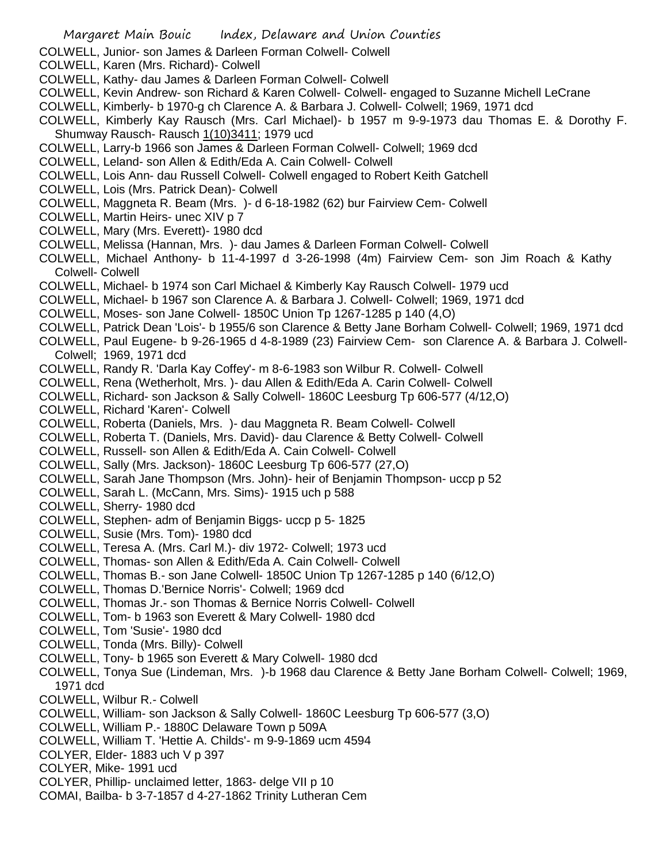- COLWELL, Junior- son James & Darleen Forman Colwell- Colwell
- COLWELL, Karen (Mrs. Richard)- Colwell
- COLWELL, Kathy- dau James & Darleen Forman Colwell- Colwell
- COLWELL, Kevin Andrew- son Richard & Karen Colwell- Colwell- engaged to Suzanne Michell LeCrane
- COLWELL, Kimberly- b 1970-g ch Clarence A. & Barbara J. Colwell- Colwell; 1969, 1971 dcd
- COLWELL, Kimberly Kay Rausch (Mrs. Carl Michael)- b 1957 m 9-9-1973 dau Thomas E. & Dorothy F. Shumway Rausch- Rausch 1(10)3411; 1979 ucd
- COLWELL, Larry-b 1966 son James & Darleen Forman Colwell- Colwell; 1969 dcd
- COLWELL, Leland- son Allen & Edith/Eda A. Cain Colwell- Colwell
- COLWELL, Lois Ann- dau Russell Colwell- Colwell engaged to Robert Keith Gatchell
- COLWELL, Lois (Mrs. Patrick Dean)- Colwell
- COLWELL, Maggneta R. Beam (Mrs. )- d 6-18-1982 (62) bur Fairview Cem- Colwell
- COLWELL, Martin Heirs- unec XIV p 7
- COLWELL, Mary (Mrs. Everett)- 1980 dcd
- COLWELL, Melissa (Hannan, Mrs. )- dau James & Darleen Forman Colwell- Colwell
- COLWELL, Michael Anthony- b 11-4-1997 d 3-26-1998 (4m) Fairview Cem- son Jim Roach & Kathy Colwell- Colwell
- COLWELL, Michael- b 1974 son Carl Michael & Kimberly Kay Rausch Colwell- 1979 ucd
- COLWELL, Michael- b 1967 son Clarence A. & Barbara J. Colwell- Colwell; 1969, 1971 dcd
- COLWELL, Moses- son Jane Colwell- 1850C Union Tp 1267-1285 p 140 (4,O)
- COLWELL, Patrick Dean 'Lois'- b 1955/6 son Clarence & Betty Jane Borham Colwell- Colwell; 1969, 1971 dcd
- COLWELL, Paul Eugene- b 9-26-1965 d 4-8-1989 (23) Fairview Cem- son Clarence A. & Barbara J. Colwell-Colwell; 1969, 1971 dcd
- COLWELL, Randy R. 'Darla Kay Coffey'- m 8-6-1983 son Wilbur R. Colwell- Colwell
- COLWELL, Rena (Wetherholt, Mrs. )- dau Allen & Edith/Eda A. Carin Colwell- Colwell
- COLWELL, Richard- son Jackson & Sally Colwell- 1860C Leesburg Tp 606-577 (4/12,O)
- COLWELL, Richard 'Karen'- Colwell
- COLWELL, Roberta (Daniels, Mrs. )- dau Maggneta R. Beam Colwell- Colwell
- COLWELL, Roberta T. (Daniels, Mrs. David)- dau Clarence & Betty Colwell- Colwell
- COLWELL, Russell- son Allen & Edith/Eda A. Cain Colwell- Colwell
- COLWELL, Sally (Mrs. Jackson)- 1860C Leesburg Tp 606-577 (27,O)
- COLWELL, Sarah Jane Thompson (Mrs. John)- heir of Benjamin Thompson- uccp p 52
- COLWELL, Sarah L. (McCann, Mrs. Sims)- 1915 uch p 588
- COLWELL, Sherry- 1980 dcd
- COLWELL, Stephen- adm of Benjamin Biggs- uccp p 5- 1825
- COLWELL, Susie (Mrs. Tom)- 1980 dcd
- COLWELL, Teresa A. (Mrs. Carl M.)- div 1972- Colwell; 1973 ucd
- COLWELL, Thomas- son Allen & Edith/Eda A. Cain Colwell- Colwell
- COLWELL, Thomas B.- son Jane Colwell- 1850C Union Tp 1267-1285 p 140 (6/12,O)
- COLWELL, Thomas D.'Bernice Norris'- Colwell; 1969 dcd
- COLWELL, Thomas Jr.- son Thomas & Bernice Norris Colwell- Colwell
- COLWELL, Tom- b 1963 son Everett & Mary Colwell- 1980 dcd
- COLWELL, Tom 'Susie'- 1980 dcd
- COLWELL, Tonda (Mrs. Billy)- Colwell
- COLWELL, Tony- b 1965 son Everett & Mary Colwell- 1980 dcd
- COLWELL, Tonya Sue (Lindeman, Mrs. )-b 1968 dau Clarence & Betty Jane Borham Colwell- Colwell; 1969, 1971 dcd
- COLWELL, Wilbur R.- Colwell
- COLWELL, William- son Jackson & Sally Colwell- 1860C Leesburg Tp 606-577 (3,O)
- COLWELL, William P.- 1880C Delaware Town p 509A
- COLWELL, William T. 'Hettie A. Childs'- m 9-9-1869 ucm 4594
- COLYER, Elder- 1883 uch V p 397
- COLYER, Mike- 1991 ucd
- COLYER, Phillip- unclaimed letter, 1863- delge VII p 10
- COMAI, Bailba- b 3-7-1857 d 4-27-1862 Trinity Lutheran Cem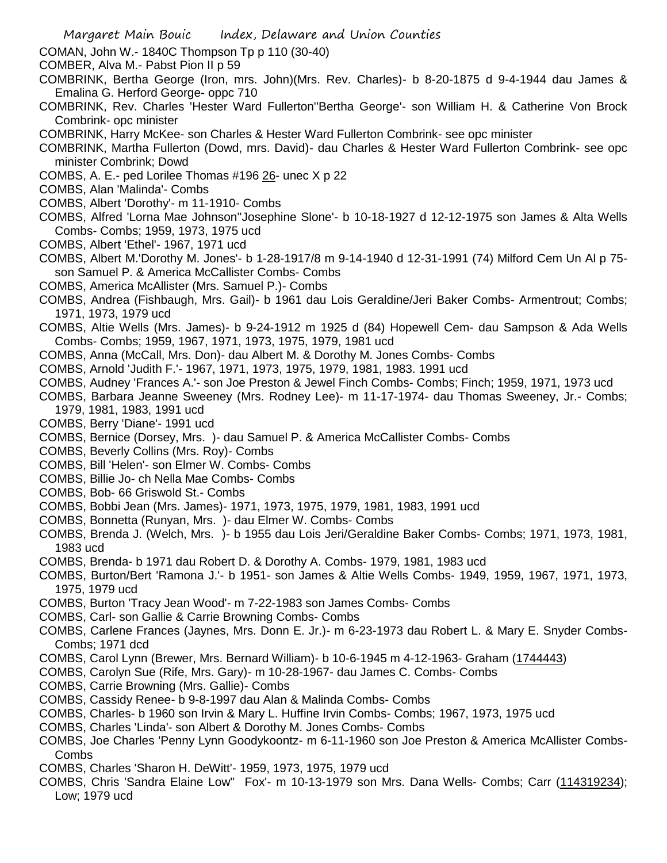- COMAN, John W.- 1840C Thompson Tp p 110 (30-40)
- COMBER, Alva M.- Pabst Pion II p 59
- COMBRINK, Bertha George (Iron, mrs. John)(Mrs. Rev. Charles)- b 8-20-1875 d 9-4-1944 dau James & Emalina G. Herford George- oppc 710
- COMBRINK, Rev. Charles 'Hester Ward Fullerton''Bertha George'- son William H. & Catherine Von Brock Combrink- opc minister
- COMBRINK, Harry McKee- son Charles & Hester Ward Fullerton Combrink- see opc minister
- COMBRINK, Martha Fullerton (Dowd, mrs. David)- dau Charles & Hester Ward Fullerton Combrink- see opc minister Combrink; Dowd
- COMBS, A. E.- ped Lorilee Thomas #196 26- unec X p 22
- COMBS, Alan 'Malinda'- Combs
- COMBS, Albert 'Dorothy'- m 11-1910- Combs
- COMBS, Alfred 'Lorna Mae Johnson''Josephine Slone'- b 10-18-1927 d 12-12-1975 son James & Alta Wells Combs- Combs; 1959, 1973, 1975 ucd
- COMBS, Albert 'Ethel'- 1967, 1971 ucd
- COMBS, Albert M.'Dorothy M. Jones'- b 1-28-1917/8 m 9-14-1940 d 12-31-1991 (74) Milford Cem Un Al p 75 son Samuel P. & America McCallister Combs- Combs
- COMBS, America McAllister (Mrs. Samuel P.)- Combs
- COMBS, Andrea (Fishbaugh, Mrs. Gail)- b 1961 dau Lois Geraldine/Jeri Baker Combs- Armentrout; Combs; 1971, 1973, 1979 ucd
- COMBS, Altie Wells (Mrs. James)- b 9-24-1912 m 1925 d (84) Hopewell Cem- dau Sampson & Ada Wells Combs- Combs; 1959, 1967, 1971, 1973, 1975, 1979, 1981 ucd
- COMBS, Anna (McCall, Mrs. Don)- dau Albert M. & Dorothy M. Jones Combs- Combs
- COMBS, Arnold 'Judith F.'- 1967, 1971, 1973, 1975, 1979, 1981, 1983. 1991 ucd
- COMBS, Audney 'Frances A.'- son Joe Preston & Jewel Finch Combs- Combs; Finch; 1959, 1971, 1973 ucd
- COMBS, Barbara Jeanne Sweeney (Mrs. Rodney Lee)- m 11-17-1974- dau Thomas Sweeney, Jr.- Combs; 1979, 1981, 1983, 1991 ucd
- COMBS, Berry 'Diane'- 1991 ucd
- COMBS, Bernice (Dorsey, Mrs. )- dau Samuel P. & America McCallister Combs- Combs
- COMBS, Beverly Collins (Mrs. Roy)- Combs
- COMBS, Bill 'Helen'- son Elmer W. Combs- Combs
- COMBS, Billie Jo- ch Nella Mae Combs- Combs
- COMBS, Bob- 66 Griswold St.- Combs
- COMBS, Bobbi Jean (Mrs. James)- 1971, 1973, 1975, 1979, 1981, 1983, 1991 ucd
- COMBS, Bonnetta (Runyan, Mrs. )- dau Elmer W. Combs- Combs
- COMBS, Brenda J. (Welch, Mrs. )- b 1955 dau Lois Jeri/Geraldine Baker Combs- Combs; 1971, 1973, 1981, 1983 ucd
- COMBS, Brenda- b 1971 dau Robert D. & Dorothy A. Combs- 1979, 1981, 1983 ucd
- COMBS, Burton/Bert 'Ramona J.'- b 1951- son James & Altie Wells Combs- 1949, 1959, 1967, 1971, 1973, 1975, 1979 ucd
- COMBS, Burton 'Tracy Jean Wood'- m 7-22-1983 son James Combs- Combs
- COMBS, Carl- son Gallie & Carrie Browning Combs- Combs
- COMBS, Carlene Frances (Jaynes, Mrs. Donn E. Jr.)- m 6-23-1973 dau Robert L. & Mary E. Snyder Combs-Combs; 1971 dcd
- COMBS, Carol Lynn (Brewer, Mrs. Bernard William)- b 10-6-1945 m 4-12-1963- Graham (1744443)
- COMBS, Carolyn Sue (Rife, Mrs. Gary)- m 10-28-1967- dau James C. Combs- Combs
- COMBS, Carrie Browning (Mrs. Gallie)- Combs
- COMBS, Cassidy Renee- b 9-8-1997 dau Alan & Malinda Combs- Combs
- COMBS, Charles- b 1960 son Irvin & Mary L. Huffine Irvin Combs- Combs; 1967, 1973, 1975 ucd
- COMBS, Charles 'Linda'- son Albert & Dorothy M. Jones Combs- Combs
- COMBS, Joe Charles 'Penny Lynn Goodykoontz- m 6-11-1960 son Joe Preston & America McAllister Combs-Combs
- COMBS, Charles 'Sharon H. DeWitt'- 1959, 1973, 1975, 1979 ucd
- COMBS, Chris 'Sandra Elaine Low'' Fox'- m 10-13-1979 son Mrs. Dana Wells- Combs; Carr (114319234); Low; 1979 ucd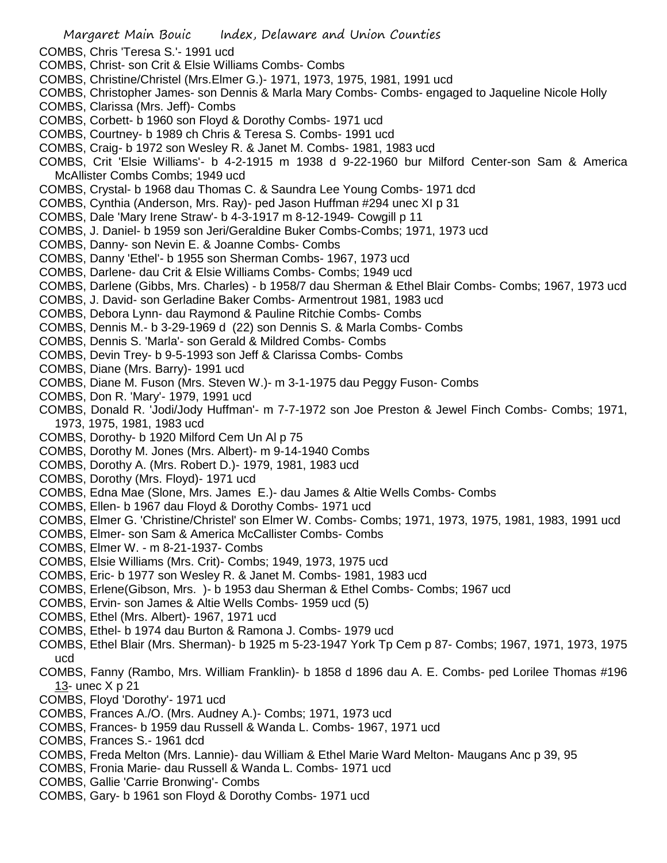Margaret Main Bouic Index, Delaware and Union Counties COMBS, Chris 'Teresa S.'- 1991 ucd COMBS, Christ- son Crit & Elsie Williams Combs- Combs COMBS, Christine/Christel (Mrs.Elmer G.)- 1971, 1973, 1975, 1981, 1991 ucd COMBS, Christopher James- son Dennis & Marla Mary Combs- Combs- engaged to Jaqueline Nicole Holly COMBS, Clarissa (Mrs. Jeff)- Combs COMBS, Corbett- b 1960 son Floyd & Dorothy Combs- 1971 ucd COMBS, Courtney- b 1989 ch Chris & Teresa S. Combs- 1991 ucd COMBS, Craig- b 1972 son Wesley R. & Janet M. Combs- 1981, 1983 ucd COMBS, Crit 'Elsie Williams'- b 4-2-1915 m 1938 d 9-22-1960 bur Milford Center-son Sam & America McAllister Combs Combs; 1949 ucd COMBS, Crystal- b 1968 dau Thomas C. & Saundra Lee Young Combs- 1971 dcd COMBS, Cynthia (Anderson, Mrs. Ray)- ped Jason Huffman #294 unec XI p 31 COMBS, Dale 'Mary Irene Straw'- b 4-3-1917 m 8-12-1949- Cowgill p 11 COMBS, J. Daniel- b 1959 son Jeri/Geraldine Buker Combs-Combs; 1971, 1973 ucd COMBS, Danny- son Nevin E. & Joanne Combs- Combs COMBS, Danny 'Ethel'- b 1955 son Sherman Combs- 1967, 1973 ucd COMBS, Darlene- dau Crit & Elsie Williams Combs- Combs; 1949 ucd COMBS, Darlene (Gibbs, Mrs. Charles) - b 1958/7 dau Sherman & Ethel Blair Combs- Combs; 1967, 1973 ucd COMBS, J. David- son Gerladine Baker Combs- Armentrout 1981, 1983 ucd COMBS, Debora Lynn- dau Raymond & Pauline Ritchie Combs- Combs COMBS, Dennis M.- b 3-29-1969 d (22) son Dennis S. & Marla Combs- Combs COMBS, Dennis S. 'Marla'- son Gerald & Mildred Combs- Combs COMBS, Devin Trey- b 9-5-1993 son Jeff & Clarissa Combs- Combs COMBS, Diane (Mrs. Barry)- 1991 ucd COMBS, Diane M. Fuson (Mrs. Steven W.)- m 3-1-1975 dau Peggy Fuson- Combs COMBS, Don R. 'Mary'- 1979, 1991 ucd COMBS, Donald R. 'Jodi/Jody Huffman'- m 7-7-1972 son Joe Preston & Jewel Finch Combs- Combs; 1971, 1973, 1975, 1981, 1983 ucd COMBS, Dorothy- b 1920 Milford Cem Un Al p 75 COMBS, Dorothy M. Jones (Mrs. Albert)- m 9-14-1940 Combs COMBS, Dorothy A. (Mrs. Robert D.)- 1979, 1981, 1983 ucd COMBS, Dorothy (Mrs. Floyd)- 1971 ucd COMBS, Edna Mae (Slone, Mrs. James E.)- dau James & Altie Wells Combs- Combs COMBS, Ellen- b 1967 dau Floyd & Dorothy Combs- 1971 ucd COMBS, Elmer G. 'Christine/Christel' son Elmer W. Combs- Combs; 1971, 1973, 1975, 1981, 1983, 1991 ucd COMBS, Elmer- son Sam & America McCallister Combs- Combs COMBS, Elmer W. - m 8-21-1937- Combs COMBS, Elsie Williams (Mrs. Crit)- Combs; 1949, 1973, 1975 ucd COMBS, Eric- b 1977 son Wesley R. & Janet M. Combs- 1981, 1983 ucd COMBS, Erlene(Gibson, Mrs. )- b 1953 dau Sherman & Ethel Combs- Combs; 1967 ucd COMBS, Ervin- son James & Altie Wells Combs- 1959 ucd (5) COMBS, Ethel (Mrs. Albert)- 1967, 1971 ucd COMBS, Ethel- b 1974 dau Burton & Ramona J. Combs- 1979 ucd COMBS, Ethel Blair (Mrs. Sherman)- b 1925 m 5-23-1947 York Tp Cem p 87- Combs; 1967, 1971, 1973, 1975 ucd COMBS, Fanny (Rambo, Mrs. William Franklin)- b 1858 d 1896 dau A. E. Combs- ped Lorilee Thomas #196 13- unec X p 21 COMBS, Floyd 'Dorothy'- 1971 ucd COMBS, Frances A./O. (Mrs. Audney A.)- Combs; 1971, 1973 ucd COMBS, Frances- b 1959 dau Russell & Wanda L. Combs- 1967, 1971 ucd COMBS, Frances S.- 1961 dcd COMBS, Freda Melton (Mrs. Lannie)- dau William & Ethel Marie Ward Melton- Maugans Anc p 39, 95 COMBS, Fronia Marie- dau Russell & Wanda L. Combs- 1971 ucd COMBS, Gallie 'Carrie Bronwing'- Combs COMBS, Gary- b 1961 son Floyd & Dorothy Combs- 1971 ucd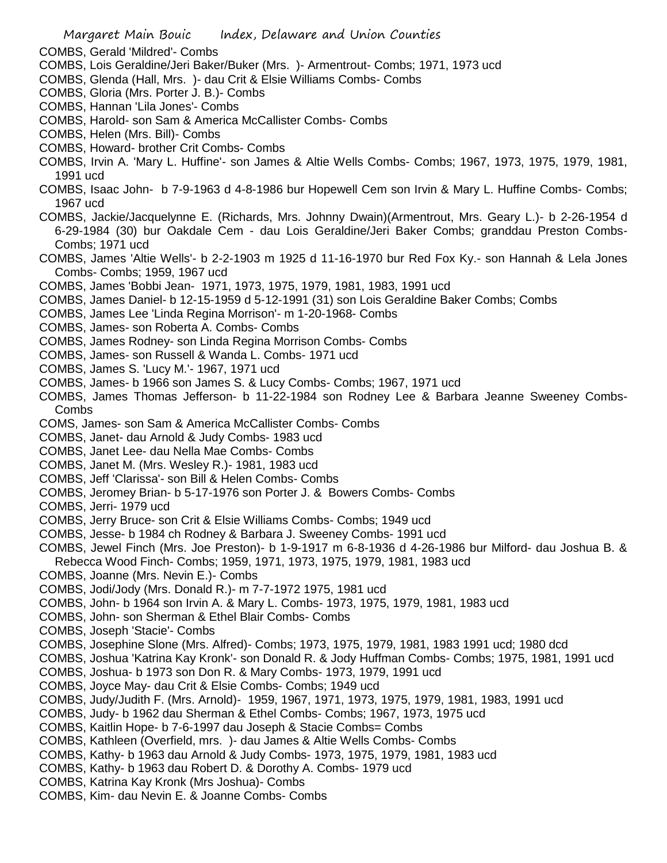- COMBS, Gerald 'Mildred'- Combs
- COMBS, Lois Geraldine/Jeri Baker/Buker (Mrs. )- Armentrout- Combs; 1971, 1973 ucd
- COMBS, Glenda (Hall, Mrs. )- dau Crit & Elsie Williams Combs- Combs
- COMBS, Gloria (Mrs. Porter J. B.)- Combs
- COMBS, Hannan 'Lila Jones'- Combs
- COMBS, Harold- son Sam & America McCallister Combs- Combs
- COMBS, Helen (Mrs. Bill)- Combs
- COMBS, Howard- brother Crit Combs- Combs
- COMBS, Irvin A. 'Mary L. Huffine'- son James & Altie Wells Combs- Combs; 1967, 1973, 1975, 1979, 1981, 1991 ucd
- COMBS, Isaac John- b 7-9-1963 d 4-8-1986 bur Hopewell Cem son Irvin & Mary L. Huffine Combs- Combs; 1967 ucd
- COMBS, Jackie/Jacquelynne E. (Richards, Mrs. Johnny Dwain)(Armentrout, Mrs. Geary L.)- b 2-26-1954 d 6-29-1984 (30) bur Oakdale Cem - dau Lois Geraldine/Jeri Baker Combs; granddau Preston Combs-Combs; 1971 ucd
- COMBS, James 'Altie Wells'- b 2-2-1903 m 1925 d 11-16-1970 bur Red Fox Ky.- son Hannah & Lela Jones Combs- Combs; 1959, 1967 ucd
- COMBS, James 'Bobbi Jean- 1971, 1973, 1975, 1979, 1981, 1983, 1991 ucd
- COMBS, James Daniel- b 12-15-1959 d 5-12-1991 (31) son Lois Geraldine Baker Combs; Combs
- COMBS, James Lee 'Linda Regina Morrison'- m 1-20-1968- Combs
- COMBS, James- son Roberta A. Combs- Combs
- COMBS, James Rodney- son Linda Regina Morrison Combs- Combs
- COMBS, James- son Russell & Wanda L. Combs- 1971 ucd
- COMBS, James S. 'Lucy M.'- 1967, 1971 ucd
- COMBS, James- b 1966 son James S. & Lucy Combs- Combs; 1967, 1971 ucd
- COMBS, James Thomas Jefferson- b 11-22-1984 son Rodney Lee & Barbara Jeanne Sweeney Combs-Combs
- COMS, James- son Sam & America McCallister Combs- Combs
- COMBS, Janet- dau Arnold & Judy Combs- 1983 ucd
- COMBS, Janet Lee- dau Nella Mae Combs- Combs
- COMBS, Janet M. (Mrs. Wesley R.)- 1981, 1983 ucd
- COMBS, Jeff 'Clarissa'- son Bill & Helen Combs- Combs
- COMBS, Jeromey Brian- b 5-17-1976 son Porter J. & Bowers Combs- Combs
- COMBS, Jerri- 1979 ucd
- COMBS, Jerry Bruce- son Crit & Elsie Williams Combs- Combs; 1949 ucd
- COMBS, Jesse- b 1984 ch Rodney & Barbara J. Sweeney Combs- 1991 ucd
- COMBS, Jewel Finch (Mrs. Joe Preston)- b 1-9-1917 m 6-8-1936 d 4-26-1986 bur Milford- dau Joshua B. & Rebecca Wood Finch- Combs; 1959, 1971, 1973, 1975, 1979, 1981, 1983 ucd
- COMBS, Joanne (Mrs. Nevin E.)- Combs
- COMBS, Jodi/Jody (Mrs. Donald R.)- m 7-7-1972 1975, 1981 ucd
- COMBS, John- b 1964 son Irvin A. & Mary L. Combs- 1973, 1975, 1979, 1981, 1983 ucd
- COMBS, John- son Sherman & Ethel Blair Combs- Combs
- COMBS, Joseph 'Stacie'- Combs
- COMBS, Josephine Slone (Mrs. Alfred)- Combs; 1973, 1975, 1979, 1981, 1983 1991 ucd; 1980 dcd
- COMBS, Joshua 'Katrina Kay Kronk'- son Donald R. & Jody Huffman Combs- Combs; 1975, 1981, 1991 ucd
- COMBS, Joshua- b 1973 son Don R. & Mary Combs- 1973, 1979, 1991 ucd
- COMBS, Joyce May- dau Crit & Elsie Combs- Combs; 1949 ucd
- COMBS, Judy/Judith F. (Mrs. Arnold)- 1959, 1967, 1971, 1973, 1975, 1979, 1981, 1983, 1991 ucd
- COMBS, Judy- b 1962 dau Sherman & Ethel Combs- Combs; 1967, 1973, 1975 ucd
- COMBS, Kaitlin Hope- b 7-6-1997 dau Joseph & Stacie Combs= Combs
- COMBS, Kathleen (Overfield, mrs. )- dau James & Altie Wells Combs- Combs
- COMBS, Kathy- b 1963 dau Arnold & Judy Combs- 1973, 1975, 1979, 1981, 1983 ucd
- COMBS, Kathy- b 1963 dau Robert D. & Dorothy A. Combs- 1979 ucd
- COMBS, Katrina Kay Kronk (Mrs Joshua)- Combs
- COMBS, Kim- dau Nevin E. & Joanne Combs- Combs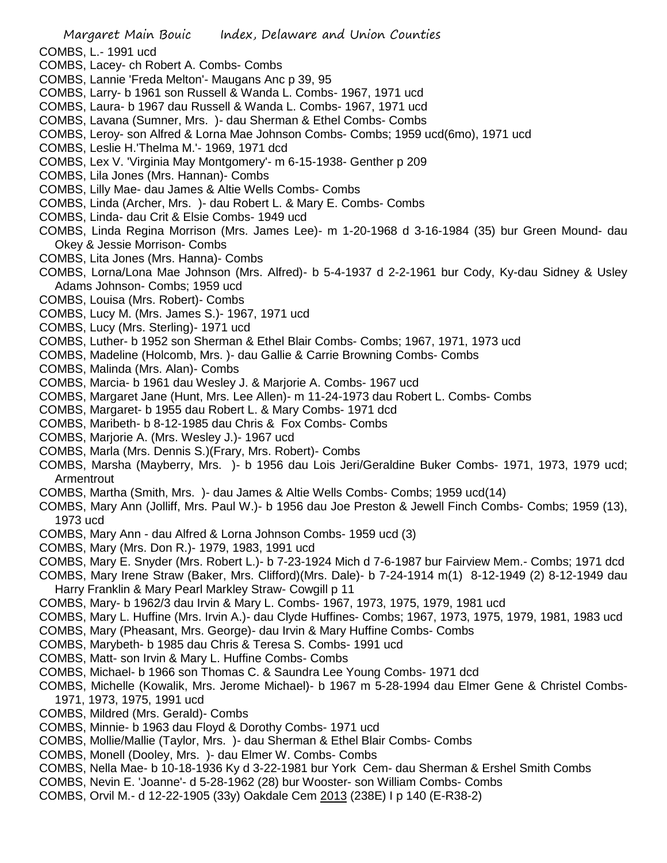- COMBS, L.- 1991 ucd
- COMBS, Lacey- ch Robert A. Combs- Combs
- COMBS, Lannie 'Freda Melton'- Maugans Anc p 39, 95
- COMBS, Larry- b 1961 son Russell & Wanda L. Combs- 1967, 1971 ucd
- COMBS, Laura- b 1967 dau Russell & Wanda L. Combs- 1967, 1971 ucd
- COMBS, Lavana (Sumner, Mrs. )- dau Sherman & Ethel Combs- Combs
- COMBS, Leroy- son Alfred & Lorna Mae Johnson Combs- Combs; 1959 ucd(6mo), 1971 ucd
- COMBS, Leslie H.'Thelma M.'- 1969, 1971 dcd
- COMBS, Lex V. 'Virginia May Montgomery'- m 6-15-1938- Genther p 209
- COMBS, Lila Jones (Mrs. Hannan)- Combs
- COMBS, Lilly Mae- dau James & Altie Wells Combs- Combs
- COMBS, Linda (Archer, Mrs. )- dau Robert L. & Mary E. Combs- Combs
- COMBS, Linda- dau Crit & Elsie Combs- 1949 ucd
- COMBS, Linda Regina Morrison (Mrs. James Lee)- m 1-20-1968 d 3-16-1984 (35) bur Green Mound- dau Okey & Jessie Morrison- Combs
- COMBS, Lita Jones (Mrs. Hanna)- Combs
- COMBS, Lorna/Lona Mae Johnson (Mrs. Alfred)- b 5-4-1937 d 2-2-1961 bur Cody, Ky-dau Sidney & Usley Adams Johnson- Combs; 1959 ucd
- COMBS, Louisa (Mrs. Robert)- Combs
- COMBS, Lucy M. (Mrs. James S.)- 1967, 1971 ucd
- COMBS, Lucy (Mrs. Sterling)- 1971 ucd
- COMBS, Luther- b 1952 son Sherman & Ethel Blair Combs- Combs; 1967, 1971, 1973 ucd
- COMBS, Madeline (Holcomb, Mrs. )- dau Gallie & Carrie Browning Combs- Combs
- COMBS, Malinda (Mrs. Alan)- Combs
- COMBS, Marcia- b 1961 dau Wesley J. & Marjorie A. Combs- 1967 ucd
- COMBS, Margaret Jane (Hunt, Mrs. Lee Allen)- m 11-24-1973 dau Robert L. Combs- Combs
- COMBS, Margaret- b 1955 dau Robert L. & Mary Combs- 1971 dcd
- COMBS, Maribeth- b 8-12-1985 dau Chris & Fox Combs- Combs
- COMBS, Marjorie A. (Mrs. Wesley J.)- 1967 ucd
- COMBS, Marla (Mrs. Dennis S.)(Frary, Mrs. Robert)- Combs
- COMBS, Marsha (Mayberry, Mrs. )- b 1956 dau Lois Jeri/Geraldine Buker Combs- 1971, 1973, 1979 ucd; Armentrout
- COMBS, Martha (Smith, Mrs. )- dau James & Altie Wells Combs- Combs; 1959 ucd(14)
- COMBS, Mary Ann (Jolliff, Mrs. Paul W.)- b 1956 dau Joe Preston & Jewell Finch Combs- Combs; 1959 (13), 1973 ucd
- COMBS, Mary Ann dau Alfred & Lorna Johnson Combs- 1959 ucd (3)
- COMBS, Mary (Mrs. Don R.)- 1979, 1983, 1991 ucd
- COMBS, Mary E. Snyder (Mrs. Robert L.)- b 7-23-1924 Mich d 7-6-1987 bur Fairview Mem.- Combs; 1971 dcd
- COMBS, Mary Irene Straw (Baker, Mrs. Clifford)(Mrs. Dale)- b 7-24-1914 m(1) 8-12-1949 (2) 8-12-1949 dau Harry Franklin & Mary Pearl Markley Straw- Cowgill p 11
- COMBS, Mary- b 1962/3 dau Irvin & Mary L. Combs- 1967, 1973, 1975, 1979, 1981 ucd
- COMBS, Mary L. Huffine (Mrs. Irvin A.)- dau Clyde Huffines- Combs; 1967, 1973, 1975, 1979, 1981, 1983 ucd
- COMBS, Mary (Pheasant, Mrs. George)- dau Irvin & Mary Huffine Combs- Combs
- COMBS, Marybeth- b 1985 dau Chris & Teresa S. Combs- 1991 ucd
- COMBS, Matt- son Irvin & Mary L. Huffine Combs- Combs
- COMBS, Michael- b 1966 son Thomas C. & Saundra Lee Young Combs- 1971 dcd
- COMBS, Michelle (Kowalik, Mrs. Jerome Michael)- b 1967 m 5-28-1994 dau Elmer Gene & Christel Combs-1971, 1973, 1975, 1991 ucd
- COMBS, Mildred (Mrs. Gerald)- Combs
- COMBS, Minnie- b 1963 dau Floyd & Dorothy Combs- 1971 ucd
- COMBS, Mollie/Mallie (Taylor, Mrs. )- dau Sherman & Ethel Blair Combs- Combs
- COMBS, Monell (Dooley, Mrs. )- dau Elmer W. Combs- Combs
- COMBS, Nella Mae- b 10-18-1936 Ky d 3-22-1981 bur York Cem- dau Sherman & Ershel Smith Combs
- COMBS, Nevin E. 'Joanne'- d 5-28-1962 (28) bur Wooster- son William Combs- Combs
- COMBS, Orvil M.- d 12-22-1905 (33y) Oakdale Cem 2013 (238E) I p 140 (E-R38-2)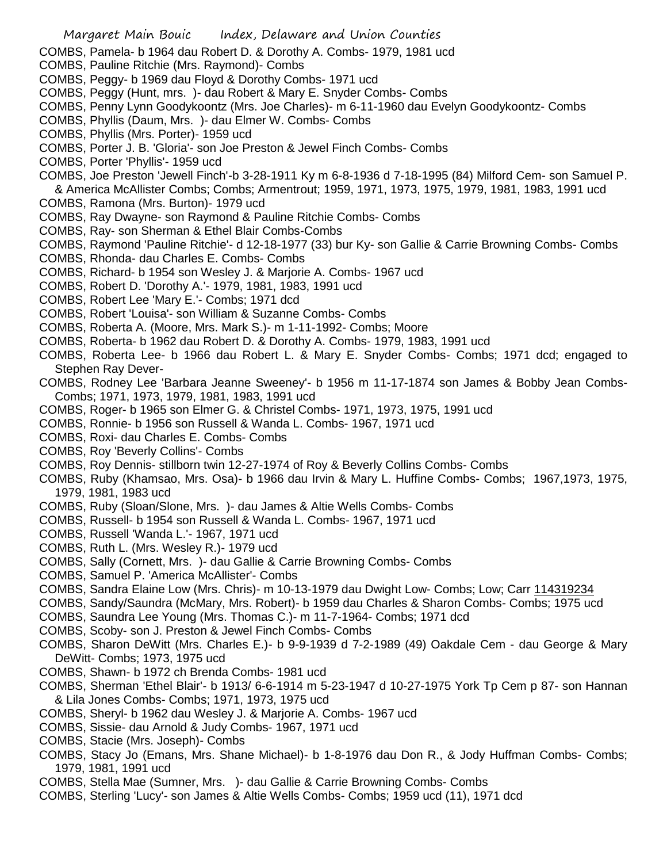COMBS, Pamela- b 1964 dau Robert D. & Dorothy A. Combs- 1979, 1981 ucd

COMBS, Pauline Ritchie (Mrs. Raymond)- Combs

- COMBS, Peggy- b 1969 dau Floyd & Dorothy Combs- 1971 ucd
- COMBS, Peggy (Hunt, mrs. )- dau Robert & Mary E. Snyder Combs- Combs
- COMBS, Penny Lynn Goodykoontz (Mrs. Joe Charles)- m 6-11-1960 dau Evelyn Goodykoontz- Combs
- COMBS, Phyllis (Daum, Mrs. )- dau Elmer W. Combs- Combs
- COMBS, Phyllis (Mrs. Porter)- 1959 ucd
- COMBS, Porter J. B. 'Gloria'- son Joe Preston & Jewel Finch Combs- Combs
- COMBS, Porter 'Phyllis'- 1959 ucd
- COMBS, Joe Preston 'Jewell Finch'-b 3-28-1911 Ky m 6-8-1936 d 7-18-1995 (84) Milford Cem- son Samuel P. & America McAllister Combs; Combs; Armentrout; 1959, 1971, 1973, 1975, 1979, 1981, 1983, 1991 ucd
- COMBS, Ramona (Mrs. Burton)- 1979 ucd
- COMBS, Ray Dwayne- son Raymond & Pauline Ritchie Combs- Combs
- COMBS, Ray- son Sherman & Ethel Blair Combs-Combs
- COMBS, Raymond 'Pauline Ritchie'- d 12-18-1977 (33) bur Ky- son Gallie & Carrie Browning Combs- Combs
- COMBS, Rhonda- dau Charles E. Combs- Combs
- COMBS, Richard- b 1954 son Wesley J. & Marjorie A. Combs- 1967 ucd
- COMBS, Robert D. 'Dorothy A.'- 1979, 1981, 1983, 1991 ucd
- COMBS, Robert Lee 'Mary E.'- Combs; 1971 dcd
- COMBS, Robert 'Louisa'- son William & Suzanne Combs- Combs
- COMBS, Roberta A. (Moore, Mrs. Mark S.)- m 1-11-1992- Combs; Moore
- COMBS, Roberta- b 1962 dau Robert D. & Dorothy A. Combs- 1979, 1983, 1991 ucd
- COMBS, Roberta Lee- b 1966 dau Robert L. & Mary E. Snyder Combs- Combs; 1971 dcd; engaged to Stephen Ray Dever-
- COMBS, Rodney Lee 'Barbara Jeanne Sweeney'- b 1956 m 11-17-1874 son James & Bobby Jean Combs-Combs; 1971, 1973, 1979, 1981, 1983, 1991 ucd
- COMBS, Roger- b 1965 son Elmer G. & Christel Combs- 1971, 1973, 1975, 1991 ucd
- COMBS, Ronnie- b 1956 son Russell & Wanda L. Combs- 1967, 1971 ucd
- COMBS, Roxi- dau Charles E. Combs- Combs
- COMBS, Roy 'Beverly Collins'- Combs
- COMBS, Roy Dennis- stillborn twin 12-27-1974 of Roy & Beverly Collins Combs- Combs
- COMBS, Ruby (Khamsao, Mrs. Osa)- b 1966 dau Irvin & Mary L. Huffine Combs- Combs; 1967,1973, 1975, 1979, 1981, 1983 ucd
- COMBS, Ruby (Sloan/Slone, Mrs. )- dau James & Altie Wells Combs- Combs
- COMBS, Russell- b 1954 son Russell & Wanda L. Combs- 1967, 1971 ucd
- COMBS, Russell 'Wanda L.'- 1967, 1971 ucd
- COMBS, Ruth L. (Mrs. Wesley R.)- 1979 ucd
- COMBS, Sally (Cornett, Mrs. )- dau Gallie & Carrie Browning Combs- Combs
- COMBS, Samuel P. 'America McAllister'- Combs
- COMBS, Sandra Elaine Low (Mrs. Chris)- m 10-13-1979 dau Dwight Low- Combs; Low; Carr 114319234
- COMBS, Sandy/Saundra (McMary, Mrs. Robert)- b 1959 dau Charles & Sharon Combs- Combs; 1975 ucd
- COMBS, Saundra Lee Young (Mrs. Thomas C.)- m 11-7-1964- Combs; 1971 dcd
- COMBS, Scoby- son J. Preston & Jewel Finch Combs- Combs
- COMBS, Sharon DeWitt (Mrs. Charles E.)- b 9-9-1939 d 7-2-1989 (49) Oakdale Cem dau George & Mary DeWitt- Combs; 1973, 1975 ucd
- COMBS, Shawn- b 1972 ch Brenda Combs- 1981 ucd
- COMBS, Sherman 'Ethel Blair'- b 1913/ 6-6-1914 m 5-23-1947 d 10-27-1975 York Tp Cem p 87- son Hannan & Lila Jones Combs- Combs; 1971, 1973, 1975 ucd
- COMBS, Sheryl- b 1962 dau Wesley J. & Marjorie A. Combs- 1967 ucd
- COMBS, Sissie- dau Arnold & Judy Combs- 1967, 1971 ucd
- COMBS, Stacie (Mrs. Joseph)- Combs
- COMBS, Stacy Jo (Emans, Mrs. Shane Michael)- b 1-8-1976 dau Don R., & Jody Huffman Combs- Combs; 1979, 1981, 1991 ucd
- COMBS, Stella Mae (Sumner, Mrs. )- dau Gallie & Carrie Browning Combs- Combs
- COMBS, Sterling 'Lucy'- son James & Altie Wells Combs- Combs; 1959 ucd (11), 1971 dcd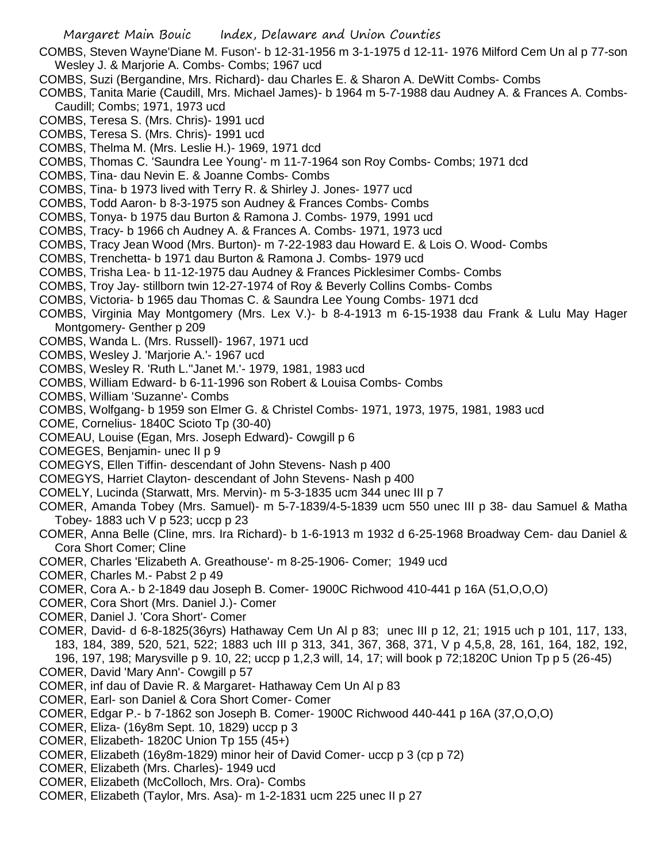- COMBS, Steven Wayne'Diane M. Fuson'- b 12-31-1956 m 3-1-1975 d 12-11- 1976 Milford Cem Un al p 77-son Wesley J. & Marjorie A. Combs- Combs; 1967 ucd
- COMBS, Suzi (Bergandine, Mrs. Richard)- dau Charles E. & Sharon A. DeWitt Combs- Combs
- COMBS, Tanita Marie (Caudill, Mrs. Michael James)- b 1964 m 5-7-1988 dau Audney A. & Frances A. Combs-Caudill; Combs; 1971, 1973 ucd
- COMBS, Teresa S. (Mrs. Chris)- 1991 ucd
- COMBS, Teresa S. (Mrs. Chris)- 1991 ucd
- COMBS, Thelma M. (Mrs. Leslie H.)- 1969, 1971 dcd
- COMBS, Thomas C. 'Saundra Lee Young'- m 11-7-1964 son Roy Combs- Combs; 1971 dcd
- COMBS, Tina- dau Nevin E. & Joanne Combs- Combs
- COMBS, Tina- b 1973 lived with Terry R. & Shirley J. Jones- 1977 ucd
- COMBS, Todd Aaron- b 8-3-1975 son Audney & Frances Combs- Combs
- COMBS, Tonya- b 1975 dau Burton & Ramona J. Combs- 1979, 1991 ucd
- COMBS, Tracy- b 1966 ch Audney A. & Frances A. Combs- 1971, 1973 ucd
- COMBS, Tracy Jean Wood (Mrs. Burton)- m 7-22-1983 dau Howard E. & Lois O. Wood- Combs
- COMBS, Trenchetta- b 1971 dau Burton & Ramona J. Combs- 1979 ucd
- COMBS, Trisha Lea- b 11-12-1975 dau Audney & Frances Picklesimer Combs- Combs
- COMBS, Troy Jay- stillborn twin 12-27-1974 of Roy & Beverly Collins Combs- Combs
- COMBS, Victoria- b 1965 dau Thomas C. & Saundra Lee Young Combs- 1971 dcd
- COMBS, Virginia May Montgomery (Mrs. Lex V.)- b 8-4-1913 m 6-15-1938 dau Frank & Lulu May Hager Montgomery- Genther p 209
- COMBS, Wanda L. (Mrs. Russell)- 1967, 1971 ucd
- COMBS, Wesley J. 'Marjorie A.'- 1967 ucd
- COMBS, Wesley R. 'Ruth L.''Janet M.'- 1979, 1981, 1983 ucd
- COMBS, William Edward- b 6-11-1996 son Robert & Louisa Combs- Combs
- COMBS, William 'Suzanne'- Combs
- COMBS, Wolfgang- b 1959 son Elmer G. & Christel Combs- 1971, 1973, 1975, 1981, 1983 ucd
- COME, Cornelius- 1840C Scioto Tp (30-40)
- COMEAU, Louise (Egan, Mrs. Joseph Edward)- Cowgill p 6
- COMEGES, Benjamin- unec II p 9
- COMEGYS, Ellen Tiffin- descendant of John Stevens- Nash p 400
- COMEGYS, Harriet Clayton- descendant of John Stevens- Nash p 400
- COMELY, Lucinda (Starwatt, Mrs. Mervin)- m 5-3-1835 ucm 344 unec III p 7
- COMER, Amanda Tobey (Mrs. Samuel)- m 5-7-1839/4-5-1839 ucm 550 unec III p 38- dau Samuel & Matha Tobey- 1883 uch V p 523; uccp p 23
- COMER, Anna Belle (Cline, mrs. Ira Richard)- b 1-6-1913 m 1932 d 6-25-1968 Broadway Cem- dau Daniel & Cora Short Comer; Cline
- COMER, Charles 'Elizabeth A. Greathouse'- m 8-25-1906- Comer; 1949 ucd
- COMER, Charles M.- Pabst 2 p 49
- COMER, Cora A.- b 2-1849 dau Joseph B. Comer- 1900C Richwood 410-441 p 16A (51,O,O,O)
- COMER, Cora Short (Mrs. Daniel J.)- Comer
- COMER, Daniel J. 'Cora Short'- Comer
- COMER, David- d 6-8-1825(36yrs) Hathaway Cem Un Al p 83; unec III p 12, 21; 1915 uch p 101, 117, 133, 183, 184, 389, 520, 521, 522; 1883 uch III p 313, 341, 367, 368, 371, V p 4,5,8, 28, 161, 164, 182, 192, 196, 197, 198; Marysville p 9. 10, 22; uccp p 1,2,3 will, 14, 17; will book p 72;1820C Union Tp p 5 (26-45)
- COMER, David 'Mary Ann'- Cowgill p 57
- COMER, inf dau of Davie R. & Margaret- Hathaway Cem Un Al p 83
- COMER, Earl- son Daniel & Cora Short Comer- Comer
- COMER, Edgar P.- b 7-1862 son Joseph B. Comer- 1900C Richwood 440-441 p 16A (37,O,O,O)
- COMER, Eliza- (16y8m Sept. 10, 1829) uccp p 3
- COMER, Elizabeth- 1820C Union Tp 155 (45+)
- COMER, Elizabeth (16y8m-1829) minor heir of David Comer- uccp p 3 (cp p 72)
- COMER, Elizabeth (Mrs. Charles)- 1949 ucd
- COMER, Elizabeth (McColloch, Mrs. Ora)- Combs
- COMER, Elizabeth (Taylor, Mrs. Asa)- m 1-2-1831 ucm 225 unec II p 27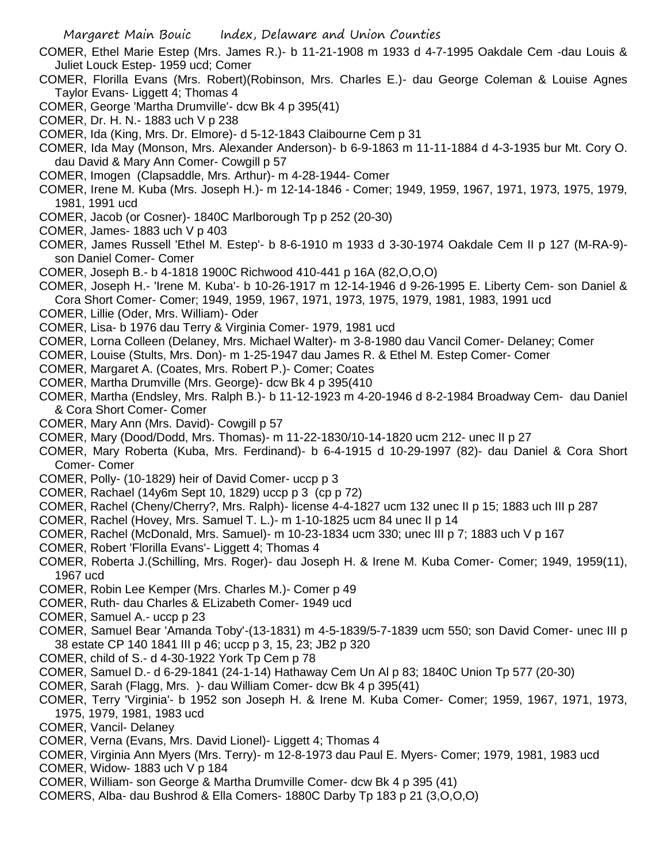- COMER, Ethel Marie Estep (Mrs. James R.)- b 11-21-1908 m 1933 d 4-7-1995 Oakdale Cem -dau Louis & Juliet Louck Estep- 1959 ucd; Comer
- COMER, Florilla Evans (Mrs. Robert)(Robinson, Mrs. Charles E.)- dau George Coleman & Louise Agnes Taylor Evans- Liggett 4; Thomas 4
- COMER, George 'Martha Drumville'- dcw Bk 4 p 395(41)
- COMER, Dr. H. N.- 1883 uch V p 238
- COMER, Ida (King, Mrs. Dr. Elmore)- d 5-12-1843 Claibourne Cem p 31
- COMER, Ida May (Monson, Mrs. Alexander Anderson)- b 6-9-1863 m 11-11-1884 d 4-3-1935 bur Mt. Cory O. dau David & Mary Ann Comer- Cowgill p 57
- COMER, Imogen (Clapsaddle, Mrs. Arthur)- m 4-28-1944- Comer
- COMER, Irene M. Kuba (Mrs. Joseph H.)- m 12-14-1846 Comer; 1949, 1959, 1967, 1971, 1973, 1975, 1979, 1981, 1991 ucd
- COMER, Jacob (or Cosner)- 1840C Marlborough Tp p 252 (20-30)
- COMER, James- 1883 uch V p 403
- COMER, James Russell 'Ethel M. Estep'- b 8-6-1910 m 1933 d 3-30-1974 Oakdale Cem II p 127 (M-RA-9) son Daniel Comer- Comer
- COMER, Joseph B.- b 4-1818 1900C Richwood 410-441 p 16A (82,O,O,O)
- COMER, Joseph H.- 'Irene M. Kuba'- b 10-26-1917 m 12-14-1946 d 9-26-1995 E. Liberty Cem- son Daniel & Cora Short Comer- Comer; 1949, 1959, 1967, 1971, 1973, 1975, 1979, 1981, 1983, 1991 ucd
- COMER, Lillie (Oder, Mrs. William)- Oder
- COMER, Lisa- b 1976 dau Terry & Virginia Comer- 1979, 1981 ucd
- COMER, Lorna Colleen (Delaney, Mrs. Michael Walter)- m 3-8-1980 dau Vancil Comer- Delaney; Comer
- COMER, Louise (Stults, Mrs. Don)- m 1-25-1947 dau James R. & Ethel M. Estep Comer- Comer
- COMER, Margaret A. (Coates, Mrs. Robert P.)- Comer; Coates
- COMER, Martha Drumville (Mrs. George)- dcw Bk 4 p 395(410
- COMER, Martha (Endsley, Mrs. Ralph B.)- b 11-12-1923 m 4-20-1946 d 8-2-1984 Broadway Cem- dau Daniel & Cora Short Comer- Comer
- COMER, Mary Ann (Mrs. David)- Cowgill p 57
- COMER, Mary (Dood/Dodd, Mrs. Thomas)- m 11-22-1830/10-14-1820 ucm 212- unec II p 27
- COMER, Mary Roberta (Kuba, Mrs. Ferdinand)- b 6-4-1915 d 10-29-1997 (82)- dau Daniel & Cora Short Comer- Comer
- COMER, Polly- (10-1829) heir of David Comer- uccp p 3
- COMER, Rachael (14y6m Sept 10, 1829) uccp p 3 (cp p 72)
- COMER, Rachel (Cheny/Cherry?, Mrs. Ralph)- license 4-4-1827 ucm 132 unec II p 15; 1883 uch III p 287
- COMER, Rachel (Hovey, Mrs. Samuel T. L.)- m 1-10-1825 ucm 84 unec II p 14
- COMER, Rachel (McDonald, Mrs. Samuel)- m 10-23-1834 ucm 330; unec III p 7; 1883 uch V p 167
- COMER, Robert 'Florilla Evans'- Liggett 4; Thomas 4
- COMER, Roberta J.(Schilling, Mrs. Roger)- dau Joseph H. & Irene M. Kuba Comer- Comer; 1949, 1959(11), 1967 ucd
- COMER, Robin Lee Kemper (Mrs. Charles M.)- Comer p 49
- COMER, Ruth- dau Charles & ELizabeth Comer- 1949 ucd
- COMER, Samuel A.- uccp p 23
- COMER, Samuel Bear 'Amanda Toby'-(13-1831) m 4-5-1839/5-7-1839 ucm 550; son David Comer- unec III p 38 estate CP 140 1841 III p 46; uccp p 3, 15, 23; JB2 p 320
- COMER, child of S.- d 4-30-1922 York Tp Cem p 78
- COMER, Samuel D.- d 6-29-1841 (24-1-14) Hathaway Cem Un Al p 83; 1840C Union Tp 577 (20-30)
- COMER, Sarah (Flagg, Mrs. )- dau William Comer- dcw Bk 4 p 395(41)
- COMER, Terry 'Virginia'- b 1952 son Joseph H. & Irene M. Kuba Comer- Comer; 1959, 1967, 1971, 1973, 1975, 1979, 1981, 1983 ucd
- COMER, Vancil- Delaney
- COMER, Verna (Evans, Mrs. David Lionel)- Liggett 4; Thomas 4
- COMER, Virginia Ann Myers (Mrs. Terry)- m 12-8-1973 dau Paul E. Myers- Comer; 1979, 1981, 1983 ucd
- COMER, Widow- 1883 uch V p 184
- COMER, William- son George & Martha Drumville Comer- dcw Bk 4 p 395 (41)
- COMERS, Alba- dau Bushrod & Ella Comers- 1880C Darby Tp 183 p 21 (3,O,O,O)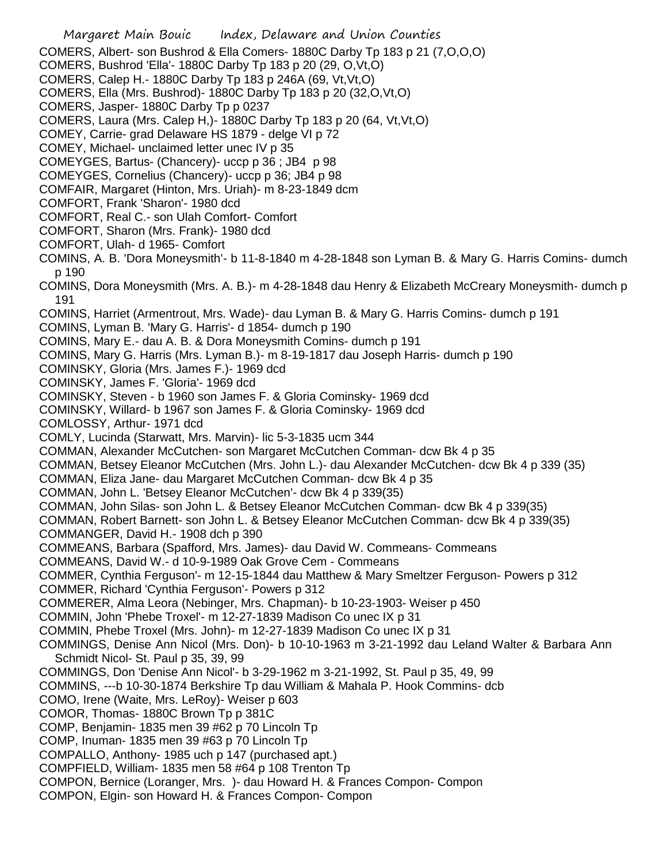COMERS, Albert- son Bushrod & Ella Comers- 1880C Darby Tp 183 p 21 (7,O,O,O)

- COMERS, Bushrod 'Ella'- 1880C Darby Tp 183 p 20 (29, O,Vt,O)
- COMERS, Calep H.- 1880C Darby Tp 183 p 246A (69, Vt,Vt,O)
- COMERS, Ella (Mrs. Bushrod)- 1880C Darby Tp 183 p 20 (32,O,Vt,O)
- COMERS, Jasper- 1880C Darby Tp p 0237
- COMERS, Laura (Mrs. Calep H,)- 1880C Darby Tp 183 p 20 (64, Vt,Vt,O)
- COMEY, Carrie- grad Delaware HS 1879 delge VI p 72
- COMEY, Michael- unclaimed letter unec IV p 35
- COMEYGES, Bartus- (Chancery)- uccp p 36 ; JB4 p 98
- COMEYGES, Cornelius (Chancery)- uccp p 36; JB4 p 98
- COMFAIR, Margaret (Hinton, Mrs. Uriah)- m 8-23-1849 dcm
- COMFORT, Frank 'Sharon'- 1980 dcd
- COMFORT, Real C.- son Ulah Comfort- Comfort
- COMFORT, Sharon (Mrs. Frank)- 1980 dcd
- COMFORT, Ulah- d 1965- Comfort
- COMINS, A. B. 'Dora Moneysmith'- b 11-8-1840 m 4-28-1848 son Lyman B. & Mary G. Harris Comins- dumch p 190
- COMINS, Dora Moneysmith (Mrs. A. B.)- m 4-28-1848 dau Henry & Elizabeth McCreary Moneysmith- dumch p 191
- COMINS, Harriet (Armentrout, Mrs. Wade)- dau Lyman B. & Mary G. Harris Comins- dumch p 191
- COMINS, Lyman B. 'Mary G. Harris'- d 1854- dumch p 190
- COMINS, Mary E.- dau A. B. & Dora Moneysmith Comins- dumch p 191
- COMINS, Mary G. Harris (Mrs. Lyman B.)- m 8-19-1817 dau Joseph Harris- dumch p 190
- COMINSKY, Gloria (Mrs. James F.)- 1969 dcd
- COMINSKY, James F. 'Gloria'- 1969 dcd
- COMINSKY, Steven b 1960 son James F. & Gloria Cominsky- 1969 dcd
- COMINSKY, Willard- b 1967 son James F. & Gloria Cominsky- 1969 dcd
- COMLOSSY, Arthur- 1971 dcd
- COMLY, Lucinda (Starwatt, Mrs. Marvin)- lic 5-3-1835 ucm 344
- COMMAN, Alexander McCutchen- son Margaret McCutchen Comman- dcw Bk 4 p 35
- COMMAN, Betsey Eleanor McCutchen (Mrs. John L.)- dau Alexander McCutchen- dcw Bk 4 p 339 (35)
- COMMAN, Eliza Jane- dau Margaret McCutchen Comman- dcw Bk 4 p 35
- COMMAN, John L. 'Betsey Eleanor McCutchen'- dcw Bk 4 p 339(35)
- COMMAN, John Silas- son John L. & Betsey Eleanor McCutchen Comman- dcw Bk 4 p 339(35)
- COMMAN, Robert Barnett- son John L. & Betsey Eleanor McCutchen Comman- dcw Bk 4 p 339(35) COMMANGER, David H.- 1908 dch p 390
- COMMEANS, Barbara (Spafford, Mrs. James)- dau David W. Commeans- Commeans
- COMMEANS, David W.- d 10-9-1989 Oak Grove Cem Commeans
- COMMER, Cynthia Ferguson'- m 12-15-1844 dau Matthew & Mary Smeltzer Ferguson- Powers p 312 COMMER, Richard 'Cynthia Ferguson'- Powers p 312
- COMMERER, Alma Leora (Nebinger, Mrs. Chapman)- b 10-23-1903- Weiser p 450
- COMMIN, John 'Phebe Troxel'- m 12-27-1839 Madison Co unec IX p 31
- COMMIN, Phebe Troxel (Mrs. John)- m 12-27-1839 Madison Co unec IX p 31
- COMMINGS, Denise Ann Nicol (Mrs. Don)- b 10-10-1963 m 3-21-1992 dau Leland Walter & Barbara Ann Schmidt Nicol- St. Paul p 35, 39, 99
- COMMINGS, Don 'Denise Ann Nicol'- b 3-29-1962 m 3-21-1992, St. Paul p 35, 49, 99
- COMMINS, ---b 10-30-1874 Berkshire Tp dau William & Mahala P. Hook Commins- dcb
- COMO, Irene (Waite, Mrs. LeRoy)- Weiser p 603
- COMOR, Thomas- 1880C Brown Tp p 381C
- COMP, Benjamin- 1835 men 39 #62 p 70 Lincoln Tp
- COMP, Inuman- 1835 men 39 #63 p 70 Lincoln Tp
- COMPALLO, Anthony- 1985 uch p 147 (purchased apt.)
- COMPFIELD, William- 1835 men 58 #64 p 108 Trenton Tp
- COMPON, Bernice (Loranger, Mrs. )- dau Howard H. & Frances Compon- Compon
- COMPON, Elgin- son Howard H. & Frances Compon- Compon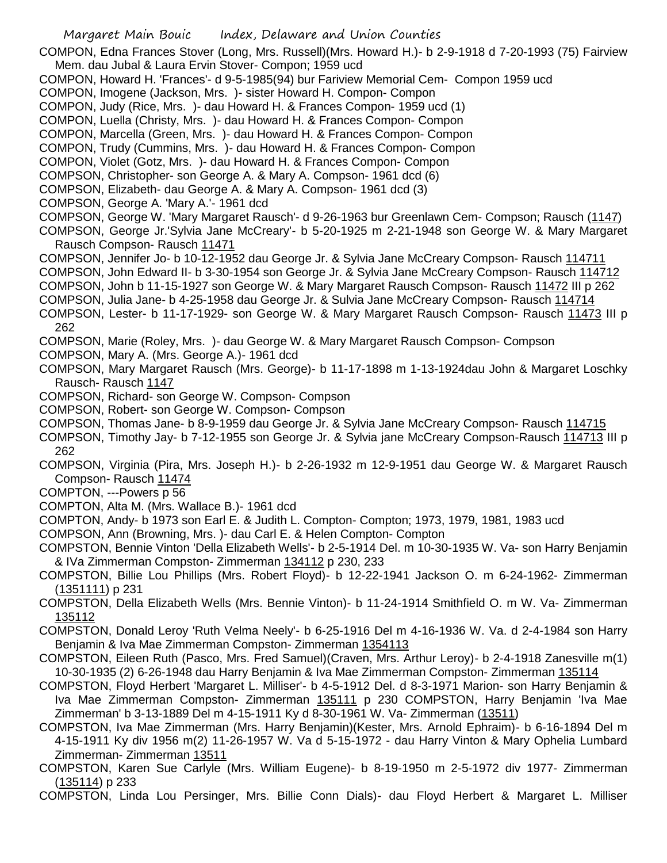COMPON, Edna Frances Stover (Long, Mrs. Russell)(Mrs. Howard H.)- b 2-9-1918 d 7-20-1993 (75) Fairview Mem. dau Jubal & Laura Ervin Stover- Compon; 1959 ucd

COMPON, Howard H. 'Frances'- d 9-5-1985(94) bur Fariview Memorial Cem- Compon 1959 ucd

COMPON, Imogene (Jackson, Mrs. )- sister Howard H. Compon- Compon

COMPON, Judy (Rice, Mrs. )- dau Howard H. & Frances Compon- 1959 ucd (1)

COMPON, Luella (Christy, Mrs. )- dau Howard H. & Frances Compon- Compon

COMPON, Marcella (Green, Mrs. )- dau Howard H. & Frances Compon- Compon

COMPON, Trudy (Cummins, Mrs. )- dau Howard H. & Frances Compon- Compon

COMPON, Violet (Gotz, Mrs. )- dau Howard H. & Frances Compon- Compon

COMPSON, Christopher- son George A. & Mary A. Compson- 1961 dcd (6)

COMPSON, Elizabeth- dau George A. & Mary A. Compson- 1961 dcd (3)

COMPSON, George A. 'Mary A.'- 1961 dcd

COMPSON, George W. 'Mary Margaret Rausch'- d 9-26-1963 bur Greenlawn Cem- Compson; Rausch (1147)

COMPSON, George Jr.'Sylvia Jane McCreary'- b 5-20-1925 m 2-21-1948 son George W. & Mary Margaret Rausch Compson- Rausch 11471

COMPSON, Jennifer Jo- b 10-12-1952 dau George Jr. & Sylvia Jane McCreary Compson- Rausch 114711

COMPSON, John Edward II- b 3-30-1954 son George Jr. & Sylvia Jane McCreary Compson- Rausch 114712

COMPSON, John b 11-15-1927 son George W. & Mary Margaret Rausch Compson- Rausch 11472 III p 262

COMPSON, Julia Jane- b 4-25-1958 dau George Jr. & Sulvia Jane McCreary Compson- Rausch 114714

COMPSON, Lester- b 11-17-1929- son George W. & Mary Margaret Rausch Compson- Rausch 11473 III p 262

COMPSON, Marie (Roley, Mrs. )- dau George W. & Mary Margaret Rausch Compson- Compson

- COMPSON, Mary A. (Mrs. George A.)- 1961 dcd
- COMPSON, Mary Margaret Rausch (Mrs. George)- b 11-17-1898 m 1-13-1924dau John & Margaret Loschky Rausch- Rausch 1147
- COMPSON, Richard- son George W. Compson- Compson
- COMPSON, Robert- son George W. Compson- Compson
- COMPSON, Thomas Jane- b 8-9-1959 dau George Jr. & Sylvia Jane McCreary Compson- Rausch 114715
- COMPSON, Timothy Jay- b 7-12-1955 son George Jr. & Sylvia jane McCreary Compson-Rausch 114713 III p 262

COMPSON, Virginia (Pira, Mrs. Joseph H.)- b 2-26-1932 m 12-9-1951 dau George W. & Margaret Rausch Compson- Rausch 11474

- COMPTON, ---Powers p 56
- COMPTON, Alta M. (Mrs. Wallace B.)- 1961 dcd
- COMPTON, Andy- b 1973 son Earl E. & Judith L. Compton- Compton; 1973, 1979, 1981, 1983 ucd

COMPSON, Ann (Browning, Mrs. )- dau Carl E. & Helen Compton- Compton

COMPSTON, Bennie Vinton 'Della Elizabeth Wells'- b 2-5-1914 Del. m 10-30-1935 W. Va- son Harry Benjamin & IVa Zimmerman Compston- Zimmerman 134112 p 230, 233

- COMPSTON, Billie Lou Phillips (Mrs. Robert Floyd)- b 12-22-1941 Jackson O. m 6-24-1962- Zimmerman (1351111) p 231
- COMPSTON, Della Elizabeth Wells (Mrs. Bennie Vinton)- b 11-24-1914 Smithfield O. m W. Va- Zimmerman 135112
- COMPSTON, Donald Leroy 'Ruth Velma Neely'- b 6-25-1916 Del m 4-16-1936 W. Va. d 2-4-1984 son Harry Benjamin & Iva Mae Zimmerman Compston- Zimmerman 1354113
- COMPSTON, Eileen Ruth (Pasco, Mrs. Fred Samuel)(Craven, Mrs. Arthur Leroy)- b 2-4-1918 Zanesville m(1) 10-30-1935 (2) 6-26-1948 dau Harry Benjamin & Iva Mae Zimmerman Compston- Zimmerman 135114

COMPSTON, Floyd Herbert 'Margaret L. Milliser'- b 4-5-1912 Del. d 8-3-1971 Marion- son Harry Benjamin & Iva Mae Zimmerman Compston- Zimmerman 135111 p 230 COMPSTON, Harry Benjamin 'Iva Mae Zimmerman' b 3-13-1889 Del m 4-15-1911 Ky d 8-30-1961 W. Va- Zimmerman (13511)

COMPSTON, Iva Mae Zimmerman (Mrs. Harry Benjamin)(Kester, Mrs. Arnold Ephraim)- b 6-16-1894 Del m 4-15-1911 Ky div 1956 m(2) 11-26-1957 W. Va d 5-15-1972 - dau Harry Vinton & Mary Ophelia Lumbard Zimmerman- Zimmerman 13511

- COMPSTON, Karen Sue Carlyle (Mrs. William Eugene)- b 8-19-1950 m 2-5-1972 div 1977- Zimmerman (135114) p 233
- COMPSTON, Linda Lou Persinger, Mrs. Billie Conn Dials)- dau Floyd Herbert & Margaret L. Milliser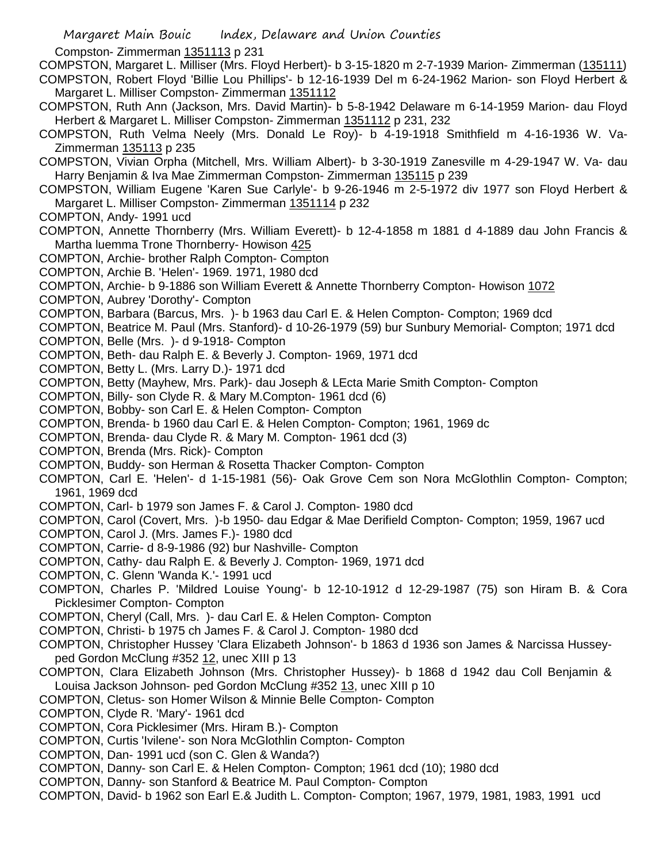Margaret Main Bouic Index, Delaware and Union Counties Compston- Zimmerman 1351113 p 231 COMPSTON, Margaret L. Milliser (Mrs. Floyd Herbert)- b 3-15-1820 m 2-7-1939 Marion- Zimmerman (135111) COMPSTON, Robert Floyd 'Billie Lou Phillips'- b 12-16-1939 Del m 6-24-1962 Marion- son Floyd Herbert & Margaret L. Milliser Compston- Zimmerman 1351112 COMPSTON, Ruth Ann (Jackson, Mrs. David Martin)- b 5-8-1942 Delaware m 6-14-1959 Marion- dau Floyd Herbert & Margaret L. Milliser Compston- Zimmerman 1351112 p 231, 232 COMPSTON, Ruth Velma Neely (Mrs. Donald Le Roy)- b 4-19-1918 Smithfield m 4-16-1936 W. Va-Zimmerman 135113 p 235 COMPSTON, Vivian Orpha (Mitchell, Mrs. William Albert)- b 3-30-1919 Zanesville m 4-29-1947 W. Va- dau Harry Benjamin & Iva Mae Zimmerman Compston- Zimmerman 135115 p 239 COMPSTON, William Eugene 'Karen Sue Carlyle'- b 9-26-1946 m 2-5-1972 div 1977 son Floyd Herbert & Margaret L. Milliser Compston- Zimmerman 1351114 p 232 COMPTON, Andy- 1991 ucd COMPTON, Annette Thornberry (Mrs. William Everett)- b 12-4-1858 m 1881 d 4-1889 dau John Francis & Martha luemma Trone Thornberry- Howison 425 COMPTON, Archie- brother Ralph Compton- Compton COMPTON, Archie B. 'Helen'- 1969. 1971, 1980 dcd COMPTON, Archie- b 9-1886 son William Everett & Annette Thornberry Compton- Howison 1072 COMPTON, Aubrey 'Dorothy'- Compton COMPTON, Barbara (Barcus, Mrs. )- b 1963 dau Carl E. & Helen Compton- Compton; 1969 dcd COMPTON, Beatrice M. Paul (Mrs. Stanford)- d 10-26-1979 (59) bur Sunbury Memorial- Compton; 1971 dcd COMPTON, Belle (Mrs. )- d 9-1918- Compton COMPTON, Beth- dau Ralph E. & Beverly J. Compton- 1969, 1971 dcd COMPTON, Betty L. (Mrs. Larry D.)- 1971 dcd COMPTON, Betty (Mayhew, Mrs. Park)- dau Joseph & LEcta Marie Smith Compton- Compton COMPTON, Billy- son Clyde R. & Mary M.Compton- 1961 dcd (6) COMPTON, Bobby- son Carl E. & Helen Compton- Compton COMPTON, Brenda- b 1960 dau Carl E. & Helen Compton- Compton; 1961, 1969 dc COMPTON, Brenda- dau Clyde R. & Mary M. Compton- 1961 dcd (3) COMPTON, Brenda (Mrs. Rick)- Compton COMPTON, Buddy- son Herman & Rosetta Thacker Compton- Compton COMPTON, Carl E. 'Helen'- d 1-15-1981 (56)- Oak Grove Cem son Nora McGlothlin Compton- Compton; 1961, 1969 dcd COMPTON, Carl- b 1979 son James F. & Carol J. Compton- 1980 dcd COMPTON, Carol (Covert, Mrs. )-b 1950- dau Edgar & Mae Derifield Compton- Compton; 1959, 1967 ucd COMPTON, Carol J. (Mrs. James F.)- 1980 dcd COMPTON, Carrie- d 8-9-1986 (92) bur Nashville- Compton COMPTON, Cathy- dau Ralph E. & Beverly J. Compton- 1969, 1971 dcd COMPTON, C. Glenn 'Wanda K.'- 1991 ucd COMPTON, Charles P. 'Mildred Louise Young'- b 12-10-1912 d 12-29-1987 (75) son Hiram B. & Cora Picklesimer Compton- Compton COMPTON, Cheryl (Call, Mrs. )- dau Carl E. & Helen Compton- Compton COMPTON, Christi- b 1975 ch James F. & Carol J. Compton- 1980 dcd COMPTON, Christopher Hussey 'Clara Elizabeth Johnson'- b 1863 d 1936 son James & Narcissa Husseyped Gordon McClung #352 12, unec XIII p 13 COMPTON, Clara Elizabeth Johnson (Mrs. Christopher Hussey)- b 1868 d 1942 dau Coll Benjamin & Louisa Jackson Johnson- ped Gordon McClung #352 13, unec XIII p 10 COMPTON, Cletus- son Homer Wilson & Minnie Belle Compton- Compton COMPTON, Clyde R. 'Mary'- 1961 dcd COMPTON, Cora Picklesimer (Mrs. Hiram B.)- Compton COMPTON, Curtis 'Ivilene'- son Nora McGlothlin Compton- Compton COMPTON, Dan- 1991 ucd (son C. Glen & Wanda?)

- COMPTON, Danny- son Carl E. & Helen Compton- Compton; 1961 dcd (10); 1980 dcd
- COMPTON, Danny- son Stanford & Beatrice M. Paul Compton- Compton
- COMPTON, David- b 1962 son Earl E.& Judith L. Compton- Compton; 1967, 1979, 1981, 1983, 1991 ucd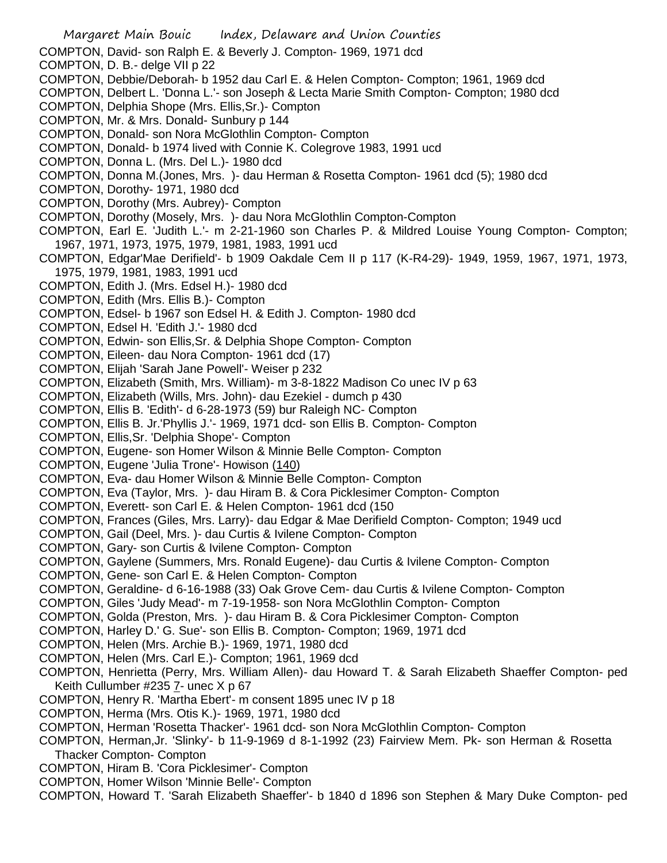Margaret Main Bouic Index, Delaware and Union Counties COMPTON, David- son Ralph E. & Beverly J. Compton- 1969, 1971 dcd COMPTON, D. B.- delge VII p 22 COMPTON, Debbie/Deborah- b 1952 dau Carl E. & Helen Compton- Compton; 1961, 1969 dcd COMPTON, Delbert L. 'Donna L.'- son Joseph & Lecta Marie Smith Compton- Compton; 1980 dcd COMPTON, Delphia Shope (Mrs. Ellis,Sr.)- Compton COMPTON, Mr. & Mrs. Donald- Sunbury p 144 COMPTON, Donald- son Nora McGlothlin Compton- Compton COMPTON, Donald- b 1974 lived with Connie K. Colegrove 1983, 1991 ucd COMPTON, Donna L. (Mrs. Del L.)- 1980 dcd COMPTON, Donna M.(Jones, Mrs. )- dau Herman & Rosetta Compton- 1961 dcd (5); 1980 dcd COMPTON, Dorothy- 1971, 1980 dcd COMPTON, Dorothy (Mrs. Aubrey)- Compton COMPTON, Dorothy (Mosely, Mrs. )- dau Nora McGlothlin Compton-Compton COMPTON, Earl E. 'Judith L.'- m 2-21-1960 son Charles P. & Mildred Louise Young Compton- Compton; 1967, 1971, 1973, 1975, 1979, 1981, 1983, 1991 ucd COMPTON, Edgar'Mae Derifield'- b 1909 Oakdale Cem II p 117 (K-R4-29)- 1949, 1959, 1967, 1971, 1973, 1975, 1979, 1981, 1983, 1991 ucd COMPTON, Edith J. (Mrs. Edsel H.)- 1980 dcd COMPTON, Edith (Mrs. Ellis B.)- Compton COMPTON, Edsel- b 1967 son Edsel H. & Edith J. Compton- 1980 dcd COMPTON, Edsel H. 'Edith J.'- 1980 dcd COMPTON, Edwin- son Ellis,Sr. & Delphia Shope Compton- Compton COMPTON, Eileen- dau Nora Compton- 1961 dcd (17) COMPTON, Elijah 'Sarah Jane Powell'- Weiser p 232 COMPTON, Elizabeth (Smith, Mrs. William)- m 3-8-1822 Madison Co unec IV p 63 COMPTON, Elizabeth (Wills, Mrs. John)- dau Ezekiel - dumch p 430 COMPTON, Ellis B. 'Edith'- d 6-28-1973 (59) bur Raleigh NC- Compton COMPTON, Ellis B. Jr.'Phyllis J.'- 1969, 1971 dcd- son Ellis B. Compton- Compton COMPTON, Ellis,Sr. 'Delphia Shope'- Compton COMPTON, Eugene- son Homer Wilson & Minnie Belle Compton- Compton COMPTON, Eugene 'Julia Trone'- Howison (140) COMPTON, Eva- dau Homer Wilson & Minnie Belle Compton- Compton COMPTON, Eva (Taylor, Mrs. )- dau Hiram B. & Cora Picklesimer Compton- Compton COMPTON, Everett- son Carl E. & Helen Compton- 1961 dcd (150 COMPTON, Frances (Giles, Mrs. Larry)- dau Edgar & Mae Derifield Compton- Compton; 1949 ucd COMPTON, Gail (Deel, Mrs. )- dau Curtis & Ivilene Compton- Compton COMPTON, Gary- son Curtis & Ivilene Compton- Compton COMPTON, Gaylene (Summers, Mrs. Ronald Eugene)- dau Curtis & Ivilene Compton- Compton COMPTON, Gene- son Carl E. & Helen Compton- Compton COMPTON, Geraldine- d 6-16-1988 (33) Oak Grove Cem- dau Curtis & Ivilene Compton- Compton COMPTON, Giles 'Judy Mead'- m 7-19-1958- son Nora McGlothlin Compton- Compton COMPTON, Golda (Preston, Mrs. )- dau Hiram B. & Cora Picklesimer Compton- Compton COMPTON, Harley D.' G. Sue'- son Ellis B. Compton- Compton; 1969, 1971 dcd COMPTON, Helen (Mrs. Archie B.)- 1969, 1971, 1980 dcd COMPTON, Helen (Mrs. Carl E.)- Compton; 1961, 1969 dcd COMPTON, Henrietta (Perry, Mrs. William Allen)- dau Howard T. & Sarah Elizabeth Shaeffer Compton- ped Keith Cullumber #235 7- unec X p 67 COMPTON, Henry R. 'Martha Ebert'- m consent 1895 unec IV p 18 COMPTON, Herma (Mrs. Otis K.)- 1969, 1971, 1980 dcd COMPTON, Herman 'Rosetta Thacker'- 1961 dcd- son Nora McGlothlin Compton- Compton COMPTON, Herman,Jr. 'Slinky'- b 11-9-1969 d 8-1-1992 (23) Fairview Mem. Pk- son Herman & Rosetta Thacker Compton- Compton COMPTON, Hiram B. 'Cora Picklesimer'- Compton COMPTON, Homer Wilson 'Minnie Belle'- Compton COMPTON, Howard T. 'Sarah Elizabeth Shaeffer'- b 1840 d 1896 son Stephen & Mary Duke Compton- ped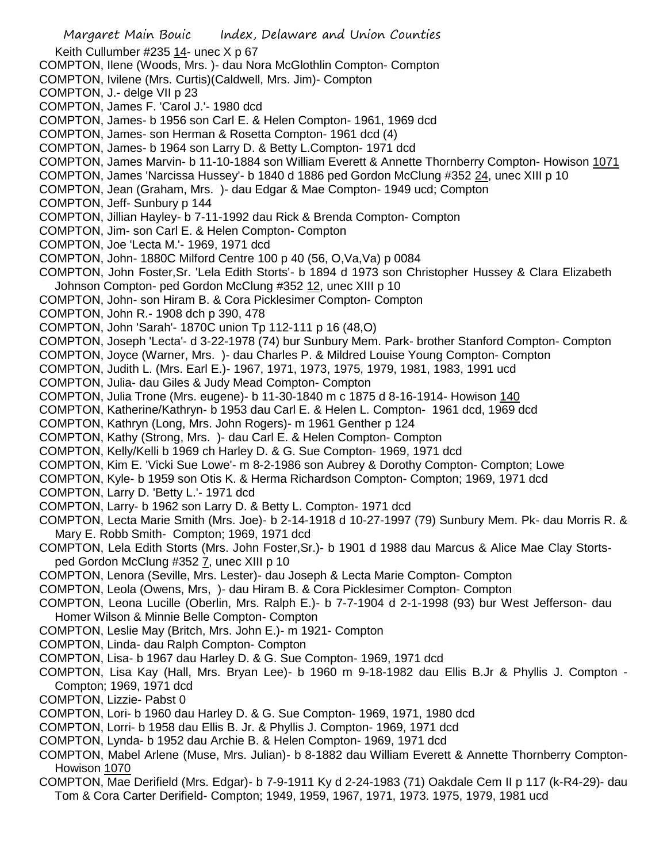Margaret Main Bouic Index, Delaware and Union Counties Keith Cullumber #235 14- unec X p 67 COMPTON, Ilene (Woods, Mrs. )- dau Nora McGlothlin Compton- Compton COMPTON, Ivilene (Mrs. Curtis)(Caldwell, Mrs. Jim)- Compton COMPTON, J.- delge VII p 23 COMPTON, James F. 'Carol J.'- 1980 dcd COMPTON, James- b 1956 son Carl E. & Helen Compton- 1961, 1969 dcd COMPTON, James- son Herman & Rosetta Compton- 1961 dcd (4) COMPTON, James- b 1964 son Larry D. & Betty L.Compton- 1971 dcd COMPTON, James Marvin- b 11-10-1884 son William Everett & Annette Thornberry Compton- Howison 1071 COMPTON, James 'Narcissa Hussey'- b 1840 d 1886 ped Gordon McClung #352 24, unec XIII p 10 COMPTON, Jean (Graham, Mrs. )- dau Edgar & Mae Compton- 1949 ucd; Compton COMPTON, Jeff- Sunbury p 144 COMPTON, Jillian Hayley- b 7-11-1992 dau Rick & Brenda Compton- Compton COMPTON, Jim- son Carl E. & Helen Compton- Compton COMPTON, Joe 'Lecta M.'- 1969, 1971 dcd COMPTON, John- 1880C Milford Centre 100 p 40 (56, O,Va,Va) p 0084 COMPTON, John Foster,Sr. 'Lela Edith Storts'- b 1894 d 1973 son Christopher Hussey & Clara Elizabeth Johnson Compton- ped Gordon McClung #352 12, unec XIII p 10 COMPTON, John- son Hiram B. & Cora Picklesimer Compton- Compton COMPTON, John R.- 1908 dch p 390, 478 COMPTON, John 'Sarah'- 1870C union Tp 112-111 p 16 (48,O) COMPTON, Joseph 'Lecta'- d 3-22-1978 (74) bur Sunbury Mem. Park- brother Stanford Compton- Compton COMPTON, Joyce (Warner, Mrs. )- dau Charles P. & Mildred Louise Young Compton- Compton COMPTON, Judith L. (Mrs. Earl E.)- 1967, 1971, 1973, 1975, 1979, 1981, 1983, 1991 ucd COMPTON, Julia- dau Giles & Judy Mead Compton- Compton COMPTON, Julia Trone (Mrs. eugene)- b 11-30-1840 m c 1875 d 8-16-1914- Howison 140 COMPTON, Katherine/Kathryn- b 1953 dau Carl E. & Helen L. Compton- 1961 dcd, 1969 dcd COMPTON, Kathryn (Long, Mrs. John Rogers)- m 1961 Genther p 124 COMPTON, Kathy (Strong, Mrs. )- dau Carl E. & Helen Compton- Compton COMPTON, Kelly/Kelli b 1969 ch Harley D. & G. Sue Compton- 1969, 1971 dcd COMPTON, Kim E. 'Vicki Sue Lowe'- m 8-2-1986 son Aubrey & Dorothy Compton- Compton; Lowe COMPTON, Kyle- b 1959 son Otis K. & Herma Richardson Compton- Compton; 1969, 1971 dcd COMPTON, Larry D. 'Betty L.'- 1971 dcd COMPTON, Larry- b 1962 son Larry D. & Betty L. Compton- 1971 dcd COMPTON, Lecta Marie Smith (Mrs. Joe)- b 2-14-1918 d 10-27-1997 (79) Sunbury Mem. Pk- dau Morris R. & Mary E. Robb Smith- Compton; 1969, 1971 dcd COMPTON, Lela Edith Storts (Mrs. John Foster,Sr.)- b 1901 d 1988 dau Marcus & Alice Mae Clay Stortsped Gordon McClung #352 7, unec XIII p 10 COMPTON, Lenora (Seville, Mrs. Lester)- dau Joseph & Lecta Marie Compton- Compton COMPTON, Leola (Owens, Mrs, )- dau Hiram B. & Cora Picklesimer Compton- Compton COMPTON, Leona Lucille (Oberlin, Mrs. Ralph E.)- b 7-7-1904 d 2-1-1998 (93) bur West Jefferson- dau Homer Wilson & Minnie Belle Compton- Compton COMPTON, Leslie May (Britch, Mrs. John E.)- m 1921- Compton COMPTON, Linda- dau Ralph Compton- Compton COMPTON, Lisa- b 1967 dau Harley D. & G. Sue Compton- 1969, 1971 dcd COMPTON, Lisa Kay (Hall, Mrs. Bryan Lee)- b 1960 m 9-18-1982 dau Ellis B.Jr & Phyllis J. Compton - Compton; 1969, 1971 dcd COMPTON, Lizzie- Pabst 0 COMPTON, Lori- b 1960 dau Harley D. & G. Sue Compton- 1969, 1971, 1980 dcd COMPTON, Lorri- b 1958 dau Ellis B. Jr. & Phyllis J. Compton- 1969, 1971 dcd COMPTON, Lynda- b 1952 dau Archie B. & Helen Compton- 1969, 1971 dcd

COMPTON, Mabel Arlene (Muse, Mrs. Julian)- b 8-1882 dau William Everett & Annette Thornberry Compton-Howison 1070

COMPTON, Mae Derifield (Mrs. Edgar)- b 7-9-1911 Ky d 2-24-1983 (71) Oakdale Cem II p 117 (k-R4-29)- dau Tom & Cora Carter Derifield- Compton; 1949, 1959, 1967, 1971, 1973. 1975, 1979, 1981 ucd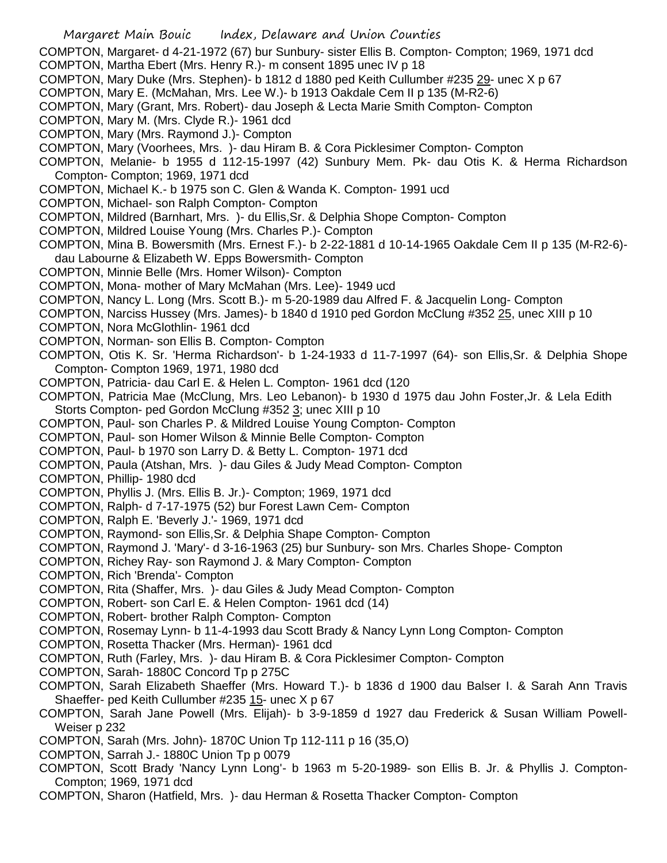COMPTON, Margaret- d 4-21-1972 (67) bur Sunbury- sister Ellis B. Compton- Compton; 1969, 1971 dcd COMPTON, Martha Ebert (Mrs. Henry R.)- m consent 1895 unec IV p 18

- COMPTON, Mary Duke (Mrs. Stephen)- b 1812 d 1880 ped Keith Cullumber #235 29- unec X p 67
- COMPTON, Mary E. (McMahan, Mrs. Lee W.)- b 1913 Oakdale Cem II p 135 (M-R2-6)
- COMPTON, Mary (Grant, Mrs. Robert)- dau Joseph & Lecta Marie Smith Compton- Compton
- COMPTON, Mary M. (Mrs. Clyde R.)- 1961 dcd
- COMPTON, Mary (Mrs. Raymond J.)- Compton
- COMPTON, Mary (Voorhees, Mrs. )- dau Hiram B. & Cora Picklesimer Compton- Compton
- COMPTON, Melanie- b 1955 d 112-15-1997 (42) Sunbury Mem. Pk- dau Otis K. & Herma Richardson Compton- Compton; 1969, 1971 dcd
- COMPTON, Michael K.- b 1975 son C. Glen & Wanda K. Compton- 1991 ucd
- COMPTON, Michael- son Ralph Compton- Compton
- COMPTON, Mildred (Barnhart, Mrs. )- du Ellis,Sr. & Delphia Shope Compton- Compton
- COMPTON, Mildred Louise Young (Mrs. Charles P.)- Compton
- COMPTON, Mina B. Bowersmith (Mrs. Ernest F.)- b 2-22-1881 d 10-14-1965 Oakdale Cem II p 135 (M-R2-6) dau Labourne & Elizabeth W. Epps Bowersmith- Compton
- COMPTON, Minnie Belle (Mrs. Homer Wilson)- Compton
- COMPTON, Mona- mother of Mary McMahan (Mrs. Lee)- 1949 ucd
- COMPTON, Nancy L. Long (Mrs. Scott B.)- m 5-20-1989 dau Alfred F. & Jacquelin Long- Compton
- COMPTON, Narciss Hussey (Mrs. James)- b 1840 d 1910 ped Gordon McClung #352 25, unec XIII p 10
- COMPTON, Nora McGlothlin- 1961 dcd
- COMPTON, Norman- son Ellis B. Compton- Compton
- COMPTON, Otis K. Sr. 'Herma Richardson'- b 1-24-1933 d 11-7-1997 (64)- son Ellis,Sr. & Delphia Shope Compton- Compton 1969, 1971, 1980 dcd
- COMPTON, Patricia- dau Carl E. & Helen L. Compton- 1961 dcd (120
- COMPTON, Patricia Mae (McClung, Mrs. Leo Lebanon)- b 1930 d 1975 dau John Foster,Jr. & Lela Edith Storts Compton- ped Gordon McClung #352 3; unec XIII p 10
- COMPTON, Paul- son Charles P. & Mildred Louise Young Compton- Compton
- COMPTON, Paul- son Homer Wilson & Minnie Belle Compton- Compton
- COMPTON, Paul- b 1970 son Larry D. & Betty L. Compton- 1971 dcd
- COMPTON, Paula (Atshan, Mrs. )- dau Giles & Judy Mead Compton- Compton
- COMPTON, Phillip- 1980 dcd
- COMPTON, Phyllis J. (Mrs. Ellis B. Jr.)- Compton; 1969, 1971 dcd
- COMPTON, Ralph- d 7-17-1975 (52) bur Forest Lawn Cem- Compton
- COMPTON, Ralph E. 'Beverly J.'- 1969, 1971 dcd
- COMPTON, Raymond- son Ellis,Sr. & Delphia Shape Compton- Compton
- COMPTON, Raymond J. 'Mary'- d 3-16-1963 (25) bur Sunbury- son Mrs. Charles Shope- Compton
- COMPTON, Richey Ray- son Raymond J. & Mary Compton- Compton
- COMPTON, Rich 'Brenda'- Compton
- COMPTON, Rita (Shaffer, Mrs. )- dau Giles & Judy Mead Compton- Compton
- COMPTON, Robert- son Carl E. & Helen Compton- 1961 dcd (14)
- COMPTON, Robert- brother Ralph Compton- Compton
- COMPTON, Rosemay Lynn- b 11-4-1993 dau Scott Brady & Nancy Lynn Long Compton- Compton
- COMPTON, Rosetta Thacker (Mrs. Herman)- 1961 dcd
- COMPTON, Ruth (Farley, Mrs. )- dau Hiram B. & Cora Picklesimer Compton- Compton
- COMPTON, Sarah- 1880C Concord Tp p 275C
- COMPTON, Sarah Elizabeth Shaeffer (Mrs. Howard T.)- b 1836 d 1900 dau Balser I. & Sarah Ann Travis Shaeffer- ped Keith Cullumber #235 15- unec X p 67
- COMPTON, Sarah Jane Powell (Mrs. Elijah)- b 3-9-1859 d 1927 dau Frederick & Susan William Powell-Weiser p 232
- COMPTON, Sarah (Mrs. John)- 1870C Union Tp 112-111 p 16 (35,O)
- COMPTON, Sarrah J.- 1880C Union Tp p 0079
- COMPTON, Scott Brady 'Nancy Lynn Long'- b 1963 m 5-20-1989- son Ellis B. Jr. & Phyllis J. Compton-Compton; 1969, 1971 dcd
- COMPTON, Sharon (Hatfield, Mrs. )- dau Herman & Rosetta Thacker Compton- Compton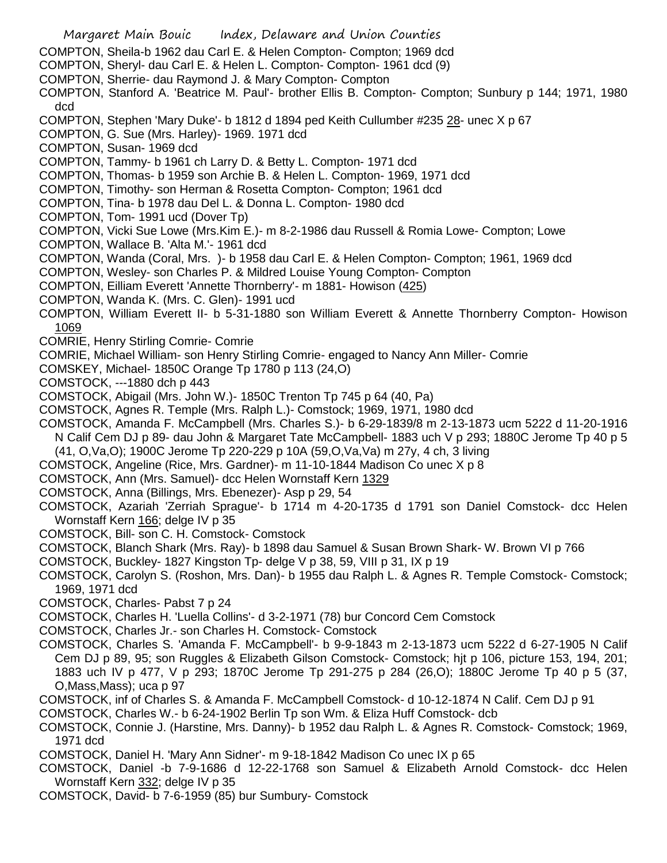Margaret Main Bouic Index, Delaware and Union Counties COMPTON, Sheila-b 1962 dau Carl E. & Helen Compton- Compton; 1969 dcd COMPTON, Sheryl- dau Carl E. & Helen L. Compton- Compton- 1961 dcd (9) COMPTON, Sherrie- dau Raymond J. & Mary Compton- Compton COMPTON, Stanford A. 'Beatrice M. Paul'- brother Ellis B. Compton- Compton; Sunbury p 144; 1971, 1980 dcd COMPTON, Stephen 'Mary Duke'- b 1812 d 1894 ped Keith Cullumber #235 28- unec X p 67 COMPTON, G. Sue (Mrs. Harley)- 1969. 1971 dcd COMPTON, Susan- 1969 dcd COMPTON, Tammy- b 1961 ch Larry D. & Betty L. Compton- 1971 dcd COMPTON, Thomas- b 1959 son Archie B. & Helen L. Compton- 1969, 1971 dcd COMPTON, Timothy- son Herman & Rosetta Compton- Compton; 1961 dcd COMPTON, Tina- b 1978 dau Del L. & Donna L. Compton- 1980 dcd COMPTON, Tom- 1991 ucd (Dover Tp) COMPTON, Vicki Sue Lowe (Mrs.Kim E.)- m 8-2-1986 dau Russell & Romia Lowe- Compton; Lowe COMPTON, Wallace B. 'Alta M.'- 1961 dcd COMPTON, Wanda (Coral, Mrs. )- b 1958 dau Carl E. & Helen Compton- Compton; 1961, 1969 dcd COMPTON, Wesley- son Charles P. & Mildred Louise Young Compton- Compton COMPTON, Eilliam Everett 'Annette Thornberry'- m 1881- Howison (425) COMPTON, Wanda K. (Mrs. C. Glen)- 1991 ucd COMPTON, William Everett II- b 5-31-1880 son William Everett & Annette Thornberry Compton- Howison 1069 COMRIE, Henry Stirling Comrie- Comrie COMRIE, Michael William- son Henry Stirling Comrie- engaged to Nancy Ann Miller- Comrie COMSKEY, Michael- 1850C Orange Tp 1780 p 113 (24,O) COMSTOCK, ---1880 dch p 443 COMSTOCK, Abigail (Mrs. John W.)- 1850C Trenton Tp 745 p 64 (40, Pa) COMSTOCK, Agnes R. Temple (Mrs. Ralph L.)- Comstock; 1969, 1971, 1980 dcd COMSTOCK, Amanda F. McCampbell (Mrs. Charles S.)- b 6-29-1839/8 m 2-13-1873 ucm 5222 d 11-20-1916 N Calif Cem DJ p 89- dau John & Margaret Tate McCampbell- 1883 uch V p 293; 1880C Jerome Tp 40 p 5 (41, O,Va,O); 1900C Jerome Tp 220-229 p 10A (59,O,Va,Va) m 27y, 4 ch, 3 living COMSTOCK, Angeline (Rice, Mrs. Gardner)- m 11-10-1844 Madison Co unec X p 8 COMSTOCK, Ann (Mrs. Samuel)- dcc Helen Wornstaff Kern 1329 COMSTOCK, Anna (Billings, Mrs. Ebenezer)- Asp p 29, 54 COMSTOCK, Azariah 'Zerriah Sprague'- b 1714 m 4-20-1735 d 1791 son Daniel Comstock- dcc Helen Wornstaff Kern 166; delge IV p 35 COMSTOCK, Bill- son C. H. Comstock- Comstock COMSTOCK, Blanch Shark (Mrs. Ray)- b 1898 dau Samuel & Susan Brown Shark- W. Brown VI p 766 COMSTOCK, Buckley- 1827 Kingston Tp- delge V p 38, 59, VIII p 31, IX p 19 COMSTOCK, Carolyn S. (Roshon, Mrs. Dan)- b 1955 dau Ralph L. & Agnes R. Temple Comstock- Comstock; 1969, 1971 dcd COMSTOCK, Charles- Pabst 7 p 24 COMSTOCK, Charles H. 'Luella Collins'- d 3-2-1971 (78) bur Concord Cem Comstock COMSTOCK, Charles Jr.- son Charles H. Comstock- Comstock COMSTOCK, Charles S. 'Amanda F. McCampbell'- b 9-9-1843 m 2-13-1873 ucm 5222 d 6-27-1905 N Calif Cem DJ p 89, 95; son Ruggles & Elizabeth Gilson Comstock- Comstock; hjt p 106, picture 153, 194, 201; 1883 uch IV p 477, V p 293; 1870C Jerome Tp 291-275 p 284 (26,O); 1880C Jerome Tp 40 p 5 (37, O,Mass,Mass); uca p 97 COMSTOCK, inf of Charles S. & Amanda F. McCampbell Comstock- d 10-12-1874 N Calif. Cem DJ p 91 COMSTOCK, Charles W.- b 6-24-1902 Berlin Tp son Wm. & Eliza Huff Comstock- dcb COMSTOCK, Connie J. (Harstine, Mrs. Danny)- b 1952 dau Ralph L. & Agnes R. Comstock- Comstock; 1969, 1971 dcd COMSTOCK, Daniel H. 'Mary Ann Sidner'- m 9-18-1842 Madison Co unec IX p 65 COMSTOCK, Daniel -b 7-9-1686 d 12-22-1768 son Samuel & Elizabeth Arnold Comstock- dcc Helen Wornstaff Kern 332; delge IV p 35 COMSTOCK, David- b 7-6-1959 (85) bur Sumbury- Comstock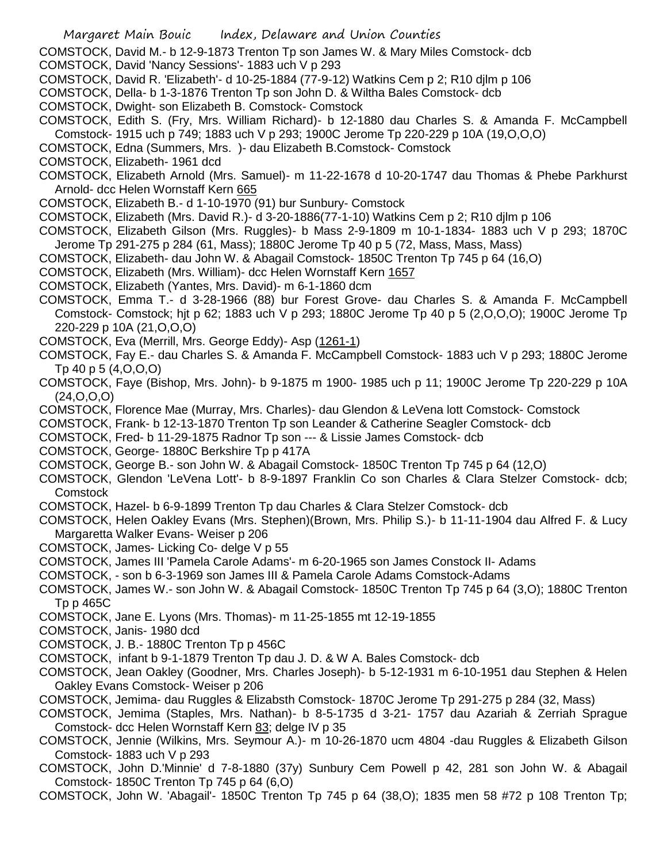- Margaret Main Bouic Index, Delaware and Union Counties COMSTOCK, David M.- b 12-9-1873 Trenton Tp son James W. & Mary Miles Comstock- dcb COMSTOCK, David 'Nancy Sessions'- 1883 uch V p 293 COMSTOCK, David R. 'Elizabeth'- d 10-25-1884 (77-9-12) Watkins Cem p 2; R10 djlm p 106 COMSTOCK, Della- b 1-3-1876 Trenton Tp son John D. & Wiltha Bales Comstock- dcb COMSTOCK, Dwight- son Elizabeth B. Comstock- Comstock COMSTOCK, Edith S. (Fry, Mrs. William Richard)- b 12-1880 dau Charles S. & Amanda F. McCampbell Comstock- 1915 uch p 749; 1883 uch V p 293; 1900C Jerome Tp 220-229 p 10A (19,O,O,O) COMSTOCK, Edna (Summers, Mrs. )- dau Elizabeth B.Comstock- Comstock COMSTOCK, Elizabeth- 1961 dcd COMSTOCK, Elizabeth Arnold (Mrs. Samuel)- m 11-22-1678 d 10-20-1747 dau Thomas & Phebe Parkhurst Arnold- dcc Helen Wornstaff Kern 665 COMSTOCK, Elizabeth B.- d 1-10-1970 (91) bur Sunbury- Comstock COMSTOCK, Elizabeth (Mrs. David R.)- d 3-20-1886(77-1-10) Watkins Cem p 2; R10 djlm p 106 COMSTOCK, Elizabeth Gilson (Mrs. Ruggles)- b Mass 2-9-1809 m 10-1-1834- 1883 uch V p 293; 1870C Jerome Tp 291-275 p 284 (61, Mass); 1880C Jerome Tp 40 p 5 (72, Mass, Mass, Mass) COMSTOCK, Elizabeth- dau John W. & Abagail Comstock- 1850C Trenton Tp 745 p 64 (16,O) COMSTOCK, Elizabeth (Mrs. William)- dcc Helen Wornstaff Kern 1657 COMSTOCK, Elizabeth (Yantes, Mrs. David)- m 6-1-1860 dcm COMSTOCK, Emma T.- d 3-28-1966 (88) bur Forest Grove- dau Charles S. & Amanda F. McCampbell Comstock- Comstock; hjt p 62; 1883 uch V p 293; 1880C Jerome Tp 40 p 5 (2,O,O,O); 1900C Jerome Tp 220-229 p 10A (21,O,O,O) COMSTOCK, Eva (Merrill, Mrs. George Eddy)- Asp (1261-1) COMSTOCK, Fay E.- dau Charles S. & Amanda F. McCampbell Comstock- 1883 uch V p 293; 1880C Jerome Tp 40 p 5 (4,O,O,O) COMSTOCK, Faye (Bishop, Mrs. John)- b 9-1875 m 1900- 1985 uch p 11; 1900C Jerome Tp 220-229 p 10A (24,O,O,O) COMSTOCK, Florence Mae (Murray, Mrs. Charles)- dau Glendon & LeVena lott Comstock- Comstock COMSTOCK, Frank- b 12-13-1870 Trenton Tp son Leander & Catherine Seagler Comstock- dcb COMSTOCK, Fred- b 11-29-1875 Radnor Tp son --- & Lissie James Comstock- dcb COMSTOCK, George- 1880C Berkshire Tp p 417A COMSTOCK, George B.- son John W. & Abagail Comstock- 1850C Trenton Tp 745 p 64 (12,O) COMSTOCK, Glendon 'LeVena Lott'- b 8-9-1897 Franklin Co son Charles & Clara Stelzer Comstock- dcb; **Comstock** COMSTOCK, Hazel- b 6-9-1899 Trenton Tp dau Charles & Clara Stelzer Comstock- dcb COMSTOCK, Helen Oakley Evans (Mrs. Stephen)(Brown, Mrs. Philip S.)- b 11-11-1904 dau Alfred F. & Lucy Margaretta Walker Evans- Weiser p 206 COMSTOCK, James- Licking Co- delge V p 55 COMSTOCK, James III 'Pamela Carole Adams'- m 6-20-1965 son James Constock II- Adams COMSTOCK, - son b 6-3-1969 son James III & Pamela Carole Adams Comstock-Adams COMSTOCK, James W.- son John W. & Abagail Comstock- 1850C Trenton Tp 745 p 64 (3,O); 1880C Trenton Tp p 465C COMSTOCK, Jane E. Lyons (Mrs. Thomas)- m 11-25-1855 mt 12-19-1855 COMSTOCK, Janis- 1980 dcd COMSTOCK, J. B.- 1880C Trenton Tp p 456C COMSTOCK, infant b 9-1-1879 Trenton Tp dau J. D. & W A. Bales Comstock- dcb COMSTOCK, Jean Oakley (Goodner, Mrs. Charles Joseph)- b 5-12-1931 m 6-10-1951 dau Stephen & Helen Oakley Evans Comstock- Weiser p 206 COMSTOCK, Jemima- dau Ruggles & Elizabsth Comstock- 1870C Jerome Tp 291-275 p 284 (32, Mass) COMSTOCK, Jemima (Staples, Mrs. Nathan)- b 8-5-1735 d 3-21- 1757 dau Azariah & Zerriah Sprague Comstock- dcc Helen Wornstaff Kern 83; delge IV p 35 COMSTOCK, Jennie (Wilkins, Mrs. Seymour A.)- m 10-26-1870 ucm 4804 -dau Ruggles & Elizabeth Gilson Comstock- 1883 uch V p 293
- COMSTOCK, John D.'Minnie' d 7-8-1880 (37y) Sunbury Cem Powell p 42, 281 son John W. & Abagail Comstock- 1850C Trenton Tp 745 p 64 (6,O)
- COMSTOCK, John W. 'Abagail'- 1850C Trenton Tp 745 p 64 (38,O); 1835 men 58 #72 p 108 Trenton Tp;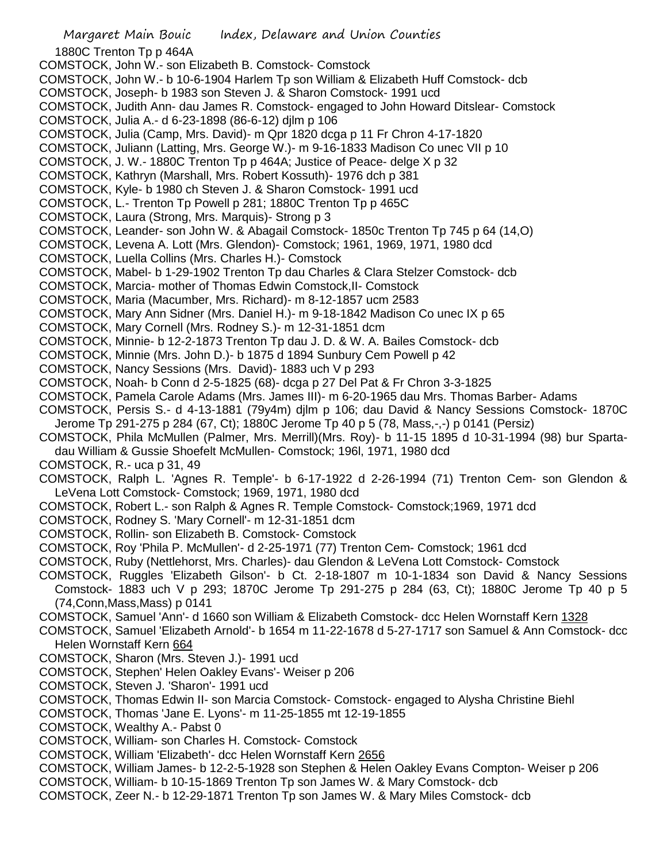Margaret Main Bouic Index, Delaware and Union Counties 1880C Trenton Tp p 464A COMSTOCK, John W.- son Elizabeth B. Comstock- Comstock COMSTOCK, John W.- b 10-6-1904 Harlem Tp son William & Elizabeth Huff Comstock- dcb COMSTOCK, Joseph- b 1983 son Steven J. & Sharon Comstock- 1991 ucd COMSTOCK, Judith Ann- dau James R. Comstock- engaged to John Howard Ditslear- Comstock COMSTOCK, Julia A.- d 6-23-1898 (86-6-12) djlm p 106 COMSTOCK, Julia (Camp, Mrs. David)- m Qpr 1820 dcga p 11 Fr Chron 4-17-1820 COMSTOCK, Juliann (Latting, Mrs. George W.)- m 9-16-1833 Madison Co unec VII p 10 COMSTOCK, J. W.- 1880C Trenton Tp p 464A; Justice of Peace- delge X p 32 COMSTOCK, Kathryn (Marshall, Mrs. Robert Kossuth)- 1976 dch p 381 COMSTOCK, Kyle- b 1980 ch Steven J. & Sharon Comstock- 1991 ucd COMSTOCK, L.- Trenton Tp Powell p 281; 1880C Trenton Tp p 465C COMSTOCK, Laura (Strong, Mrs. Marquis)- Strong p 3 COMSTOCK, Leander- son John W. & Abagail Comstock- 1850c Trenton Tp 745 p 64 (14,O) COMSTOCK, Levena A. Lott (Mrs. Glendon)- Comstock; 1961, 1969, 1971, 1980 dcd COMSTOCK, Luella Collins (Mrs. Charles H.)- Comstock COMSTOCK, Mabel- b 1-29-1902 Trenton Tp dau Charles & Clara Stelzer Comstock- dcb COMSTOCK, Marcia- mother of Thomas Edwin Comstock,II- Comstock COMSTOCK, Maria (Macumber, Mrs. Richard)- m 8-12-1857 ucm 2583 COMSTOCK, Mary Ann Sidner (Mrs. Daniel H.)- m 9-18-1842 Madison Co unec IX p 65 COMSTOCK, Mary Cornell (Mrs. Rodney S.)- m 12-31-1851 dcm COMSTOCK, Minnie- b 12-2-1873 Trenton Tp dau J. D. & W. A. Bailes Comstock- dcb COMSTOCK, Minnie (Mrs. John D.)- b 1875 d 1894 Sunbury Cem Powell p 42 COMSTOCK, Nancy Sessions (Mrs. David)- 1883 uch V p 293 COMSTOCK, Noah- b Conn d 2-5-1825 (68)- dcga p 27 Del Pat & Fr Chron 3-3-1825 COMSTOCK, Pamela Carole Adams (Mrs. James III)- m 6-20-1965 dau Mrs. Thomas Barber- Adams COMSTOCK, Persis S.- d 4-13-1881 (79y4m) djlm p 106; dau David & Nancy Sessions Comstock- 1870C Jerome Tp 291-275 p 284 (67, Ct); 1880C Jerome Tp 40 p 5 (78, Mass,-,-) p 0141 (Persiz) COMSTOCK, Phila McMullen (Palmer, Mrs. Merrill)(Mrs. Roy)- b 11-15 1895 d 10-31-1994 (98) bur Spartadau William & Gussie Shoefelt McMullen- Comstock; 196l, 1971, 1980 dcd COMSTOCK, R.- uca p 31, 49 COMSTOCK, Ralph L. 'Agnes R. Temple'- b 6-17-1922 d 2-26-1994 (71) Trenton Cem- son Glendon & LeVena Lott Comstock- Comstock; 1969, 1971, 1980 dcd COMSTOCK, Robert L.- son Ralph & Agnes R. Temple Comstock- Comstock;1969, 1971 dcd COMSTOCK, Rodney S. 'Mary Cornell'- m 12-31-1851 dcm COMSTOCK, Rollin- son Elizabeth B. Comstock- Comstock COMSTOCK, Roy 'Phila P. McMullen'- d 2-25-1971 (77) Trenton Cem- Comstock; 1961 dcd COMSTOCK, Ruby (Nettlehorst, Mrs. Charles)- dau Glendon & LeVena Lott Comstock- Comstock COMSTOCK, Ruggles 'Elizabeth Gilson'- b Ct. 2-18-1807 m 10-1-1834 son David & Nancy Sessions Comstock- 1883 uch V p 293; 1870C Jerome Tp 291-275 p 284 (63, Ct); 1880C Jerome Tp 40 p 5 (74,Conn,Mass,Mass) p 0141 COMSTOCK, Samuel 'Ann'- d 1660 son William & Elizabeth Comstock- dcc Helen Wornstaff Kern 1328 COMSTOCK, Samuel 'Elizabeth Arnold'- b 1654 m 11-22-1678 d 5-27-1717 son Samuel & Ann Comstock- dcc Helen Wornstaff Kern 664 COMSTOCK, Sharon (Mrs. Steven J.)- 1991 ucd COMSTOCK, Stephen' Helen Oakley Evans'- Weiser p 206 COMSTOCK, Steven J. 'Sharon'- 1991 ucd COMSTOCK, Thomas Edwin II- son Marcia Comstock- Comstock- engaged to Alysha Christine Biehl COMSTOCK, Thomas 'Jane E. Lyons'- m 11-25-1855 mt 12-19-1855 COMSTOCK, Wealthy A.- Pabst 0 COMSTOCK, William- son Charles H. Comstock- Comstock COMSTOCK, William 'Elizabeth'- dcc Helen Wornstaff Kern 2656 COMSTOCK, William James- b 12-2-5-1928 son Stephen & Helen Oakley Evans Compton- Weiser p 206

- COMSTOCK, William- b 10-15-1869 Trenton Tp son James W. & Mary Comstock- dcb
- COMSTOCK, Zeer N.- b 12-29-1871 Trenton Tp son James W. & Mary Miles Comstock- dcb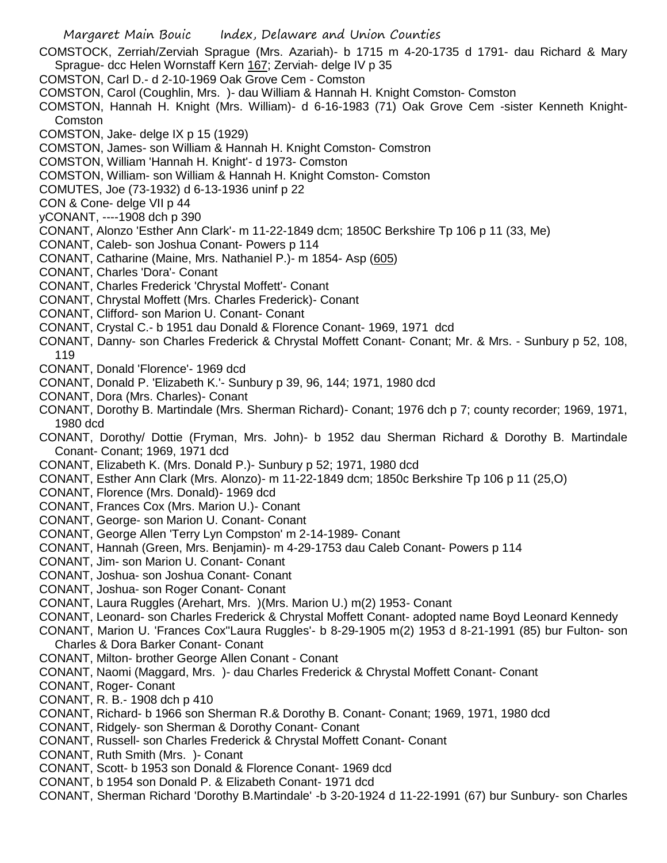- Margaret Main Bouic Index, Delaware and Union Counties
- COMSTOCK, Zerriah/Zerviah Sprague (Mrs. Azariah)- b 1715 m 4-20-1735 d 1791- dau Richard & Mary Sprague- dcc Helen Wornstaff Kern 167; Zerviah- delge IV p 35
- COMSTON, Carl D.- d 2-10-1969 Oak Grove Cem Comston
- COMSTON, Carol (Coughlin, Mrs. )- dau William & Hannah H. Knight Comston- Comston
- COMSTON, Hannah H. Knight (Mrs. William)- d 6-16-1983 (71) Oak Grove Cem -sister Kenneth Knight-Comston
- COMSTON, Jake- delge IX p 15 (1929)
- COMSTON, James- son William & Hannah H. Knight Comston- Comstron
- COMSTON, William 'Hannah H. Knight'- d 1973- Comston
- COMSTON, William- son William & Hannah H. Knight Comston- Comston
- COMUTES, Joe (73-1932) d 6-13-1936 uninf p 22
- CON & Cone- delge VII p 44
- yCONANT, ----1908 dch p 390
- CONANT, Alonzo 'Esther Ann Clark'- m 11-22-1849 dcm; 1850C Berkshire Tp 106 p 11 (33, Me)
- CONANT, Caleb- son Joshua Conant- Powers p 114
- CONANT, Catharine (Maine, Mrs. Nathaniel P.)- m 1854- Asp (605)
- CONANT, Charles 'Dora'- Conant
- CONANT, Charles Frederick 'Chrystal Moffett'- Conant
- CONANT, Chrystal Moffett (Mrs. Charles Frederick)- Conant
- CONANT, Clifford- son Marion U. Conant- Conant
- CONANT, Crystal C.- b 1951 dau Donald & Florence Conant- 1969, 1971 dcd
- CONANT, Danny- son Charles Frederick & Chrystal Moffett Conant- Conant; Mr. & Mrs. Sunbury p 52, 108, 119
- CONANT, Donald 'Florence'- 1969 dcd
- CONANT, Donald P. 'Elizabeth K.'- Sunbury p 39, 96, 144; 1971, 1980 dcd
- CONANT, Dora (Mrs. Charles)- Conant
- CONANT, Dorothy B. Martindale (Mrs. Sherman Richard)- Conant; 1976 dch p 7; county recorder; 1969, 1971, 1980 dcd
- CONANT, Dorothy/ Dottie (Fryman, Mrs. John)- b 1952 dau Sherman Richard & Dorothy B. Martindale Conant- Conant; 1969, 1971 dcd
- CONANT, Elizabeth K. (Mrs. Donald P.)- Sunbury p 52; 1971, 1980 dcd
- CONANT, Esther Ann Clark (Mrs. Alonzo)- m 11-22-1849 dcm; 1850c Berkshire Tp 106 p 11 (25,O)
- CONANT, Florence (Mrs. Donald)- 1969 dcd
- CONANT, Frances Cox (Mrs. Marion U.)- Conant
- CONANT, George- son Marion U. Conant- Conant
- CONANT, George Allen 'Terry Lyn Compston' m 2-14-1989- Conant
- CONANT, Hannah (Green, Mrs. Benjamin)- m 4-29-1753 dau Caleb Conant- Powers p 114
- CONANT, Jim- son Marion U. Conant- Conant
- CONANT, Joshua- son Joshua Conant- Conant
- CONANT, Joshua- son Roger Conant- Conant
- CONANT, Laura Ruggles (Arehart, Mrs. )(Mrs. Marion U.) m(2) 1953- Conant
- CONANT, Leonard- son Charles Frederick & Chrystal Moffett Conant- adopted name Boyd Leonard Kennedy
- CONANT, Marion U. 'Frances Cox''Laura Ruggles'- b 8-29-1905 m(2) 1953 d 8-21-1991 (85) bur Fulton- son Charles & Dora Barker Conant- Conant
- CONANT, Milton- brother George Allen Conant Conant
- CONANT, Naomi (Maggard, Mrs. )- dau Charles Frederick & Chrystal Moffett Conant- Conant
- CONANT, Roger- Conant
- CONANT, R. B.- 1908 dch p 410
- CONANT, Richard- b 1966 son Sherman R.& Dorothy B. Conant- Conant; 1969, 1971, 1980 dcd
- CONANT, Ridgely- son Sherman & Dorothy Conant- Conant
- CONANT, Russell- son Charles Frederick & Chrystal Moffett Conant- Conant
- CONANT, Ruth Smith (Mrs. )- Conant
- CONANT, Scott- b 1953 son Donald & Florence Conant- 1969 dcd
- CONANT, b 1954 son Donald P. & Elizabeth Conant- 1971 dcd
- CONANT, Sherman Richard 'Dorothy B.Martindale' -b 3-20-1924 d 11-22-1991 (67) bur Sunbury- son Charles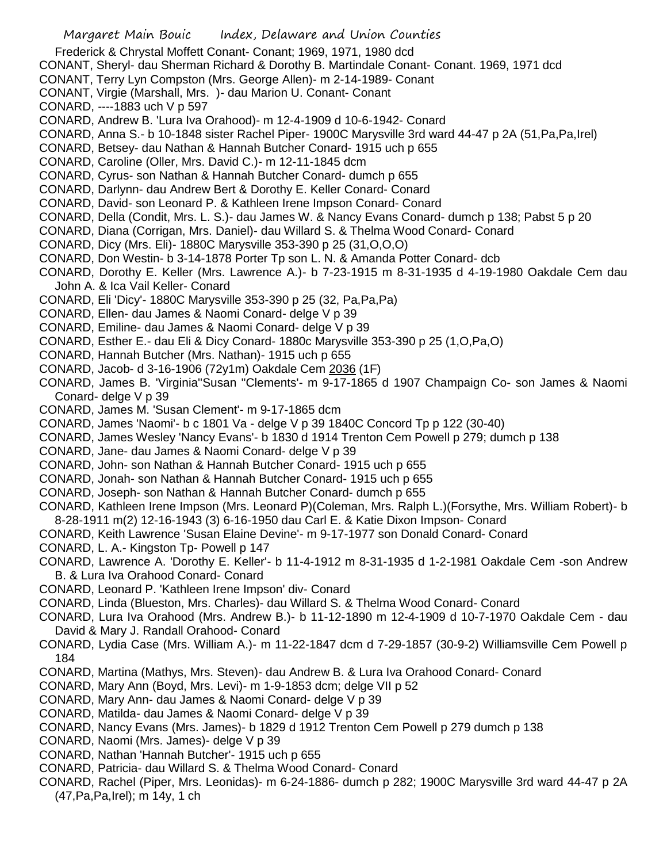- Frederick & Chrystal Moffett Conant- Conant; 1969, 1971, 1980 dcd
- CONANT, Sheryl- dau Sherman Richard & Dorothy B. Martindale Conant- Conant. 1969, 1971 dcd
- CONANT, Terry Lyn Compston (Mrs. George Allen)- m 2-14-1989- Conant
- CONANT, Virgie (Marshall, Mrs. )- dau Marion U. Conant- Conant
- CONARD, ----1883 uch V p 597
- CONARD, Andrew B. 'Lura Iva Orahood)- m 12-4-1909 d 10-6-1942- Conard
- CONARD, Anna S.- b 10-1848 sister Rachel Piper- 1900C Marysville 3rd ward 44-47 p 2A (51,Pa,Pa,Irel)
- CONARD, Betsey- dau Nathan & Hannah Butcher Conard- 1915 uch p 655
- CONARD, Caroline (Oller, Mrs. David C.)- m 12-11-1845 dcm
- CONARD, Cyrus- son Nathan & Hannah Butcher Conard- dumch p 655
- CONARD, Darlynn- dau Andrew Bert & Dorothy E. Keller Conard- Conard
- CONARD, David- son Leonard P. & Kathleen Irene Impson Conard- Conard
- CONARD, Della (Condit, Mrs. L. S.)- dau James W. & Nancy Evans Conard- dumch p 138; Pabst 5 p 20
- CONARD, Diana (Corrigan, Mrs. Daniel)- dau Willard S. & Thelma Wood Conard- Conard
- CONARD, Dicy (Mrs. Eli)- 1880C Marysville 353-390 p 25 (31,O,O,O)
- CONARD, Don Westin- b 3-14-1878 Porter Tp son L. N. & Amanda Potter Conard- dcb
- CONARD, Dorothy E. Keller (Mrs. Lawrence A.)- b 7-23-1915 m 8-31-1935 d 4-19-1980 Oakdale Cem dau John A. & Ica Vail Keller- Conard
- CONARD, Eli 'Dicy'- 1880C Marysville 353-390 p 25 (32, Pa,Pa,Pa)
- CONARD, Ellen- dau James & Naomi Conard- delge V p 39
- CONARD, Emiline- dau James & Naomi Conard- delge V p 39
- CONARD, Esther E.- dau Eli & Dicy Conard- 1880c Marysville 353-390 p 25 (1,O,Pa,O)
- CONARD, Hannah Butcher (Mrs. Nathan)- 1915 uch p 655
- CONARD, Jacob- d 3-16-1906 (72y1m) Oakdale Cem 2036 (1F)
- CONARD, James B. 'Virginia''Susan ''Clements'- m 9-17-1865 d 1907 Champaign Co- son James & Naomi Conard- delge V p 39
- CONARD, James M. 'Susan Clement'- m 9-17-1865 dcm
- CONARD, James 'Naomi'- b c 1801 Va delge V p 39 1840C Concord Tp p 122 (30-40)
- CONARD, James Wesley 'Nancy Evans'- b 1830 d 1914 Trenton Cem Powell p 279; dumch p 138
- CONARD, Jane- dau James & Naomi Conard- delge V p 39
- CONARD, John- son Nathan & Hannah Butcher Conard- 1915 uch p 655
- CONARD, Jonah- son Nathan & Hannah Butcher Conard- 1915 uch p 655
- CONARD, Joseph- son Nathan & Hannah Butcher Conard- dumch p 655
- CONARD, Kathleen Irene Impson (Mrs. Leonard P)(Coleman, Mrs. Ralph L.)(Forsythe, Mrs. William Robert)- b 8-28-1911 m(2) 12-16-1943 (3) 6-16-1950 dau Carl E. & Katie Dixon Impson- Conard
- CONARD, Keith Lawrence 'Susan Elaine Devine'- m 9-17-1977 son Donald Conard- Conard
- CONARD, L. A.- Kingston Tp- Powell p 147
- CONARD, Lawrence A. 'Dorothy E. Keller'- b 11-4-1912 m 8-31-1935 d 1-2-1981 Oakdale Cem -son Andrew B. & Lura Iva Orahood Conard- Conard
- CONARD, Leonard P. 'Kathleen Irene Impson' div- Conard
- CONARD, Linda (Blueston, Mrs. Charles)- dau Willard S. & Thelma Wood Conard- Conard
- CONARD, Lura Iva Orahood (Mrs. Andrew B.)- b 11-12-1890 m 12-4-1909 d 10-7-1970 Oakdale Cem dau David & Mary J. Randall Orahood- Conard
- CONARD, Lydia Case (Mrs. William A.)- m 11-22-1847 dcm d 7-29-1857 (30-9-2) Williamsville Cem Powell p 184
- CONARD, Martina (Mathys, Mrs. Steven)- dau Andrew B. & Lura Iva Orahood Conard- Conard
- CONARD, Mary Ann (Boyd, Mrs. Levi)- m 1-9-1853 dcm; delge VII p 52
- CONARD, Mary Ann- dau James & Naomi Conard- delge V p 39
- CONARD, Matilda- dau James & Naomi Conard- delge V p 39
- CONARD, Nancy Evans (Mrs. James)- b 1829 d 1912 Trenton Cem Powell p 279 dumch p 138
- CONARD, Naomi (Mrs. James)- delge V p 39
- CONARD, Nathan 'Hannah Butcher'- 1915 uch p 655
- CONARD, Patricia- dau Willard S. & Thelma Wood Conard- Conard
- CONARD, Rachel (Piper, Mrs. Leonidas)- m 6-24-1886- dumch p 282; 1900C Marysville 3rd ward 44-47 p 2A (47,Pa,Pa,Irel); m 14y, 1 ch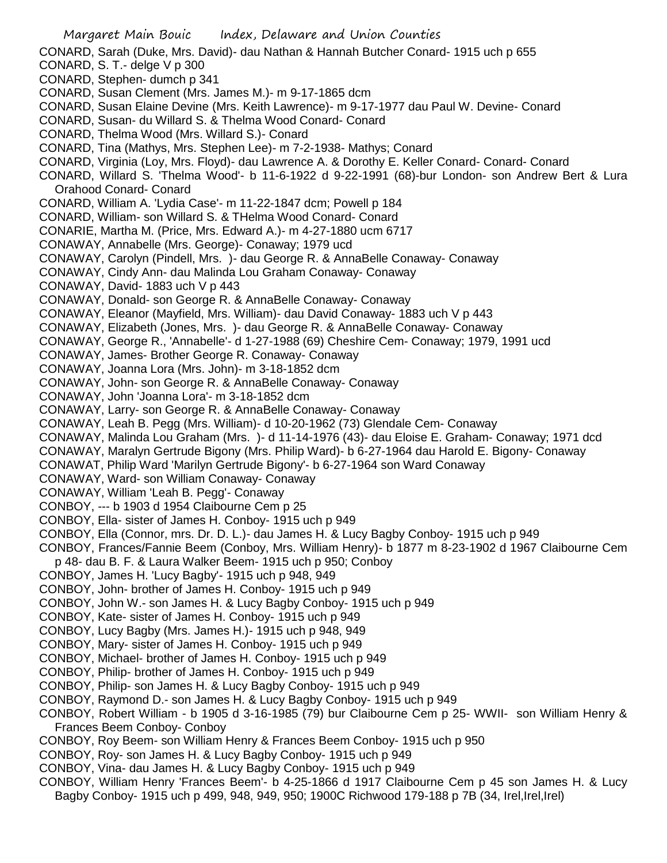- Margaret Main Bouic Index, Delaware and Union Counties CONARD, Sarah (Duke, Mrs. David)- dau Nathan & Hannah Butcher Conard- 1915 uch p 655 CONARD, S. T.- delge V p 300 CONARD, Stephen- dumch p 341 CONARD, Susan Clement (Mrs. James M.)- m 9-17-1865 dcm CONARD, Susan Elaine Devine (Mrs. Keith Lawrence)- m 9-17-1977 dau Paul W. Devine- Conard CONARD, Susan- du Willard S. & Thelma Wood Conard- Conard CONARD, Thelma Wood (Mrs. Willard S.)- Conard CONARD, Tina (Mathys, Mrs. Stephen Lee)- m 7-2-1938- Mathys; Conard CONARD, Virginia (Loy, Mrs. Floyd)- dau Lawrence A. & Dorothy E. Keller Conard- Conard- Conard CONARD, Willard S. 'Thelma Wood'- b 11-6-1922 d 9-22-1991 (68)-bur London- son Andrew Bert & Lura Orahood Conard- Conard CONARD, William A. 'Lydia Case'- m 11-22-1847 dcm; Powell p 184 CONARD, William- son Willard S. & THelma Wood Conard- Conard CONARIE, Martha M. (Price, Mrs. Edward A.)- m 4-27-1880 ucm 6717 CONAWAY, Annabelle (Mrs. George)- Conaway; 1979 ucd CONAWAY, Carolyn (Pindell, Mrs. )- dau George R. & AnnaBelle Conaway- Conaway CONAWAY, Cindy Ann- dau Malinda Lou Graham Conaway- Conaway CONAWAY, David- 1883 uch V p 443 CONAWAY, Donald- son George R. & AnnaBelle Conaway- Conaway CONAWAY, Eleanor (Mayfield, Mrs. William)- dau David Conaway- 1883 uch V p 443 CONAWAY, Elizabeth (Jones, Mrs. )- dau George R. & AnnaBelle Conaway- Conaway CONAWAY, George R., 'Annabelle'- d 1-27-1988 (69) Cheshire Cem- Conaway; 1979, 1991 ucd CONAWAY, James- Brother George R. Conaway- Conaway CONAWAY, Joanna Lora (Mrs. John)- m 3-18-1852 dcm CONAWAY, John- son George R. & AnnaBelle Conaway- Conaway CONAWAY, John 'Joanna Lora'- m 3-18-1852 dcm CONAWAY, Larry- son George R. & AnnaBelle Conaway- Conaway CONAWAY, Leah B. Pegg (Mrs. William)- d 10-20-1962 (73) Glendale Cem- Conaway CONAWAY, Malinda Lou Graham (Mrs. )- d 11-14-1976 (43)- dau Eloise E. Graham- Conaway; 1971 dcd CONAWAY, Maralyn Gertrude Bigony (Mrs. Philip Ward)- b 6-27-1964 dau Harold E. Bigony- Conaway CONAWAT, Philip Ward 'Marilyn Gertrude Bigony'- b 6-27-1964 son Ward Conaway CONAWAY, Ward- son William Conaway- Conaway CONAWAY, William 'Leah B. Pegg'- Conaway CONBOY, --- b 1903 d 1954 Claibourne Cem p 25 CONBOY, Ella- sister of James H. Conboy- 1915 uch p 949 CONBOY, Ella (Connor, mrs. Dr. D. L.)- dau James H. & Lucy Bagby Conboy- 1915 uch p 949 CONBOY, Frances/Fannie Beem (Conboy, Mrs. William Henry)- b 1877 m 8-23-1902 d 1967 Claibourne Cem p 48- dau B. F. & Laura Walker Beem- 1915 uch p 950; Conboy CONBOY, James H. 'Lucy Bagby'- 1915 uch p 948, 949 CONBOY, John- brother of James H. Conboy- 1915 uch p 949 CONBOY, John W.- son James H. & Lucy Bagby Conboy- 1915 uch p 949 CONBOY, Kate- sister of James H. Conboy- 1915 uch p 949 CONBOY, Lucy Bagby (Mrs. James H.)- 1915 uch p 948, 949 CONBOY, Mary- sister of James H. Conboy- 1915 uch p 949 CONBOY, Michael- brother of James H. Conboy- 1915 uch p 949 CONBOY, Philip- brother of James H. Conboy- 1915 uch p 949 CONBOY, Philip- son James H. & Lucy Bagby Conboy- 1915 uch p 949 CONBOY, Raymond D.- son James H. & Lucy Bagby Conboy- 1915 uch p 949 CONBOY, Robert William - b 1905 d 3-16-1985 (79) bur Claibourne Cem p 25- WWII- son William Henry & Frances Beem Conboy- Conboy CONBOY, Roy Beem- son William Henry & Frances Beem Conboy- 1915 uch p 950 CONBOY, Roy- son James H. & Lucy Bagby Conboy- 1915 uch p 949 CONBOY, Vina- dau James H. & Lucy Bagby Conboy- 1915 uch p 949 CONBOY, William Henry 'Frances Beem'- b 4-25-1866 d 1917 Claibourne Cem p 45 son James H. & Lucy
	- Bagby Conboy- 1915 uch p 499, 948, 949, 950; 1900C Richwood 179-188 p 7B (34, Irel,Irel,Irel)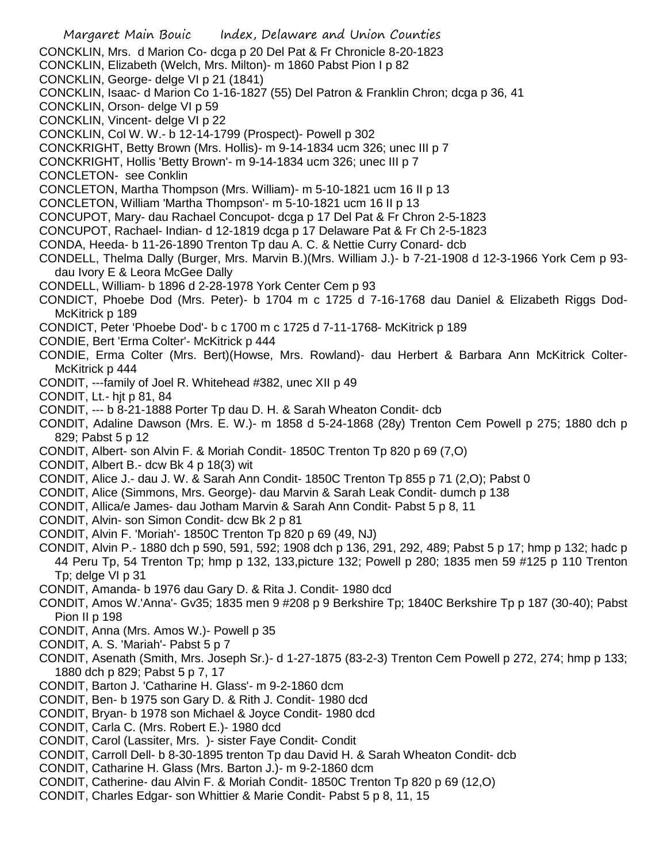- Margaret Main Bouic Index, Delaware and Union Counties CONCKLIN, Mrs. d Marion Co- dcga p 20 Del Pat & Fr Chronicle 8-20-1823 CONCKLIN, Elizabeth (Welch, Mrs. Milton)- m 1860 Pabst Pion I p 82 CONCKLIN, George- delge VI p 21 (1841) CONCKLIN, Isaac- d Marion Co 1-16-1827 (55) Del Patron & Franklin Chron; dcga p 36, 41 CONCKLIN, Orson- delge VI p 59 CONCKLIN, Vincent- delge VI p 22 CONCKLIN, Col W. W.- b 12-14-1799 (Prospect)- Powell p 302 CONCKRIGHT, Betty Brown (Mrs. Hollis)- m 9-14-1834 ucm 326; unec III p 7 CONCKRIGHT, Hollis 'Betty Brown'- m 9-14-1834 ucm 326; unec III p 7 CONCLETON- see Conklin CONCLETON, Martha Thompson (Mrs. William)- m 5-10-1821 ucm 16 II p 13 CONCLETON, William 'Martha Thompson'- m 5-10-1821 ucm 16 II p 13 CONCUPOT, Mary- dau Rachael Concupot- dcga p 17 Del Pat & Fr Chron 2-5-1823 CONCUPOT, Rachael- Indian- d 12-1819 dcga p 17 Delaware Pat & Fr Ch 2-5-1823 CONDA, Heeda- b 11-26-1890 Trenton Tp dau A. C. & Nettie Curry Conard- dcb CONDELL, Thelma Dally (Burger, Mrs. Marvin B.)(Mrs. William J.)- b 7-21-1908 d 12-3-1966 York Cem p 93 dau Ivory E & Leora McGee Dally CONDELL, William- b 1896 d 2-28-1978 York Center Cem p 93 CONDICT, Phoebe Dod (Mrs. Peter)- b 1704 m c 1725 d 7-16-1768 dau Daniel & Elizabeth Riggs Dod-McKitrick p 189 CONDICT, Peter 'Phoebe Dod'- b c 1700 m c 1725 d 7-11-1768- McKitrick p 189 CONDIE, Bert 'Erma Colter'- McKitrick p 444 CONDIE, Erma Colter (Mrs. Bert)(Howse, Mrs. Rowland)- dau Herbert & Barbara Ann McKitrick Colter-McKitrick p 444 CONDIT, ---family of Joel R. Whitehead #382, unec XII p 49 CONDIT, Lt.- hjt p 81, 84 CONDIT, --- b 8-21-1888 Porter Tp dau D. H. & Sarah Wheaton Condit- dcb CONDIT, Adaline Dawson (Mrs. E. W.)- m 1858 d 5-24-1868 (28y) Trenton Cem Powell p 275; 1880 dch p 829; Pabst 5 p 12 CONDIT, Albert- son Alvin F. & Moriah Condit- 1850C Trenton Tp 820 p 69 (7,O) CONDIT, Albert B.- dcw Bk 4 p 18(3) wit CONDIT, Alice J.- dau J. W. & Sarah Ann Condit- 1850C Trenton Tp 855 p 71 (2,O); Pabst 0 CONDIT, Alice (Simmons, Mrs. George)- dau Marvin & Sarah Leak Condit- dumch p 138 CONDIT, Allica/e James- dau Jotham Marvin & Sarah Ann Condit- Pabst 5 p 8, 11 CONDIT, Alvin- son Simon Condit- dcw Bk 2 p 81 CONDIT, Alvin F. 'Moriah'- 1850C Trenton Tp 820 p 69 (49, NJ) CONDIT, Alvin P.- 1880 dch p 590, 591, 592; 1908 dch p 136, 291, 292, 489; Pabst 5 p 17; hmp p 132; hadc p 44 Peru Tp, 54 Trenton Tp; hmp p 132, 133,picture 132; Powell p 280; 1835 men 59 #125 p 110 Trenton Tp; delge VI p 31 CONDIT, Amanda- b 1976 dau Gary D. & Rita J. Condit- 1980 dcd CONDIT, Amos W.'Anna'- Gv35; 1835 men 9 #208 p 9 Berkshire Tp; 1840C Berkshire Tp p 187 (30-40); Pabst Pion II p 198 CONDIT, Anna (Mrs. Amos W.)- Powell p 35 CONDIT, A. S. 'Mariah'- Pabst 5 p 7 CONDIT, Asenath (Smith, Mrs. Joseph Sr.)- d 1-27-1875 (83-2-3) Trenton Cem Powell p 272, 274; hmp p 133; 1880 dch p 829; Pabst 5 p 7, 17 CONDIT, Barton J. 'Catharine H. Glass'- m 9-2-1860 dcm CONDIT, Ben- b 1975 son Gary D. & Rith J. Condit- 1980 dcd CONDIT, Bryan- b 1978 son Michael & Joyce Condit- 1980 dcd CONDIT, Carla C. (Mrs. Robert E.)- 1980 dcd CONDIT, Carol (Lassiter, Mrs. )- sister Faye Condit- Condit CONDIT, Carroll Dell- b 8-30-1895 trenton Tp dau David H. & Sarah Wheaton Condit- dcb CONDIT, Catharine H. Glass (Mrs. Barton J.)- m 9-2-1860 dcm CONDIT, Catherine- dau Alvin F. & Moriah Condit- 1850C Trenton Tp 820 p 69 (12,O)
- CONDIT, Charles Edgar- son Whittier & Marie Condit- Pabst 5 p 8, 11, 15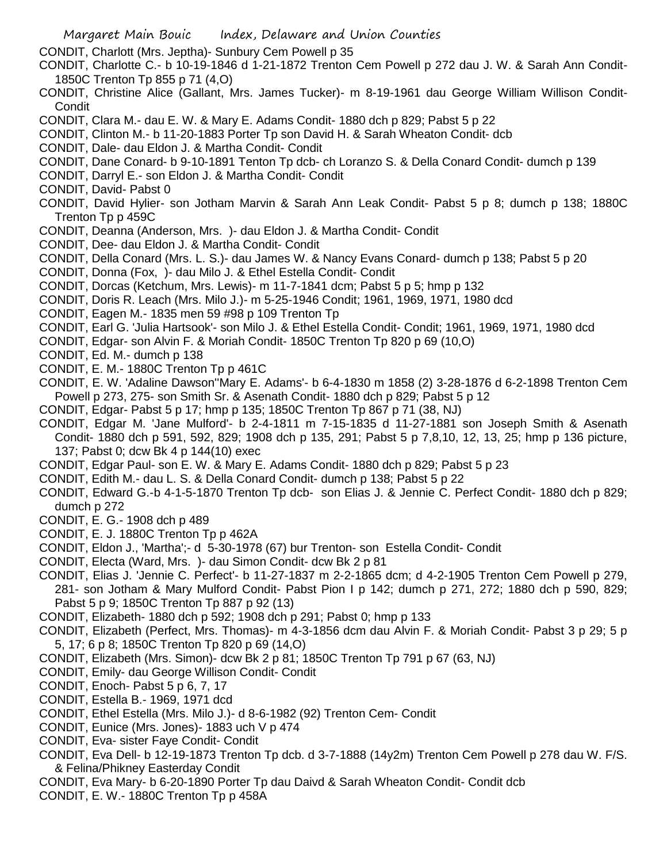CONDIT, Charlott (Mrs. Jeptha)- Sunbury Cem Powell p 35

CONDIT, Charlotte C.- b 10-19-1846 d 1-21-1872 Trenton Cem Powell p 272 dau J. W. & Sarah Ann Condit-1850C Trenton Tp 855 p 71 (4,O)

- CONDIT, Christine Alice (Gallant, Mrs. James Tucker)- m 8-19-1961 dau George William Willison Condit-**Condit**
- CONDIT, Clara M.- dau E. W. & Mary E. Adams Condit- 1880 dch p 829; Pabst 5 p 22
- CONDIT, Clinton M.- b 11-20-1883 Porter Tp son David H. & Sarah Wheaton Condit- dcb
- CONDIT, Dale- dau Eldon J. & Martha Condit- Condit
- CONDIT, Dane Conard- b 9-10-1891 Tenton Tp dcb- ch Loranzo S. & Della Conard Condit- dumch p 139
- CONDIT, Darryl E.- son Eldon J. & Martha Condit- Condit
- CONDIT, David- Pabst 0
- CONDIT, David Hylier- son Jotham Marvin & Sarah Ann Leak Condit- Pabst 5 p 8; dumch p 138; 1880C Trenton Tp p 459C
- CONDIT, Deanna (Anderson, Mrs. )- dau Eldon J. & Martha Condit- Condit
- CONDIT, Dee- dau Eldon J. & Martha Condit- Condit
- CONDIT, Della Conard (Mrs. L. S.)- dau James W. & Nancy Evans Conard- dumch p 138; Pabst 5 p 20
- CONDIT, Donna (Fox, )- dau Milo J. & Ethel Estella Condit- Condit
- CONDIT, Dorcas (Ketchum, Mrs. Lewis)- m 11-7-1841 dcm; Pabst 5 p 5; hmp p 132
- CONDIT, Doris R. Leach (Mrs. Milo J.)- m 5-25-1946 Condit; 1961, 1969, 1971, 1980 dcd
- CONDIT, Eagen M.- 1835 men 59 #98 p 109 Trenton Tp
- CONDIT, Earl G. 'Julia Hartsook'- son Milo J. & Ethel Estella Condit- Condit; 1961, 1969, 1971, 1980 dcd
- CONDIT, Edgar- son Alvin F. & Moriah Condit- 1850C Trenton Tp 820 p 69 (10,O)
- CONDIT, Ed. M.- dumch p 138
- CONDIT, E. M.- 1880C Trenton Tp p 461C
- CONDIT, E. W. 'Adaline Dawson''Mary E. Adams'- b 6-4-1830 m 1858 (2) 3-28-1876 d 6-2-1898 Trenton Cem Powell p 273, 275- son Smith Sr. & Asenath Condit- 1880 dch p 829; Pabst 5 p 12
- CONDIT, Edgar- Pabst 5 p 17; hmp p 135; 1850C Trenton Tp 867 p 71 (38, NJ)
- CONDIT, Edgar M. 'Jane Mulford'- b 2-4-1811 m 7-15-1835 d 11-27-1881 son Joseph Smith & Asenath Condit- 1880 dch p 591, 592, 829; 1908 dch p 135, 291; Pabst 5 p 7,8,10, 12, 13, 25; hmp p 136 picture, 137; Pabst 0; dcw Bk 4 p 144(10) exec
- CONDIT, Edgar Paul- son E. W. & Mary E. Adams Condit- 1880 dch p 829; Pabst 5 p 23
- CONDIT, Edith M.- dau L. S. & Della Conard Condit- dumch p 138; Pabst 5 p 22
- CONDIT, Edward G.-b 4-1-5-1870 Trenton Tp dcb- son Elias J. & Jennie C. Perfect Condit- 1880 dch p 829; dumch p 272
- CONDIT, E. G.- 1908 dch p 489
- CONDIT, E. J. 1880C Trenton Tp p 462A
- CONDIT, Eldon J., 'Martha';- d 5-30-1978 (67) bur Trenton- son Estella Condit- Condit
- CONDIT, Electa (Ward, Mrs. )- dau Simon Condit- dcw Bk 2 p 81
- CONDIT, Elias J. 'Jennie C. Perfect'- b 11-27-1837 m 2-2-1865 dcm; d 4-2-1905 Trenton Cem Powell p 279, 281- son Jotham & Mary Mulford Condit- Pabst Pion I p 142; dumch p 271, 272; 1880 dch p 590, 829; Pabst 5 p 9; 1850C Trenton Tp 887 p 92 (13)
- CONDIT, Elizabeth- 1880 dch p 592; 1908 dch p 291; Pabst 0; hmp p 133
- CONDIT, Elizabeth (Perfect, Mrs. Thomas)- m 4-3-1856 dcm dau Alvin F. & Moriah Condit- Pabst 3 p 29; 5 p 5, 17; 6 p 8; 1850C Trenton Tp 820 p 69 (14,O)
- CONDIT, Elizabeth (Mrs. Simon)- dcw Bk 2 p 81; 1850C Trenton Tp 791 p 67 (63, NJ)
- CONDIT, Emily- dau George Willison Condit- Condit
- CONDIT, Enoch- Pabst 5 p 6, 7, 17
- CONDIT, Estella B.- 1969, 1971 dcd
- CONDIT, Ethel Estella (Mrs. Milo J.)- d 8-6-1982 (92) Trenton Cem- Condit
- CONDIT, Eunice (Mrs. Jones)- 1883 uch V p 474
- CONDIT, Eva- sister Faye Condit- Condit
- CONDIT, Eva Dell- b 12-19-1873 Trenton Tp dcb. d 3-7-1888 (14y2m) Trenton Cem Powell p 278 dau W. F/S. & Felina/Phikney Easterday Condit
- CONDIT, Eva Mary- b 6-20-1890 Porter Tp dau Daivd & Sarah Wheaton Condit- Condit dcb
- CONDIT, E. W.- 1880C Trenton Tp p 458A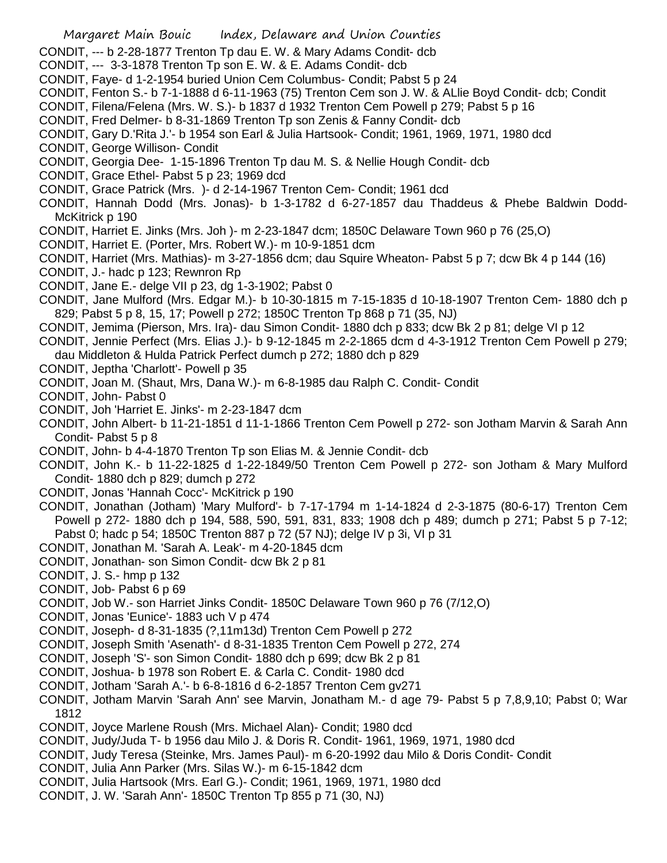- Margaret Main Bouic Index, Delaware and Union Counties
- CONDIT, --- b 2-28-1877 Trenton Tp dau E. W. & Mary Adams Condit- dcb
- CONDIT, --- 3-3-1878 Trenton Tp son E. W. & E. Adams Condit- dcb
- CONDIT, Faye- d 1-2-1954 buried Union Cem Columbus- Condit; Pabst 5 p 24
- CONDIT, Fenton S.- b 7-1-1888 d 6-11-1963 (75) Trenton Cem son J. W. & ALlie Boyd Condit- dcb; Condit
- CONDIT, Filena/Felena (Mrs. W. S.)- b 1837 d 1932 Trenton Cem Powell p 279; Pabst 5 p 16
- CONDIT, Fred Delmer- b 8-31-1869 Trenton Tp son Zenis & Fanny Condit- dcb
- CONDIT, Gary D.'Rita J.'- b 1954 son Earl & Julia Hartsook- Condit; 1961, 1969, 1971, 1980 dcd
- CONDIT, George Willison- Condit
- CONDIT, Georgia Dee- 1-15-1896 Trenton Tp dau M. S. & Nellie Hough Condit- dcb
- CONDIT, Grace Ethel- Pabst 5 p 23; 1969 dcd
- CONDIT, Grace Patrick (Mrs. )- d 2-14-1967 Trenton Cem- Condit; 1961 dcd
- CONDIT, Hannah Dodd (Mrs. Jonas)- b 1-3-1782 d 6-27-1857 dau Thaddeus & Phebe Baldwin Dodd-McKitrick p 190
- CONDIT, Harriet E. Jinks (Mrs. Joh )- m 2-23-1847 dcm; 1850C Delaware Town 960 p 76 (25,O)
- CONDIT, Harriet E. (Porter, Mrs. Robert W.)- m 10-9-1851 dcm
- CONDIT, Harriet (Mrs. Mathias)- m 3-27-1856 dcm; dau Squire Wheaton- Pabst 5 p 7; dcw Bk 4 p 144 (16)
- CONDIT, J.- hadc p 123; Rewnron Rp
- CONDIT, Jane E.- delge VII p 23, dg 1-3-1902; Pabst 0
- CONDIT, Jane Mulford (Mrs. Edgar M.)- b 10-30-1815 m 7-15-1835 d 10-18-1907 Trenton Cem- 1880 dch p 829; Pabst 5 p 8, 15, 17; Powell p 272; 1850C Trenton Tp 868 p 71 (35, NJ)
- CONDIT, Jemima (Pierson, Mrs. Ira)- dau Simon Condit- 1880 dch p 833; dcw Bk 2 p 81; delge VI p 12
- CONDIT, Jennie Perfect (Mrs. Elias J.)- b 9-12-1845 m 2-2-1865 dcm d 4-3-1912 Trenton Cem Powell p 279; dau Middleton & Hulda Patrick Perfect dumch p 272; 1880 dch p 829
- CONDIT, Jeptha 'Charlott'- Powell p 35
- CONDIT, Joan M. (Shaut, Mrs, Dana W.)- m 6-8-1985 dau Ralph C. Condit- Condit
- CONDIT, John- Pabst 0
- CONDIT, Joh 'Harriet E. Jinks'- m 2-23-1847 dcm
- CONDIT, John Albert- b 11-21-1851 d 11-1-1866 Trenton Cem Powell p 272- son Jotham Marvin & Sarah Ann Condit- Pabst 5 p 8
- CONDIT, John- b 4-4-1870 Trenton Tp son Elias M. & Jennie Condit- dcb
- CONDIT, John K.- b 11-22-1825 d 1-22-1849/50 Trenton Cem Powell p 272- son Jotham & Mary Mulford Condit- 1880 dch p 829; dumch p 272
- CONDIT, Jonas 'Hannah Cocc'- McKitrick p 190
- CONDIT, Jonathan (Jotham) 'Mary Mulford'- b 7-17-1794 m 1-14-1824 d 2-3-1875 (80-6-17) Trenton Cem Powell p 272- 1880 dch p 194, 588, 590, 591, 831, 833; 1908 dch p 489; dumch p 271; Pabst 5 p 7-12; Pabst 0; hadc p 54; 1850C Trenton 887 p 72 (57 NJ); delge IV p 3i, VI p 31
- CONDIT, Jonathan M. 'Sarah A. Leak'- m 4-20-1845 dcm
- CONDIT, Jonathan- son Simon Condit- dcw Bk 2 p 81
- CONDIT, J. S.- hmp p 132
- CONDIT, Job- Pabst 6 p 69
- CONDIT, Job W.- son Harriet Jinks Condit- 1850C Delaware Town 960 p 76 (7/12,O)
- CONDIT, Jonas 'Eunice'- 1883 uch V p 474
- CONDIT, Joseph- d 8-31-1835 (?,11m13d) Trenton Cem Powell p 272
- CONDIT, Joseph Smith 'Asenath'- d 8-31-1835 Trenton Cem Powell p 272, 274
- CONDIT, Joseph 'S'- son Simon Condit- 1880 dch p 699; dcw Bk 2 p 81
- CONDIT, Joshua- b 1978 son Robert E. & Carla C. Condit- 1980 dcd
- CONDIT, Jotham 'Sarah A.'- b 6-8-1816 d 6-2-1857 Trenton Cem gv271
- CONDIT, Jotham Marvin 'Sarah Ann' see Marvin, Jonatham M.- d age 79- Pabst 5 p 7,8,9,10; Pabst 0; War 1812
- CONDIT, Joyce Marlene Roush (Mrs. Michael Alan)- Condit; 1980 dcd
- CONDIT, Judy/Juda T- b 1956 dau Milo J. & Doris R. Condit- 1961, 1969, 1971, 1980 dcd
- CONDIT, Judy Teresa (Steinke, Mrs. James Paul)- m 6-20-1992 dau Milo & Doris Condit- Condit
- CONDIT, Julia Ann Parker (Mrs. Silas W.)- m 6-15-1842 dcm
- CONDIT, Julia Hartsook (Mrs. Earl G.)- Condit; 1961, 1969, 1971, 1980 dcd
- CONDIT, J. W. 'Sarah Ann'- 1850C Trenton Tp 855 p 71 (30, NJ)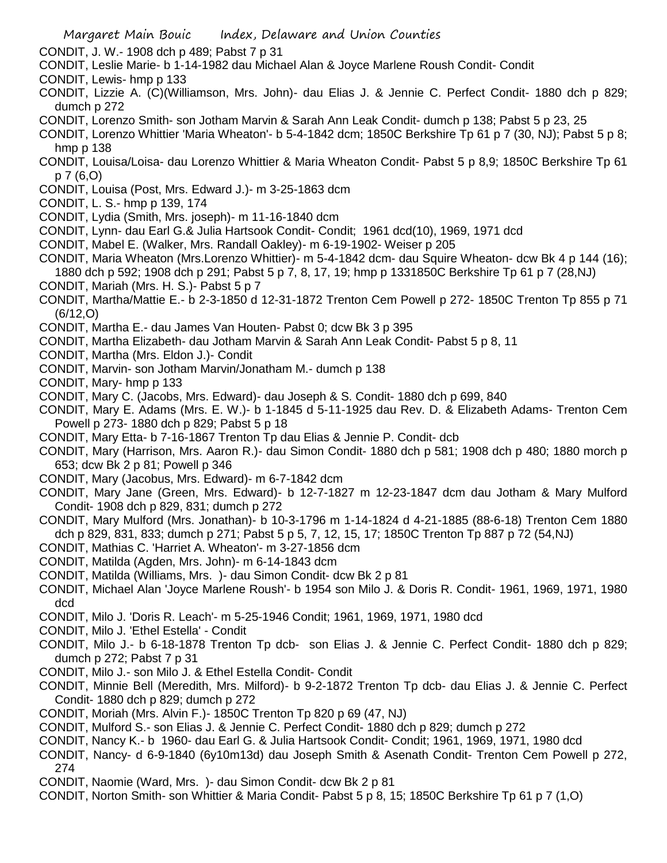CONDIT, J. W.- 1908 dch p 489; Pabst 7 p 31

- CONDIT, Leslie Marie- b 1-14-1982 dau Michael Alan & Joyce Marlene Roush Condit- Condit
- CONDIT, Lewis- hmp p 133
- CONDIT, Lizzie A. (C)(Williamson, Mrs. John)- dau Elias J. & Jennie C. Perfect Condit- 1880 dch p 829; dumch p 272
- CONDIT, Lorenzo Smith- son Jotham Marvin & Sarah Ann Leak Condit- dumch p 138; Pabst 5 p 23, 25
- CONDIT, Lorenzo Whittier 'Maria Wheaton'- b 5-4-1842 dcm; 1850C Berkshire Tp 61 p 7 (30, NJ); Pabst 5 p 8; hmp p 138
- CONDIT, Louisa/Loisa- dau Lorenzo Whittier & Maria Wheaton Condit- Pabst 5 p 8,9; 1850C Berkshire Tp 61 p 7 (6,O)
- CONDIT, Louisa (Post, Mrs. Edward J.)- m 3-25-1863 dcm
- CONDIT, L. S.- hmp p 139, 174
- CONDIT, Lydia (Smith, Mrs. joseph)- m 11-16-1840 dcm
- CONDIT, Lynn- dau Earl G.& Julia Hartsook Condit- Condit; 1961 dcd(10), 1969, 1971 dcd
- CONDIT, Mabel E. (Walker, Mrs. Randall Oakley)- m 6-19-1902- Weiser p 205
- CONDIT, Maria Wheaton (Mrs.Lorenzo Whittier)- m 5-4-1842 dcm- dau Squire Wheaton- dcw Bk 4 p 144 (16); 1880 dch p 592; 1908 dch p 291; Pabst 5 p 7, 8, 17, 19; hmp p 1331850C Berkshire Tp 61 p 7 (28,NJ)
- CONDIT, Mariah (Mrs. H. S.)- Pabst 5 p 7
- CONDIT, Martha/Mattie E.- b 2-3-1850 d 12-31-1872 Trenton Cem Powell p 272- 1850C Trenton Tp 855 p 71 (6/12,O)
- CONDIT, Martha E.- dau James Van Houten- Pabst 0; dcw Bk 3 p 395
- CONDIT, Martha Elizabeth- dau Jotham Marvin & Sarah Ann Leak Condit- Pabst 5 p 8, 11
- CONDIT, Martha (Mrs. Eldon J.)- Condit
- CONDIT, Marvin- son Jotham Marvin/Jonatham M.- dumch p 138
- CONDIT, Mary- hmp p 133
- CONDIT, Mary C. (Jacobs, Mrs. Edward)- dau Joseph & S. Condit- 1880 dch p 699, 840
- CONDIT, Mary E. Adams (Mrs. E. W.)- b 1-1845 d 5-11-1925 dau Rev. D. & Elizabeth Adams- Trenton Cem Powell p 273- 1880 dch p 829; Pabst 5 p 18
- CONDIT, Mary Etta- b 7-16-1867 Trenton Tp dau Elias & Jennie P. Condit- dcb
- CONDIT, Mary (Harrison, Mrs. Aaron R.)- dau Simon Condit- 1880 dch p 581; 1908 dch p 480; 1880 morch p 653; dcw Bk 2 p 81; Powell p 346
- CONDIT, Mary (Jacobus, Mrs. Edward)- m 6-7-1842 dcm
- CONDIT, Mary Jane (Green, Mrs. Edward)- b 12-7-1827 m 12-23-1847 dcm dau Jotham & Mary Mulford Condit- 1908 dch p 829, 831; dumch p 272
- CONDIT, Mary Mulford (Mrs. Jonathan)- b 10-3-1796 m 1-14-1824 d 4-21-1885 (88-6-18) Trenton Cem 1880 dch p 829, 831, 833; dumch p 271; Pabst 5 p 5, 7, 12, 15, 17; 1850C Trenton Tp 887 p 72 (54,NJ)
- CONDIT, Mathias C. 'Harriet A. Wheaton'- m 3-27-1856 dcm
- CONDIT, Matilda (Agden, Mrs. John)- m 6-14-1843 dcm
- CONDIT, Matilda (Williams, Mrs. )- dau Simon Condit- dcw Bk 2 p 81
- CONDIT, Michael Alan 'Joyce Marlene Roush'- b 1954 son Milo J. & Doris R. Condit- 1961, 1969, 1971, 1980 dcd
- CONDIT, Milo J. 'Doris R. Leach'- m 5-25-1946 Condit; 1961, 1969, 1971, 1980 dcd
- CONDIT, Milo J. 'Ethel Estella' Condit
- CONDIT, Milo J.- b 6-18-1878 Trenton Tp dcb- son Elias J. & Jennie C. Perfect Condit- 1880 dch p 829; dumch p 272; Pabst 7 p 31
- CONDIT, Milo J.- son Milo J. & Ethel Estella Condit- Condit
- CONDIT, Minnie Bell (Meredith, Mrs. Milford)- b 9-2-1872 Trenton Tp dcb- dau Elias J. & Jennie C. Perfect Condit- 1880 dch p 829; dumch p 272
- CONDIT, Moriah (Mrs. Alvin F.)- 1850C Trenton Tp 820 p 69 (47, NJ)
- CONDIT, Mulford S.- son Elias J. & Jennie C. Perfect Condit- 1880 dch p 829; dumch p 272
- CONDIT, Nancy K.- b 1960- dau Earl G. & Julia Hartsook Condit- Condit; 1961, 1969, 1971, 1980 dcd
- CONDIT, Nancy- d 6-9-1840 (6y10m13d) dau Joseph Smith & Asenath Condit- Trenton Cem Powell p 272, 274
- CONDIT, Naomie (Ward, Mrs. )- dau Simon Condit- dcw Bk 2 p 81
- CONDIT, Norton Smith- son Whittier & Maria Condit- Pabst 5 p 8, 15; 1850C Berkshire Tp 61 p 7 (1,O)